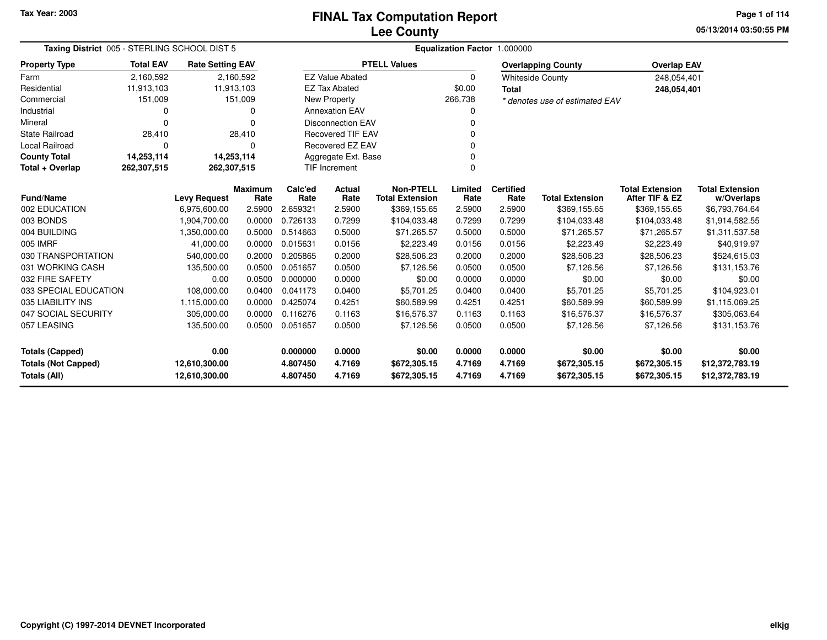### **Lee CountyFINAL Tax Computation Report**

**05/13/2014 03:50:55 PM Page 1 of 114**

|                            | Taxing District 005 - STERLING SCHOOL DIST 5 |                         |                        |                 |                          |                                            |                 | Equalization Factor 1.000000 |                                |                                          |                                      |
|----------------------------|----------------------------------------------|-------------------------|------------------------|-----------------|--------------------------|--------------------------------------------|-----------------|------------------------------|--------------------------------|------------------------------------------|--------------------------------------|
| <b>Property Type</b>       | <b>Total EAV</b>                             | <b>Rate Setting EAV</b> |                        |                 |                          | <b>PTELL Values</b>                        |                 |                              | <b>Overlapping County</b>      | <b>Overlap EAV</b>                       |                                      |
| Farm                       | 2,160,592                                    |                         | 2,160,592              |                 | <b>EZ Value Abated</b>   |                                            | $\Omega$        |                              | <b>Whiteside County</b>        | 248,054,401                              |                                      |
| Residential                | 11,913,103                                   | 11,913,103              |                        |                 | <b>EZ Tax Abated</b>     |                                            | \$0.00          | <b>Total</b>                 |                                | 248,054,401                              |                                      |
| Commercial                 | 151,009                                      |                         | 151,009                |                 | <b>New Property</b>      |                                            | 266,738         |                              | * denotes use of estimated EAV |                                          |                                      |
| Industrial                 | 0                                            |                         | 0                      |                 | <b>Annexation EAV</b>    |                                            | 0               |                              |                                |                                          |                                      |
| Mineral                    | 0                                            |                         | 0                      |                 | <b>Disconnection EAV</b> |                                            | $\Omega$        |                              |                                |                                          |                                      |
| <b>State Railroad</b>      | 28,410                                       |                         | 28,410                 |                 | <b>Recovered TIF EAV</b> |                                            | 0               |                              |                                |                                          |                                      |
| <b>Local Railroad</b>      | $\Omega$                                     |                         | $\Omega$               |                 | Recovered EZ EAV         |                                            | $\Omega$        |                              |                                |                                          |                                      |
| <b>County Total</b>        | 14,253,114                                   | 14,253,114              |                        |                 | Aggregate Ext. Base      |                                            | 0               |                              |                                |                                          |                                      |
| Total + Overlap            | 262,307,515                                  | 262,307,515             |                        |                 | <b>TIF Increment</b>     |                                            | $\mathbf 0$     |                              |                                |                                          |                                      |
| <b>Fund/Name</b>           |                                              | <b>Levy Request</b>     | <b>Maximum</b><br>Rate | Calc'ed<br>Rate | Actual<br>Rate           | <b>Non-PTELL</b><br><b>Total Extension</b> | Limited<br>Rate | <b>Certified</b><br>Rate     | <b>Total Extension</b>         | <b>Total Extension</b><br>After TIF & EZ | <b>Total Extension</b><br>w/Overlaps |
| 002 EDUCATION              |                                              | 6.975,600.00            | 2.5900                 | 2.659321        | 2.5900                   | \$369,155.65                               | 2.5900          | 2.5900                       | \$369,155.65                   | \$369,155.65                             | \$6,793,764.64                       |
| 003 BONDS                  |                                              | 1,904,700.00            | 0.0000                 | 0.726133        | 0.7299                   | \$104,033.48                               | 0.7299          | 0.7299                       | \$104,033.48                   | \$104,033.48                             | \$1,914,582.55                       |
| 004 BUILDING               |                                              | 1,350,000.00            | 0.5000                 | 0.514663        | 0.5000                   | \$71,265.57                                | 0.5000          | 0.5000                       | \$71,265.57                    | \$71,265.57                              | \$1,311,537.58                       |
| 005 IMRF                   |                                              | 41,000.00               | 0.0000                 | 0.015631        | 0.0156                   | \$2,223.49                                 | 0.0156          | 0.0156                       | \$2,223.49                     | \$2,223.49                               | \$40,919.97                          |
| 030 TRANSPORTATION         |                                              | 540,000.00              | 0.2000                 | 0.205865        | 0.2000                   | \$28,506.23                                | 0.2000          | 0.2000                       | \$28,506.23                    | \$28,506.23                              | \$524,615.03                         |
| 031 WORKING CASH           |                                              | 135,500.00              | 0.0500                 | 0.051657        | 0.0500                   | \$7,126.56                                 | 0.0500          | 0.0500                       | \$7,126.56                     | \$7,126.56                               | \$131,153.76                         |
| 032 FIRE SAFETY            |                                              | 0.00                    | 0.0500                 | 0.000000        | 0.0000                   | \$0.00                                     | 0.0000          | 0.0000                       | \$0.00                         | \$0.00                                   | \$0.00                               |
| 033 SPECIAL EDUCATION      |                                              | 108,000.00              | 0.0400                 | 0.041173        | 0.0400                   | \$5,701.25                                 | 0.0400          | 0.0400                       | \$5,701.25                     | \$5,701.25                               | \$104,923.01                         |
| 035 LIABILITY INS          |                                              | 1,115,000.00            | 0.0000                 | 0.425074        | 0.4251                   | \$60,589.99                                | 0.4251          | 0.4251                       | \$60,589.99                    | \$60,589.99                              | \$1,115,069.25                       |
| 047 SOCIAL SECURITY        |                                              | 305,000.00              | 0.0000                 | 0.116276        | 0.1163                   | \$16,576.37                                | 0.1163          | 0.1163                       | \$16,576.37                    | \$16,576.37                              | \$305,063.64                         |
| 057 LEASING                |                                              | 135,500.00              | 0.0500                 | 0.051657        | 0.0500                   | \$7,126.56                                 | 0.0500          | 0.0500                       | \$7,126.56                     | \$7,126.56                               | \$131,153.76                         |
| <b>Totals (Capped)</b>     |                                              | 0.00                    |                        | 0.000000        | 0.0000                   | \$0.00                                     | 0.0000          | 0.0000                       | \$0.00                         | \$0.00                                   | \$0.00                               |
| <b>Totals (Not Capped)</b> |                                              | 12,610,300.00           |                        | 4.807450        | 4.7169                   | \$672,305.15                               | 4.7169          | 4.7169                       | \$672,305.15                   | \$672,305.15                             | \$12,372,783.19                      |
| Totals (All)               |                                              | 12,610,300.00           |                        | 4.807450        | 4.7169                   | \$672,305.15                               | 4.7169          | 4.7169                       | \$672,305.15                   | \$672,305.15                             | \$12,372,783.19                      |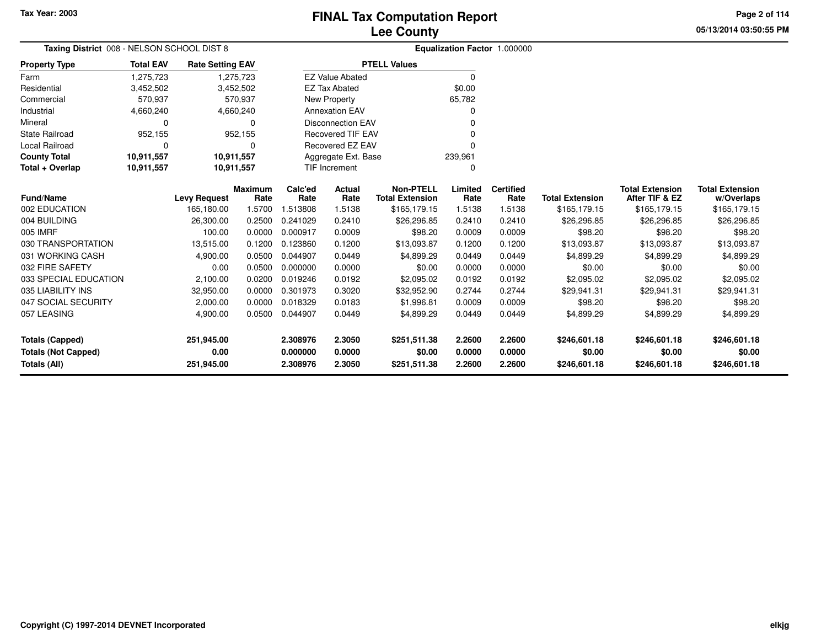**05/13/2014 03:50:55 PM Page 2 of 114**

| Taxing District 008 - NELSON SCHOOL DIST 8    |                  |                         |                |                      |                          |                        |                  | Equalization Factor 1.000000 |                        |                        |                        |
|-----------------------------------------------|------------------|-------------------------|----------------|----------------------|--------------------------|------------------------|------------------|------------------------------|------------------------|------------------------|------------------------|
| <b>Property Type</b>                          | <b>Total EAV</b> | <b>Rate Setting EAV</b> |                |                      |                          | <b>PTELL Values</b>    |                  |                              |                        |                        |                        |
| Farm                                          | 1,275,723        |                         | 1,275,723      |                      | <b>EZ Value Abated</b>   |                        | 0                |                              |                        |                        |                        |
| Residential                                   | 3,452,502        |                         | 3,452,502      |                      | <b>EZ Tax Abated</b>     |                        | \$0.00           |                              |                        |                        |                        |
| Commercial                                    | 570,937          |                         | 570,937        |                      | New Property             |                        | 65,782           |                              |                        |                        |                        |
| Industrial                                    | 4,660,240        |                         | 4,660,240      |                      | <b>Annexation EAV</b>    |                        | 0                |                              |                        |                        |                        |
| Mineral                                       | $\Omega$         |                         | $\Omega$       |                      | <b>Disconnection EAV</b> |                        | 0                |                              |                        |                        |                        |
| <b>State Railroad</b>                         | 952,155          |                         | 952,155        |                      | <b>Recovered TIF EAV</b> |                        | 0                |                              |                        |                        |                        |
| Local Railroad                                | 0                |                         | 0              |                      | Recovered EZ EAV         |                        | 0                |                              |                        |                        |                        |
| <b>County Total</b>                           | 10,911,557       |                         | 10,911,557     |                      | Aggregate Ext. Base      |                        | 239,961          |                              |                        |                        |                        |
| Total + Overlap                               | 10,911,557       |                         | 10,911,557     |                      | <b>TIF Increment</b>     |                        | 0                |                              |                        |                        |                        |
|                                               |                  |                         | <b>Maximum</b> | Calc'ed              | Actual                   | <b>Non-PTELL</b>       | Limited          | <b>Certified</b>             |                        | <b>Total Extension</b> | <b>Total Extension</b> |
| <b>Fund/Name</b>                              |                  | <b>Levy Request</b>     | Rate           | Rate                 | Rate                     | <b>Total Extension</b> | Rate             | Rate                         | <b>Total Extension</b> | After TIF & EZ         | w/Overlaps             |
| 002 EDUCATION                                 |                  | 165,180.00              | 1.5700         | 1.513808             | 1.5138                   | \$165,179.15           | 1.5138           | 1.5138                       | \$165,179.15           | \$165,179.15           | \$165,179.15           |
| 004 BUILDING                                  |                  | 26,300.00               | 0.2500         | 0.241029             | 0.2410                   | \$26,296.85            | 0.2410           | 0.2410                       | \$26,296.85            | \$26,296.85            | \$26,296.85            |
| 005 IMRF                                      |                  | 100.00                  | 0.0000         | 0.000917             | 0.0009                   | \$98.20                | 0.0009           | 0.0009                       | \$98.20                | \$98.20                | \$98.20                |
| 030 TRANSPORTATION                            |                  | 13,515.00               | 0.1200         | 0.123860             | 0.1200                   | \$13,093.87            | 0.1200           | 0.1200                       | \$13,093.87            | \$13,093.87            | \$13,093.87            |
| 031 WORKING CASH                              |                  | 4,900.00                | 0.0500         | 0.044907             | 0.0449                   | \$4,899.29             | 0.0449           | 0.0449                       | \$4,899.29             | \$4,899.29             | \$4,899.29             |
| 032 FIRE SAFETY                               |                  | 0.00                    | 0.0500         | 0.000000             | 0.0000                   | \$0.00                 | 0.0000           | 0.0000                       | \$0.00                 | \$0.00                 | \$0.00                 |
| 033 SPECIAL EDUCATION                         |                  | 2,100.00                | 0.0200         | 0.019246             | 0.0192                   | \$2,095.02             | 0.0192           | 0.0192                       | \$2,095.02             | \$2,095.02             | \$2,095.02             |
| 035 LIABILITY INS                             |                  | 32,950.00               | 0.0000         | 0.301973             | 0.3020                   | \$32,952.90            | 0.2744           | 0.2744                       | \$29,941.31            | \$29,941.31            | \$29,941.31            |
| 047 SOCIAL SECURITY                           |                  | 2,000.00                | 0.0000         | 0.018329             | 0.0183                   | \$1,996.81             | 0.0009           | 0.0009                       | \$98.20                | \$98.20                | \$98.20                |
| 057 LEASING                                   |                  | 4,900.00                | 0.0500         | 0.044907             | 0.0449                   | \$4,899.29             | 0.0449           | 0.0449                       | \$4,899.29             | \$4,899.29             | \$4,899.29             |
| Totals (Capped)<br><b>Totals (Not Capped)</b> |                  | 251,945.00<br>0.00      |                | 2.308976<br>0.000000 | 2.3050<br>0.0000         | \$251,511.38<br>\$0.00 | 2.2600<br>0.0000 | 2.2600<br>0.0000             | \$246,601.18<br>\$0.00 | \$246,601.18<br>\$0.00 | \$246,601.18<br>\$0.00 |
| Totals (All)                                  |                  | 251,945.00              |                | 2.308976             | 2.3050                   | \$251,511.38           | 2.2600           | 2.2600                       | \$246,601.18           | \$246,601.18           | \$246,601.18           |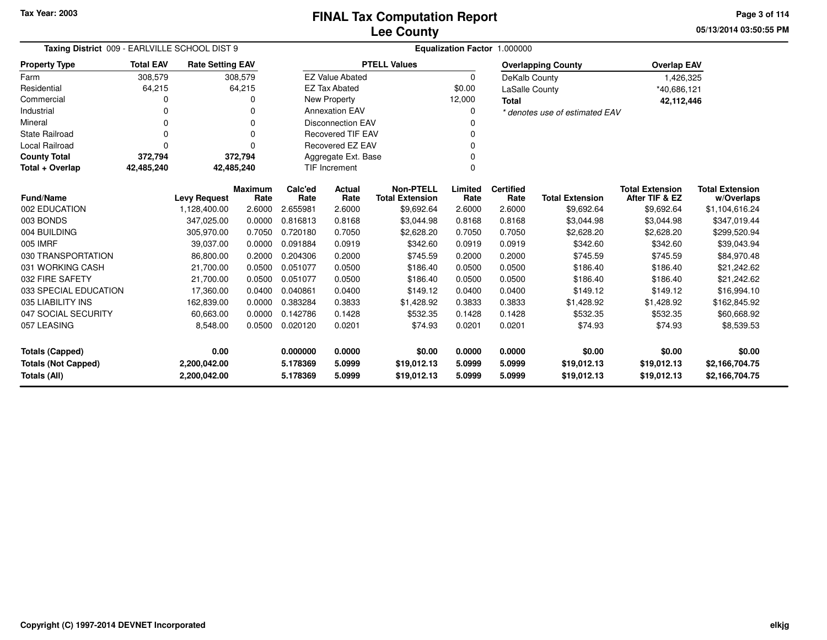**05/13/2014 03:50:55 PMPage 3 of 114**

| Taxing District 009 - EARLVILLE SCHOOL DIST 9   |                  |                         |                        |                 | Equalization Factor 1.000000 |                                            |                 |                          |                                |                                          |                                      |  |  |
|-------------------------------------------------|------------------|-------------------------|------------------------|-----------------|------------------------------|--------------------------------------------|-----------------|--------------------------|--------------------------------|------------------------------------------|--------------------------------------|--|--|
| <b>Property Type</b>                            | <b>Total EAV</b> | <b>Rate Setting EAV</b> |                        |                 |                              | <b>PTELL Values</b>                        |                 |                          | <b>Overlapping County</b>      | <b>Overlap EAV</b>                       |                                      |  |  |
| Farm                                            | 308,579          |                         | 308,579                |                 | <b>EZ Value Abated</b>       |                                            | $\Omega$        | DeKalb County            |                                | 1,426,325                                |                                      |  |  |
| Residential                                     | 64,215           |                         | 64,215                 |                 | <b>EZ Tax Abated</b>         |                                            | \$0.00          | LaSalle County           |                                | *40,686,121                              |                                      |  |  |
| Commercial                                      | 0                |                         | 0                      |                 | New Property                 |                                            | 12,000          | <b>Total</b>             |                                | 42,112,446                               |                                      |  |  |
| Industrial                                      | 0                |                         | 0                      |                 | <b>Annexation EAV</b>        |                                            | 0               |                          | * denotes use of estimated EAV |                                          |                                      |  |  |
| Mineral                                         | 0                |                         | $\Omega$               |                 | <b>Disconnection EAV</b>     |                                            | 0               |                          |                                |                                          |                                      |  |  |
| <b>State Railroad</b>                           | $\mathbf 0$      |                         | $\Omega$               |                 | <b>Recovered TIF EAV</b>     |                                            | 0               |                          |                                |                                          |                                      |  |  |
| Local Railroad                                  | $\Omega$         |                         | $\Omega$               |                 | <b>Recovered EZ EAV</b>      |                                            | 0               |                          |                                |                                          |                                      |  |  |
| <b>County Total</b>                             | 372,794          |                         | 372,794                |                 | Aggregate Ext. Base          |                                            | 0               |                          |                                |                                          |                                      |  |  |
| Total + Overlap                                 | 42,485,240       | 42,485,240              |                        |                 | <b>TIF Increment</b><br>0    |                                            |                 |                          |                                |                                          |                                      |  |  |
| <b>Fund/Name</b>                                |                  | <b>Levy Request</b>     | <b>Maximum</b><br>Rate | Calc'ed<br>Rate | <b>Actual</b><br>Rate        | <b>Non-PTELL</b><br><b>Total Extension</b> | Limited<br>Rate | <b>Certified</b><br>Rate | <b>Total Extension</b>         | <b>Total Extension</b><br>After TIF & EZ | <b>Total Extension</b><br>w/Overlaps |  |  |
| 002 EDUCATION                                   |                  | 1,128,400.00            | 2.6000                 | 2.655981        | 2.6000                       | \$9,692.64                                 | 2.6000          | 2.6000                   | \$9,692.64                     | \$9,692.64                               | \$1,104,616.24                       |  |  |
| 003 BONDS                                       |                  | 347,025.00              | 0.0000                 | 0.816813        | 0.8168                       | \$3,044.98                                 | 0.8168          | 0.8168                   | \$3,044.98                     | \$3,044.98                               | \$347,019.44                         |  |  |
| 004 BUILDING                                    |                  | 305.970.00              | 0.7050                 | 0.720180        | 0.7050                       | \$2,628.20                                 | 0.7050          | 0.7050                   | \$2,628.20                     | \$2,628.20                               | \$299,520.94                         |  |  |
| 005 IMRF                                        |                  | 39,037.00               | 0.0000                 | 0.091884        | 0.0919                       | \$342.60                                   | 0.0919          | 0.0919                   | \$342.60                       | \$342.60                                 | \$39,043.94                          |  |  |
| 030 TRANSPORTATION                              |                  | 86,800.00               | 0.2000                 | 0.204306        | 0.2000                       | \$745.59                                   | 0.2000          | 0.2000                   | \$745.59                       | \$745.59                                 | \$84,970.48                          |  |  |
| 031 WORKING CASH                                |                  | 21,700.00               | 0.0500                 | 0.051077        | 0.0500                       | \$186.40                                   | 0.0500          | 0.0500                   | \$186.40                       | \$186.40                                 | \$21,242.62                          |  |  |
| 032 FIRE SAFETY                                 |                  | 21,700.00               | 0.0500                 | 0.051077        | 0.0500                       | \$186.40                                   | 0.0500          | 0.0500                   | \$186.40                       | \$186.40                                 | \$21,242.62                          |  |  |
| 033 SPECIAL EDUCATION                           |                  | 17,360.00               | 0.0400                 | 0.040861        | 0.0400                       | \$149.12                                   | 0.0400          | 0.0400                   | \$149.12                       | \$149.12                                 | \$16,994.10                          |  |  |
| 035 LIABILITY INS                               |                  | 162,839.00              | 0.0000                 | 0.383284        | 0.3833                       | \$1,428.92                                 | 0.3833          | 0.3833                   | \$1,428.92                     | \$1,428.92                               | \$162,845.92                         |  |  |
| 047 SOCIAL SECURITY                             |                  | 60,663.00               | 0.0000                 | 0.142786        | 0.1428                       | \$532.35                                   | 0.1428          | 0.1428                   | \$532.35                       | \$532.35                                 | \$60,668.92                          |  |  |
| 057 LEASING                                     |                  | 8,548.00                | 0.0500                 | 0.020120        | 0.0201                       | \$74.93                                    | 0.0201          | 0.0201                   | \$74.93                        | \$74.93                                  | \$8,539.53                           |  |  |
| <b>Totals (Capped)</b>                          |                  | 0.00                    |                        | 0.000000        | 0.0000                       | \$0.00                                     | 0.0000          | 0.0000                   | \$0.00                         | \$0.00                                   | \$0.00                               |  |  |
| <b>Totals (Not Capped)</b>                      |                  | 2,200,042.00            |                        | 5.178369        | 5.0999                       | \$19,012.13                                | 5.0999          | 5.0999                   | \$19,012.13                    | \$19,012.13                              | \$2,166,704.75                       |  |  |
| <b>Totals (All)</b><br>2,200,042.00<br>5.178369 |                  |                         | 5.0999                 | \$19,012.13     | 5.0999                       | 5.0999                                     | \$19,012.13     | \$19,012.13              | \$2,166,704.75                 |                                          |                                      |  |  |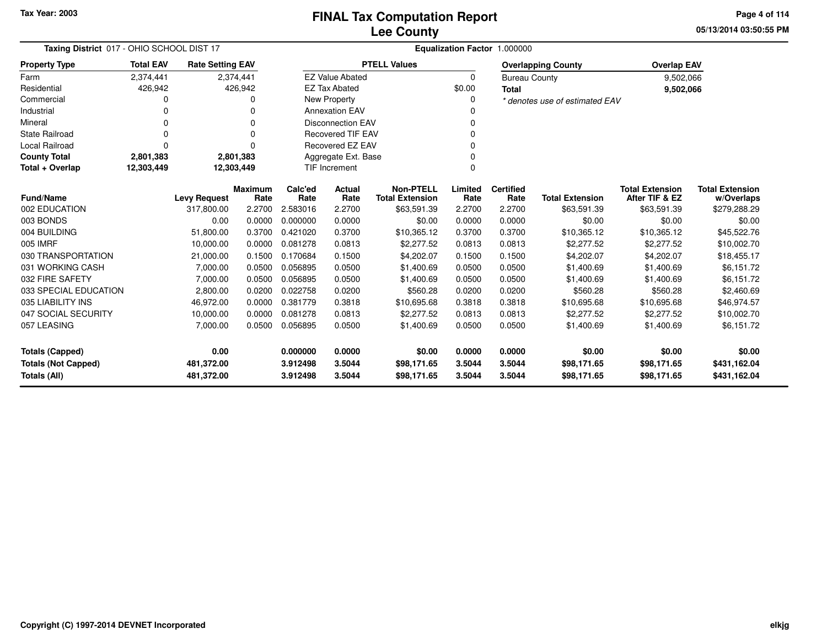**05/13/2014 03:50:55 PM Page 4 of 114**

| Taxing District 017 - OHIO SCHOOL DIST 17 |                  |                         |                        |                 | Equalization Factor 1.000000 |                                            |                 |                          |                                |                                          |                                      |
|-------------------------------------------|------------------|-------------------------|------------------------|-----------------|------------------------------|--------------------------------------------|-----------------|--------------------------|--------------------------------|------------------------------------------|--------------------------------------|
| <b>Property Type</b>                      | <b>Total EAV</b> | <b>Rate Setting EAV</b> |                        |                 |                              | <b>PTELL Values</b>                        |                 |                          | <b>Overlapping County</b>      | <b>Overlap EAV</b>                       |                                      |
| Farm                                      | 2,374,441        |                         | 2,374,441              |                 | <b>EZ Value Abated</b>       |                                            | 0               | <b>Bureau County</b>     |                                | 9,502,066                                |                                      |
| Residential                               | 426,942          |                         | 426,942                |                 | <b>EZ Tax Abated</b>         |                                            | \$0.00          | <b>Total</b>             |                                | 9,502,066                                |                                      |
| Commercial                                |                  |                         | 0                      |                 | New Property                 |                                            | 0               |                          | * denotes use of estimated EAV |                                          |                                      |
| Industrial                                |                  |                         |                        |                 | <b>Annexation EAV</b>        |                                            |                 |                          |                                |                                          |                                      |
| Mineral                                   |                  |                         | $\Omega$               |                 | <b>Disconnection EAV</b>     |                                            | $\Omega$        |                          |                                |                                          |                                      |
| State Railroad                            |                  |                         | 0                      |                 | <b>Recovered TIF EAV</b>     |                                            | $\Omega$        |                          |                                |                                          |                                      |
| <b>Local Railroad</b>                     | O                |                         | 0                      |                 | <b>Recovered EZ EAV</b>      |                                            | $\Omega$        |                          |                                |                                          |                                      |
| <b>County Total</b>                       | 2,801,383        |                         | 2,801,383              |                 | Aggregate Ext. Base          |                                            | $\mathbf 0$     |                          |                                |                                          |                                      |
| Total + Overlap                           | 12,303,449       | 12,303,449              |                        |                 | <b>TIF Increment</b>         |                                            | 0               |                          |                                |                                          |                                      |
| <b>Fund/Name</b>                          |                  | <b>Levy Request</b>     | <b>Maximum</b><br>Rate | Calc'ed<br>Rate | Actual<br>Rate               | <b>Non-PTELL</b><br><b>Total Extension</b> | Limited<br>Rate | <b>Certified</b><br>Rate | <b>Total Extension</b>         | <b>Total Extension</b><br>After TIF & EZ | <b>Total Extension</b><br>w/Overlaps |
| 002 EDUCATION                             |                  | 317,800.00              | 2.2700                 | 2.583016        | 2.2700                       | \$63,591.39                                | 2.2700          | 2.2700                   | \$63,591.39                    | \$63,591.39                              | \$279,288.29                         |
| 003 BONDS                                 |                  | 0.00                    | 0.0000                 | 0.000000        | 0.0000                       | \$0.00                                     | 0.0000          | 0.0000                   | \$0.00                         | \$0.00                                   | \$0.00                               |
| 004 BUILDING                              |                  | 51,800.00               | 0.3700                 | 0.421020        | 0.3700                       | \$10,365.12                                | 0.3700          | 0.3700                   | \$10,365.12                    | \$10,365.12                              | \$45,522.76                          |
| 005 IMRF                                  |                  | 10,000.00               | 0.0000                 | 0.081278        | 0.0813                       | \$2,277.52                                 | 0.0813          | 0.0813                   | \$2,277.52                     | \$2,277.52                               | \$10,002.70                          |
| 030 TRANSPORTATION                        |                  | 21,000.00               | 0.1500                 | 0.170684        | 0.1500                       | \$4,202.07                                 | 0.1500          | 0.1500                   | \$4,202.07                     | \$4,202.07                               | \$18,455.17                          |
| 031 WORKING CASH                          |                  | 7,000.00                | 0.0500                 | 0.056895        | 0.0500                       | \$1,400.69                                 | 0.0500          | 0.0500                   | \$1,400.69                     | \$1,400.69                               | \$6,151.72                           |
| 032 FIRE SAFETY                           |                  | 7,000.00                | 0.0500                 | 0.056895        | 0.0500                       | \$1,400.69                                 | 0.0500          | 0.0500                   | \$1,400.69                     | \$1,400.69                               | \$6,151.72                           |
| 033 SPECIAL EDUCATION                     |                  | 2,800.00                | 0.0200                 | 0.022758        | 0.0200                       | \$560.28                                   | 0.0200          | 0.0200                   | \$560.28                       | \$560.28                                 | \$2,460.69                           |
| 035 LIABILITY INS                         |                  | 46,972.00               | 0.0000                 | 0.381779        | 0.3818                       | \$10,695.68                                | 0.3818          | 0.3818                   | \$10,695.68                    | \$10,695.68                              | \$46,974.57                          |
| 047 SOCIAL SECURITY                       |                  | 10,000.00               | 0.0000                 | 0.081278        | 0.0813                       | \$2,277.52                                 | 0.0813          | 0.0813                   | \$2,277.52                     | \$2,277.52                               | \$10,002.70                          |
| 057 LEASING                               |                  | 7,000.00                | 0.0500                 | 0.056895        | 0.0500                       | \$1,400.69                                 | 0.0500          | 0.0500                   | \$1,400.69                     | \$1,400.69                               | \$6,151.72                           |
| <b>Totals (Capped)</b>                    |                  | 0.00                    |                        | 0.000000        | 0.0000                       | \$0.00                                     | 0.0000          | 0.0000                   | \$0.00                         | \$0.00                                   | \$0.00                               |
| <b>Totals (Not Capped)</b>                |                  | 481,372.00              |                        | 3.912498        | 3.5044                       | \$98,171.65                                | 3.5044          | 3.5044                   | \$98,171.65                    | \$98,171.65                              | \$431,162.04                         |
| Totals (All)                              |                  | 481,372.00              |                        | 3.912498        | 3.5044                       | \$98,171.65                                | 3.5044          | 3.5044                   | \$98,171.65                    | \$98,171.65                              | \$431,162.04                         |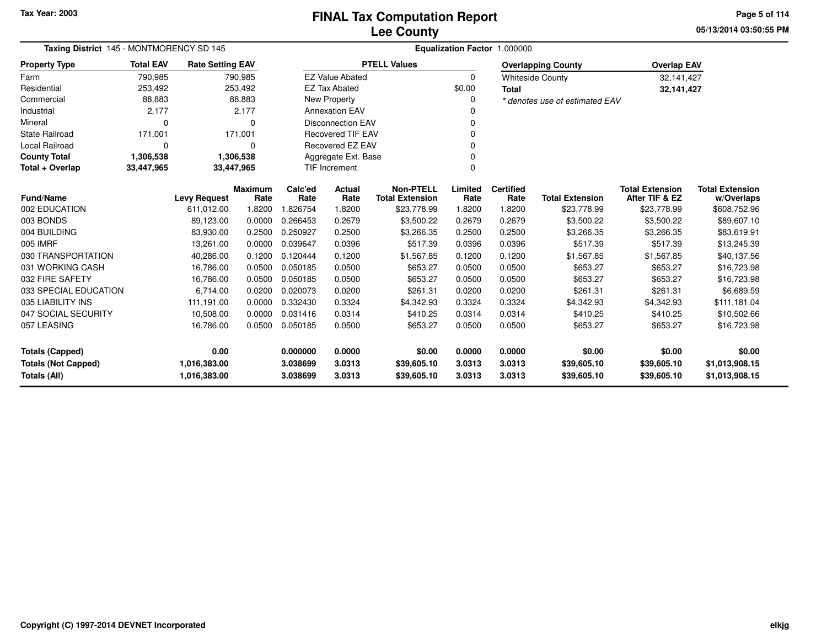**05/13/2014 03:50:55 PMPage 5 of 114**

| Taxing District 145 - MONTMORENCY SD 145 |                  |                         |                        |                 |                                         |                                            |                 | Equalization Factor 1.000000 |                                |                                          |                                      |
|------------------------------------------|------------------|-------------------------|------------------------|-----------------|-----------------------------------------|--------------------------------------------|-----------------|------------------------------|--------------------------------|------------------------------------------|--------------------------------------|
| <b>Property Type</b>                     | <b>Total EAV</b> | <b>Rate Setting EAV</b> |                        |                 |                                         | <b>PTELL Values</b>                        |                 |                              | <b>Overlapping County</b>      | <b>Overlap EAV</b>                       |                                      |
| Farm                                     | 790,985          |                         | 790,985                |                 | <b>EZ Value Abated</b>                  |                                            | 0               |                              | <b>Whiteside County</b>        | 32,141,427                               |                                      |
| Residential                              | 253,492          |                         | 253,492                |                 | <b>EZ Tax Abated</b>                    |                                            | \$0.00          | <b>Total</b>                 |                                | 32,141,427                               |                                      |
| Commercial                               | 88,883           |                         | 88,883                 |                 | New Property                            |                                            | 0               |                              | * denotes use of estimated EAV |                                          |                                      |
| Industrial                               | 2,177            |                         | 2,177                  |                 | <b>Annexation EAV</b>                   |                                            | 0               |                              |                                |                                          |                                      |
| Mineral                                  | $\Omega$         |                         | ∩                      |                 | <b>Disconnection EAV</b>                |                                            | 0               |                              |                                |                                          |                                      |
| <b>State Railroad</b>                    | 171,001          |                         | 171,001                |                 | <b>Recovered TIF EAV</b><br>$\mathbf 0$ |                                            |                 |                              |                                |                                          |                                      |
| Local Railroad                           | 0                |                         | 0                      |                 | Recovered EZ EAV<br>0                   |                                            |                 |                              |                                |                                          |                                      |
| <b>County Total</b>                      | 1,306,538        |                         | 1,306,538              |                 | $\mathbf 0$<br>Aggregate Ext. Base      |                                            |                 |                              |                                |                                          |                                      |
| Total + Overlap                          | 33,447,965       | 33,447,965              |                        |                 | $\Omega$<br><b>TIF Increment</b>        |                                            |                 |                              |                                |                                          |                                      |
| <b>Fund/Name</b>                         |                  | <b>Levy Request</b>     | <b>Maximum</b><br>Rate | Calc'ed<br>Rate | Actual<br>Rate                          | <b>Non-PTELL</b><br><b>Total Extension</b> | Limited<br>Rate | <b>Certified</b><br>Rate     | <b>Total Extension</b>         | <b>Total Extension</b><br>After TIF & EZ | <b>Total Extension</b><br>w/Overlaps |
| 002 EDUCATION                            |                  | 611,012.00              | 1.8200                 | 1.826754        | 1.8200                                  | \$23,778.99                                | 1.8200          | 1.8200                       | \$23,778.99                    | \$23,778.99                              | \$608,752.96                         |
| 003 BONDS                                |                  | 89,123.00               | 0.0000                 | 0.266453        | 0.2679                                  | \$3,500.22                                 | 0.2679          | 0.2679                       | \$3,500.22                     | \$3,500.22                               | \$89,607.10                          |
| 004 BUILDING                             |                  | 83,930.00               | 0.2500                 | 0.250927        | 0.2500                                  | \$3,266.35                                 | 0.2500          | 0.2500                       | \$3,266.35                     | \$3,266.35                               | \$83,619.91                          |
| 005 IMRF                                 |                  | 13,261.00               | 0.0000                 | 0.039647        | 0.0396                                  | \$517.39                                   | 0.0396          | 0.0396                       | \$517.39                       | \$517.39                                 | \$13,245.39                          |
| 030 TRANSPORTATION                       |                  | 40,286.00               | 0.1200                 | 0.120444        | 0.1200                                  | \$1,567.85                                 | 0.1200          | 0.1200                       | \$1,567.85                     | \$1,567.85                               | \$40,137.56                          |
| 031 WORKING CASH                         |                  | 16,786.00               | 0.0500                 | 0.050185        | 0.0500                                  | \$653.27                                   | 0.0500          | 0.0500                       | \$653.27                       | \$653.27                                 | \$16,723.98                          |
| 032 FIRE SAFETY                          |                  | 16,786.00               | 0.0500                 | 0.050185        | 0.0500                                  | \$653.27                                   | 0.0500          | 0.0500                       | \$653.27                       | \$653.27                                 | \$16,723.98                          |
| 033 SPECIAL EDUCATION                    |                  | 6,714.00                | 0.0200                 | 0.020073        | 0.0200                                  | \$261.31                                   | 0.0200          | 0.0200                       | \$261.31                       | \$261.31                                 | \$6,689.59                           |
| 035 LIABILITY INS                        |                  | 111,191.00              | 0.0000                 | 0.332430        | 0.3324                                  | \$4,342.93                                 | 0.3324          | 0.3324                       | \$4,342.93                     | \$4,342.93                               | \$111,181.04                         |
| 047 SOCIAL SECURITY                      |                  | 10,508.00               | 0.0000                 | 0.031416        | 0.0314                                  | \$410.25                                   | 0.0314          | 0.0314                       | \$410.25                       | \$410.25                                 | \$10,502.66                          |
| 057 LEASING                              |                  | 16,786.00               | 0.0500                 | 0.050185        | 0.0500                                  | \$653.27                                   | 0.0500          | 0.0500                       | \$653.27                       | \$653.27                                 | \$16,723.98                          |
| <b>Totals (Capped)</b>                   |                  | 0.00                    |                        | 0.000000        | 0.0000                                  | \$0.00                                     | 0.0000          | 0.0000                       | \$0.00                         | \$0.00                                   | \$0.00                               |
| <b>Totals (Not Capped)</b>               |                  | 1,016,383.00            |                        | 3.038699        | 3.0313                                  | \$39,605.10                                | 3.0313          | 3.0313                       | \$39,605.10                    | \$39,605.10                              | \$1,013,908.15                       |
| Totals (All)                             |                  | 1,016,383.00            |                        | 3.038699        | 3.0313                                  | \$39,605.10                                | 3.0313          | 3.0313                       | \$39,605.10                    | \$39,605.10                              | \$1,013,908.15                       |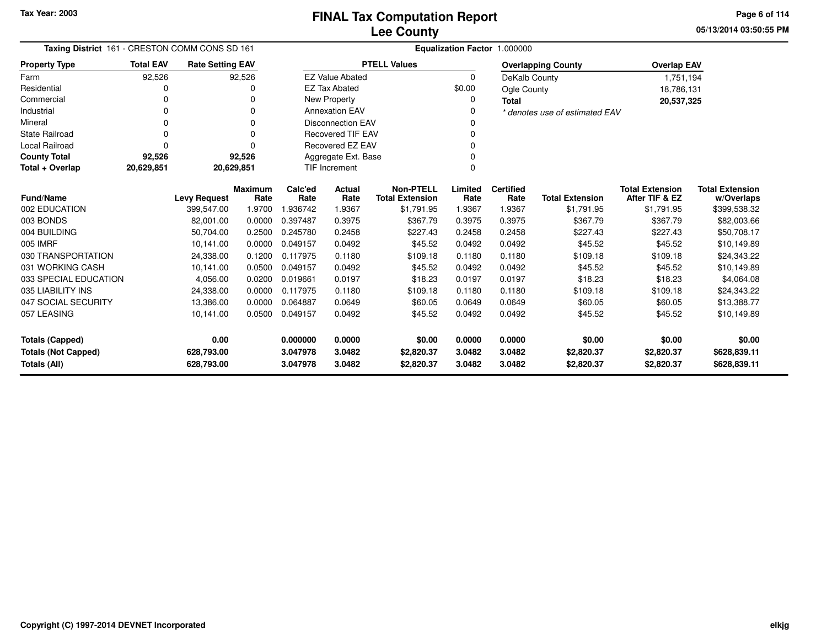**05/13/2014 03:50:55 PM Page 6 of 114**

| Taxing District 161 - CRESTON COMM CONS SD 161 |                  |                         |                |                          |                          |                        |          | Equalization Factor 1.000000 |                                |                        |                        |
|------------------------------------------------|------------------|-------------------------|----------------|--------------------------|--------------------------|------------------------|----------|------------------------------|--------------------------------|------------------------|------------------------|
| <b>Property Type</b>                           | <b>Total EAV</b> | <b>Rate Setting EAV</b> |                |                          |                          | <b>PTELL Values</b>    |          |                              | <b>Overlapping County</b>      | <b>Overlap EAV</b>     |                        |
| Farm                                           | 92,526           |                         | 92,526         |                          | <b>EZ Value Abated</b>   |                        | $\Omega$ | DeKalb County                |                                | 1,751,194              |                        |
| Residential                                    | 0                |                         | U              |                          | <b>EZ Tax Abated</b>     |                        | \$0.00   | Ogle County                  |                                | 18,786,131             |                        |
| Commercial                                     | $\Omega$         |                         | 0              |                          | New Property             |                        | 0        | <b>Total</b>                 |                                | 20,537,325             |                        |
| Industrial                                     | 0                |                         | $\Omega$       |                          | <b>Annexation EAV</b>    |                        | 0        |                              | * denotes use of estimated EAV |                        |                        |
| Mineral                                        | $\Omega$         |                         | $\Omega$       |                          | <b>Disconnection EAV</b> |                        | 0        |                              |                                |                        |                        |
| <b>State Railroad</b>                          | $\Omega$         |                         | $\Omega$       | <b>Recovered TIF EAV</b> |                          |                        |          |                              |                                |                        |                        |
| <b>Local Railroad</b>                          | $\Omega$         |                         | $\Omega$       |                          | Recovered EZ EAV         |                        | U        |                              |                                |                        |                        |
| <b>County Total</b>                            | 92,526           |                         | 92,526         |                          | Aggregate Ext. Base      |                        |          |                              |                                |                        |                        |
| Total + Overlap                                | 20,629,851       |                         | 20,629,851     |                          | <b>TIF Increment</b>     |                        | 0        |                              |                                |                        |                        |
|                                                |                  |                         | <b>Maximum</b> | Calc'ed                  | Actual                   | <b>Non-PTELL</b>       | Limited  | <b>Certified</b>             |                                | <b>Total Extension</b> | <b>Total Extension</b> |
| <b>Fund/Name</b>                               |                  | <b>Levy Request</b>     | Rate           | Rate                     | Rate                     | <b>Total Extension</b> | Rate     | Rate                         | <b>Total Extension</b>         | After TIF & EZ         | w/Overlaps             |
| 002 EDUCATION                                  |                  | 399.547.00              | 1.9700         | 1.936742                 | 1.9367                   | \$1,791.95             | 1.9367   | 1.9367                       | \$1,791.95                     | \$1,791.95             | \$399,538.32           |
| 003 BONDS                                      |                  | 82,001.00               | 0.0000         | 0.397487                 | 0.3975                   | \$367.79               | 0.3975   | 0.3975                       | \$367.79                       | \$367.79               | \$82,003.66            |
| 004 BUILDING                                   |                  | 50,704.00               | 0.2500         | 0.245780                 | 0.2458                   | \$227.43               | 0.2458   | 0.2458                       | \$227.43                       | \$227.43               | \$50,708.17            |
| 005 IMRF                                       |                  | 10.141.00               | 0.0000         | 0.049157                 | 0.0492                   | \$45.52                | 0.0492   | 0.0492                       | \$45.52                        | \$45.52                | \$10,149.89            |
| 030 TRANSPORTATION                             |                  | 24,338.00               | 0.1200         | 0.117975                 | 0.1180                   | \$109.18               | 0.1180   | 0.1180                       | \$109.18                       | \$109.18               | \$24,343.22            |
| 031 WORKING CASH                               |                  | 10,141.00               | 0.0500         | 0.049157                 | 0.0492                   | \$45.52                | 0.0492   | 0.0492                       | \$45.52                        | \$45.52                | \$10,149.89            |
| 033 SPECIAL EDUCATION                          |                  | 4,056.00                | 0.0200         | 0.019661                 | 0.0197                   | \$18.23                | 0.0197   | 0.0197                       | \$18.23                        | \$18.23                | \$4,064.08             |
| 035 LIABILITY INS                              |                  | 24,338.00               | 0.0000         | 0.117975                 | 0.1180                   | \$109.18               | 0.1180   | 0.1180                       | \$109.18                       | \$109.18               | \$24,343.22            |
| 047 SOCIAL SECURITY                            |                  | 13,386.00               | 0.0000         | 0.064887                 | 0.0649                   | \$60.05                | 0.0649   | 0.0649                       | \$60.05                        | \$60.05                | \$13,388.77            |
| 057 LEASING                                    |                  | 10,141.00               | 0.0500         | 0.049157                 | 0.0492                   | \$45.52                | 0.0492   | 0.0492                       | \$45.52                        | \$45.52                | \$10,149.89            |
| <b>Totals (Capped)</b>                         |                  | 0.00                    |                | 0.000000                 | 0.0000                   | \$0.00                 | 0.0000   | 0.0000                       | \$0.00                         | \$0.00                 | \$0.00                 |
| <b>Totals (Not Capped)</b>                     |                  | 628,793.00              |                | 3.047978                 | 3.0482                   | \$2,820.37             | 3.0482   | 3.0482                       | \$2,820.37                     | \$2,820.37             | \$628,839.11           |
| <b>Totals (All)</b>                            |                  | 628,793.00              |                | 3.047978                 | 3.0482                   | \$2,820.37             | 3.0482   | 3.0482                       | \$2,820.37                     | \$2,820.37             | \$628,839.11           |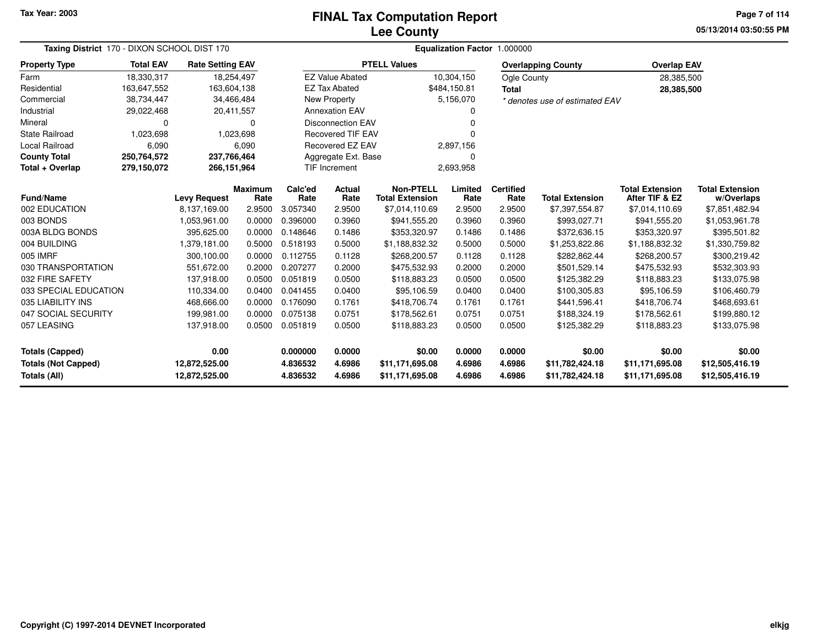# **Lee CountyFINAL Tax Computation Report**

**05/13/2014 03:50:55 PM Page 7 of 114**

| Taxing District 170 - DIXON SCHOOL DIST 170                                                          |                  |                         |                                    |                  | Equalization Factor 1.000000         |                                            |                                    |                                    |                                |                                          |                                      |  |
|------------------------------------------------------------------------------------------------------|------------------|-------------------------|------------------------------------|------------------|--------------------------------------|--------------------------------------------|------------------------------------|------------------------------------|--------------------------------|------------------------------------------|--------------------------------------|--|
| <b>Property Type</b>                                                                                 | <b>Total EAV</b> | <b>Rate Setting EAV</b> |                                    |                  |                                      | <b>PTELL Values</b>                        |                                    |                                    | <b>Overlapping County</b>      | <b>Overlap EAV</b>                       |                                      |  |
| Farm                                                                                                 | 18,330,317       | 18,254,497              |                                    |                  | <b>EZ Value Abated</b>               |                                            | 10,304,150                         | Ogle County                        |                                | 28,385,500                               |                                      |  |
| Residential                                                                                          | 163,647,552      | 163,604,138             |                                    |                  | <b>EZ Tax Abated</b>                 |                                            | \$484,150.81                       | <b>Total</b>                       |                                | 28,385,500                               |                                      |  |
| Commercial                                                                                           | 38,734,447       | 34,466,484              |                                    |                  | New Property                         |                                            | 5,156,070                          |                                    | * denotes use of estimated EAV |                                          |                                      |  |
| Industrial                                                                                           | 29,022,468       | 20,411,557              |                                    |                  | <b>Annexation EAV</b>                |                                            | 0                                  |                                    |                                |                                          |                                      |  |
| Mineral                                                                                              | 0                |                         | 0                                  |                  | <b>Disconnection EAV</b>             |                                            | 0                                  |                                    |                                |                                          |                                      |  |
| <b>State Railroad</b>                                                                                | 1,023,698        |                         | 1,023,698                          |                  | <b>Recovered TIF EAV</b>             |                                            | U                                  |                                    |                                |                                          |                                      |  |
| Local Railroad                                                                                       | 6,090            |                         | 6,090                              |                  | <b>Recovered EZ EAV</b><br>2,897,156 |                                            |                                    |                                    |                                |                                          |                                      |  |
| <b>County Total</b>                                                                                  | 250,764,572      | 237,766,464             |                                    |                  | Aggregate Ext. Base<br>0             |                                            |                                    |                                    |                                |                                          |                                      |  |
| Total + Overlap                                                                                      | 279,150,072      | 266,151,964             |                                    |                  | <b>TIF Increment</b>                 |                                            | 2,693,958                          |                                    |                                |                                          |                                      |  |
| <b>Fund/Name</b>                                                                                     |                  | <b>Levy Request</b>     | <b>Maximum</b><br>Rate             | Calc'ed<br>Rate  | <b>Actual</b><br>Rate                | <b>Non-PTELL</b><br><b>Total Extension</b> | Limited<br>Rate                    | <b>Certified</b><br>Rate           | <b>Total Extension</b>         | <b>Total Extension</b><br>After TIF & EZ | <b>Total Extension</b><br>w/Overlaps |  |
| 002 EDUCATION                                                                                        |                  | 8,137,169.00            | 2.9500                             | 3.057340         | 2.9500                               | \$7,014,110.69                             | 2.9500                             | 2.9500                             | \$7,397,554.87                 | \$7,014,110.69                           | \$7,851,482.94                       |  |
| 003 BONDS                                                                                            |                  | 1,053,961.00            | 0.0000                             | 0.396000         | 0.3960                               | \$941,555.20                               | 0.3960                             | 0.3960                             | \$993,027.71                   | \$941,555.20                             | \$1,053,961.78                       |  |
| 003A BLDG BONDS                                                                                      |                  | 395,625.00              | 0.0000                             | 0.148646         | 0.1486                               | \$353,320.97                               | 0.1486                             | 0.1486                             | \$372,636.15                   | \$353,320.97                             | \$395,501.82                         |  |
| 004 BUILDING                                                                                         |                  | 1,379,181.00            | 0.5000                             | 0.518193         | 0.5000                               | \$1,188,832.32                             | 0.5000                             | 0.5000                             | \$1,253,822.86                 | \$1,188,832.32                           | \$1,330,759.82                       |  |
| 005 IMRF                                                                                             |                  | 300,100.00              | 0.0000                             | 0.112755         | 0.1128                               | \$268,200.57                               | 0.1128                             | 0.1128                             | \$282,862.44                   | \$268,200.57                             | \$300,219.42                         |  |
| 030 TRANSPORTATION                                                                                   |                  | 551.672.00              | 0.2000                             | 0.207277         | 0.2000                               | \$475,532.93                               | 0.2000                             | 0.2000                             | \$501,529.14                   | \$475,532.93                             | \$532,303.93                         |  |
| 032 FIRE SAFETY                                                                                      |                  | 137.918.00              | 0.0500                             | 0.051819         | 0.0500                               | \$118,883.23                               | 0.0500                             | 0.0500                             | \$125,382.29                   | \$118,883.23                             | \$133,075.98                         |  |
| 033 SPECIAL EDUCATION                                                                                |                  | 110,334.00              | 0.0400                             | 0.041455         | 0.0400                               | \$95,106.59                                | 0.0400                             | 0.0400                             | \$100,305.83                   | \$95,106.59                              | \$106,460.79                         |  |
| 035 LIABILITY INS                                                                                    |                  | 468.666.00              | 0.0000                             | 0.176090         | 0.1761                               | \$418,706.74                               | 0.1761                             | 0.1761                             | \$441,596.41                   | \$418,706.74                             | \$468,693.61                         |  |
| 047 SOCIAL SECURITY                                                                                  |                  | 199,981.00              | 0.0000                             | 0.075138         | 0.0751                               | \$178,562.61                               | 0.0751                             | 0.0751                             | \$188,324.19                   | \$178,562.61                             | \$199,880.12                         |  |
| 057 LEASING                                                                                          |                  | 137,918.00              | 0.0500                             | 0.051819         | 0.0500                               | \$118,883.23                               | 0.0500                             | 0.0500                             | \$125,382.29                   | \$118,883.23                             | \$133,075.98                         |  |
| <b>Totals (Capped)</b>                                                                               |                  | 0.00                    |                                    | 0.000000         | 0.0000                               | \$0.00                                     | 0.0000                             | 0.0000                             | \$0.00                         | \$0.00                                   | \$0.00                               |  |
| <b>Totals (Not Capped)</b><br>12,872,525.00<br>4.836532<br>Totals (All)<br>12,872,525.00<br>4.836532 |                  | 4.6986<br>4.6986        | \$11,171,695.08<br>\$11,171,695.08 | 4.6986<br>4.6986 | 4.6986<br>4.6986                     | \$11,782,424.18<br>\$11,782,424.18         | \$11,171,695.08<br>\$11,171,695.08 | \$12,505,416.19<br>\$12,505,416.19 |                                |                                          |                                      |  |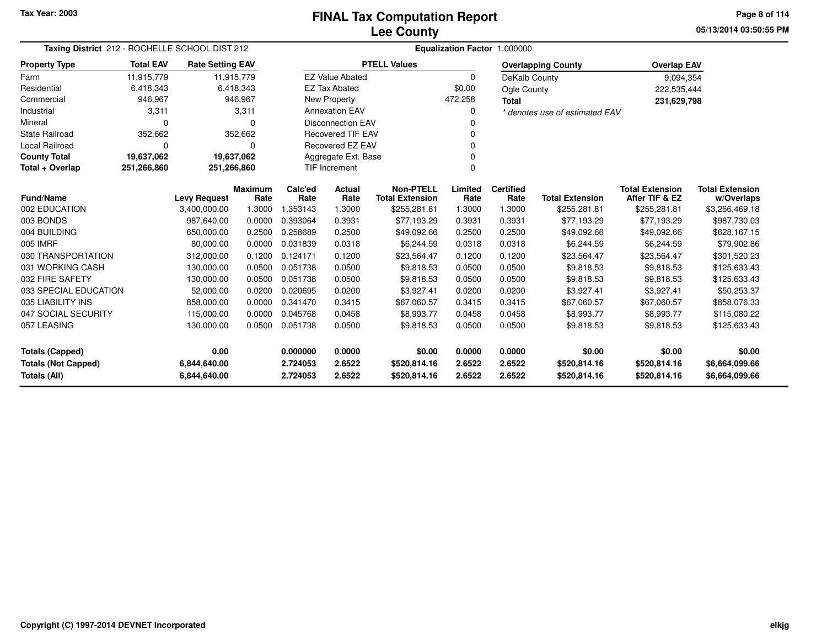**05/13/2014 03:50:55 PMPage 8 of 114**

| Taxing District 212 - ROCHELLE SCHOOL DIST 212 |                  |                         |                        |                 | Equalization Factor 1.000000 |                                            |                 |                          |                                |                                          |                                      |  |  |
|------------------------------------------------|------------------|-------------------------|------------------------|-----------------|------------------------------|--------------------------------------------|-----------------|--------------------------|--------------------------------|------------------------------------------|--------------------------------------|--|--|
| <b>Property Type</b>                           | <b>Total EAV</b> | <b>Rate Setting EAV</b> |                        |                 |                              | <b>PTELL Values</b>                        |                 |                          | <b>Overlapping County</b>      | <b>Overlap EAV</b>                       |                                      |  |  |
| Farm                                           | 11,915,779       | 11,915,779              |                        |                 | <b>EZ Value Abated</b>       |                                            | 0               | DeKalb County            |                                | 9,094,354                                |                                      |  |  |
| Residential                                    | 6,418,343        |                         | 6,418,343              |                 | <b>EZ Tax Abated</b>         |                                            | \$0.00          | Ogle County              |                                | 222,535,444                              |                                      |  |  |
| Commercial                                     | 946,967          |                         | 946,967                |                 | <b>New Property</b>          |                                            | 472,258         | <b>Total</b>             |                                | 231,629,798                              |                                      |  |  |
| Industrial                                     | 3,311            |                         | 3,311                  |                 | <b>Annexation EAV</b>        |                                            | 0               |                          | * denotes use of estimated EAV |                                          |                                      |  |  |
| Mineral                                        | $\Omega$         |                         | $\Omega$               |                 | <b>Disconnection EAV</b>     |                                            |                 |                          |                                |                                          |                                      |  |  |
| <b>State Railroad</b>                          | 352,662          |                         | 352,662                |                 | <b>Recovered TIF EAV</b>     |                                            | $\Omega$        |                          |                                |                                          |                                      |  |  |
| Local Railroad                                 | $\Omega$         |                         | $\Omega$               |                 | Recovered EZ EAV             |                                            | 0               |                          |                                |                                          |                                      |  |  |
| <b>County Total</b>                            | 19,637,062       | 19,637,062              |                        |                 | Aggregate Ext. Base          |                                            |                 |                          |                                |                                          |                                      |  |  |
| Total + Overlap                                | 251,266,860      | 251,266,860             |                        |                 | <b>TIF Increment</b>         |                                            |                 |                          |                                |                                          |                                      |  |  |
| Fund/Name                                      |                  | <b>Levy Request</b>     | <b>Maximum</b><br>Rate | Calc'ed<br>Rate | Actual<br>Rate               | <b>Non-PTELL</b><br><b>Total Extension</b> | Limited<br>Rate | <b>Certified</b><br>Rate | <b>Total Extension</b>         | <b>Total Extension</b><br>After TIF & EZ | <b>Total Extension</b><br>w/Overlaps |  |  |
| 002 EDUCATION                                  |                  | 3,400,000.00            | 1.3000                 | 1.353143        | 1.3000                       | \$255,281.81                               | 1.3000          | 1.3000                   | \$255,281.81                   | \$255,281.81                             | \$3,266,469.18                       |  |  |
| 003 BONDS                                      |                  | 987,640.00              | 0.0000                 | 0.393064        | 0.3931                       | \$77,193.29                                | 0.3931          | 0.3931                   | \$77,193.29                    | \$77,193.29                              | \$987,730.03                         |  |  |
| 004 BUILDING                                   |                  | 650,000.00              | 0.2500                 | 0.258689        | 0.2500                       | \$49,092.66                                | 0.2500          | 0.2500                   | \$49,092.66                    | \$49,092.66                              | \$628,167.15                         |  |  |
| 005 IMRF                                       |                  | 80,000.00               | 0.0000                 | 0.031839        | 0.0318                       | \$6,244.59                                 | 0.0318          | 0.0318                   | \$6,244.59                     | \$6,244.59                               | \$79,902.86                          |  |  |
| 030 TRANSPORTATION                             |                  | 312,000.00              | 0.1200                 | 0.124171        | 0.1200                       | \$23,564.47                                | 0.1200          | 0.1200                   | \$23,564.47                    | \$23,564.47                              | \$301,520.23                         |  |  |
| 031 WORKING CASH                               |                  | 130,000.00              | 0.0500                 | 0.051738        | 0.0500                       | \$9,818.53                                 | 0.0500          | 0.0500                   | \$9,818.53                     | \$9,818.53                               | \$125,633.43                         |  |  |
| 032 FIRE SAFETY                                |                  | 130,000.00              | 0.0500                 | 0.051738        | 0.0500                       | \$9,818.53                                 | 0.0500          | 0.0500                   | \$9,818.53                     | \$9,818.53                               | \$125,633.43                         |  |  |
| 033 SPECIAL EDUCATION                          |                  | 52,000.00               | 0.0200                 | 0.020695        | 0.0200                       | \$3,927.41                                 | 0.0200          | 0.0200                   | \$3,927.41                     | \$3,927.41                               | \$50,253.37                          |  |  |
| 035 LIABILITY INS                              |                  | 858,000.00              | 0.0000                 | 0.341470        | 0.3415                       | \$67,060.57                                | 0.3415          | 0.3415                   | \$67,060.57                    | \$67,060.57                              | \$858,076.33                         |  |  |
| 047 SOCIAL SECURITY                            |                  | 115,000.00              | 0.0000                 | 0.045768        | 0.0458                       | \$8,993.77                                 | 0.0458          | 0.0458                   | \$8,993.77                     | \$8,993.77                               | \$115,080.22                         |  |  |
| 057 LEASING                                    |                  | 130,000.00              | 0.0500                 | 0.051738        | 0.0500                       | \$9,818.53                                 | 0.0500          | 0.0500                   | \$9,818.53                     | \$9,818.53                               | \$125,633.43                         |  |  |
| <b>Totals (Capped)</b>                         |                  | 0.00                    |                        | 0.000000        | 0.0000                       | \$0.00                                     | 0.0000          | 0.0000                   | \$0.00                         | \$0.00                                   | \$0.00                               |  |  |
| <b>Totals (Not Capped)</b>                     |                  | 6,844,640.00            |                        | 2.724053        | 2.6522                       | \$520,814.16                               | 2.6522          | 2.6522                   | \$520,814.16                   | \$520,814.16                             | \$6,664,099.66                       |  |  |
| Totals (All)                                   |                  | 6,844,640.00            |                        | 2.724053        | 2.6522                       | \$520,814.16                               | 2.6522          | 2.6522                   | \$520,814.16                   | \$520,814.16                             | \$6,664,099.66                       |  |  |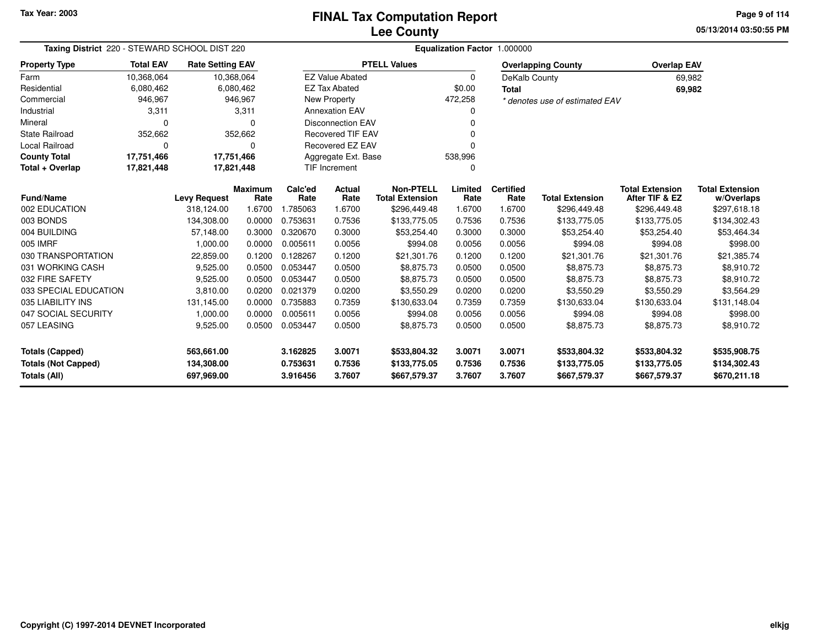**05/13/2014 03:50:55 PMPage 9 of 114**

| Taxing District 220 - STEWARD SCHOOL DIST 220 |                  |                                   |                        |                 | Equalization Factor 1.000000 |                                        |                 |                          |                                |                                          |                            |  |  |
|-----------------------------------------------|------------------|-----------------------------------|------------------------|-----------------|------------------------------|----------------------------------------|-----------------|--------------------------|--------------------------------|------------------------------------------|----------------------------|--|--|
| <b>Property Type</b>                          | <b>Total EAV</b> | <b>Rate Setting EAV</b>           |                        |                 |                              | <b>PTELL Values</b>                    |                 |                          | <b>Overlapping County</b>      | <b>Overlap EAV</b>                       |                            |  |  |
| Farm                                          | 10,368,064       |                                   | 10,368,064             |                 | <b>EZ Value Abated</b>       |                                        | $\mathbf 0$     | DeKalb County            |                                |                                          | 69,982                     |  |  |
| Residential                                   | 6,080,462        |                                   | 6,080,462              |                 | <b>EZ Tax Abated</b>         |                                        | \$0.00          | <b>Total</b>             |                                |                                          | 69,982                     |  |  |
| Commercial                                    | 946,967          |                                   | 946,967                |                 | New Property                 |                                        | 472,258         |                          | * denotes use of estimated EAV |                                          |                            |  |  |
| Industrial                                    | 3,311            |                                   | 3,311                  |                 | <b>Annexation EAV</b>        |                                        | 0               |                          |                                |                                          |                            |  |  |
| Mineral                                       | $\Omega$         |                                   | O                      |                 | <b>Disconnection EAV</b>     |                                        | ŋ               |                          |                                |                                          |                            |  |  |
| <b>State Railroad</b>                         | 352,662          |                                   | 352,662                |                 | <b>Recovered TIF EAV</b>     |                                        |                 |                          |                                |                                          |                            |  |  |
| <b>Local Railroad</b>                         | $\Omega$         |                                   | $\Omega$               |                 | Recovered EZ EAV             |                                        | 0               |                          |                                |                                          |                            |  |  |
| <b>County Total</b>                           | 17,751,466       | 17,751,466                        |                        |                 | Aggregate Ext. Base          |                                        | 538,996         |                          |                                |                                          |                            |  |  |
| Total + Overlap                               | 17,821,448       | 17,821,448                        |                        |                 | <b>TIF Increment</b>         |                                        | 0               |                          |                                |                                          |                            |  |  |
| <b>Fund/Name</b>                              |                  |                                   | <b>Maximum</b><br>Rate | Calc'ed<br>Rate | <b>Actual</b><br>Rate        | <b>Non-PTELL</b>                       | Limited<br>Rate | <b>Certified</b><br>Rate | <b>Total Extension</b>         | <b>Total Extension</b><br>After TIF & EZ | <b>Total Extension</b>     |  |  |
| 002 EDUCATION                                 |                  | <b>Levy Request</b><br>318,124.00 | 1.6700                 | 1.785063        | 1.6700                       | <b>Total Extension</b><br>\$296,449.48 | 1.6700          | 1.6700                   | \$296,449.48                   | \$296,449.48                             | w/Overlaps<br>\$297,618.18 |  |  |
| 003 BONDS                                     |                  | 134,308.00                        | 0.0000                 | 0.753631        | 0.7536                       | \$133,775.05                           | 0.7536          | 0.7536                   | \$133,775.05                   | \$133,775.05                             | \$134,302.43               |  |  |
| 004 BUILDING                                  |                  | 57,148.00                         | 0.3000                 | 0.320670        | 0.3000                       | \$53,254.40                            | 0.3000          | 0.3000                   | \$53,254.40                    | \$53,254.40                              | \$53,464.34                |  |  |
| 005 IMRF                                      |                  | 1,000.00                          | 0.0000                 | 0.005611        | 0.0056                       | \$994.08                               | 0.0056          | 0.0056                   | \$994.08                       | \$994.08                                 | \$998.00                   |  |  |
| 030 TRANSPORTATION                            |                  | 22,859.00                         | 0.1200                 | 0.128267        | 0.1200                       | \$21,301.76                            | 0.1200          | 0.1200                   | \$21,301.76                    | \$21,301.76                              | \$21,385.74                |  |  |
| 031 WORKING CASH                              |                  | 9,525.00                          | 0.0500                 | 0.053447        | 0.0500                       | \$8,875.73                             | 0.0500          | 0.0500                   | \$8,875.73                     | \$8,875.73                               | \$8,910.72                 |  |  |
| 032 FIRE SAFETY                               |                  | 9,525.00                          | 0.0500                 | 0.053447        | 0.0500                       | \$8,875.73                             | 0.0500          | 0.0500                   | \$8,875.73                     | \$8,875.73                               | \$8,910.72                 |  |  |
| 033 SPECIAL EDUCATION                         |                  | 3,810.00                          | 0.0200                 | 0.021379        | 0.0200                       | \$3,550.29                             | 0.0200          | 0.0200                   | \$3,550.29                     | \$3,550.29                               | \$3,564.29                 |  |  |
| 035 LIABILITY INS                             |                  | 131,145.00                        | 0.0000                 | 0.735883        | 0.7359                       | \$130,633.04                           | 0.7359          | 0.7359                   | \$130,633.04                   | \$130,633.04                             | \$131,148.04               |  |  |
| 047 SOCIAL SECURITY                           |                  | 1,000.00                          | 0.0000                 | 0.005611        | 0.0056                       | \$994.08                               | 0.0056          | 0.0056                   | \$994.08                       | \$994.08                                 | \$998.00                   |  |  |
| 057 LEASING                                   |                  | 9,525.00                          | 0.0500                 | 0.053447        | 0.0500                       | \$8,875.73                             | 0.0500          | 0.0500                   | \$8,875.73                     | \$8,875.73                               | \$8,910.72                 |  |  |
|                                               |                  |                                   |                        |                 |                              |                                        |                 |                          |                                |                                          |                            |  |  |
| <b>Totals (Capped)</b>                        |                  | 563,661.00                        |                        | 3.162825        | 3.0071                       | \$533,804.32                           | 3.0071          | 3.0071                   | \$533,804.32                   | \$533,804.32                             | \$535,908.75               |  |  |
| <b>Totals (Not Capped)</b>                    |                  | 134,308.00                        |                        | 0.753631        | 0.7536                       | \$133,775.05                           | 0.7536          | 0.7536                   | \$133,775.05                   | \$133,775.05                             | \$134,302.43               |  |  |
| Totals (All)                                  |                  | 697,969.00                        |                        | 3.916456        | 3.7607                       | \$667,579.37                           | 3.7607          | 3.7607                   | \$667,579.37                   | \$667,579.37                             | \$670,211.18               |  |  |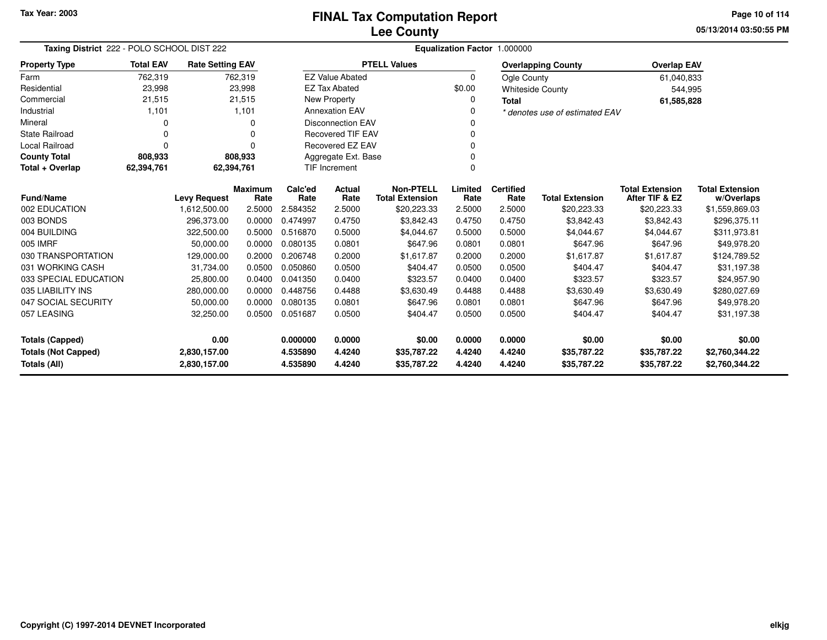# **Lee CountyFINAL Tax Computation Report**

**05/13/2014 03:50:55 PM Page 10 of 114**

| Taxing District 222 - POLO SCHOOL DIST 222 |                                                                                                     |                                     |                  |                                                            | Equalization Factor 1.000000 |                                       |                  |                  |                                       |                               |                            |  |  |
|--------------------------------------------|-----------------------------------------------------------------------------------------------------|-------------------------------------|------------------|------------------------------------------------------------|------------------------------|---------------------------------------|------------------|------------------|---------------------------------------|-------------------------------|----------------------------|--|--|
| <b>Property Type</b>                       | <b>Total EAV</b>                                                                                    | <b>Rate Setting EAV</b>             |                  |                                                            |                              | <b>PTELL Values</b>                   |                  |                  | <b>Overlapping County</b>             | <b>Overlap EAV</b>            |                            |  |  |
| Farm                                       | 762,319                                                                                             |                                     | 762,319          |                                                            | <b>EZ Value Abated</b>       |                                       | 0                | Ogle County      |                                       | 61,040,833                    |                            |  |  |
| Residential                                | 23,998                                                                                              |                                     | 23,998           |                                                            | <b>EZ Tax Abated</b>         |                                       | \$0.00           |                  | <b>Whiteside County</b>               | 544,995                       |                            |  |  |
| Commercial                                 | 21,515                                                                                              |                                     | 21,515           |                                                            | New Property                 |                                       | 0                | <b>Total</b>     |                                       | 61,585,828                    |                            |  |  |
| Industrial                                 | 1,101                                                                                               |                                     | 1,101            |                                                            | <b>Annexation EAV</b>        |                                       | 0                |                  | * denotes use of estimated EAV        |                               |                            |  |  |
| Mineral                                    | 0                                                                                                   |                                     | O                |                                                            | <b>Disconnection EAV</b>     |                                       | 0                |                  |                                       |                               |                            |  |  |
| <b>State Railroad</b>                      | 0                                                                                                   |                                     | $\Omega$         |                                                            | <b>Recovered TIF EAV</b>     |                                       | 0                |                  |                                       |                               |                            |  |  |
| <b>Local Railroad</b>                      | $\Omega$                                                                                            |                                     | $\Omega$         |                                                            | <b>Recovered EZ EAV</b>      |                                       | 0                |                  |                                       |                               |                            |  |  |
| <b>County Total</b>                        | 808,933                                                                                             |                                     | 808,933          |                                                            | Aggregate Ext. Base<br>0     |                                       |                  |                  |                                       |                               |                            |  |  |
| Total + Overlap                            | 62,394,761                                                                                          |                                     | 62,394,761       |                                                            | <b>TIF Increment</b>         |                                       | 0                |                  |                                       |                               |                            |  |  |
|                                            |                                                                                                     |                                     | <b>Maximum</b>   | Calc'ed                                                    | <b>Actual</b>                | <b>Non-PTELL</b>                      | Limited          | <b>Certified</b> |                                       | <b>Total Extension</b>        | <b>Total Extension</b>     |  |  |
| <b>Fund/Name</b><br>002 EDUCATION          |                                                                                                     | <b>Levy Request</b><br>1,612,500.00 | Rate<br>2.5000   | Rate<br>2.584352                                           | Rate<br>2.5000               | <b>Total Extension</b><br>\$20,223.33 | Rate<br>2.5000   | Rate<br>2.5000   | <b>Total Extension</b><br>\$20,223.33 | After TIF & EZ<br>\$20,223.33 | w/Overlaps                 |  |  |
|                                            |                                                                                                     |                                     |                  | 0.474997                                                   |                              |                                       |                  |                  |                                       |                               | \$1,559,869.03             |  |  |
| 003 BONDS<br>004 BUILDING                  |                                                                                                     | 296,373.00                          | 0.0000           | 0.516870                                                   | 0.4750                       | \$3,842.43                            | 0.4750           | 0.4750           | \$3,842.43                            | \$3,842.43                    | \$296,375.11               |  |  |
| 005 IMRF                                   |                                                                                                     | 322,500.00                          | 0.5000           |                                                            | 0.5000                       | \$4,044.67                            | 0.5000           | 0.5000           | \$4,044.67                            | \$4,044.67                    | \$311,973.81               |  |  |
| 030 TRANSPORTATION                         |                                                                                                     | 50,000.00                           | 0.0000<br>0.2000 | 0.080135<br>0.206748                                       | 0.0801<br>0.2000             | \$647.96<br>\$1,617.87                | 0.0801           | 0.0801<br>0.2000 | \$647.96<br>\$1,617.87                | \$647.96<br>\$1,617.87        | \$49,978.20                |  |  |
| 031 WORKING CASH                           |                                                                                                     | 129,000.00                          |                  | 0.050860                                                   |                              | \$404.47                              | 0.2000<br>0.0500 |                  | \$404.47                              | \$404.47                      | \$124,789.52               |  |  |
| 033 SPECIAL EDUCATION                      |                                                                                                     | 31,734.00                           | 0.0500<br>0.0400 | 0.041350                                                   | 0.0500                       |                                       |                  | 0.0500<br>0.0400 | \$323.57                              |                               | \$31,197.38                |  |  |
| 035 LIABILITY INS                          |                                                                                                     | 25,800.00                           |                  | 0.448756                                                   | 0.0400<br>0.4488             | \$323.57                              | 0.0400<br>0.4488 | 0.4488           |                                       | \$323.57                      | \$24,957.90                |  |  |
| 047 SOCIAL SECURITY                        |                                                                                                     | 280,000.00                          | 0.0000           | 0.080135                                                   |                              | \$3,630.49<br>\$647.96                | 0.0801           | 0.0801           | \$3,630.49<br>\$647.96                | \$3,630.49<br>\$647.96        | \$280,027.69               |  |  |
| 057 LEASING                                |                                                                                                     | 50,000.00<br>32,250.00              | 0.0000<br>0.0500 | 0.051687                                                   | 0.0801<br>0.0500             | \$404.47                              | 0.0500           | 0.0500           | \$404.47                              | \$404.47                      | \$49,978.20<br>\$31,197.38 |  |  |
|                                            |                                                                                                     |                                     |                  |                                                            |                              |                                       |                  |                  |                                       |                               |                            |  |  |
| <b>Totals (Capped)</b>                     |                                                                                                     | 0.00                                |                  | 0.0000<br>0.0000<br>\$0.00<br>0.000000<br>\$0.00<br>0.0000 |                              |                                       |                  | \$0.00           | \$0.00                                |                               |                            |  |  |
| <b>Totals (Not Capped)</b>                 |                                                                                                     | 2,830,157.00                        |                  | 4.535890                                                   | 4.4240                       | \$35,787.22                           | 4.4240           | 4.4240           | \$35,787.22                           | \$35,787.22                   | \$2,760,344.22             |  |  |
| Totals (All)                               | 4.4240<br>2,830,157.00<br>4.535890<br>4.4240<br>\$35,787.22<br>4.4240<br>\$35,787.22<br>\$35,787.22 |                                     |                  |                                                            | \$2,760,344.22               |                                       |                  |                  |                                       |                               |                            |  |  |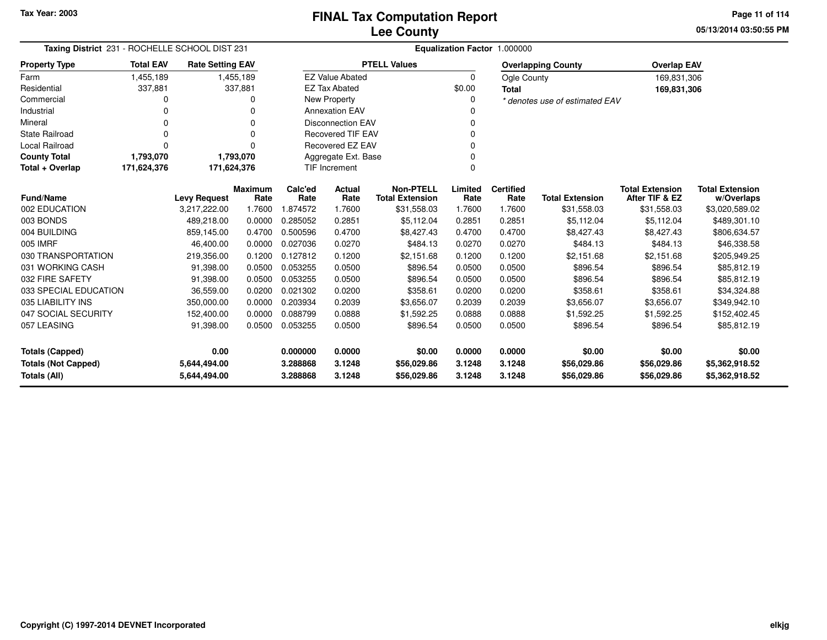**05/13/2014 03:50:55 PM Page 11 of 114**

| Taxing District 231 - ROCHELLE SCHOOL DIST 231 |                  |                         |                 |                 | Equalization Factor 1.000000 |                                            |                 |                          |                                |                                          |                                      |  |  |  |
|------------------------------------------------|------------------|-------------------------|-----------------|-----------------|------------------------------|--------------------------------------------|-----------------|--------------------------|--------------------------------|------------------------------------------|--------------------------------------|--|--|--|
| <b>Property Type</b>                           | <b>Total EAV</b> | <b>Rate Setting EAV</b> |                 |                 |                              | <b>PTELL Values</b>                        |                 |                          | <b>Overlapping County</b>      | <b>Overlap EAV</b>                       |                                      |  |  |  |
| Farm                                           | 1,455,189        |                         | 1,455,189       |                 | <b>EZ Value Abated</b>       |                                            | 0               | Ogle County              |                                | 169,831,306                              |                                      |  |  |  |
| Residential                                    | 337,881          |                         | 337,881         |                 | <b>EZ Tax Abated</b>         |                                            | \$0.00          | <b>Total</b>             |                                | 169,831,306                              |                                      |  |  |  |
| Commercial                                     | 0                |                         |                 |                 | New Property                 |                                            | 0               |                          | * denotes use of estimated EAV |                                          |                                      |  |  |  |
| Industrial                                     | 0                |                         |                 |                 | <b>Annexation EAV</b>        |                                            | $\Omega$        |                          |                                |                                          |                                      |  |  |  |
| Mineral                                        | 0                |                         | $\Omega$        |                 | <b>Disconnection EAV</b>     |                                            | 0               |                          |                                |                                          |                                      |  |  |  |
| <b>State Railroad</b>                          | 0                |                         | $\Omega$        |                 | <b>Recovered TIF EAV</b>     |                                            | 0               |                          |                                |                                          |                                      |  |  |  |
| Local Railroad                                 | 0                |                         | $\Omega$        |                 | Recovered EZ EAV             |                                            | 0               |                          |                                |                                          |                                      |  |  |  |
| <b>County Total</b>                            | 1,793,070        |                         | 1,793,070       |                 | Aggregate Ext. Base          |                                            | $\Omega$        |                          |                                |                                          |                                      |  |  |  |
| Total + Overlap                                | 171,624,376      | 171,624,376             |                 |                 | TIF Increment                |                                            | $\Omega$        |                          |                                |                                          |                                      |  |  |  |
| <b>Fund/Name</b>                               |                  | <b>Levy Request</b>     | Maximum<br>Rate | Calc'ed<br>Rate | <b>Actual</b><br>Rate        | <b>Non-PTELL</b><br><b>Total Extension</b> | Limited<br>Rate | <b>Certified</b><br>Rate | <b>Total Extension</b>         | <b>Total Extension</b><br>After TIF & EZ | <b>Total Extension</b><br>w/Overlaps |  |  |  |
| 002 EDUCATION                                  |                  | 3,217,222.00            | 1.7600          | 1.874572        | 1.7600                       | \$31,558.03                                | 1.7600          | 1.7600                   | \$31,558.03                    | \$31,558.03                              | \$3,020,589.02                       |  |  |  |
| 003 BONDS                                      |                  | 489,218.00              | 0.0000          | 0.285052        | 0.2851                       | \$5,112.04                                 | 0.2851          | 0.2851                   | \$5,112.04                     | \$5,112.04                               | \$489,301.10                         |  |  |  |
| 004 BUILDING                                   |                  | 859,145.00              | 0.4700          | 0.500596        | 0.4700                       | \$8,427.43                                 | 0.4700          | 0.4700                   | \$8,427.43                     | \$8,427.43                               | \$806,634.57                         |  |  |  |
| 005 IMRF                                       |                  | 46,400.00               | 0.0000          | 0.027036        | 0.0270                       | \$484.13                                   | 0.0270          | 0.0270                   | \$484.13                       | \$484.13                                 | \$46,338.58                          |  |  |  |
| 030 TRANSPORTATION                             |                  | 219,356.00              | 0.1200          | 0.127812        | 0.1200                       | \$2,151.68                                 | 0.1200          | 0.1200                   | \$2,151.68                     | \$2,151.68                               | \$205,949.25                         |  |  |  |
| 031 WORKING CASH                               |                  | 91,398.00               | 0.0500          | 0.053255        | 0.0500                       | \$896.54                                   | 0.0500          | 0.0500                   | \$896.54                       | \$896.54                                 | \$85,812.19                          |  |  |  |
| 032 FIRE SAFETY                                |                  | 91,398.00               | 0.0500          | 0.053255        | 0.0500                       | \$896.54                                   | 0.0500          | 0.0500                   | \$896.54                       | \$896.54                                 | \$85,812.19                          |  |  |  |
| 033 SPECIAL EDUCATION                          |                  | 36,559.00               | 0.0200          | 0.021302        | 0.0200                       | \$358.61                                   | 0.0200          | 0.0200                   | \$358.61                       | \$358.61                                 | \$34,324.88                          |  |  |  |
| 035 LIABILITY INS                              |                  | 350,000.00              | 0.0000          | 0.203934        | 0.2039                       | \$3,656.07                                 | 0.2039          | 0.2039                   | \$3,656.07                     | \$3,656.07                               | \$349,942.10                         |  |  |  |
| 047 SOCIAL SECURITY                            |                  | 152,400.00              | 0.0000          | 0.088799        | 0.0888                       | \$1,592.25                                 | 0.0888          | 0.0888                   | \$1,592.25                     | \$1,592.25                               | \$152,402.45                         |  |  |  |
| 057 LEASING                                    |                  | 91,398.00               | 0.0500          | 0.053255        | 0.0500                       | \$896.54                                   | 0.0500          | 0.0500                   | \$896.54                       | \$896.54                                 | \$85,812.19                          |  |  |  |
| <b>Totals (Capped)</b>                         |                  | 0.00                    |                 | 0.000000        | 0.0000                       | \$0.00                                     | 0.0000          | 0.0000                   | \$0.00                         | \$0.00                                   | \$0.00                               |  |  |  |
| <b>Totals (Not Capped)</b>                     |                  | 5,644,494.00            |                 | 3.288868        | 3.1248                       | \$56,029.86                                | 3.1248          | 3.1248                   | \$56,029.86                    | \$56,029.86                              | \$5,362,918.52                       |  |  |  |
| Totals (All)                                   |                  | 5,644,494.00            |                 | 3.288868        | 3.1248                       | \$56,029.86                                | 3.1248          | 3.1248                   | \$56,029.86                    | \$56,029.86                              | \$5,362,918.52                       |  |  |  |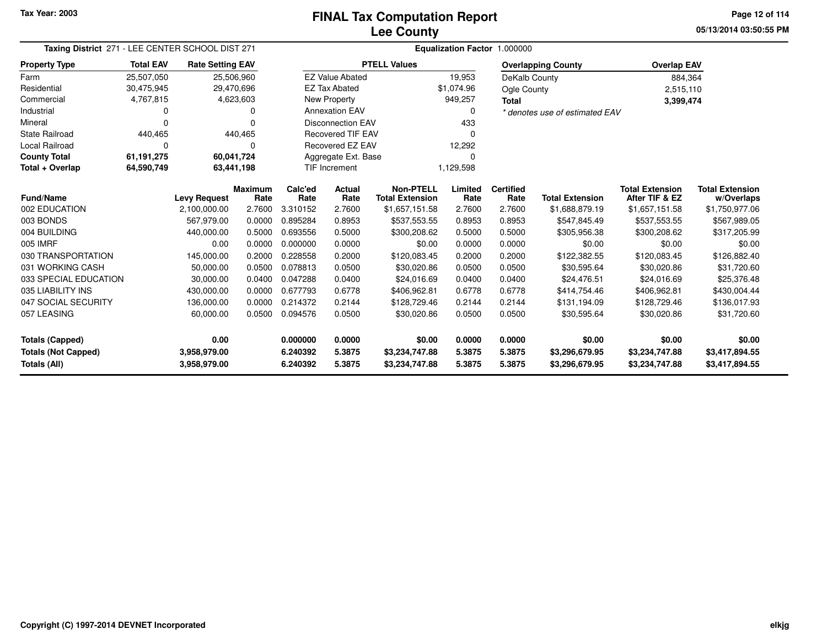**05/13/2014 03:50:55 PMPage 12 of 114**

| Taxing District 271 - LEE CENTER SCHOOL DIST 271  |                  |                              |                        | Equalization Factor 1.000000 |                          |                                            |                  |                          |                                  |                                          |                                      |  |  |
|---------------------------------------------------|------------------|------------------------------|------------------------|------------------------------|--------------------------|--------------------------------------------|------------------|--------------------------|----------------------------------|------------------------------------------|--------------------------------------|--|--|
| <b>Property Type</b>                              | <b>Total EAV</b> | <b>Rate Setting EAV</b>      |                        |                              |                          | <b>PTELL Values</b>                        |                  |                          | <b>Overlapping County</b>        | <b>Overlap EAV</b>                       |                                      |  |  |
| Farm                                              | 25,507,050       | 25,506,960                   |                        |                              | <b>EZ Value Abated</b>   |                                            | 19,953           | DeKalb County            |                                  | 884,364                                  |                                      |  |  |
| Residential                                       | 30,475,945       | 29,470,696                   |                        |                              | <b>EZ Tax Abated</b>     |                                            | \$1,074.96       | <b>Ogle County</b>       |                                  | 2,515,110                                |                                      |  |  |
| Commercial                                        | 4,767,815        | 4,623,603                    |                        |                              | New Property             |                                            | 949,257          | Total                    |                                  | 3,399,474                                |                                      |  |  |
| Industrial                                        | 0                |                              |                        |                              | <b>Annexation EAV</b>    |                                            | $\Omega$         |                          | * denotes use of estimated EAV   |                                          |                                      |  |  |
| Mineral                                           | $\Omega$         |                              |                        |                              | <b>Disconnection EAV</b> |                                            | 433              |                          |                                  |                                          |                                      |  |  |
| <b>State Railroad</b>                             | 440,465          |                              | 440,465                |                              | <b>Recovered TIF EAV</b> |                                            | $\Omega$         |                          |                                  |                                          |                                      |  |  |
| <b>Local Railroad</b>                             | $\Omega$         |                              |                        |                              | Recovered EZ EAV         |                                            | 12,292           |                          |                                  |                                          |                                      |  |  |
| <b>County Total</b>                               | 61,191,275       | 60,041,724                   |                        |                              | Aggregate Ext. Base      |                                            |                  |                          |                                  |                                          |                                      |  |  |
| Total + Overlap                                   | 64,590,749       | 63,441,198                   |                        |                              | <b>TIF Increment</b>     |                                            | 1,129,598        |                          |                                  |                                          |                                      |  |  |
| <b>Fund/Name</b>                                  |                  | <b>Levy Request</b>          | <b>Maximum</b><br>Rate | Calc'ed<br>Rate              | <b>Actual</b><br>Rate    | <b>Non-PTELL</b><br><b>Total Extension</b> | Limited<br>Rate  | <b>Certified</b><br>Rate | <b>Total Extension</b>           | <b>Total Extension</b><br>After TIF & EZ | <b>Total Extension</b><br>w/Overlaps |  |  |
| 002 EDUCATION                                     |                  | 2,100,000.00                 | 2.7600                 | 3.310152                     | 2.7600                   | \$1,657,151.58                             | 2.7600           | 2.7600                   | \$1,688,879.19                   | \$1,657,151.58                           | \$1,750,977.06                       |  |  |
| 003 BONDS                                         |                  | 567,979.00                   | 0.0000                 | 0.895284                     | 0.8953                   | \$537,553.55                               | 0.8953           | 0.8953                   | \$547,845.49                     | \$537,553.55                             | \$567,989.05                         |  |  |
| 004 BUILDING                                      |                  | 440,000.00                   | 0.5000                 | 0.693556                     | 0.5000                   | \$300,208.62                               | 0.5000           | 0.5000                   | \$305,956.38                     | \$300,208.62                             | \$317,205.99                         |  |  |
| 005 IMRF                                          |                  | 0.00                         | 0.0000                 | 0.000000                     | 0.0000                   | \$0.00                                     | 0.0000           | 0.0000                   | \$0.00                           | \$0.00                                   | \$0.00                               |  |  |
| 030 TRANSPORTATION                                |                  | 145,000.00                   | 0.2000                 | 0.228558                     | 0.2000                   | \$120,083.45                               | 0.2000           | 0.2000                   | \$122,382.55                     | \$120,083.45                             | \$126,882.40                         |  |  |
| 031 WORKING CASH                                  |                  | 50,000.00                    | 0.0500                 | 0.078813                     | 0.0500                   | \$30,020.86                                | 0.0500           | 0.0500                   | \$30,595.64                      | \$30,020.86                              | \$31,720.60                          |  |  |
| 033 SPECIAL EDUCATION                             |                  | 30,000.00                    | 0.0400                 | 0.047288                     | 0.0400                   | \$24,016.69                                | 0.0400           | 0.0400                   | \$24,476.51                      | \$24,016.69                              | \$25,376.48                          |  |  |
| 035 LIABILITY INS                                 |                  | 430,000.00                   | 0.0000                 | 0.677793                     | 0.6778                   | \$406,962.81                               | 0.6778           | 0.6778                   | \$414,754.46                     | \$406,962.81                             | \$430,004.44                         |  |  |
| 047 SOCIAL SECURITY                               |                  | 136,000.00                   | 0.0000                 | 0.214372                     | 0.2144                   | \$128,729.46                               | 0.2144           | 0.2144                   | \$131,194.09                     | \$128,729.46                             | \$136,017.93                         |  |  |
| 057 LEASING                                       |                  | 60,000.00                    | 0.0500                 | 0.094576                     | 0.0500                   | \$30,020.86                                | 0.0500           | 0.0500                   | \$30,595.64                      | \$30,020.86                              | \$31,720.60                          |  |  |
| <b>Totals (Capped)</b>                            |                  | 0.00                         |                        | 0.000000                     | 0.0000                   | \$0.00                                     | 0.0000           | 0.0000                   | \$0.00                           | \$0.00                                   | \$0.00                               |  |  |
| <b>Totals (Not Capped)</b><br><b>Totals (All)</b> |                  | 3,958,979.00<br>3,958,979.00 |                        | 6.240392<br>6.240392         | 5.3875<br>5.3875         | \$3,234,747.88<br>\$3,234,747.88           | 5.3875<br>5.3875 | 5.3875<br>5.3875         | \$3,296,679.95<br>\$3,296,679.95 | \$3,234,747.88<br>\$3,234,747.88         | \$3,417,894.55<br>\$3,417,894.55     |  |  |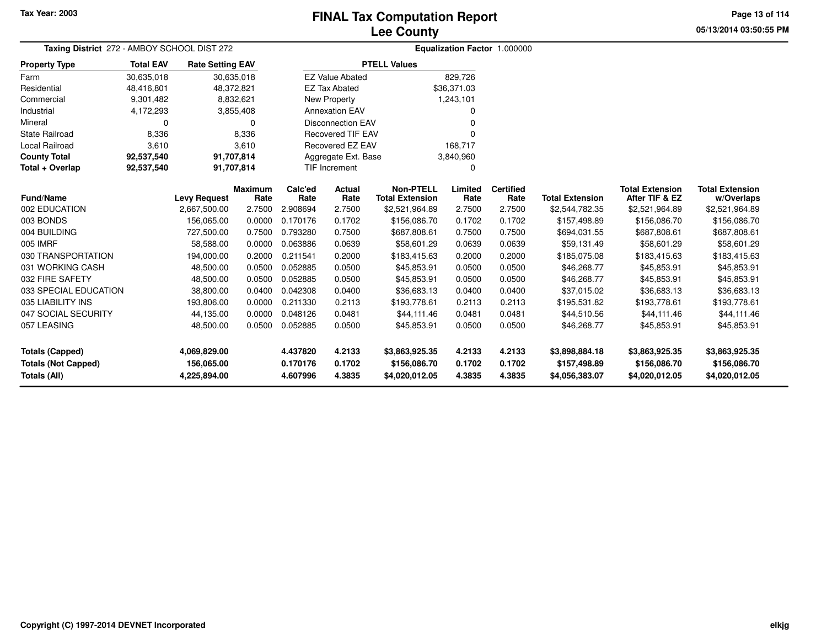# **Lee CountyFINAL Tax Computation Report**

**05/13/2014 03:50:55 PM Page 13 of 114**

| Taxing District 272 - AMBOY SCHOOL DIST 272 |                  |                         |                        | Equalization Factor 1.000000 |                           |                                            |                 |                          |                        |                                          |                                      |
|---------------------------------------------|------------------|-------------------------|------------------------|------------------------------|---------------------------|--------------------------------------------|-----------------|--------------------------|------------------------|------------------------------------------|--------------------------------------|
| <b>Property Type</b>                        | <b>Total EAV</b> | <b>Rate Setting EAV</b> |                        |                              |                           | <b>PTELL Values</b>                        |                 |                          |                        |                                          |                                      |
| Farm                                        | 30,635,018       |                         | 30,635,018             |                              | <b>EZ Value Abated</b>    |                                            | 829,726         |                          |                        |                                          |                                      |
| Residential                                 | 48,416,801       | 48,372,821              |                        |                              | <b>EZ Tax Abated</b>      |                                            | \$36,371.03     |                          |                        |                                          |                                      |
| Commercial                                  | 9,301,482        |                         | 8,832,621              |                              | <b>New Property</b>       |                                            | 1,243,101       |                          |                        |                                          |                                      |
| Industrial                                  | 4,172,293        |                         | 3,855,408              |                              | <b>Annexation EAV</b>     |                                            | $\Omega$        |                          |                        |                                          |                                      |
| Mineral                                     | 0                |                         | 0                      |                              | <b>Disconnection EAV</b>  |                                            | 0               |                          |                        |                                          |                                      |
| <b>State Railroad</b>                       | 8,336            |                         | 8,336                  |                              | <b>Recovered TIF EAV</b>  |                                            | $\Omega$        |                          |                        |                                          |                                      |
| <b>Local Railroad</b>                       | 3,610            |                         | 3,610                  |                              | <b>Recovered EZ EAV</b>   |                                            | 168,717         |                          |                        |                                          |                                      |
| <b>County Total</b>                         | 92,537,540       |                         | 91,707,814             |                              | Aggregate Ext. Base       |                                            | 3,840,960       |                          |                        |                                          |                                      |
| Total + Overlap                             | 92,537,540       |                         | 91,707,814             |                              | <b>TIF Increment</b><br>0 |                                            |                 |                          |                        |                                          |                                      |
| <b>Fund/Name</b>                            |                  | <b>Levy Request</b>     | <b>Maximum</b><br>Rate | Calc'ed<br>Rate              | Actual<br>Rate            | <b>Non-PTELL</b><br><b>Total Extension</b> | Limited<br>Rate | <b>Certified</b><br>Rate | <b>Total Extension</b> | <b>Total Extension</b><br>After TIF & EZ | <b>Total Extension</b><br>w/Overlaps |
| 002 EDUCATION                               |                  | 2,667,500.00            | 2.7500                 | 2.908694                     | 2.7500                    | \$2,521,964.89                             | 2.7500          | 2.7500                   | \$2,544,782.35         | \$2,521,964.89                           | \$2,521,964.89                       |
| 003 BONDS                                   |                  | 156,065.00              | 0.0000                 | 0.170176                     | 0.1702                    | \$156,086.70                               | 0.1702          | 0.1702                   | \$157,498.89           | \$156,086.70                             | \$156,086.70                         |
| 004 BUILDING                                |                  | 727,500.00              | 0.7500                 | 0.793280                     | 0.7500                    | \$687,808.61                               | 0.7500          | 0.7500                   | \$694,031.55           | \$687,808.61                             | \$687,808.61                         |
| 005 IMRF                                    |                  | 58,588.00               | 0.0000                 | 0.063886                     | 0.0639                    | \$58,601.29                                | 0.0639          | 0.0639                   | \$59,131.49            | \$58,601.29                              | \$58,601.29                          |
| 030 TRANSPORTATION                          |                  | 194,000.00              | 0.2000                 | 0.211541                     | 0.2000                    | \$183,415.63                               | 0.2000          | 0.2000                   | \$185,075.08           | \$183,415.63                             | \$183,415.63                         |
| 031 WORKING CASH                            |                  | 48,500.00               | 0.0500                 | 0.052885                     | 0.0500                    | \$45,853.91                                | 0.0500          | 0.0500                   | \$46,268.77            | \$45,853.91                              | \$45,853.91                          |
| 032 FIRE SAFETY                             |                  | 48,500.00               | 0.0500                 | 0.052885                     | 0.0500                    | \$45,853.91                                | 0.0500          | 0.0500                   | \$46,268.77            | \$45,853.91                              | \$45,853.91                          |
| 033 SPECIAL EDUCATION                       |                  | 38,800.00               | 0.0400                 | 0.042308                     | 0.0400                    | \$36,683.13                                | 0.0400          | 0.0400                   | \$37,015.02            | \$36,683.13                              | \$36,683.13                          |
| 035 LIABILITY INS                           |                  | 193,806.00              | 0.0000                 | 0.211330                     | 0.2113                    | \$193,778.61                               | 0.2113          | 0.2113                   | \$195,531.82           | \$193,778.61                             | \$193,778.61                         |
| 047 SOCIAL SECURITY                         |                  | 44,135.00               | 0.0000                 | 0.048126                     | 0.0481                    | \$44,111.46                                | 0.0481          | 0.0481                   | \$44,510.56            | \$44,111.46                              | \$44,111.46                          |
| 057 LEASING                                 |                  | 48,500.00               | 0.0500                 | 0.052885                     | 0.0500                    | \$45,853.91                                | 0.0500          | 0.0500                   | \$46,268.77            | \$45,853.91                              | \$45,853.91                          |
| Totals (Capped)                             |                  | 4,069,829.00            |                        | 4.437820                     | 4.2133                    | \$3,863,925.35                             | 4.2133          | 4.2133                   | \$3,898,884.18         | \$3,863,925.35                           | \$3,863,925.35                       |
| <b>Totals (Not Capped)</b>                  |                  | 156,065.00              |                        | 0.170176                     | 0.1702                    | \$156,086.70                               | 0.1702          | 0.1702                   | \$157,498.89           | \$156,086.70                             | \$156,086.70                         |
| <b>Totals (All)</b>                         |                  | 4,225,894.00            |                        | 4.607996                     | 4.3835                    | \$4,020,012.05                             | 4.3835          | 4.3835                   | \$4,056,383.07         | \$4,020,012.05                           | \$4,020,012.05                       |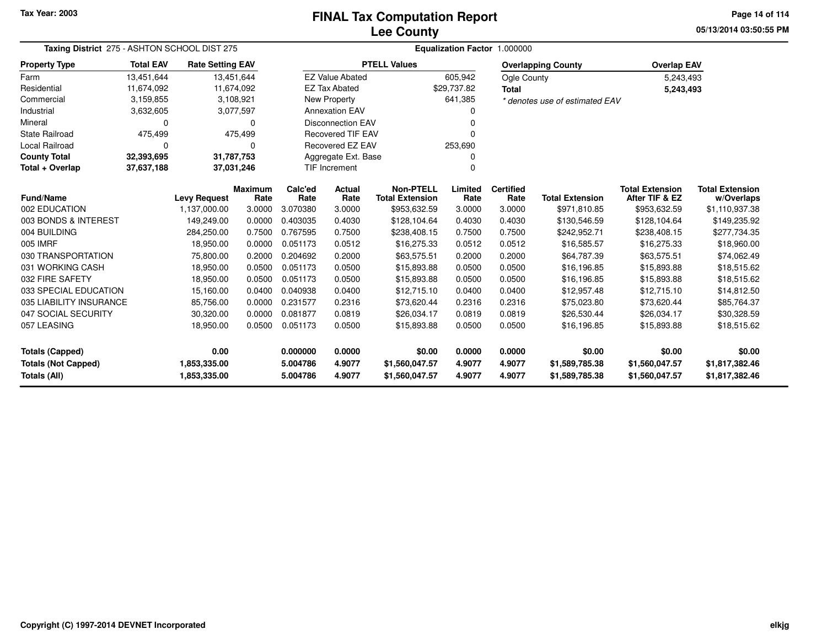# **Lee CountyFINAL Tax Computation Report**

**05/13/2014 03:50:55 PM Page 14 of 114**

| Taxing District 275 - ASHTON SCHOOL DIST 275 |                  |                         |                        |                 |                          |                                            | Equalization Factor 1.000000 |                          |                                |                                          |                                      |
|----------------------------------------------|------------------|-------------------------|------------------------|-----------------|--------------------------|--------------------------------------------|------------------------------|--------------------------|--------------------------------|------------------------------------------|--------------------------------------|
| <b>Property Type</b>                         | <b>Total EAV</b> | <b>Rate Setting EAV</b> |                        |                 |                          | <b>PTELL Values</b>                        |                              |                          | <b>Overlapping County</b>      | <b>Overlap EAV</b>                       |                                      |
| Farm                                         | 13,451,644       |                         | 13,451,644             |                 | <b>EZ Value Abated</b>   |                                            | 605,942                      | Ogle County              |                                | 5,243,493                                |                                      |
| Residential                                  | 11,674,092       |                         | 11,674,092             |                 | <b>EZ Tax Abated</b>     |                                            | \$29,737.82                  | <b>Total</b>             |                                | 5,243,493                                |                                      |
| Commercial                                   | 3,159,855        |                         | 3,108,921              |                 | <b>New Property</b>      |                                            | 641,385                      |                          | * denotes use of estimated EAV |                                          |                                      |
| Industrial                                   | 3,632,605        |                         | 3,077,597              |                 | <b>Annexation EAV</b>    |                                            | 0                            |                          |                                |                                          |                                      |
| Mineral                                      | 0                |                         | $\Omega$               |                 | <b>Disconnection EAV</b> |                                            | 0                            |                          |                                |                                          |                                      |
| State Railroad                               | 475,499          |                         | 475,499                |                 | <b>Recovered TIF EAV</b> |                                            | 0                            |                          |                                |                                          |                                      |
| Local Railroad                               | $\Omega$         |                         | $\Omega$               |                 | <b>Recovered EZ EAV</b>  |                                            | 253,690                      |                          |                                |                                          |                                      |
| <b>County Total</b>                          | 32,393,695       |                         | 31,787,753             |                 | Aggregate Ext. Base      |                                            | 0                            |                          |                                |                                          |                                      |
| Total + Overlap                              | 37,637,188       |                         | 37,031,246             |                 | <b>TIF Increment</b>     |                                            | 0                            |                          |                                |                                          |                                      |
| <b>Fund/Name</b>                             |                  | <b>Levy Request</b>     | <b>Maximum</b><br>Rate | Calc'ed<br>Rate | Actual<br>Rate           | <b>Non-PTELL</b><br><b>Total Extension</b> | Limited<br>Rate              | <b>Certified</b><br>Rate | <b>Total Extension</b>         | <b>Total Extension</b><br>After TIF & EZ | <b>Total Extension</b><br>w/Overlaps |
| 002 EDUCATION                                |                  | 1,137,000.00            | 3.0000                 | 3.070380        | 3.0000                   | \$953,632.59                               | 3.0000                       | 3.0000                   | \$971,810.85                   | \$953,632.59                             | \$1,110,937.38                       |
| 003 BONDS & INTEREST                         |                  | 149,249.00              | 0.0000                 | 0.403035        | 0.4030                   | \$128,104.64                               | 0.4030                       | 0.4030                   | \$130,546.59                   | \$128,104.64                             | \$149,235.92                         |
| 004 BUILDING                                 |                  | 284,250.00              | 0.7500                 | 0.767595        | 0.7500                   | \$238,408.15                               | 0.7500                       | 0.7500                   | \$242,952.71                   | \$238,408.15                             | \$277,734.35                         |
| 005 IMRF                                     |                  | 18,950.00               | 0.0000                 | 0.051173        | 0.0512                   | \$16,275.33                                | 0.0512                       | 0.0512                   | \$16,585.57                    | \$16,275.33                              |                                      |
| 030 TRANSPORTATION                           |                  | 75,800.00               | 0.2000                 | 0.204692        | 0.2000                   | \$63,575.51                                | 0.2000                       | 0.2000                   | \$64,787.39                    | \$63,575.51                              | \$18,960.00<br>\$74,062.49           |
| 031 WORKING CASH                             |                  |                         |                        | 0.051173        |                          |                                            |                              | 0.0500                   |                                |                                          |                                      |
|                                              |                  | 18,950.00               | 0.0500                 |                 | 0.0500                   | \$15,893.88                                | 0.0500                       |                          | \$16,196.85                    | \$15,893.88                              | \$18,515.62                          |
| 032 FIRE SAFETY                              |                  | 18,950.00               | 0.0500                 | 0.051173        | 0.0500                   | \$15,893.88                                | 0.0500                       | 0.0500                   | \$16,196.85                    | \$15,893.88                              | \$18,515.62                          |
| 033 SPECIAL EDUCATION                        |                  | 15,160.00               | 0.0400                 | 0.040938        | 0.0400                   | \$12,715.10                                | 0.0400                       | 0.0400                   | \$12,957.48                    | \$12,715.10                              | \$14,812.50                          |
| 035 LIABILITY INSURANCE                      |                  | 85,756.00               | 0.0000                 | 0.231577        | 0.2316                   | \$73,620.44                                | 0.2316                       | 0.2316                   | \$75,023.80                    | \$73,620.44                              | \$85,764.37                          |
| 047 SOCIAL SECURITY                          |                  | 30,320.00               | 0.0000                 | 0.081877        | 0.0819                   | \$26,034.17                                | 0.0819                       | 0.0819                   | \$26,530.44                    | \$26,034.17                              | \$30,328.59                          |
| 057 LEASING                                  |                  | 18,950.00               | 0.0500                 | 0.051173        | 0.0500                   | \$15,893.88                                | 0.0500                       | 0.0500                   | \$16,196.85                    | \$15,893.88                              | \$18,515.62                          |
| <b>Totals (Capped)</b>                       |                  | 0.00                    |                        | 0.000000        | 0.0000                   | \$0.00                                     | 0.0000                       | 0.0000                   | \$0.00                         | \$0.00                                   | \$0.00                               |
| <b>Totals (Not Capped)</b>                   |                  | 1,853,335.00            |                        | 5.004786        | 4.9077                   | \$1,560,047.57                             | 4.9077                       | 4.9077                   | \$1,589,785.38                 | \$1,560,047.57                           | \$1,817,382.46                       |
| <b>Totals (All)</b>                          |                  | 1,853,335.00            |                        | 5.004786        | 4.9077                   | \$1,560,047.57                             | 4.9077                       | 4.9077                   | \$1,589,785.38                 | \$1,560,047.57                           | \$1,817,382.46                       |

۰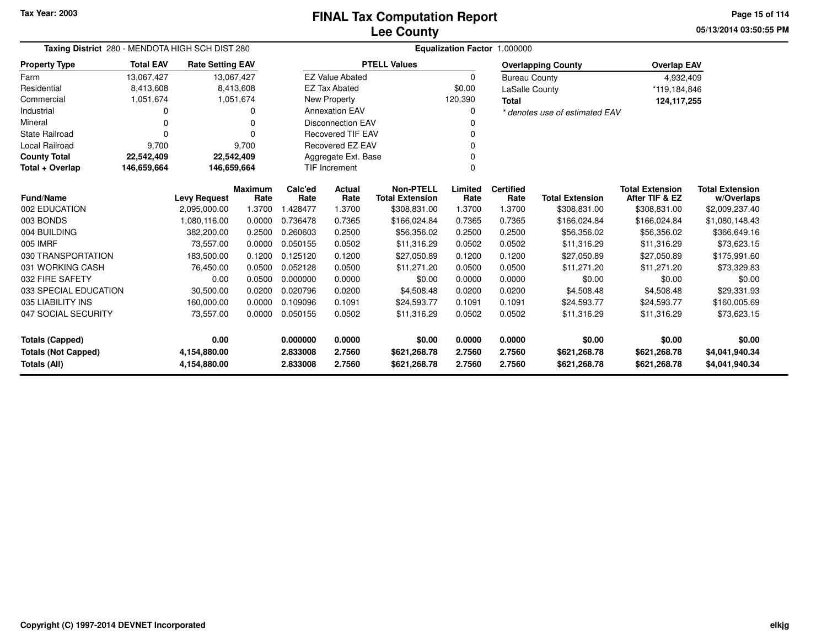**05/13/2014 03:50:55 PMPage 15 of 114**

| Taxing District 280 - MENDOTA HIGH SCH DIST 280   |                  |                              |                | Equalization Factor 1.000000  |                               |                              |                  |                      |                                |                              |                                  |  |
|---------------------------------------------------|------------------|------------------------------|----------------|-------------------------------|-------------------------------|------------------------------|------------------|----------------------|--------------------------------|------------------------------|----------------------------------|--|
| <b>Property Type</b>                              | <b>Total EAV</b> | <b>Rate Setting EAV</b>      |                |                               |                               | <b>PTELL Values</b>          |                  |                      | <b>Overlapping County</b>      | <b>Overlap EAV</b>           |                                  |  |
| Farm                                              | 13,067,427       | 13,067,427                   |                |                               | <b>EZ Value Abated</b>        |                              | 0                | <b>Bureau County</b> |                                | 4,932,409                    |                                  |  |
| Residential                                       | 8,413,608        |                              | 8,413,608      |                               | <b>EZ Tax Abated</b>          |                              | \$0.00           | LaSalle County       |                                | *119,184,846                 |                                  |  |
| Commercial                                        | 1,051,674        |                              | 1,051,674      |                               | New Property                  |                              | 120,390          | <b>Total</b>         |                                | 124,117,255                  |                                  |  |
| Industrial                                        |                  |                              | ი              |                               | <b>Annexation EAV</b><br>0    |                              |                  |                      | * denotes use of estimated EAV |                              |                                  |  |
| Mineral                                           | 0                |                              | 0              | <b>Disconnection EAV</b><br>O |                               |                              |                  |                      |                                |                              |                                  |  |
| <b>State Railroad</b>                             | $\Omega$         |                              |                |                               | <b>Recovered TIF EAV</b><br>0 |                              |                  |                      |                                |                              |                                  |  |
| <b>Local Railroad</b>                             | 9,700            |                              | 9,700          |                               | Recovered EZ EAV              |                              | 0                |                      |                                |                              |                                  |  |
| <b>County Total</b>                               | 22,542,409       | 22,542,409                   |                |                               | Aggregate Ext. Base           |                              | $\Omega$         |                      |                                |                              |                                  |  |
| Total + Overlap                                   | 146,659,664      | 146,659,664                  |                |                               | TIF Increment                 |                              | $\Omega$         |                      |                                |                              |                                  |  |
|                                                   |                  |                              | <b>Maximum</b> | Calc'ed                       | Actual                        | <b>Non-PTELL</b>             | Limited          | <b>Certified</b>     |                                | <b>Total Extension</b>       | <b>Total Extension</b>           |  |
| <b>Fund/Name</b>                                  |                  | <b>Levy Request</b>          | Rate           | Rate                          | Rate                          | <b>Total Extension</b>       | Rate             | Rate                 | <b>Total Extension</b>         | After TIF & EZ               | w/Overlaps                       |  |
| 002 EDUCATION                                     |                  | 2,095,000.00                 | 1.3700         | 1.428477                      | 1.3700                        | \$308,831.00                 | 1.3700           | 1.3700               | \$308,831.00                   | \$308,831.00                 | \$2,009,237.40                   |  |
| 003 BONDS                                         |                  | 1,080,116.00                 | 0.0000         | 0.736478                      | 0.7365                        | \$166,024.84                 | 0.7365           | 0.7365               | \$166,024.84                   | \$166,024.84                 | \$1,080,148.43                   |  |
| 004 BUILDING                                      |                  | 382,200.00                   | 0.2500         | 0.260603                      | 0.2500                        | \$56,356.02                  | 0.2500           | 0.2500               | \$56,356.02                    | \$56,356.02                  | \$366,649.16                     |  |
| 005 IMRF                                          |                  | 73,557.00                    | 0.0000         | 0.050155                      | 0.0502                        | \$11,316.29                  | 0.0502           | 0.0502               | \$11,316.29                    | \$11,316.29                  | \$73,623.15                      |  |
| 030 TRANSPORTATION                                |                  | 183,500.00                   | 0.1200         | 0.125120                      | 0.1200                        | \$27,050.89                  | 0.1200           | 0.1200               | \$27,050.89                    | \$27,050.89                  | \$175,991.60                     |  |
| 031 WORKING CASH                                  |                  | 76,450.00                    | 0.0500         | 0.052128                      | 0.0500                        | \$11,271.20                  | 0.0500           | 0.0500               | \$11,271.20                    | \$11,271.20                  | \$73,329.83                      |  |
| 032 FIRE SAFETY                                   |                  | 0.00                         | 0.0500         | 0.000000                      | 0.0000                        | \$0.00                       | 0.0000           | 0.0000               | \$0.00                         | \$0.00                       | \$0.00                           |  |
| 033 SPECIAL EDUCATION                             |                  | 30,500.00                    | 0.0200         | 0.020796                      | 0.0200                        | \$4,508.48                   | 0.0200           | 0.0200               | \$4,508.48                     | \$4,508.48                   | \$29,331.93                      |  |
| 035 LIABILITY INS                                 |                  | 160,000.00                   | 0.0000         | 0.109096                      | 0.1091                        | \$24,593.77                  | 0.1091           | 0.1091               | \$24,593.77                    | \$24,593.77                  | \$160,005.69                     |  |
| 047 SOCIAL SECURITY                               |                  | 73,557.00                    | 0.0000         | 0.050155                      | 0.0502                        | \$11,316.29                  | 0.0502           | 0.0502               | \$11,316.29                    | \$11,316.29                  | \$73,623.15                      |  |
| <b>Totals (Capped)</b>                            |                  | 0.00                         |                | 0.000000                      | 0.0000                        | \$0.00                       | 0.0000           | 0.0000               | \$0.00                         | \$0.00                       | \$0.00                           |  |
| <b>Totals (Not Capped)</b><br><b>Totals (All)</b> |                  | 4,154,880.00<br>4,154,880.00 |                | 2.833008<br>2.833008          | 2.7560<br>2.7560              | \$621,268.78<br>\$621,268.78 | 2.7560<br>2.7560 | 2.7560<br>2.7560     | \$621,268.78<br>\$621,268.78   | \$621,268.78<br>\$621,268.78 | \$4,041,940.34<br>\$4,041,940.34 |  |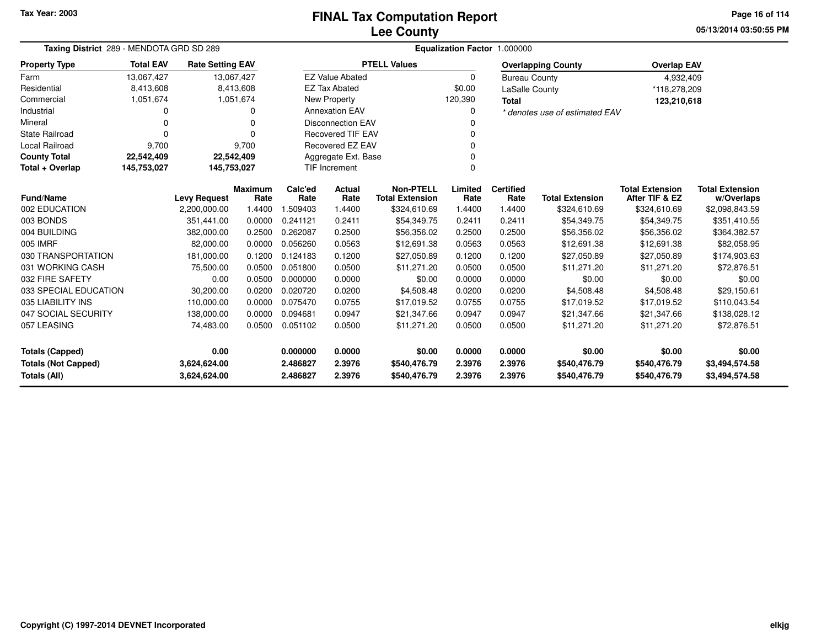# **Lee CountyFINAL Tax Computation Report**

**05/13/2014 03:50:55 PM Page 16 of 114**

|                                   | Taxing District 289 - MENDOTA GRD SD 289 |                                     |                |                  |                          | Equalization Factor 1.000000 |          |                      |                                |                        |                        |  |  |  |
|-----------------------------------|------------------------------------------|-------------------------------------|----------------|------------------|--------------------------|------------------------------|----------|----------------------|--------------------------------|------------------------|------------------------|--|--|--|
| <b>Property Type</b>              | <b>Total EAV</b>                         | <b>Rate Setting EAV</b>             |                |                  |                          | <b>PTELL Values</b>          |          |                      | <b>Overlapping County</b>      | <b>Overlap EAV</b>     |                        |  |  |  |
| Farm                              | 13,067,427                               |                                     | 13,067,427     |                  | <b>EZ Value Abated</b>   |                              | $\Omega$ | <b>Bureau County</b> |                                | 4,932,409              |                        |  |  |  |
| Residential                       | 8,413,608                                |                                     | 8,413,608      |                  | <b>EZ Tax Abated</b>     |                              | \$0.00   | LaSalle County       |                                | *118,278,209           |                        |  |  |  |
| Commercial                        | 1,051,674                                |                                     | 1,051,674      |                  | New Property             |                              | 120,390  | <b>Total</b>         |                                | 123,210,618            |                        |  |  |  |
| Industrial                        | 0                                        |                                     | O              |                  | <b>Annexation EAV</b>    |                              |          |                      | * denotes use of estimated EAV |                        |                        |  |  |  |
| Mineral                           | 0                                        |                                     | n              |                  | <b>Disconnection EAV</b> |                              |          |                      |                                |                        |                        |  |  |  |
| <b>State Railroad</b>             | $\Omega$                                 |                                     | $\Omega$       |                  | <b>Recovered TIF EAV</b> |                              |          |                      |                                |                        |                        |  |  |  |
| <b>Local Railroad</b>             | 9,700                                    |                                     | 9,700          |                  | <b>Recovered EZ EAV</b>  |                              |          |                      |                                |                        |                        |  |  |  |
| <b>County Total</b>               | 22,542,409                               |                                     | 22,542,409     |                  | Aggregate Ext. Base      |                              |          |                      |                                |                        |                        |  |  |  |
| Total + Overlap                   | 145,753,027                              | 145,753,027                         |                |                  | TIF Increment            |                              | $\Omega$ |                      |                                |                        |                        |  |  |  |
|                                   |                                          |                                     | <b>Maximum</b> | Calc'ed          | Actual                   | <b>Non-PTELL</b>             | Limited  | <b>Certified</b>     |                                | <b>Total Extension</b> | <b>Total Extension</b> |  |  |  |
| <b>Fund/Name</b><br>002 EDUCATION |                                          | <b>Levy Request</b><br>2,200,000.00 | Rate<br>1.4400 | Rate<br>1.509403 | Rate<br>1.4400           | <b>Total Extension</b>       | Rate     | Rate<br>1.4400       | <b>Total Extension</b>         | After TIF & EZ         | w/Overlaps             |  |  |  |
| 003 BONDS                         |                                          |                                     |                | 0.241121         |                          | \$324,610.69                 | 1.4400   | 0.2411               | \$324,610.69                   | \$324,610.69           | \$2,098,843.59         |  |  |  |
|                                   |                                          | 351,441.00                          | 0.0000         |                  | 0.2411                   | \$54,349.75                  | 0.2411   |                      | \$54,349.75                    | \$54,349.75            | \$351,410.55           |  |  |  |
| 004 BUILDING                      |                                          | 382,000.00                          | 0.2500         | 0.262087         | 0.2500                   | \$56,356.02                  | 0.2500   | 0.2500               | \$56,356.02                    | \$56,356.02            | \$364,382.57           |  |  |  |
| 005 IMRF                          |                                          | 82.000.00                           | 0.0000         | 0.056260         | 0.0563                   | \$12,691.38                  | 0.0563   | 0.0563               | \$12,691.38                    | \$12,691.38            | \$82,058.95            |  |  |  |
| 030 TRANSPORTATION                |                                          | 181,000.00                          | 0.1200         | 0.124183         | 0.1200                   | \$27,050.89                  | 0.1200   | 0.1200               | \$27,050.89                    | \$27,050.89            | \$174,903.63           |  |  |  |
| 031 WORKING CASH                  |                                          | 75,500.00                           | 0.0500         | 0.051800         | 0.0500                   | \$11,271.20                  | 0.0500   | 0.0500               | \$11,271.20                    | \$11,271.20            | \$72,876.51            |  |  |  |
| 032 FIRE SAFETY                   |                                          | 0.00                                | 0.0500         | 0.000000         | 0.0000                   | \$0.00                       | 0.0000   | 0.0000               | \$0.00                         | \$0.00                 | \$0.00                 |  |  |  |
| 033 SPECIAL EDUCATION             |                                          | 30,200.00                           | 0.0200         | 0.020720         | 0.0200                   | \$4,508.48                   | 0.0200   | 0.0200               | \$4,508.48                     | \$4,508.48             | \$29,150.61            |  |  |  |
| 035 LIABILITY INS                 |                                          | 110.000.00                          | 0.0000         | 0.075470         | 0.0755                   | \$17,019.52                  | 0.0755   | 0.0755               | \$17,019.52                    | \$17,019.52            | \$110,043.54           |  |  |  |
| 047 SOCIAL SECURITY               |                                          | 138,000.00                          | 0.0000         | 0.094681         | 0.0947                   | \$21,347.66                  | 0.0947   | 0.0947               | \$21,347.66                    | \$21,347.66            | \$138,028.12           |  |  |  |
| 057 LEASING                       |                                          | 74,483.00                           | 0.0500         | 0.051102         | 0.0500                   | \$11,271.20                  | 0.0500   | 0.0500               | \$11,271.20                    | \$11,271.20            | \$72,876.51            |  |  |  |
| <b>Totals (Capped)</b>            |                                          | 0.00                                |                | 0.000000         | 0.0000                   | \$0.00                       | 0.0000   | 0.0000               | \$0.00                         | \$0.00                 | \$0.00                 |  |  |  |
| <b>Totals (Not Capped)</b>        |                                          | 3,624,624.00                        |                | 2.486827         | 2.3976                   | \$540,476.79                 | 2.3976   | 2.3976               | \$540,476.79                   | \$540,476.79           | \$3,494,574.58         |  |  |  |
| Totals (All)                      |                                          | 3,624,624.00                        |                | 2.486827         | 2.3976                   | \$540,476.79                 | 2.3976   | 2.3976               | \$540,476.79                   | \$540,476.79           | \$3,494,574.58         |  |  |  |

 $\overline{\phantom{0}}$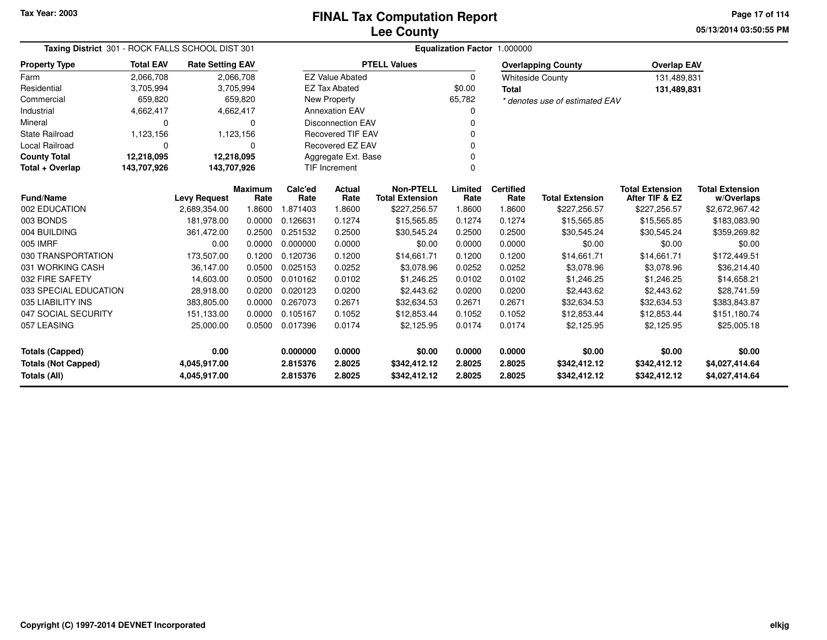**05/13/2014 03:50:55 PMPage 17 of 114**

| Taxing District 301 - ROCK FALLS SCHOOL DIST 301  |                  |                              |                        | Equalization Factor 1.000000 |                               |                                            |                  |                          |                                |                                          |                                      |  |  |
|---------------------------------------------------|------------------|------------------------------|------------------------|------------------------------|-------------------------------|--------------------------------------------|------------------|--------------------------|--------------------------------|------------------------------------------|--------------------------------------|--|--|
| <b>Property Type</b>                              | <b>Total EAV</b> | <b>Rate Setting EAV</b>      |                        |                              |                               | <b>PTELL Values</b>                        |                  |                          | <b>Overlapping County</b>      | <b>Overlap EAV</b>                       |                                      |  |  |
| Farm                                              | 2,066,708        |                              | 2,066,708              |                              | <b>EZ Value Abated</b>        |                                            | $\Omega$         |                          | <b>Whiteside County</b>        | 131,489,831                              |                                      |  |  |
| Residential                                       | 3,705,994        |                              | 3,705,994              |                              | <b>EZ Tax Abated</b>          |                                            | \$0.00           | <b>Total</b>             |                                | 131,489,831                              |                                      |  |  |
| Commercial                                        | 659,820          |                              | 659,820                |                              | New Property                  |                                            | 65,782           |                          | * denotes use of estimated EAV |                                          |                                      |  |  |
| Industrial                                        | 4,662,417        |                              | 4,662,417              |                              | <b>Annexation EAV</b>         |                                            | 0                |                          |                                |                                          |                                      |  |  |
| Mineral                                           | 0                |                              | $\Omega$               |                              | <b>Disconnection EAV</b><br>0 |                                            |                  |                          |                                |                                          |                                      |  |  |
| <b>State Railroad</b>                             | 1,123,156        |                              | 1,123,156              |                              | Recovered TIF EAV<br>0        |                                            |                  |                          |                                |                                          |                                      |  |  |
| <b>Local Railroad</b>                             | $\Omega$         |                              | 0                      |                              | Recovered EZ EAV              |                                            | ŋ                |                          |                                |                                          |                                      |  |  |
| <b>County Total</b>                               | 12,218,095       |                              | 12,218,095             |                              | Aggregate Ext. Base           |                                            |                  |                          |                                |                                          |                                      |  |  |
| Total + Overlap                                   | 143,707,926      | 143,707,926                  |                        |                              | <b>TIF Increment</b>          |                                            | 0                |                          |                                |                                          |                                      |  |  |
| <b>Fund/Name</b>                                  |                  | <b>Levy Request</b>          | <b>Maximum</b><br>Rate | Calc'ed<br>Rate              | Actual<br>Rate                | <b>Non-PTELL</b><br><b>Total Extension</b> | Limited<br>Rate  | <b>Certified</b><br>Rate | <b>Total Extension</b>         | <b>Total Extension</b><br>After TIF & EZ | <b>Total Extension</b><br>w/Overlaps |  |  |
| 002 EDUCATION                                     |                  | 2,689,354.00                 | 1.8600                 | 1.871403                     | 1.8600                        | \$227,256.57                               | 1.8600           | 1.8600                   | \$227,256.57                   | \$227,256.57                             | \$2,672,967.42                       |  |  |
| 003 BONDS                                         |                  | 181.978.00                   | 0.0000                 | 0.126631                     | 0.1274                        | \$15,565.85                                | 0.1274           | 0.1274                   | \$15,565.85                    | \$15,565.85                              | \$183,083.90                         |  |  |
| 004 BUILDING                                      |                  | 361,472.00                   | 0.2500                 | 0.251532                     | 0.2500                        | \$30,545.24                                | 0.2500           | 0.2500                   | \$30,545.24                    | \$30,545.24                              | \$359,269.82                         |  |  |
| 005 IMRF                                          |                  | 0.00                         | 0.0000                 | 0.000000                     | 0.0000                        | \$0.00                                     | 0.0000           | 0.0000                   | \$0.00                         | \$0.00                                   | \$0.00                               |  |  |
| 030 TRANSPORTATION                                |                  | 173,507.00                   | 0.1200                 | 0.120736                     | 0.1200                        | \$14,661.71                                | 0.1200           | 0.1200                   | \$14,661.71                    | \$14,661.71                              | \$172,449.51                         |  |  |
| 031 WORKING CASH                                  |                  | 36,147.00                    | 0.0500                 | 0.025153                     | 0.0252                        | \$3,078.96                                 | 0.0252           | 0.0252                   | \$3,078.96                     | \$3,078.96                               | \$36,214.40                          |  |  |
| 032 FIRE SAFETY                                   |                  | 14,603.00                    | 0.0500                 | 0.010162                     | 0.0102                        | \$1,246.25                                 | 0.0102           | 0.0102                   | \$1,246.25                     | \$1,246.25                               | \$14,658.21                          |  |  |
| 033 SPECIAL EDUCATION                             |                  | 28,918.00                    | 0.0200                 | 0.020123                     | 0.0200                        | \$2,443.62                                 | 0.0200           | 0.0200                   | \$2,443.62                     | \$2,443.62                               | \$28,741.59                          |  |  |
| 035 LIABILITY INS                                 |                  | 383,805.00                   | 0.0000                 | 0.267073                     | 0.2671                        | \$32,634.53                                | 0.2671           | 0.2671                   | \$32,634.53                    | \$32,634.53                              | \$383,843.87                         |  |  |
| 047 SOCIAL SECURITY                               |                  | 151,133.00                   | 0.0000                 | 0.105167                     | 0.1052                        | \$12,853.44                                | 0.1052           | 0.1052                   | \$12,853.44                    | \$12,853.44                              | \$151,180.74                         |  |  |
| 057 LEASING                                       |                  | 25,000.00                    | 0.0500                 | 0.017396                     | 0.0174                        | \$2,125.95                                 | 0.0174           | 0.0174                   | \$2,125.95                     | \$2,125.95                               | \$25,005.18                          |  |  |
| <b>Totals (Capped)</b>                            |                  | 0.00                         |                        | 0.000000                     | 0.0000                        | \$0.00                                     | 0.0000           | 0.0000                   | \$0.00                         | \$0.00                                   | \$0.00                               |  |  |
| <b>Totals (Not Capped)</b><br><b>Totals (All)</b> |                  | 4,045,917.00<br>4,045,917.00 |                        | 2.815376<br>2.815376         | 2.8025<br>2.8025              | \$342,412.12<br>\$342,412.12               | 2.8025<br>2.8025 | 2.8025<br>2.8025         | \$342,412.12<br>\$342,412.12   | \$342,412.12<br>\$342,412.12             | \$4,027,414.64<br>\$4,027,414.64     |  |  |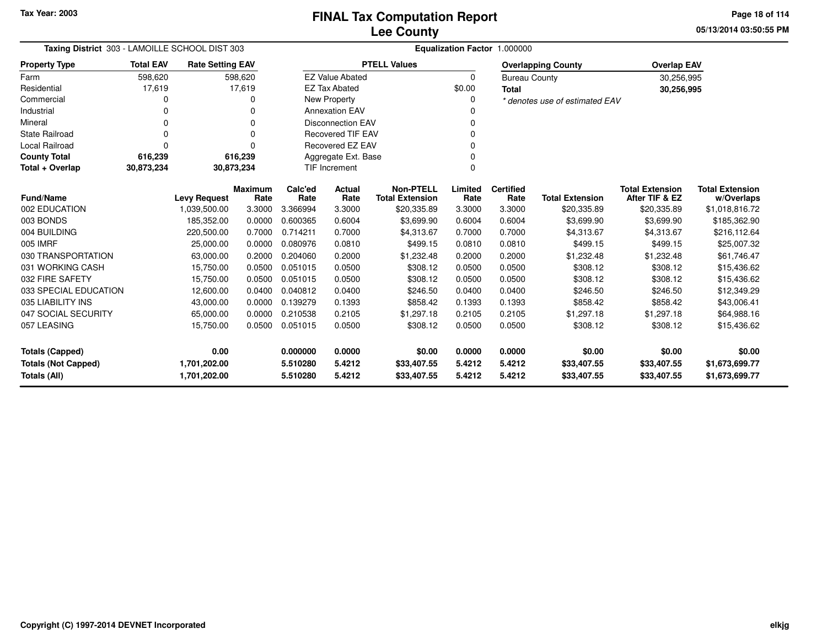**05/13/2014 03:50:55 PMPage 18 of 114**

| Taxing District 303 - LAMOILLE SCHOOL DIST 303 |                  |                         |                | Equalization Factor 1.000000 |                          |                        |          |                      |                                |                        |                        |
|------------------------------------------------|------------------|-------------------------|----------------|------------------------------|--------------------------|------------------------|----------|----------------------|--------------------------------|------------------------|------------------------|
| <b>Property Type</b>                           | <b>Total EAV</b> | <b>Rate Setting EAV</b> |                |                              |                          | <b>PTELL Values</b>    |          |                      | <b>Overlapping County</b>      | <b>Overlap EAV</b>     |                        |
| Farm                                           | 598,620          |                         | 598,620        |                              | <b>EZ Value Abated</b>   |                        | $\Omega$ | <b>Bureau County</b> |                                | 30,256,995             |                        |
| Residential                                    | 17,619           |                         | 17,619         |                              | <b>EZ Tax Abated</b>     |                        | \$0.00   | <b>Total</b>         |                                | 30,256,995             |                        |
| Commercial                                     | 0                |                         | 0              |                              | New Property             |                        |          |                      | * denotes use of estimated EAV |                        |                        |
| Industrial                                     |                  |                         |                |                              | <b>Annexation EAV</b>    |                        |          |                      |                                |                        |                        |
| Mineral                                        | 0                |                         | $\Omega$       |                              | <b>Disconnection EAV</b> |                        |          |                      |                                |                        |                        |
| <b>State Railroad</b>                          | 0                |                         | U              |                              | <b>Recovered TIF EAV</b> |                        |          |                      |                                |                        |                        |
| <b>Local Railroad</b>                          | 0                |                         | U              |                              | Recovered EZ EAV         |                        |          |                      |                                |                        |                        |
| <b>County Total</b>                            | 616,239          |                         | 616,239        |                              | Aggregate Ext. Base      |                        |          |                      |                                |                        |                        |
| Total + Overlap                                | 30,873,234       | 30,873,234              |                |                              | TIF Increment            |                        |          |                      |                                |                        |                        |
|                                                |                  |                         | <b>Maximum</b> | Calc'ed                      | Actual                   | <b>Non-PTELL</b>       | Limited  | <b>Certified</b>     |                                | <b>Total Extension</b> | <b>Total Extension</b> |
| <b>Fund/Name</b>                               |                  | <b>Levy Request</b>     | Rate           | Rate                         | Rate                     | <b>Total Extension</b> | Rate     | Rate                 | <b>Total Extension</b>         | After TIF & EZ         | w/Overlaps             |
| 002 EDUCATION                                  |                  | 1,039,500.00            | 3.3000         | 3.366994                     | 3.3000                   | \$20,335.89            | 3.3000   | 3.3000               | \$20,335.89                    | \$20,335.89            | \$1,018,816.72         |
| 003 BONDS                                      |                  | 185,352.00              | 0.0000         | 0.600365                     | 0.6004                   | \$3,699.90             | 0.6004   | 0.6004               | \$3,699.90                     | \$3,699.90             | \$185,362.90           |
| 004 BUILDING                                   |                  | 220,500.00              | 0.7000         | 0.714211                     | 0.7000                   | \$4,313.67             | 0.7000   | 0.7000               | \$4,313.67                     | \$4,313.67             | \$216,112.64           |
| 005 IMRF                                       |                  | 25,000.00               | 0.0000         | 0.080976                     | 0.0810                   | \$499.15               | 0.0810   | 0.0810               | \$499.15                       | \$499.15               | \$25,007.32            |
| 030 TRANSPORTATION                             |                  | 63,000.00               | 0.2000         | 0.204060                     | 0.2000                   | \$1,232.48             | 0.2000   | 0.2000               | \$1,232.48                     | \$1,232.48             | \$61,746.47            |
| 031 WORKING CASH                               |                  | 15,750.00               | 0.0500         | 0.051015                     | 0.0500                   | \$308.12               | 0.0500   | 0.0500               | \$308.12                       | \$308.12               | \$15,436.62            |
| 032 FIRE SAFETY                                |                  | 15,750.00               | 0.0500         | 0.051015                     | 0.0500                   | \$308.12               | 0.0500   | 0.0500               | \$308.12                       | \$308.12               | \$15,436.62            |
| 033 SPECIAL EDUCATION                          |                  | 12,600.00               | 0.0400         | 0.040812                     | 0.0400                   | \$246.50               | 0.0400   | 0.0400               | \$246.50                       | \$246.50               | \$12,349.29            |
| 035 LIABILITY INS                              |                  | 43,000.00               | 0.0000         | 0.139279                     | 0.1393                   | \$858.42               | 0.1393   | 0.1393               | \$858.42                       | \$858.42               | \$43,006.41            |
| 047 SOCIAL SECURITY                            |                  | 65,000.00               | 0.0000         | 0.210538                     | 0.2105                   | \$1,297.18             | 0.2105   | 0.2105               | \$1,297.18                     | \$1,297.18             | \$64,988.16            |
| 057 LEASING                                    |                  | 15,750.00               | 0.0500         | 0.051015                     | 0.0500                   | \$308.12               | 0.0500   | 0.0500               | \$308.12                       | \$308.12               | \$15,436.62            |
| <b>Totals (Capped)</b>                         |                  | 0.00                    |                | 0.000000                     | 0.0000                   | \$0.00                 | 0.0000   | 0.0000               | \$0.00                         | \$0.00                 | \$0.00                 |
| <b>Totals (Not Capped)</b>                     |                  | 1,701,202.00            |                | 5.510280                     | 5.4212                   | \$33,407.55            | 5.4212   | 5.4212               | \$33,407.55                    | \$33,407.55            | \$1,673,699.77         |
| <b>Totals (All)</b>                            |                  | 1,701,202.00            |                | 5.510280                     | 5.4212                   | \$33,407.55            | 5.4212   | 5.4212               | \$33,407.55                    | \$33,407.55            | \$1,673,699.77         |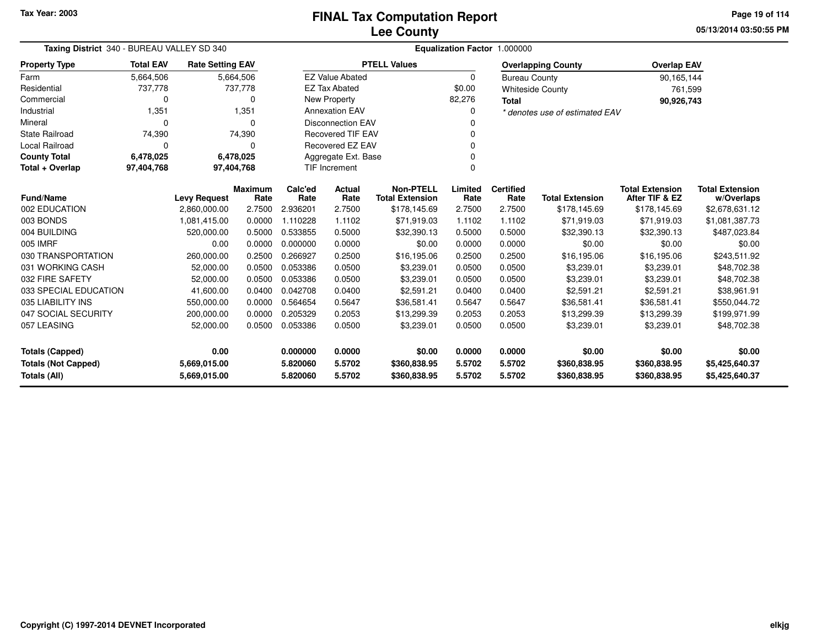**05/13/2014 03:50:55 PMPage 19 of 114**

| Taxing District 340 - BUREAU VALLEY SD 340 | Equalization Factor 1.000000 |                                     |                |                 |                           |                                            |                 |                          |                                |                                          |                        |
|--------------------------------------------|------------------------------|-------------------------------------|----------------|-----------------|---------------------------|--------------------------------------------|-----------------|--------------------------|--------------------------------|------------------------------------------|------------------------|
| <b>Property Type</b>                       | <b>Total EAV</b>             | <b>Rate Setting EAV</b>             |                |                 |                           | <b>PTELL Values</b>                        |                 |                          | <b>Overlapping County</b>      | <b>Overlap EAV</b>                       |                        |
| Farm                                       | 5,664,506                    |                                     | 5,664,506      |                 | <b>EZ Value Abated</b>    |                                            | $\Omega$        | <b>Bureau County</b>     |                                | 90,165,144                               |                        |
| Residential                                | 737,778                      |                                     | 737,778        |                 | <b>EZ Tax Abated</b>      |                                            | \$0.00          |                          | <b>Whiteside County</b>        | 761,599                                  |                        |
| Commercial                                 | $\Omega$                     |                                     | 0              |                 | New Property              |                                            | 82,276          | <b>Total</b>             |                                | 90,926,743                               |                        |
| Industrial                                 | 1,351                        |                                     | 1,351          |                 | <b>Annexation EAV</b>     |                                            |                 |                          | * denotes use of estimated EAV |                                          |                        |
| Mineral                                    | $\Omega$                     |                                     | $\Omega$       |                 | <b>Disconnection EAV</b>  |                                            |                 |                          |                                |                                          |                        |
| <b>State Railroad</b>                      | 74,390                       |                                     | 74,390         |                 | <b>Recovered TIF EAV</b>  |                                            |                 |                          |                                |                                          |                        |
| <b>Local Railroad</b>                      | $\Omega$                     |                                     | 0              |                 | Recovered EZ EAV          |                                            |                 |                          |                                |                                          |                        |
| <b>County Total</b>                        | 6,478,025                    |                                     | 6,478,025      |                 | Aggregate Ext. Base       |                                            |                 |                          |                                |                                          |                        |
| Total + Overlap                            | 97,404,768                   | 97,404,768                          |                |                 | TIF Increment<br>$\Omega$ |                                            |                 |                          |                                |                                          |                        |
| <b>Fund/Name</b>                           |                              |                                     | <b>Maximum</b> | Calc'ed<br>Rate | Actual<br>Rate            | <b>Non-PTELL</b><br><b>Total Extension</b> | Limited<br>Rate | <b>Certified</b><br>Rate | <b>Total Extension</b>         | <b>Total Extension</b><br>After TIF & EZ | <b>Total Extension</b> |
| 002 EDUCATION                              |                              | <b>Levy Request</b><br>2,860,000.00 | Rate<br>2.7500 | 2.936201        | 2.7500                    |                                            | 2.7500          | 2.7500                   | \$178,145.69                   |                                          | w/Overlaps             |
|                                            |                              |                                     |                | 1.110228        | 1.1102                    | \$178,145.69                               |                 | 1.1102                   |                                | \$178,145.69                             | \$2,678,631.12         |
| 003 BONDS                                  |                              | 1,081,415.00                        | 0.0000         |                 |                           | \$71,919.03                                | 1.1102          |                          | \$71,919.03                    | \$71,919.03                              | \$1,081,387.73         |
| 004 BUILDING                               |                              | 520,000.00                          | 0.5000         | 0.533855        | 0.5000                    | \$32,390.13                                | 0.5000          | 0.5000                   | \$32,390.13                    | \$32,390.13                              | \$487,023.84           |
| 005 IMRF                                   |                              | 0.00                                | 0.0000         | 0.000000        | 0.0000                    | \$0.00                                     | 0.0000          | 0.0000                   | \$0.00                         | \$0.00                                   | \$0.00                 |
| 030 TRANSPORTATION                         |                              | 260,000.00                          | 0.2500         | 0.266927        | 0.2500                    | \$16,195.06                                | 0.2500          | 0.2500                   | \$16,195.06                    | \$16,195.06                              | \$243,511.92           |
| 031 WORKING CASH                           |                              | 52,000.00                           | 0.0500         | 0.053386        | 0.0500                    | \$3,239.01                                 | 0.0500          | 0.0500                   | \$3,239.01                     | \$3,239.01                               | \$48,702.38            |
| 032 FIRE SAFETY                            |                              | 52,000.00                           | 0.0500         | 0.053386        | 0.0500                    | \$3,239.01                                 | 0.0500          | 0.0500                   | \$3,239.01                     | \$3,239.01                               | \$48,702.38            |
| 033 SPECIAL EDUCATION                      |                              | 41,600.00                           | 0.0400         | 0.042708        | 0.0400                    | \$2,591.21                                 | 0.0400          | 0.0400                   | \$2,591.21                     | \$2,591.21                               | \$38,961.91            |
| 035 LIABILITY INS                          |                              | 550,000.00                          | 0.0000         | 0.564654        | 0.5647                    | \$36,581.41                                | 0.5647          | 0.5647                   | \$36,581.41                    | \$36,581.41                              | \$550,044.72           |
| 047 SOCIAL SECURITY                        |                              | 200,000.00                          | 0.0000         | 0.205329        | 0.2053                    | \$13,299.39                                | 0.2053          | 0.2053                   | \$13,299.39                    | \$13,299.39                              | \$199,971.99           |
| 057 LEASING                                |                              | 52,000.00                           | 0.0500         | 0.053386        | 0.0500                    | \$3,239.01                                 | 0.0500          | 0.0500                   | \$3,239.01                     | \$3,239.01                               | \$48,702.38            |
| 0.00<br><b>Totals (Capped)</b>             |                              |                                     |                | 0.000000        | 0.0000                    | \$0.00                                     | 0.0000          | 0.0000                   | \$0.00                         | \$0.00                                   | \$0.00                 |
| <b>Totals (Not Capped)</b>                 |                              | 5,669,015.00                        |                | 5.820060        | 5.5702                    | \$360,838.95                               | 5.5702          | 5.5702                   | \$360,838.95                   | \$360,838.95                             | \$5,425,640.37         |
| <b>Totals (All)</b>                        |                              | 5,669,015.00                        |                | 5.820060        | 5.5702                    | \$360,838.95                               | 5.5702          | 5.5702                   | \$360,838.95                   | \$360,838.95                             | \$5,425,640.37         |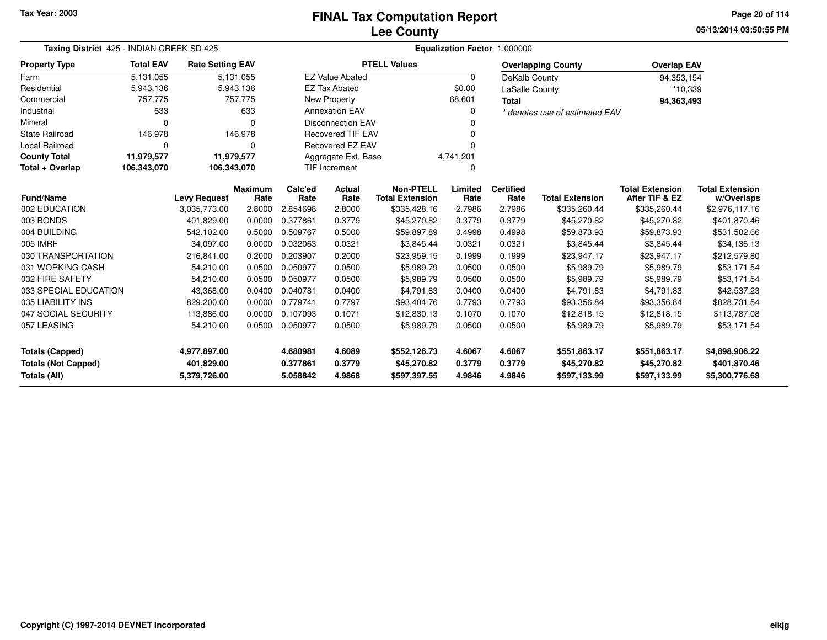# **Lee CountyFINAL Tax Computation Report**

**05/13/2014 03:50:55 PM Page 20 of 114**

| Taxing District 425 - INDIAN CREEK SD 425 |                  |                         |                        |                 |                          |                                            | Equalization Factor 1.000000 |                          |                                |                                          |                                      |
|-------------------------------------------|------------------|-------------------------|------------------------|-----------------|--------------------------|--------------------------------------------|------------------------------|--------------------------|--------------------------------|------------------------------------------|--------------------------------------|
| <b>Property Type</b>                      | <b>Total EAV</b> | <b>Rate Setting EAV</b> |                        |                 |                          | <b>PTELL Values</b>                        |                              |                          | <b>Overlapping County</b>      | <b>Overlap EAV</b>                       |                                      |
| Farm                                      | 5,131,055        |                         | 5,131,055              |                 | <b>EZ Value Abated</b>   |                                            | 0                            | DeKalb County            |                                | 94,353,154                               |                                      |
| Residential                               | 5,943,136        |                         | 5,943,136              |                 | <b>EZ Tax Abated</b>     |                                            | \$0.00                       | <b>LaSalle County</b>    |                                | *10,339                                  |                                      |
| Commercial                                | 757,775          |                         | 757,775                |                 | New Property             |                                            | 68,601                       | <b>Total</b>             |                                | 94,363,493                               |                                      |
| Industrial                                | 633              |                         | 633                    |                 | <b>Annexation EAV</b>    |                                            | 0                            |                          | * denotes use of estimated EAV |                                          |                                      |
| Mineral                                   | $\Omega$         |                         | $\Omega$               |                 | <b>Disconnection EAV</b> |                                            |                              |                          |                                |                                          |                                      |
| <b>State Railroad</b>                     | 146,978          |                         | 146,978                |                 | <b>Recovered TIF EAV</b> |                                            |                              |                          |                                |                                          |                                      |
| <b>Local Railroad</b>                     | 0                |                         | $\Omega$               |                 | <b>Recovered EZ EAV</b>  |                                            |                              |                          |                                |                                          |                                      |
| <b>County Total</b>                       | 11,979,577       | 11,979,577              |                        |                 | Aggregate Ext. Base      |                                            | 4,741,201                    |                          |                                |                                          |                                      |
| Total + Overlap                           | 106,343,070      | 106,343,070             |                        |                 | <b>TIF Increment</b>     |                                            | U                            |                          |                                |                                          |                                      |
| <b>Fund/Name</b>                          |                  | <b>Levy Request</b>     | <b>Maximum</b><br>Rate | Calc'ed<br>Rate | <b>Actual</b><br>Rate    | <b>Non-PTELL</b><br><b>Total Extension</b> | Limited<br>Rate              | <b>Certified</b><br>Rate | <b>Total Extension</b>         | <b>Total Extension</b><br>After TIF & EZ | <b>Total Extension</b><br>w/Overlaps |
| 002 EDUCATION                             |                  | 3,035,773.00            | 2.8000                 | 2.854698        | 2.8000                   | \$335,428.16                               | 2.7986                       | 2.7986                   | \$335,260.44                   | \$335,260.44                             | \$2,976,117.16                       |
| 003 BONDS                                 |                  | 401,829.00              | 0.0000                 | 0.377861        | 0.3779                   | \$45,270.82                                | 0.3779                       | 0.3779                   | \$45,270.82                    | \$45,270.82                              | \$401,870.46                         |
| 004 BUILDING                              |                  | 542,102.00              | 0.5000                 | 0.509767        | 0.5000                   | \$59,897.89                                | 0.4998                       | 0.4998                   | \$59,873.93                    | \$59,873.93                              | \$531,502.66                         |
| 005 IMRF                                  |                  | 34.097.00               | 0.0000                 | 0.032063        | 0.0321                   | \$3,845.44                                 | 0.0321                       | 0.0321                   | \$3,845.44                     | \$3,845.44                               | \$34,136.13                          |
| 030 TRANSPORTATION                        |                  | 216,841.00              | 0.2000                 | 0.203907        | 0.2000                   | \$23,959.15                                | 0.1999                       | 0.1999                   | \$23,947.17                    | \$23,947.17                              | \$212,579.80                         |
| 031 WORKING CASH                          |                  | 54,210.00               | 0.0500                 | 0.050977        | 0.0500                   | \$5,989.79                                 | 0.0500                       | 0.0500                   | \$5,989.79                     | \$5,989.79                               | \$53,171.54                          |
| 032 FIRE SAFETY                           |                  | 54,210.00               | 0.0500                 | 0.050977        | 0.0500                   | \$5,989.79                                 | 0.0500                       | 0.0500                   | \$5,989.79                     | \$5,989.79                               | \$53,171.54                          |
| 033 SPECIAL EDUCATION                     |                  | 43,368.00               | 0.0400                 | 0.040781        | 0.0400                   | \$4,791.83                                 | 0.0400                       | 0.0400                   | \$4,791.83                     | \$4,791.83                               | \$42,537.23                          |
| 035 LIABILITY INS                         |                  | 829,200.00              | 0.0000                 | 0.779741        | 0.7797                   | \$93,404.76                                | 0.7793                       | 0.7793                   | \$93,356.84                    | \$93,356.84                              | \$828,731.54                         |
| 047 SOCIAL SECURITY                       |                  | 113,886.00              | 0.0000                 | 0.107093        | 0.1071                   | \$12,830.13                                | 0.1070                       | 0.1070                   | \$12,818.15                    | \$12,818.15                              | \$113,787.08                         |
| 057 LEASING                               |                  | 54,210.00               | 0.0500                 | 0.050977        | 0.0500                   | \$5,989.79                                 | 0.0500                       | 0.0500                   | \$5,989.79                     | \$5,989.79                               | \$53,171.54                          |
| <b>Totals (Capped)</b>                    |                  | 4,977,897.00            |                        | 4.680981        | 4.6089                   | \$552,126.73                               | 4.6067                       | 4.6067                   | \$551,863.17                   | \$551,863.17                             | \$4,898,906.22                       |
| <b>Totals (Not Capped)</b>                |                  | 401,829.00              |                        | 0.377861        | 0.3779                   | \$45,270.82                                | 0.3779                       | 0.3779                   | \$45,270.82                    | \$45,270.82                              | \$401,870.46                         |
| <b>Totals (All)</b>                       |                  | 5,379,726.00            |                        | 5.058842        | 4.9868                   | \$597,397.55                               | 4.9846                       | 4.9846                   | \$597,133.99                   | \$597,133.99                             | \$5,300,776.68                       |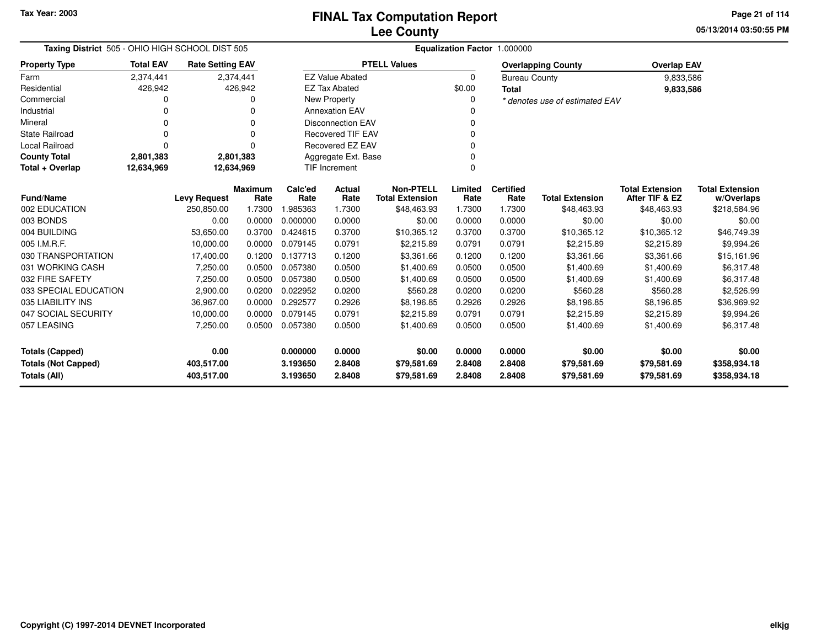**05/13/2014 03:50:55 PM Page 21 of 114**

| Taxing District 505 - OHIO HIGH SCHOOL DIST 505 |                  |                         |                        | Equalization Factor 1.000000 |                          |                                            |                 |                          |                                |                                          |                                      |  |  |
|-------------------------------------------------|------------------|-------------------------|------------------------|------------------------------|--------------------------|--------------------------------------------|-----------------|--------------------------|--------------------------------|------------------------------------------|--------------------------------------|--|--|
| <b>Property Type</b>                            | <b>Total EAV</b> | <b>Rate Setting EAV</b> |                        |                              |                          | <b>PTELL Values</b>                        |                 |                          | <b>Overlapping County</b>      | <b>Overlap EAV</b>                       |                                      |  |  |
| Farm                                            | 2,374,441        |                         | 2,374,441              |                              | <b>EZ Value Abated</b>   |                                            | $\Omega$        | <b>Bureau County</b>     |                                | 9,833,586                                |                                      |  |  |
| Residential                                     | 426,942          |                         | 426,942                |                              | <b>EZ Tax Abated</b>     |                                            | \$0.00          | <b>Total</b>             |                                | 9,833,586                                |                                      |  |  |
| Commercial                                      |                  |                         |                        |                              | <b>New Property</b>      |                                            | 0               |                          | * denotes use of estimated EAV |                                          |                                      |  |  |
| Industrial                                      |                  |                         |                        |                              | <b>Annexation EAV</b>    |                                            |                 |                          |                                |                                          |                                      |  |  |
| Mineral                                         |                  |                         | O                      |                              | <b>Disconnection EAV</b> |                                            |                 |                          |                                |                                          |                                      |  |  |
| <b>State Railroad</b>                           | O                |                         | $\Omega$               |                              | <b>Recovered TIF EAV</b> |                                            |                 |                          |                                |                                          |                                      |  |  |
| Local Railroad                                  | 0                |                         |                        |                              | Recovered EZ EAV         |                                            | $\Omega$        |                          |                                |                                          |                                      |  |  |
| <b>County Total</b>                             | 2,801,383        |                         | 2,801,383              |                              | Aggregate Ext. Base      |                                            | $\Omega$        |                          |                                |                                          |                                      |  |  |
| Total + Overlap                                 | 12,634,969       | 12,634,969              |                        |                              | <b>TIF Increment</b>     |                                            | $\Omega$        |                          |                                |                                          |                                      |  |  |
| <b>Fund/Name</b>                                |                  | <b>Levy Request</b>     | <b>Maximum</b><br>Rate | Calc'ed<br>Rate              | Actual<br>Rate           | <b>Non-PTELL</b><br><b>Total Extension</b> | Limited<br>Rate | <b>Certified</b><br>Rate | <b>Total Extension</b>         | <b>Total Extension</b><br>After TIF & EZ | <b>Total Extension</b><br>w/Overlaps |  |  |
| 002 EDUCATION                                   |                  | 250,850.00              | 1.7300                 | 1.985363                     | 1.7300                   | \$48,463.93                                | 1.7300          | 1.7300                   | \$48,463.93                    | \$48,463.93                              | \$218,584.96                         |  |  |
| 003 BONDS                                       |                  | 0.00                    | 0.0000                 | 0.000000                     | 0.0000                   | \$0.00                                     | 0.0000          | 0.0000                   | \$0.00                         | \$0.00                                   | \$0.00                               |  |  |
| 004 BUILDING                                    |                  | 53,650.00               | 0.3700                 | 0.424615                     | 0.3700                   | \$10,365.12                                | 0.3700          | 0.3700                   | \$10,365.12                    | \$10,365.12                              | \$46,749.39                          |  |  |
| 005 I.M.R.F.                                    |                  | 10,000.00               | 0.0000                 | 0.079145                     | 0.0791                   | \$2,215.89                                 | 0.0791          | 0.0791                   | \$2,215.89                     | \$2,215.89                               | \$9,994.26                           |  |  |
| 030 TRANSPORTATION                              |                  | 17,400.00               | 0.1200                 | 0.137713                     | 0.1200                   | \$3,361.66                                 | 0.1200          | 0.1200                   | \$3,361.66                     | \$3,361.66                               | \$15,161.96                          |  |  |
| 031 WORKING CASH                                |                  | 7,250.00                | 0.0500                 | 0.057380                     | 0.0500                   | \$1,400.69                                 | 0.0500          | 0.0500                   | \$1,400.69                     | \$1,400.69                               | \$6,317.48                           |  |  |
| 032 FIRE SAFETY                                 |                  | 7,250.00                | 0.0500                 | 0.057380                     | 0.0500                   | \$1,400.69                                 | 0.0500          | 0.0500                   | \$1,400.69                     | \$1,400.69                               | \$6,317.48                           |  |  |
| 033 SPECIAL EDUCATION                           |                  | 2,900.00                | 0.0200                 | 0.022952                     | 0.0200                   | \$560.28                                   | 0.0200          | 0.0200                   | \$560.28                       | \$560.28                                 | \$2,526.99                           |  |  |
| 035 LIABILITY INS                               |                  | 36,967.00               | 0.0000                 | 0.292577                     | 0.2926                   | \$8,196.85                                 | 0.2926          | 0.2926                   | \$8,196.85                     | \$8,196.85                               | \$36,969.92                          |  |  |
| 047 SOCIAL SECURITY                             |                  | 10,000.00               | 0.0000                 | 0.079145                     | 0.0791                   | \$2,215.89                                 | 0.0791          | 0.0791                   | \$2,215.89                     | \$2,215.89                               | \$9,994.26                           |  |  |
| 057 LEASING                                     |                  | 7,250.00                | 0.0500                 | 0.057380                     | 0.0500                   | \$1,400.69                                 | 0.0500          | 0.0500                   | \$1,400.69                     | \$1,400.69                               | \$6,317.48                           |  |  |
| <b>Totals (Capped)</b>                          |                  | 0.00                    |                        | 0.000000                     | 0.0000                   | \$0.00                                     | 0.0000          | 0.0000                   | \$0.00                         | \$0.00                                   | \$0.00                               |  |  |
| <b>Totals (Not Capped)</b>                      |                  | 403,517.00              |                        | 3.193650                     | 2.8408                   | \$79,581.69                                | 2.8408          | 2.8408                   | \$79,581.69                    | \$79,581.69                              | \$358,934.18                         |  |  |
| <b>Totals (All)</b>                             |                  | 403,517.00              |                        | 3.193650                     | 2.8408                   | \$79,581.69                                | 2.8408          | 2.8408                   | \$79,581.69                    | \$79,581.69                              | \$358,934.18                         |  |  |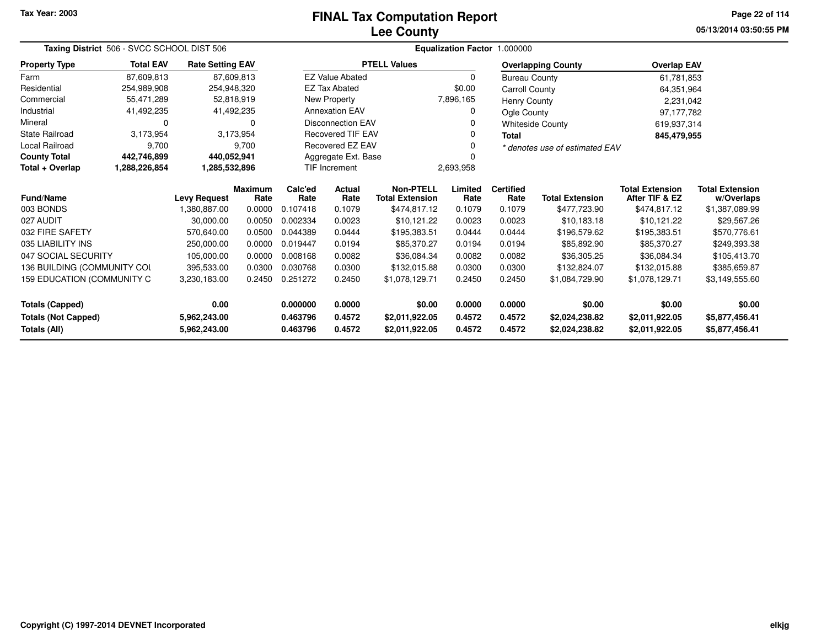# **Lee CountyFINAL Tax Computation Report**

**05/13/2014 03:50:55 PM Page 22 of 114**

| Taxing District 506 - SVCC SCHOOL DIST 506                                                                                          |                  |                         |                        |                 | Equalization Factor 1.000000 |                                            |                 |                          |                                |                                          |                                      |
|-------------------------------------------------------------------------------------------------------------------------------------|------------------|-------------------------|------------------------|-----------------|------------------------------|--------------------------------------------|-----------------|--------------------------|--------------------------------|------------------------------------------|--------------------------------------|
| <b>Property Type</b>                                                                                                                | <b>Total EAV</b> | <b>Rate Setting EAV</b> |                        |                 |                              | <b>PTELL Values</b>                        |                 |                          | <b>Overlapping County</b>      | <b>Overlap EAV</b>                       |                                      |
| Farm                                                                                                                                | 87.609.813       |                         | 87,609,813             |                 | <b>EZ Value Abated</b>       |                                            | $\Omega$        | <b>Bureau County</b>     |                                | 61,781,853                               |                                      |
| Residential                                                                                                                         | 254.989.908      |                         | 254.948.320            |                 | <b>EZ Tax Abated</b>         |                                            | \$0.00          | Carroll County           |                                | 64,351,964                               |                                      |
| Commercial                                                                                                                          | 55,471,289       |                         | 52,818,919             |                 | New Property                 |                                            | 7,896,165       | <b>Henry County</b>      |                                | 2,231,042                                |                                      |
| Industrial                                                                                                                          | 41,492,235       |                         | 41,492,235             |                 | <b>Annexation EAV</b>        |                                            | 0               | Ogle County              |                                | 97,177,782                               |                                      |
| Mineral                                                                                                                             | 0                |                         | $\Omega$               |                 | <b>Disconnection EAV</b>     |                                            |                 |                          | <b>Whiteside County</b>        | 619,937,314                              |                                      |
| <b>State Railroad</b>                                                                                                               | 3,173,954        |                         | 3,173,954              |                 | <b>Recovered TIF EAV</b>     |                                            |                 | <b>Total</b>             |                                | 845,479,955                              |                                      |
| <b>Local Railroad</b>                                                                                                               | 9,700            |                         | 9,700                  |                 | <b>Recovered EZ EAV</b>      |                                            |                 |                          | * denotes use of estimated EAV |                                          |                                      |
| <b>County Total</b>                                                                                                                 | 442,746,899      | 440,052,941             |                        |                 | Aggregate Ext. Base          |                                            |                 |                          |                                |                                          |                                      |
| Total + Overlap                                                                                                                     | 1,288,226,854    | 1,285,532,896           |                        |                 | <b>TIF Increment</b>         |                                            | 2,693,958       |                          |                                |                                          |                                      |
| <b>Fund/Name</b>                                                                                                                    |                  | <b>Levy Request</b>     | <b>Maximum</b><br>Rate | Calc'ed<br>Rate | Actual<br>Rate               | <b>Non-PTELL</b><br><b>Total Extension</b> | Limited<br>Rate | <b>Certified</b><br>Rate | <b>Total Extension</b>         | <b>Total Extension</b><br>After TIF & EZ | <b>Total Extension</b><br>w/Overlaps |
| 003 BONDS                                                                                                                           |                  | 1,380,887.00            | 0.0000                 | 0.107418        | 0.1079                       | \$474,817.12                               | 0.1079          | 0.1079                   | \$477,723.90                   | \$474,817.12                             | \$1,387,089.99                       |
| 027 AUDIT                                                                                                                           |                  | 30,000.00               | 0.0050                 | 0.002334        | 0.0023                       | \$10,121.22                                | 0.0023          | 0.0023                   | \$10,183.18                    | \$10,121.22                              | \$29,567.26                          |
| 032 FIRE SAFETY                                                                                                                     |                  | 570,640.00              | 0.0500                 | 0.044389        | 0.0444                       | \$195,383.51                               | 0.0444          | 0.0444                   | \$196,579.62                   | \$195,383.51                             | \$570,776.61                         |
| 035 LIABILITY INS                                                                                                                   |                  | 250,000.00              | 0.0000                 | 0.019447        | 0.0194                       | \$85,370.27                                | 0.0194          | 0.0194                   | \$85,892.90                    | \$85,370.27                              | \$249,393.38                         |
| 047 SOCIAL SECURITY                                                                                                                 |                  | 105,000.00              | 0.0000                 | 0.008168        | 0.0082                       | \$36,084.34                                | 0.0082          | 0.0082                   | \$36,305.25                    | \$36,084.34                              | \$105,413.70                         |
| 136 BUILDING (COMMUNITY COL                                                                                                         |                  | 395,533.00              | 0.0300                 | 0.030768        | 0.0300                       | \$132,015.88                               | 0.0300          | 0.0300                   | \$132,824.07                   | \$132,015.88                             | \$385,659.87                         |
| 159 EDUCATION (COMMUNITY C<br>3,230,183.00<br>0.2450                                                                                |                  |                         |                        | 0.251272        | 0.2450                       | \$1,078,129.71                             | 0.2450          | 0.2450                   | \$1,084,729.90                 | \$1,078,129.71                           | \$3,149,555.60                       |
| 0.00<br><b>Totals (Capped)</b>                                                                                                      |                  |                         |                        | 0.000000        | 0.0000                       | \$0.00                                     | 0.0000          | 0.0000                   | \$0.00                         | \$0.00                                   | \$0.00                               |
| <b>Totals (Not Capped)</b>                                                                                                          |                  | 5,962,243.00            |                        | 0.463796        | 0.4572                       | \$2,011,922.05                             | 0.4572          | 0.4572                   | \$2,024,238.82                 | \$2,011,922.05                           | \$5,877,456.41                       |
| <b>Totals (All)</b><br>0.463796<br>0.4572<br>0.4572<br>5,962,243.00<br>0.4572<br>\$2,024,238.82<br>\$2,011,922.05<br>\$2,011,922.05 |                  |                         |                        |                 |                              | \$5,877,456.41                             |                 |                          |                                |                                          |                                      |

--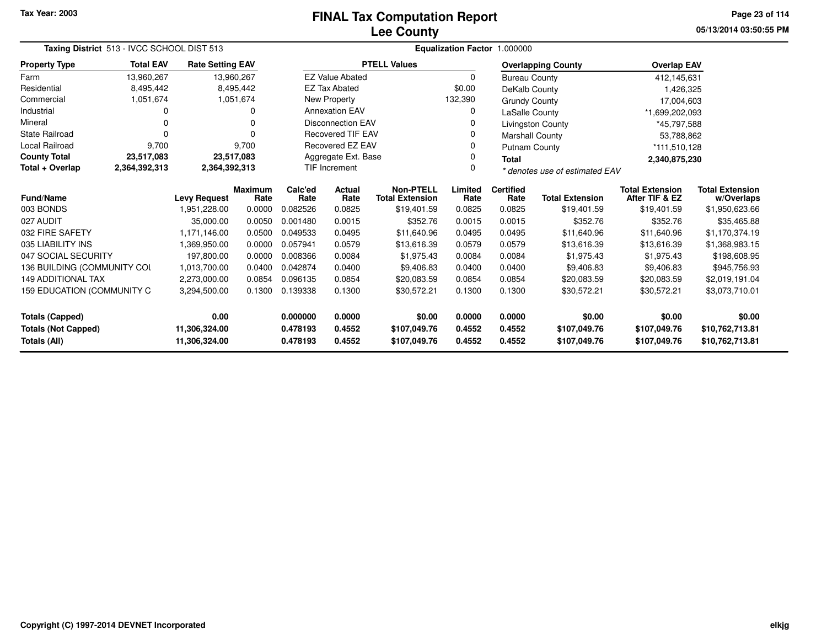# **Lee CountyFINAL Tax Computation Report**

**05/13/2014 03:50:55 PM Page 23 of 114**

| Taxing District 513 - IVCC SCHOOL DIST 513                                                                    |                                     |                         |                        |                  |                                                             |                                            |                  | Equalization Factor 1.000000 |                              |                                          |                                      |  |
|---------------------------------------------------------------------------------------------------------------|-------------------------------------|-------------------------|------------------------|------------------|-------------------------------------------------------------|--------------------------------------------|------------------|------------------------------|------------------------------|------------------------------------------|--------------------------------------|--|
| <b>Property Type</b>                                                                                          | <b>Total EAV</b>                    | <b>Rate Setting EAV</b> |                        |                  |                                                             | <b>PTELL Values</b>                        |                  |                              | <b>Overlapping County</b>    | <b>Overlap EAV</b>                       |                                      |  |
| Farm                                                                                                          | 13,960,267                          |                         | 13,960,267             |                  | <b>EZ Value Abated</b>                                      |                                            | $\Omega$         | <b>Bureau County</b>         |                              | 412,145,631                              |                                      |  |
| Residential                                                                                                   | 8,495,442                           |                         | 8,495,442              |                  | <b>EZ Tax Abated</b>                                        |                                            | \$0.00           | DeKalb County                |                              | 1,426,325                                |                                      |  |
| Commercial                                                                                                    | 1,051,674                           |                         | 1,051,674              |                  | <b>New Property</b>                                         |                                            | 132,390          | <b>Grundy County</b>         |                              | 17,004,603                               |                                      |  |
| Industrial                                                                                                    |                                     |                         | $\Omega$               |                  | <b>Annexation EAV</b>                                       |                                            | 0                | LaSalle County               |                              | *1,699,202,093                           |                                      |  |
| Mineral                                                                                                       | 0                                   |                         | $\Omega$               |                  | <b>Disconnection EAV</b>                                    |                                            | 0                |                              | <b>Livingston County</b>     | *45,797,588                              |                                      |  |
| <b>State Railroad</b>                                                                                         |                                     |                         | $\Omega$               |                  | <b>Recovered TIF EAV</b>                                    |                                            | 0                | <b>Marshall County</b>       |                              |                                          | 53,788,862                           |  |
| <b>Local Railroad</b>                                                                                         | 9,700                               |                         | 9.700                  |                  | Recovered EZ EAV                                            |                                            | 0                | <b>Putnam County</b>         |                              | *111,510,128                             |                                      |  |
| <b>County Total</b>                                                                                           | 23,517,083                          |                         | 23,517,083             |                  | Aggregate Ext. Base                                         |                                            | 0                | <b>Total</b>                 |                              | 2,340,875,230                            |                                      |  |
| Total + Overlap                                                                                               | 2,364,392,313                       | 2,364,392,313           |                        |                  | <b>TIF Increment</b><br>0<br>* denotes use of estimated EAV |                                            |                  |                              |                              |                                          |                                      |  |
| <b>Fund/Name</b>                                                                                              |                                     |                         | <b>Maximum</b><br>Rate | Calc'ed<br>Rate  | Actual<br>Rate                                              | <b>Non-PTELL</b><br><b>Total Extension</b> | Limited<br>Rate  | <b>Certified</b><br>Rate     | <b>Total Extension</b>       | <b>Total Extension</b><br>After TIF & EZ | <b>Total Extension</b><br>w/Overlaps |  |
| 003 BONDS                                                                                                     | <b>Levy Request</b><br>1,951,228.00 |                         | 0.0000                 | 0.082526         | 0.0825                                                      | \$19,401.59                                | 0.0825           | 0.0825                       | \$19,401.59                  | \$19,401.59                              | \$1,950,623.66                       |  |
| 027 AUDIT                                                                                                     |                                     | 35.000.00               | 0.0050                 | 0.001480         | 0.0015                                                      | \$352.76                                   | 0.0015           | 0.0015                       | \$352.76                     | \$352.76                                 | \$35,465.88                          |  |
| 032 FIRE SAFETY                                                                                               |                                     | 1.171.146.00            | 0.0500                 | 0.049533         | 0.0495                                                      | \$11,640.96                                | 0.0495           | 0.0495                       | \$11,640.96                  | \$11.640.96                              | \$1,170,374.19                       |  |
| 035 LIABILITY INS                                                                                             |                                     | 1,369,950.00            | 0.0000                 | 0.057941         | 0.0579                                                      | \$13,616.39                                | 0.0579           | 0.0579                       | \$13,616.39                  | \$13,616.39                              | \$1,368,983.15                       |  |
| 047 SOCIAL SECURITY                                                                                           |                                     | 197,800.00              | 0.0000                 | 0.008366         | 0.0084                                                      | \$1,975.43                                 | 0.0084           | 0.0084                       | \$1,975.43                   | \$1,975.43                               | \$198,608.95                         |  |
| 136 BUILDING (COMMUNITY COL                                                                                   |                                     | 1,013,700.00            | 0.0400                 | 0.042874         | 0.0400                                                      | \$9,406.83                                 | 0.0400           | 0.0400                       | \$9,406.83                   | \$9,406.83                               | \$945,756.93                         |  |
| <b>149 ADDITIONAL TAX</b>                                                                                     |                                     | 2,273,000.00            | 0.0854                 | 0.096135         | 0.0854                                                      | \$20,083.59                                | 0.0854           | 0.0854                       | \$20,083.59                  | \$20,083.59                              | \$2,019,191.04                       |  |
| 159 EDUCATION (COMMUNITY C<br>0.1300<br>0.139338<br>0.1300<br>0.1300<br>\$30,572.21<br>0.1300<br>3,294,500.00 |                                     |                         |                        |                  | \$30,572.21                                                 | \$30,572.21                                | \$3,073,710.01   |                              |                              |                                          |                                      |  |
| <b>Totals (Capped)</b><br>0.00                                                                                |                                     |                         | 0.000000               | 0.0000           | \$0.00                                                      | 0.0000                                     | 0.0000           | \$0.00                       | \$0.00                       | \$0.00                                   |                                      |  |
| <b>Totals (Not Capped)</b><br>11,306,324.00<br>Totals (All)<br>11,306,324.00                                  |                                     |                         | 0.478193<br>0.478193   | 0.4552<br>0.4552 | \$107,049.76<br>\$107,049.76                                | 0.4552<br>0.4552                           | 0.4552<br>0.4552 | \$107,049.76<br>\$107,049.76 | \$107,049.76<br>\$107,049.76 | \$10,762,713.81<br>\$10,762,713.81       |                                      |  |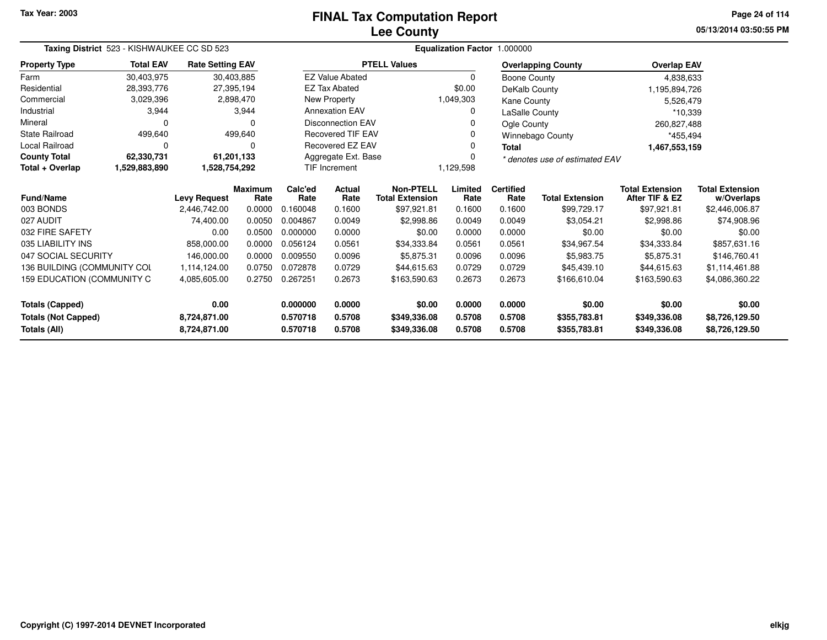# **Lee CountyFINAL Tax Computation Report**

**05/13/2014 03:50:55 PM Page 24 of 114**

|                              | Taxing District 523 - KISHWAUKEE CC SD 523<br><b>Total EAV</b><br><b>Rate Setting EAV</b> |                     |                        |                 |                          |                                            |                 | Equalization Factor 1.000000 |                                |                                          |                                      |  |
|------------------------------|-------------------------------------------------------------------------------------------|---------------------|------------------------|-----------------|--------------------------|--------------------------------------------|-----------------|------------------------------|--------------------------------|------------------------------------------|--------------------------------------|--|
| <b>Property Type</b>         |                                                                                           |                     |                        |                 |                          | <b>PTELL Values</b>                        |                 |                              | <b>Overlapping County</b>      | <b>Overlap EAV</b>                       |                                      |  |
| Farm                         | 30,403,975                                                                                |                     | 30,403,885             |                 | <b>EZ Value Abated</b>   |                                            | $\Omega$        | Boone County                 |                                | 4,838,633                                |                                      |  |
| Residential                  | 28,393,776                                                                                |                     | 27,395,194             |                 | <b>EZ Tax Abated</b>     |                                            | \$0.00          | DeKalb County                |                                | 1,195,894,726                            |                                      |  |
| Commercial                   | 3,029,396                                                                                 |                     | 2,898,470              |                 | New Property             |                                            | 1,049,303       | Kane County                  |                                | 5,526,479                                |                                      |  |
| Industrial                   | 3,944                                                                                     |                     | 3,944                  |                 | <b>Annexation EAV</b>    |                                            |                 | LaSalle County               |                                | *10,339                                  |                                      |  |
| Mineral                      | 0                                                                                         |                     | 0                      |                 | <b>Disconnection EAV</b> |                                            |                 | Ogle County                  |                                | 260,827,488                              |                                      |  |
| <b>State Railroad</b>        | 499,640                                                                                   |                     | 499,640                |                 | <b>Recovered TIF EAV</b> |                                            |                 |                              | <b>Winnebago County</b>        | *455,494                                 |                                      |  |
| <b>Local Railroad</b>        | 0                                                                                         |                     | O                      |                 | <b>Recovered EZ EAV</b>  |                                            |                 | <b>Total</b>                 |                                | 1,467,553,159                            |                                      |  |
| <b>County Total</b>          | 62,330,731                                                                                |                     | 61,201,133             |                 | Aggregate Ext. Base      |                                            |                 |                              | * denotes use of estimated EAV |                                          |                                      |  |
| Total + Overlap              | 1,529,883,890                                                                             | 1,528,754,292       |                        |                 | <b>TIF Increment</b>     | 1,129,598                                  |                 |                              |                                |                                          |                                      |  |
| <b>Fund/Name</b>             |                                                                                           | <b>Levy Request</b> | <b>Maximum</b><br>Rate | Calc'ed<br>Rate | Actual<br>Rate           | <b>Non-PTELL</b><br><b>Total Extension</b> | Limited<br>Rate | <b>Certified</b><br>Rate     | <b>Total Extension</b>         | <b>Total Extension</b><br>After TIF & EZ | <b>Total Extension</b><br>w/Overlaps |  |
| 003 BONDS                    |                                                                                           | 2,446,742.00        | 0.0000                 | 0.160048        | 0.1600                   | \$97,921.81                                | 0.1600          | 0.1600                       | \$99,729.17                    | \$97,921.81                              | \$2,446,006.87                       |  |
| 027 AUDIT                    |                                                                                           | 74,400.00           | 0.0050                 | 0.004867        | 0.0049                   | \$2,998.86                                 | 0.0049          | 0.0049                       | \$3,054.21                     | \$2,998.86                               | \$74,908.96                          |  |
| 032 FIRE SAFETY              |                                                                                           | 0.00                | 0.0500                 | 0.000000        | 0.0000                   | \$0.00                                     | 0.0000          | 0.0000                       | \$0.00                         | \$0.00                                   | \$0.00                               |  |
| 035 LIABILITY INS            |                                                                                           | 858,000.00          | 0.0000                 | 0.056124        | 0.0561                   | \$34,333.84                                | 0.0561          | 0.0561                       | \$34,967.54                    | \$34,333.84                              | \$857,631.16                         |  |
| 047 SOCIAL SECURITY          |                                                                                           | 146,000.00          | 0.0000                 | 0.009550        | 0.0096                   | \$5,875.31                                 | 0.0096          | 0.0096                       | \$5,983.75                     | \$5,875.31                               | \$146,760.41                         |  |
| 136 BUILDING (COMMUNITY COL  |                                                                                           | 1,114,124.00        | 0.0750                 | 0.072878        | 0.0729                   | \$44,615.63                                | 0.0729          | 0.0729                       | \$45,439.10                    | \$44,615.63                              | \$1,114,461.88                       |  |
| 159 EDUCATION (COMMUNITY C   |                                                                                           | 4,085,605.00        | 0.2750                 | 0.267251        | 0.2673                   | \$163,590.63                               | 0.2673          | 0.2673                       | \$166,610.04                   | \$163,590.63                             | \$4,086,360.22                       |  |
| Totals (Capped)              |                                                                                           | 0.00                |                        | 0.000000        | 0.0000                   | \$0.00                                     | 0.0000          | 0.0000                       | \$0.00                         | \$0.00                                   | \$0.00                               |  |
| <b>Totals (Not Capped)</b>   |                                                                                           | 8,724,871.00        |                        | 0.570718        | 0.5708                   | \$349,336.08                               | 0.5708          | 0.5708                       | \$355,783.81                   | \$349,336.08                             | \$8,726,129.50                       |  |
| Totals (All)<br>8,724,871.00 |                                                                                           |                     | 0.570718               | 0.5708          | \$349,336.08             | 0.5708                                     | 0.5708          | \$355,783.81                 | \$349,336.08                   | \$8,726,129.50                           |                                      |  |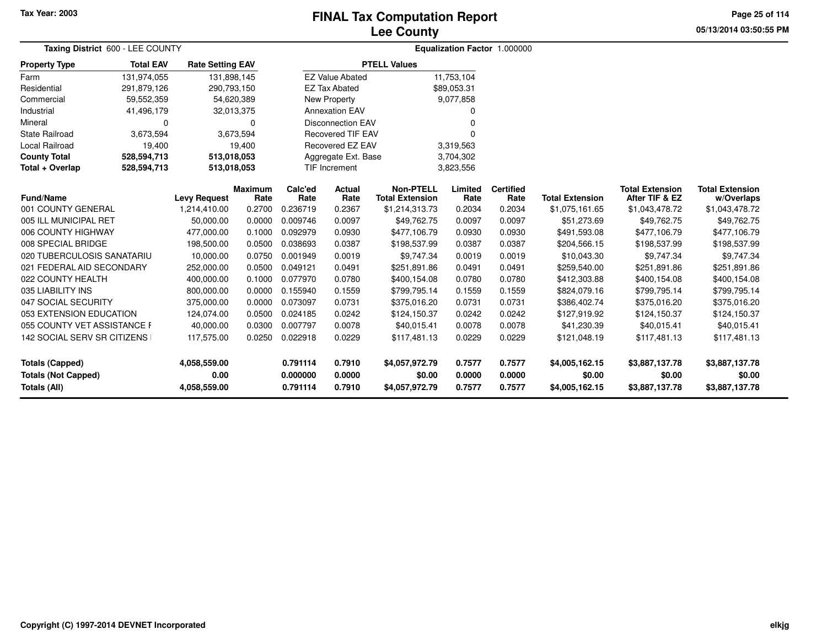### **Lee CountyFINAL Tax Computation Report**

**05/13/2014 03:50:55 PM Page 25 of 114**

| Taxing District 600 - LEE COUNTY              |                                 |                      |                         |                      |                          |                                            |                  | Equalization Factor 1.000000 |                          |                                          |                                      |
|-----------------------------------------------|---------------------------------|----------------------|-------------------------|----------------------|--------------------------|--------------------------------------------|------------------|------------------------------|--------------------------|------------------------------------------|--------------------------------------|
| <b>Property Type</b>                          | <b>Total EAV</b><br>131,974,055 |                      | <b>Rate Setting EAV</b> |                      |                          | <b>PTELL Values</b>                        |                  |                              |                          |                                          |                                      |
| Farm                                          |                                 | 131,898,145          |                         |                      | <b>EZ Value Abated</b>   |                                            | 11,753,104       |                              |                          |                                          |                                      |
| Residential                                   | 291,879,126                     | 290,793,150          |                         |                      | <b>EZ Tax Abated</b>     |                                            | \$89,053.31      |                              |                          |                                          |                                      |
| Commercial                                    | 59,552,359                      | 54,620,389           |                         |                      | New Property             |                                            | 9,077,858        |                              |                          |                                          |                                      |
| Industrial                                    | 41,496,179                      | 32,013,375           |                         |                      | <b>Annexation EAV</b>    |                                            | 0                |                              |                          |                                          |                                      |
| Mineral                                       | $\Omega$                        |                      | 0                       |                      | <b>Disconnection EAV</b> |                                            | ŋ                |                              |                          |                                          |                                      |
| <b>State Railroad</b>                         | 3,673,594                       |                      | 3,673,594               |                      | <b>Recovered TIF EAV</b> |                                            | 0                |                              |                          |                                          |                                      |
| Local Railroad                                | 19,400                          |                      | 19,400                  |                      | Recovered EZ EAV         |                                            | 3,319,563        |                              |                          |                                          |                                      |
| <b>County Total</b>                           | 528,594,713                     | 513,018,053          |                         |                      | Aggregate Ext. Base      |                                            | 3,704,302        |                              |                          |                                          |                                      |
| Total + Overlap                               | 528,594,713<br>513,018,053      |                      |                         |                      | TIF Increment            |                                            | 3,823,556        |                              |                          |                                          |                                      |
| <b>Fund/Name</b>                              |                                 | <b>Levy Request</b>  | Maximum<br>Rate         | Calc'ed<br>Rate      | <b>Actual</b><br>Rate    | <b>Non-PTELL</b><br><b>Total Extension</b> | Limited<br>Rate  | <b>Certified</b><br>Rate     | <b>Total Extension</b>   | <b>Total Extension</b><br>After TIF & EZ | <b>Total Extension</b><br>w/Overlaps |
| 001 COUNTY GENERAL                            |                                 | 1,214,410.00         | 0.2700                  | 0.236719             | 0.2367                   | \$1,214,313.73                             | 0.2034           | 0.2034                       | \$1,075,161.65           | \$1,043,478.72                           | \$1,043,478.72                       |
| 005 ILL MUNICIPAL RET                         |                                 | 50,000.00            | 0.0000                  | 0.009746             | 0.0097                   | \$49,762.75                                | 0.0097           | 0.0097                       | \$51,273.69              | \$49,762.75                              | \$49,762.75                          |
| 006 COUNTY HIGHWAY                            |                                 | 477,000.00           | 0.1000                  | 0.092979             | 0.0930                   | \$477,106.79                               | 0.0930           | 0.0930                       | \$491,593.08             | \$477,106.79                             | \$477,106.79                         |
| 008 SPECIAL BRIDGE                            |                                 | 198,500.00           | 0.0500                  | 0.038693             | 0.0387                   | \$198,537.99                               | 0.0387           | 0.0387                       | \$204,566.15             | \$198,537.99                             | \$198,537.99                         |
| 020 TUBERCULOSIS SANATARIU                    |                                 | 10,000.00            | 0.0750                  | 0.001949             | 0.0019                   | \$9,747.34                                 | 0.0019           | 0.0019                       | \$10,043.30              | \$9,747.34                               | \$9,747.34                           |
| 021 FEDERAL AID SECONDARY                     |                                 | 252,000.00           | 0.0500                  | 0.049121             | 0.0491                   | \$251,891.86                               | 0.0491           | 0.0491                       | \$259,540.00             | \$251,891.86                             | \$251,891.86                         |
| 022 COUNTY HEALTH                             |                                 | 400,000.00           | 0.1000                  | 0.077970             | 0.0780                   | \$400,154.08                               | 0.0780           | 0.0780                       | \$412,303.88             | \$400,154.08                             | \$400,154.08                         |
| 035 LIABILITY INS                             |                                 | 800,000.00           | 0.0000                  | 0.155940             | 0.1559                   | \$799,795.14                               | 0.1559           | 0.1559                       | \$824,079.16             | \$799,795.14                             | \$799,795.14                         |
| 047 SOCIAL SECURITY                           |                                 | 375,000.00           | 0.0000                  | 0.073097             | 0.0731                   | \$375,016.20                               | 0.0731           | 0.0731                       | \$386,402.74             | \$375,016.20                             | \$375,016.20                         |
| 053 EXTENSION EDUCATION                       |                                 | 124,074.00           | 0.0500                  | 0.024185             | 0.0242                   | \$124,150.37                               | 0.0242           | 0.0242                       | \$127,919.92             | \$124,150.37                             | \$124,150.37                         |
| 055 COUNTY VET ASSISTANCE F                   |                                 | 40,000.00            | 0.0300                  | 0.007797             | 0.0078                   | \$40,015.41                                | 0.0078           | 0.0078                       | \$41,230.39              | \$40,015.41                              | \$40,015.41                          |
| 142 SOCIAL SERV SR CITIZENS                   |                                 | 117,575.00           | 0.0250                  | 0.022918             | 0.0229                   | \$117.481.13                               | 0.0229           | 0.0229                       | \$121,048.19             | \$117,481.13                             | \$117,481.13                         |
| Totals (Capped)<br><b>Totals (Not Capped)</b> |                                 | 4,058,559.00<br>0.00 |                         | 0.791114<br>0.000000 | 0.7910<br>0.0000         | \$4,057,972.79<br>\$0.00                   | 0.7577<br>0.0000 | 0.7577<br>0.0000             | \$4,005,162.15<br>\$0.00 | \$3,887,137.78<br>\$0.00                 | \$3,887,137.78<br>\$0.00             |
| Totals (All)                                  |                                 | 4,058,559.00         |                         | 0.791114             | 0.7910                   | \$4,057,972.79                             | 0.7577           | 0.7577                       | \$4,005,162.15           | \$3,887,137.78                           | \$3,887,137.78                       |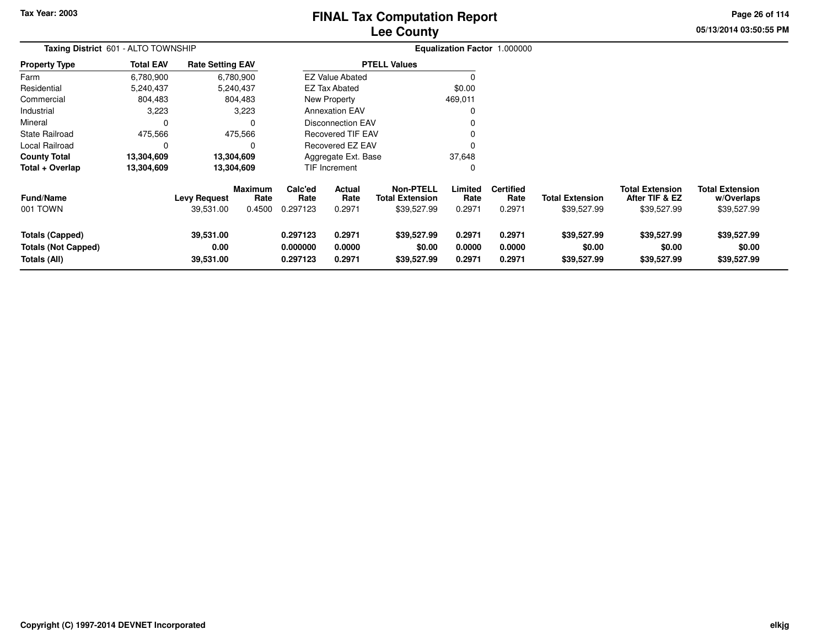# **Lee CountyFINAL Tax Computation Report**

**05/13/2014 03:50:55 PM Page 26 of 114**

| Taxing District 601 - ALTO TOWNSHIP                                  |                  |                                  |                                  |                                  |                                                      |                                                           |                            | Equalization Factor 1.000000       |                                       |                                                         |                                                     |
|----------------------------------------------------------------------|------------------|----------------------------------|----------------------------------|----------------------------------|------------------------------------------------------|-----------------------------------------------------------|----------------------------|------------------------------------|---------------------------------------|---------------------------------------------------------|-----------------------------------------------------|
| <b>Property Type</b>                                                 | <b>Total EAV</b> | <b>Rate Setting EAV</b>          |                                  |                                  |                                                      | <b>PTELL Values</b>                                       |                            |                                    |                                       |                                                         |                                                     |
| Farm                                                                 | 6,780,900        |                                  | 6,780,900                        |                                  | <b>EZ Value Abated</b>                               |                                                           |                            |                                    |                                       |                                                         |                                                     |
| Residential                                                          | 5,240,437        |                                  | 5,240,437                        |                                  | EZ Tax Abated                                        |                                                           | \$0.00                     |                                    |                                       |                                                         |                                                     |
| Commercial                                                           | 804,483          |                                  | 804,483                          |                                  | New Property                                         |                                                           | 469,011                    |                                    |                                       |                                                         |                                                     |
| Industrial                                                           | 3,223            |                                  | 3,223                            |                                  | <b>Annexation EAV</b>                                |                                                           | 0                          |                                    |                                       |                                                         |                                                     |
| Mineral                                                              | 0                |                                  |                                  |                                  | <b>Disconnection EAV</b><br><b>Recovered TIF EAV</b> |                                                           |                            |                                    |                                       |                                                         |                                                     |
| State Railroad                                                       | 475,566          |                                  | 475,566                          |                                  | 0                                                    |                                                           |                            |                                    |                                       |                                                         |                                                     |
| Local Railroad                                                       | 0                |                                  | O                                | Recovered EZ EAV                 |                                                      |                                                           |                            |                                    |                                       |                                                         |                                                     |
| <b>County Total</b>                                                  | 13,304,609       |                                  | 13,304,609                       |                                  | 37,648<br>Aggregate Ext. Base                        |                                                           |                            |                                    |                                       |                                                         |                                                     |
| Total + Overlap                                                      | 13,304,609       |                                  | 13,304,609                       |                                  | TIF Increment                                        |                                                           | 0                          |                                    |                                       |                                                         |                                                     |
| <b>Fund/Name</b><br>001 TOWN                                         |                  | <b>Levy Request</b><br>39,531.00 | <b>Maximum</b><br>Rate<br>0.4500 | Calc'ed<br>Rate<br>0.297123      | <b>Actual</b><br>Rate<br>0.2971                      | <b>Non-PTELL</b><br><b>Total Extension</b><br>\$39,527.99 | Limited<br>Rate<br>0.2971  | <b>Certified</b><br>Rate<br>0.2971 | <b>Total Extension</b><br>\$39,527.99 | <b>Total Extension</b><br>After TIF & EZ<br>\$39,527.99 | <b>Total Extension</b><br>w/Overlaps<br>\$39,527.99 |
| <b>Totals (Capped)</b><br><b>Totals (Not Capped)</b><br>Totals (All) |                  | 39,531.00<br>0.00<br>39,531.00   |                                  | 0.297123<br>0.000000<br>0.297123 | 0.2971<br>0.0000<br>0.2971                           | \$39,527.99<br>\$0.00<br>\$39,527.99                      | 0.2971<br>0.0000<br>0.2971 | 0.2971<br>0.0000<br>0.2971         | \$39,527.99<br>\$0.00<br>\$39,527.99  | \$39,527.99<br>\$0.00<br>\$39,527.99                    | \$39,527.99<br>\$0.00<br>\$39,527.99                |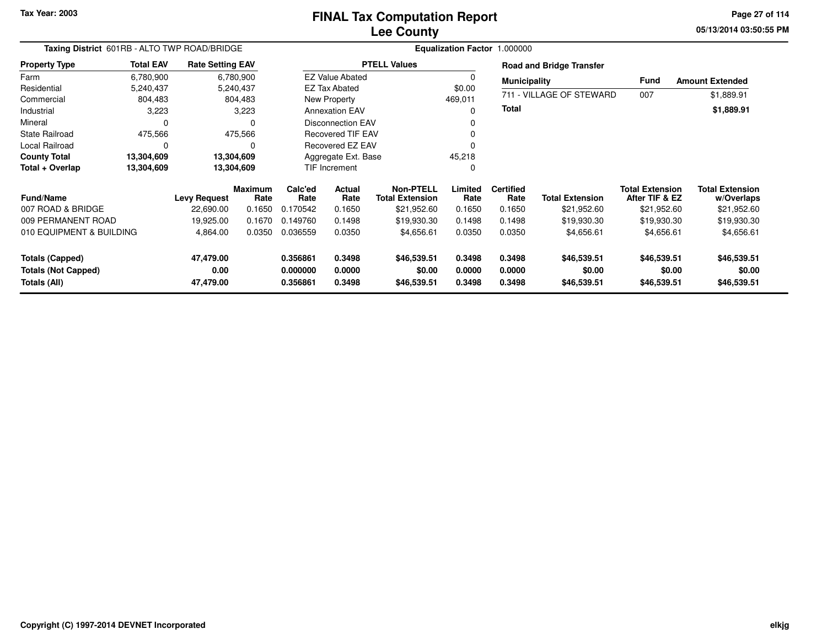## **Lee CountyFINAL Tax Computation Report**

**05/13/2014 03:50:55 PM Page 27 of 114**

| Taxing District 601RB - ALTO TWP ROAD/BRIDGE                         |                  |                                |                        | Equalization Factor 1.000000     |                            |                                      |                            |                            |                                      |                                          |                                      |  |
|----------------------------------------------------------------------|------------------|--------------------------------|------------------------|----------------------------------|----------------------------|--------------------------------------|----------------------------|----------------------------|--------------------------------------|------------------------------------------|--------------------------------------|--|
| <b>Property Type</b>                                                 | <b>Total EAV</b> | <b>Rate Setting EAV</b>        |                        |                                  |                            | <b>PTELL Values</b>                  |                            |                            | <b>Road and Bridge Transfer</b>      |                                          |                                      |  |
| Farm                                                                 | 6,780,900        |                                | 6,780,900              |                                  | <b>EZ Value Abated</b>     |                                      |                            | <b>Municipality</b>        |                                      | <b>Fund</b>                              | <b>Amount Extended</b>               |  |
| Residential                                                          | 5,240,437        |                                | 5,240,437              |                                  | <b>EZ Tax Abated</b>       |                                      | \$0.00                     |                            |                                      |                                          |                                      |  |
| Commercial                                                           | 804,483          |                                | 804,483                |                                  | New Property               |                                      | 469,011                    |                            | 711 - VILLAGE OF STEWARD             | 007                                      | \$1,889.91                           |  |
| Industrial                                                           | 3,223            |                                | 3,223                  |                                  | <b>Annexation EAV</b>      |                                      |                            | Total                      |                                      |                                          | \$1,889.91                           |  |
| Mineral                                                              | 0                |                                |                        | <b>Disconnection EAV</b>         |                            |                                      |                            |                            |                                      |                                          |                                      |  |
| State Railroad                                                       | 475,566          |                                | 475,566                |                                  | <b>Recovered TIF EAV</b>   |                                      |                            |                            |                                      |                                          |                                      |  |
| Local Railroad                                                       | $\Omega$<br>0    |                                |                        |                                  | Recovered EZ EAV           |                                      |                            |                            |                                      |                                          |                                      |  |
| <b>County Total</b>                                                  | 13,304,609       |                                | 13,304,609             | Aggregate Ext. Base              |                            |                                      | 45,218                     |                            |                                      |                                          |                                      |  |
| Total + Overlap                                                      | 13,304,609       |                                | 13,304,609             | <b>TIF Increment</b>             |                            | 0                                    |                            |                            |                                      |                                          |                                      |  |
| <b>Fund/Name</b>                                                     |                  | <b>Levy Request</b>            | <b>Maximum</b><br>Rate | Calc'ed<br>Rate                  | <b>Actual</b><br>Rate      | Non-PTELL<br><b>Total Extension</b>  | Limited<br>Rate            | <b>Certified</b><br>Rate   | <b>Total Extension</b>               | <b>Total Extension</b><br>After TIF & EZ | <b>Total Extension</b><br>w/Overlaps |  |
| 007 ROAD & BRIDGE                                                    |                  | 22,690.00                      | 0.1650                 | 0.170542                         | 0.1650                     | \$21,952.60                          | 0.1650                     | 0.1650                     | \$21,952.60                          | \$21,952.60                              | \$21,952.60                          |  |
| 009 PERMANENT ROAD                                                   |                  | 19,925.00                      | 0.1670                 | 0.149760                         | 0.1498                     | \$19,930.30                          | 0.1498                     | 0.1498                     | \$19,930.30                          | \$19,930.30                              | \$19,930.30                          |  |
| 010 EQUIPMENT & BUILDING                                             |                  | 4,864.00                       | 0.0350                 | 0.036559                         | 0.0350                     | \$4,656.61                           | 0.0350                     | 0.0350                     | \$4,656.61                           | \$4,656.61                               | \$4,656.61                           |  |
| <b>Totals (Capped)</b><br><b>Totals (Not Capped)</b><br>Totals (All) |                  | 47,479.00<br>0.00<br>47,479.00 |                        | 0.356861<br>0.000000<br>0.356861 | 0.3498<br>0.0000<br>0.3498 | \$46,539.51<br>\$0.00<br>\$46,539.51 | 0.3498<br>0.0000<br>0.3498 | 0.3498<br>0.0000<br>0.3498 | \$46,539.51<br>\$0.00<br>\$46,539.51 | \$46,539.51<br>\$0.00<br>\$46,539.51     | \$46,539.51<br>\$0.00<br>\$46,539.51 |  |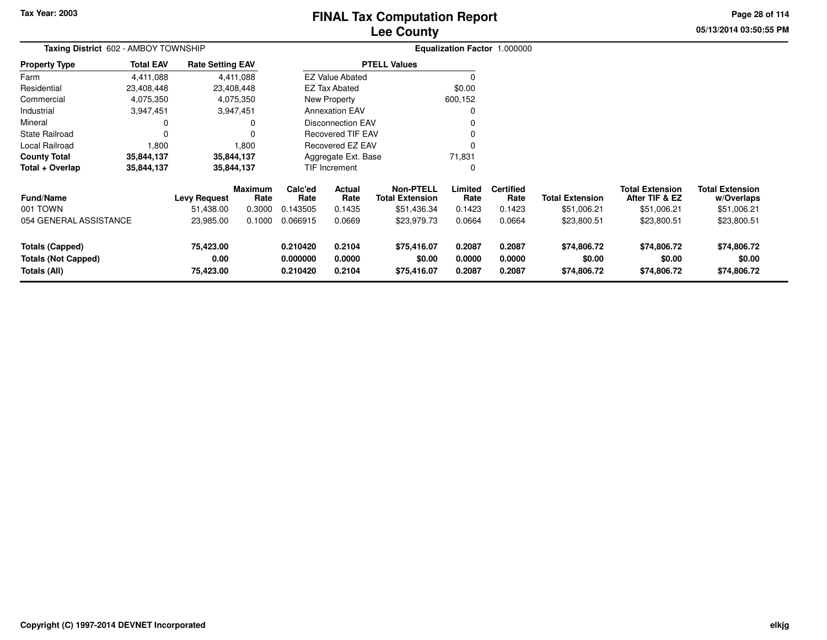# **Lee CountyFINAL Tax Computation Report**

**05/13/2014 03:50:55 PM Page 28 of 114**

| Taxing District 602 - AMBOY TOWNSHIP       |                  |                         |                        | Equalization Factor 1.000000 |                                                                               |                                            |                  |                          |                        |                                          |                                      |
|--------------------------------------------|------------------|-------------------------|------------------------|------------------------------|-------------------------------------------------------------------------------|--------------------------------------------|------------------|--------------------------|------------------------|------------------------------------------|--------------------------------------|
| <b>Property Type</b>                       | <b>Total EAV</b> | <b>Rate Setting EAV</b> |                        |                              |                                                                               | <b>PTELL Values</b>                        |                  |                          |                        |                                          |                                      |
| Farm                                       | 4,411,088        |                         | 4,411,088              |                              | <b>EZ Value Abated</b>                                                        |                                            | 0                |                          |                        |                                          |                                      |
| Residential                                | 23,408,448       |                         | 23,408,448             |                              | EZ Tax Abated                                                                 |                                            | \$0.00           |                          |                        |                                          |                                      |
| Commercial                                 | 4,075,350        |                         | 4,075,350              |                              | New Property                                                                  |                                            | 600,152          |                          |                        |                                          |                                      |
| Industrial                                 | 3,947,451        |                         | 3,947,451              |                              | <b>Annexation EAV</b><br><b>Disconnection EAV</b><br><b>Recovered TIF EAV</b> |                                            |                  |                          |                        |                                          |                                      |
| Mineral                                    | 0                |                         | 0                      |                              |                                                                               |                                            |                  |                          |                        |                                          |                                      |
| <b>State Railroad</b>                      | $\Omega$         |                         | 0                      |                              |                                                                               |                                            |                  |                          |                        |                                          |                                      |
| Local Railroad                             | 1,800            |                         | 1,800                  |                              | Recovered EZ EAV                                                              |                                            |                  |                          |                        |                                          |                                      |
| <b>County Total</b>                        | 35,844,137       |                         | 35,844,137             |                              | Aggregate Ext. Base                                                           |                                            | 71,831           |                          |                        |                                          |                                      |
| Total + Overlap                            | 35,844,137       |                         | 35,844,137             |                              | TIF Increment                                                                 |                                            | 0                |                          |                        |                                          |                                      |
| <b>Fund/Name</b>                           |                  | <b>Levy Request</b>     | <b>Maximum</b><br>Rate | Calc'ed<br>Rate              | Actual<br>Rate                                                                | <b>Non-PTELL</b><br><b>Total Extension</b> | Limited<br>Rate  | <b>Certified</b><br>Rate | <b>Total Extension</b> | <b>Total Extension</b><br>After TIF & EZ | <b>Total Extension</b><br>w/Overlaps |
| 001 TOWN                                   |                  | 51,438.00               | 0.3000                 | 0.143505                     | 0.1435                                                                        | \$51,436.34                                | 0.1423           | 0.1423                   | \$51,006.21            | \$51,006.21                              | \$51,006.21                          |
| 054 GENERAL ASSISTANCE<br>23,985.00        |                  | 0.1000                  | 0.066915               | 0.0669                       | \$23,979.73                                                                   | 0.0664                                     | 0.0664           | \$23,800.51              | \$23,800.51            | \$23,800.51                              |                                      |
| <b>Totals (Capped)</b>                     |                  | 75,423.00               |                        | 0.210420                     | 0.2104                                                                        | \$75,416.07                                | 0.2087           | 0.2087                   | \$74,806.72            | \$74,806.72                              | \$74,806.72                          |
| <b>Totals (Not Capped)</b><br>Totals (All) |                  | 0.00<br>75,423.00       |                        | 0.000000<br>0.210420         | 0.0000<br>0.2104                                                              | \$0.00<br>\$75,416.07                      | 0.0000<br>0.2087 | 0.0000<br>0.2087         | \$0.00<br>\$74,806.72  | \$0.00<br>\$74,806.72                    | \$0.00<br>\$74,806.72                |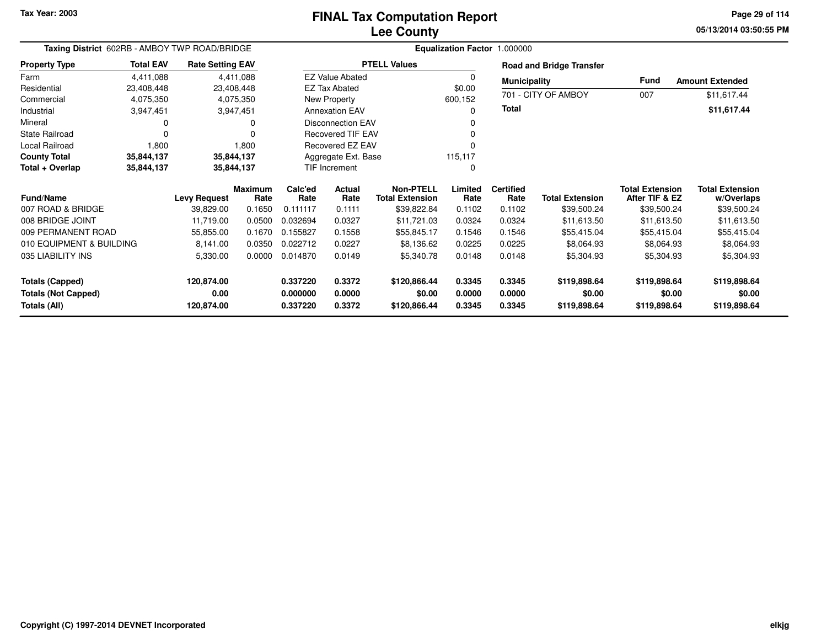### **Lee CountyFINAL Tax Computation Report**

**05/13/2014 03:50:55 PM Page 29 of 114**

| Taxing District 602RB - AMBOY TWP ROAD/BRIDGE |                                    |                         |                        | Equalization Factor 1.000000 |                               |                                     |                 |                          |                                 |                                          |                                      |  |
|-----------------------------------------------|------------------------------------|-------------------------|------------------------|------------------------------|-------------------------------|-------------------------------------|-----------------|--------------------------|---------------------------------|------------------------------------------|--------------------------------------|--|
| <b>Property Type</b>                          | <b>Total EAV</b>                   | <b>Rate Setting EAV</b> |                        |                              |                               | <b>PTELL Values</b>                 |                 |                          | <b>Road and Bridge Transfer</b> |                                          |                                      |  |
| Farm                                          | 4,411,088                          |                         | 4,411,088              |                              | <b>EZ Value Abated</b>        |                                     | 0               | <b>Municipality</b>      |                                 | <b>Fund</b>                              | <b>Amount Extended</b>               |  |
| Residential                                   | 23,408,448                         | 23,408,448              |                        |                              | <b>EZ Tax Abated</b>          |                                     | \$0.00          |                          |                                 |                                          |                                      |  |
| Commercial                                    | 4,075,350                          |                         | 4,075,350              |                              | New Property                  |                                     | 600,152         |                          | 701 - CITY OF AMBOY             | 007                                      | \$11,617.44                          |  |
| Industrial                                    | 3,947,451                          | 3,947,451               |                        |                              | <b>Annexation EAV</b>         |                                     | 0               | Total                    |                                 |                                          | \$11,617.44                          |  |
| Mineral                                       |                                    |                         |                        |                              | <b>Disconnection EAV</b><br>0 |                                     |                 |                          |                                 |                                          |                                      |  |
| <b>State Railroad</b>                         | $\Omega$                           |                         |                        |                              | <b>Recovered TIF EAV</b>      |                                     | 0               |                          |                                 |                                          |                                      |  |
| Local Railroad                                | Recovered EZ EAV<br>1,800<br>1,800 |                         |                        | U                            |                               |                                     |                 |                          |                                 |                                          |                                      |  |
| <b>County Total</b>                           | 35,844,137                         | 35,844,137              |                        | Aggregate Ext. Base          |                               |                                     | 115,117         |                          |                                 |                                          |                                      |  |
| Total + Overlap                               | 35,844,137                         | 35,844,137              |                        | TIF Increment                |                               |                                     | 0               |                          |                                 |                                          |                                      |  |
| <b>Fund/Name</b>                              |                                    | <b>Levy Request</b>     | <b>Maximum</b><br>Rate | Calc'ed<br>Rate              | Actual<br>Rate                | Non-PTELL<br><b>Total Extension</b> | Limited<br>Rate | <b>Certified</b><br>Rate | <b>Total Extension</b>          | <b>Total Extension</b><br>After TIF & EZ | <b>Total Extension</b><br>w/Overlaps |  |
| 007 ROAD & BRIDGE                             |                                    | 39,829.00               | 0.1650                 | 0.111117                     | 0.1111                        | \$39,822.84                         | 0.1102          | 0.1102                   | \$39,500.24                     | \$39,500.24                              | \$39,500.24                          |  |
| 008 BRIDGE JOINT                              |                                    | 11,719.00               | 0.0500                 | 0.032694                     | 0.0327                        | \$11,721.03                         | 0.0324          | 0.0324                   | \$11,613.50                     | \$11,613.50                              | \$11,613.50                          |  |
| 009 PERMANENT ROAD                            |                                    | 55,855.00               | 0.1670                 | 0.155827                     | 0.1558                        | \$55,845.17                         | 0.1546          | 0.1546                   | \$55,415.04                     | \$55,415.04                              | \$55,415.04                          |  |
| 010 EQUIPMENT & BUILDING                      |                                    | 8,141.00                | 0.0350                 | 0.022712                     | 0.0227                        | \$8,136.62                          | 0.0225          | 0.0225                   | \$8,064.93                      | \$8,064.93                               | \$8,064.93                           |  |
| 035 LIABILITY INS                             |                                    | 5,330.00                | 0.0000                 | 0.014870                     | 0.0149                        | \$5,340.78                          | 0.0148          | 0.0148                   | \$5,304.93                      | \$5,304.93                               | \$5,304.93                           |  |
| <b>Totals (Capped)</b>                        |                                    | 120,874.00              |                        | 0.337220                     | 0.3372                        | \$120,866.44                        | 0.3345          | 0.3345                   | \$119,898.64                    | \$119,898.64                             | \$119,898.64                         |  |
| <b>Totals (Not Capped)</b>                    |                                    | 0.00                    |                        | 0.000000                     | 0.0000                        | \$0.00                              | 0.0000          | 0.0000                   | \$0.00                          | \$0.00                                   | \$0.00                               |  |
| Totals (All)                                  |                                    | 120,874.00              |                        | 0.337220                     | 0.3372                        | \$120,866.44                        | 0.3345          | 0.3345                   | \$119,898.64                    | \$119,898.64                             | \$119,898.64                         |  |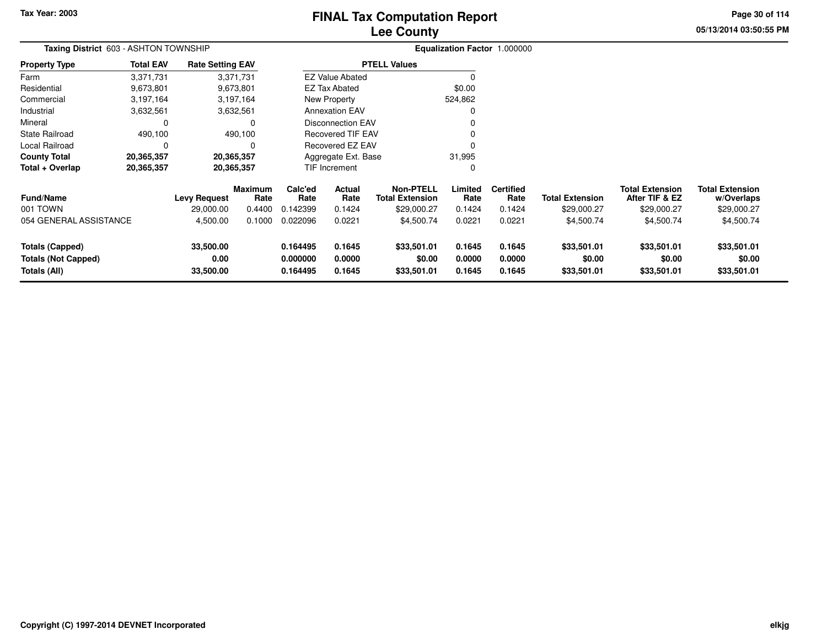# **Lee CountyFINAL Tax Computation Report**

**05/13/2014 03:50:55 PM Page 30 of 114**

| Taxing District 603 - ASHTON TOWNSHIP<br>Property Type |                   |                                  |                                                                                                                                |                                                      | Equalization Factor 1.000000                                                                            |                                                                                                                                   |                  |                       |                                       |                                      |  |  |  |
|--------------------------------------------------------|-------------------|----------------------------------|--------------------------------------------------------------------------------------------------------------------------------|------------------------------------------------------|---------------------------------------------------------------------------------------------------------|-----------------------------------------------------------------------------------------------------------------------------------|------------------|-----------------------|---------------------------------------|--------------------------------------|--|--|--|
| <b>Total EAV</b>                                       |                   |                                  |                                                                                                                                |                                                      |                                                                                                         |                                                                                                                                   |                  |                       |                                       |                                      |  |  |  |
| 3,371,731                                              |                   |                                  |                                                                                                                                |                                                      |                                                                                                         |                                                                                                                                   |                  |                       |                                       |                                      |  |  |  |
| 9,673,801                                              |                   |                                  |                                                                                                                                |                                                      |                                                                                                         | \$0.00                                                                                                                            |                  |                       |                                       |                                      |  |  |  |
| 3,197,164                                              |                   |                                  |                                                                                                                                |                                                      |                                                                                                         | 524,862                                                                                                                           |                  |                       |                                       |                                      |  |  |  |
| 3,632,561                                              |                   |                                  |                                                                                                                                |                                                      |                                                                                                         | 0                                                                                                                                 |                  |                       |                                       |                                      |  |  |  |
| 0                                                      |                   |                                  |                                                                                                                                | <b>Disconnection EAV</b><br><b>Recovered TIF EAV</b> |                                                                                                         |                                                                                                                                   |                  |                       |                                       |                                      |  |  |  |
| 490,100                                                |                   |                                  |                                                                                                                                |                                                      |                                                                                                         |                                                                                                                                   |                  |                       |                                       |                                      |  |  |  |
| 0                                                      |                   |                                  |                                                                                                                                |                                                      |                                                                                                         |                                                                                                                                   |                  |                       |                                       |                                      |  |  |  |
| 20,365,357                                             |                   |                                  |                                                                                                                                |                                                      |                                                                                                         | 31,995                                                                                                                            |                  |                       |                                       |                                      |  |  |  |
| 20,365,357                                             | 20,365,357        |                                  |                                                                                                                                |                                                      |                                                                                                         | 0                                                                                                                                 |                  |                       |                                       |                                      |  |  |  |
|                                                        |                   |                                  | Calc'ed                                                                                                                        | Actual                                               | <b>Non-PTELL</b>                                                                                        | Limited                                                                                                                           | <b>Certified</b> |                       | <b>Total Extension</b>                | <b>Total Extension</b><br>w/Overlaps |  |  |  |
|                                                        | 29,000.00         | 0.4400                           | 0.142399                                                                                                                       | 0.1424                                               | \$29,000.27                                                                                             | 0.1424                                                                                                                            | 0.1424           | \$29,000.27           | \$29,000.27                           | \$29,000.27                          |  |  |  |
| 054 GENERAL ASSISTANCE                                 | 4,500.00          | 0.1000                           | 0.022096                                                                                                                       | 0.0221                                               | \$4,500.74                                                                                              | 0.0221                                                                                                                            | 0.0221           | \$4,500.74            | \$4,500.74                            | \$4,500.74                           |  |  |  |
|                                                        | 33,500.00<br>0.00 |                                  | 0.164495<br>0.000000                                                                                                           | 0.1645<br>0.0000                                     | \$33,501.01<br>\$0.00                                                                                   | 0.1645<br>0.0000                                                                                                                  | 0.1645<br>0.0000 | \$33,501.01<br>\$0.00 | \$33,501.01<br>\$0.00                 | \$33,501.01<br>\$0.00<br>\$33,501.01 |  |  |  |
|                                                        |                   | <b>Levy Request</b><br>33,500.00 | <b>Rate Setting EAV</b><br>3,371,731<br>9,673,801<br>3,197,164<br>3,632,561<br>490,100<br>20,365,357<br><b>Maximum</b><br>Rate | Rate<br>0.164495                                     | <b>EZ Tax Abated</b><br>New Property<br><b>Annexation EAV</b><br><b>TIF Increment</b><br>Rate<br>0.1645 | <b>PTELL Values</b><br><b>EZ Value Abated</b><br>Recovered EZ EAV<br>Aggregate Ext. Base<br><b>Total Extension</b><br>\$33,501.01 | Rate<br>0.1645   | Rate<br>0.1645        | <b>Total Extension</b><br>\$33,501.01 | After TIF & EZ<br>\$33,501.01        |  |  |  |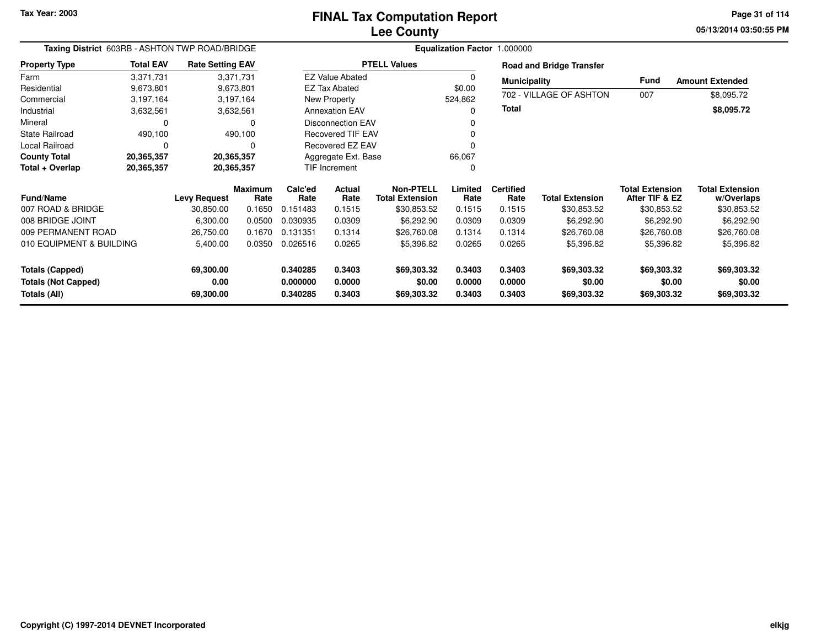**05/13/2014 03:50:55 PM Page 31 of 114**

| Taxing District 603RB - ASHTON TWP ROAD/BRIDGE |                  |                         |                | Equalization Factor 1.000000                               |                          |                        |                  |                  |                                 |                        |                        |
|------------------------------------------------|------------------|-------------------------|----------------|------------------------------------------------------------|--------------------------|------------------------|------------------|------------------|---------------------------------|------------------------|------------------------|
| <b>Property Type</b>                           | <b>Total EAV</b> | <b>Rate Setting EAV</b> |                |                                                            |                          | <b>PTELL Values</b>    |                  |                  | <b>Road and Bridge Transfer</b> |                        |                        |
| Farm                                           | 3,371,731        |                         | 3,371,731      | <b>EZ Value Abated</b><br>$\Omega$<br><b>EZ Tax Abated</b> |                          | <b>Municipality</b>    |                  | Fund             | <b>Amount Extended</b>          |                        |                        |
| Residential                                    | 9,673,801        |                         | 9,673,801      |                                                            |                          |                        | \$0.00           |                  | 702 - VILLAGE OF ASHTON         |                        |                        |
| Commercial                                     | 3,197,164        |                         | 3,197,164      |                                                            | New Property             |                        | 524,862          |                  |                                 | 007                    | \$8,095.72             |
| Industrial                                     | 3,632,561        |                         | 3,632,561      |                                                            | <b>Annexation EAV</b>    |                        | 0                | Total            |                                 |                        | \$8,095.72             |
| Mineral                                        | 0                |                         |                |                                                            | <b>Disconnection EAV</b> |                        |                  |                  |                                 |                        |                        |
| <b>State Railroad</b>                          | 490,100          |                         | 490,100        |                                                            | <b>Recovered TIF EAV</b> |                        | 0                |                  |                                 |                        |                        |
| Local Railroad                                 | $\Omega$         |                         | O              |                                                            | <b>Recovered EZ EAV</b>  |                        | 0                |                  |                                 |                        |                        |
| <b>County Total</b>                            | 20,365,357       | 20,365,357              |                |                                                            | Aggregate Ext. Base      |                        | 66,067           |                  |                                 |                        |                        |
| Total + Overlap                                | 20,365,357       | 20,365,357              |                | TIF Increment                                              |                          |                        | 0                |                  |                                 |                        |                        |
|                                                |                  |                         | <b>Maximum</b> | Calc'ed<br>Actual                                          |                          | Non-PTELL              | Limited          | <b>Certified</b> |                                 | <b>Total Extension</b> | <b>Total Extension</b> |
| <b>Fund/Name</b>                               |                  | <b>Levy Request</b>     | Rate           | Rate                                                       | Rate                     | <b>Total Extension</b> | Rate             | Rate             | <b>Total Extension</b>          | After TIF & EZ         | w/Overlaps             |
| 007 ROAD & BRIDGE                              |                  | 30,850.00               | 0.1650         | 0.151483                                                   | 0.1515                   | \$30,853.52            | 0.1515           | 0.1515           | \$30,853.52                     | \$30,853.52            | \$30,853.52            |
| 008 BRIDGE JOINT                               |                  | 6,300.00                | 0.0500         | 0.030935                                                   | 0.0309                   | \$6,292.90             | 0.0309           | 0.0309           | \$6,292.90                      | \$6,292.90             | \$6,292.90             |
| 009 PERMANENT ROAD                             |                  | 26,750.00               | 0.1670         | 0.131351                                                   | 0.1314                   | \$26,760.08            | 0.1314           | 0.1314           | \$26,760.08                     | \$26,760.08            | \$26,760.08            |
| 010 EQUIPMENT & BUILDING                       |                  | 5,400.00                | 0.0350         | 0.026516                                                   | 0.0265                   | \$5,396.82             | 0.0265           | 0.0265           | \$5,396.82                      | \$5,396.82             | \$5,396.82             |
| <b>Totals (Capped)</b>                         |                  | 69,300.00               |                | 0.340285                                                   | 0.3403                   | \$69,303.32            | 0.3403           | 0.3403           | \$69,303.32                     | \$69,303.32            | \$69,303.32            |
| <b>Totals (Not Capped)</b><br>Totals (All)     |                  | 0.00<br>69,300.00       |                | 0.000000<br>0.340285                                       | 0.0000<br>0.3403         | \$0.00<br>\$69,303.32  | 0.0000<br>0.3403 | 0.0000<br>0.3403 | \$0.00<br>\$69,303.32           | \$0.00<br>\$69,303.32  | \$0.00<br>\$69,303.32  |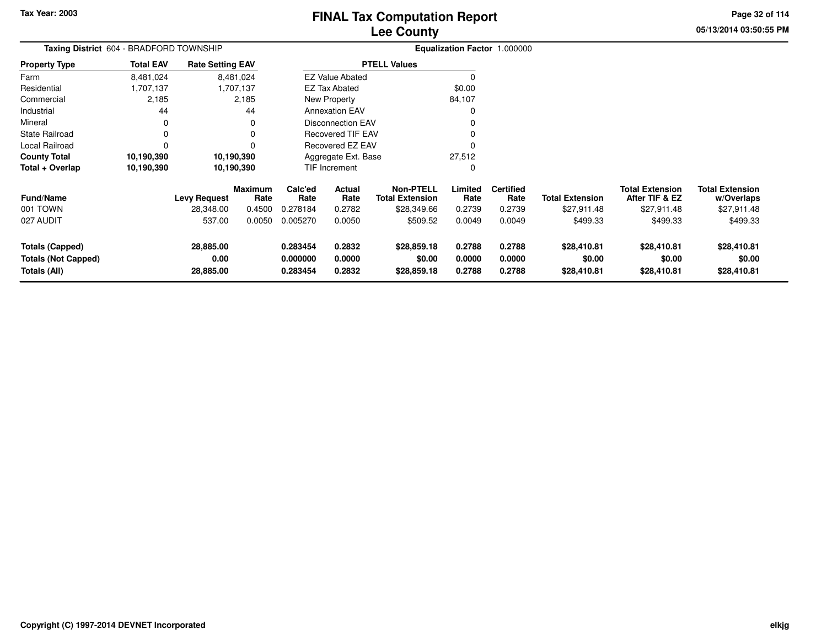**05/13/2014 03:50:55 PM Page 32 of 114**

| Taxing District 604 - BRADFORD TOWNSHIP                              |                  |                                |                        | Equalization Factor 1.000000     |                            |                                            |                            |                            |                                      |                                          |                                      |  |
|----------------------------------------------------------------------|------------------|--------------------------------|------------------------|----------------------------------|----------------------------|--------------------------------------------|----------------------------|----------------------------|--------------------------------------|------------------------------------------|--------------------------------------|--|
| <b>Property Type</b>                                                 | <b>Total EAV</b> | <b>Rate Setting EAV</b>        |                        |                                  |                            | <b>PTELL Values</b>                        |                            |                            |                                      |                                          |                                      |  |
| Farm                                                                 | 8,481,024        |                                | 8,481,024              |                                  | <b>EZ Value Abated</b>     |                                            | $\Omega$                   |                            |                                      |                                          |                                      |  |
| Residential                                                          | 1,707,137        |                                | 1,707,137              |                                  | <b>EZ Tax Abated</b>       |                                            | \$0.00                     |                            |                                      |                                          |                                      |  |
| Commercial                                                           | 2,185            |                                | 2,185                  |                                  | New Property               |                                            | 84,107                     |                            |                                      |                                          |                                      |  |
| Industrial                                                           | 44               |                                | 44                     |                                  | <b>Annexation EAV</b>      |                                            | 0                          |                            |                                      |                                          |                                      |  |
| Mineral                                                              | 0                |                                | 0                      |                                  | <b>Disconnection EAV</b>   |                                            |                            |                            |                                      |                                          |                                      |  |
| <b>State Railroad</b>                                                | 0                |                                | 0                      |                                  | <b>Recovered TIF EAV</b>   |                                            |                            |                            |                                      |                                          |                                      |  |
| Local Railroad                                                       | $\Omega$         |                                | 0                      |                                  | <b>Recovered EZ EAV</b>    |                                            | 0                          |                            |                                      |                                          |                                      |  |
| <b>County Total</b>                                                  | 10,190,390       |                                | 10,190,390             |                                  | Aggregate Ext. Base        |                                            | 27,512                     |                            |                                      |                                          |                                      |  |
| Total + Overlap                                                      | 10,190,390       | 10,190,390                     |                        |                                  | <b>TIF Increment</b>       |                                            | 0                          |                            |                                      |                                          |                                      |  |
| <b>Fund/Name</b>                                                     |                  | <b>Levy Request</b>            | <b>Maximum</b><br>Rate | Calc'ed<br>Rate                  | <b>Actual</b><br>Rate      | <b>Non-PTELL</b><br><b>Total Extension</b> | Limited<br>Rate            | <b>Certified</b><br>Rate   | <b>Total Extension</b>               | <b>Total Extension</b><br>After TIF & EZ | <b>Total Extension</b><br>w/Overlaps |  |
| 001 TOWN                                                             |                  | 28,348.00                      | 0.4500                 | 0.278184                         | 0.2782                     | \$28,349.66                                | 0.2739                     | 0.2739                     | \$27,911.48                          | \$27,911.48                              | \$27,911.48                          |  |
| 027 AUDIT                                                            |                  | 537.00                         | 0.0050                 | 0.005270                         | 0.0050                     | \$509.52                                   | 0.0049                     | 0.0049                     | \$499.33                             | \$499.33                                 | \$499.33                             |  |
| <b>Totals (Capped)</b><br><b>Totals (Not Capped)</b><br>Totals (All) |                  | 28,885.00<br>0.00<br>28,885.00 |                        | 0.283454<br>0.000000<br>0.283454 | 0.2832<br>0.0000<br>0.2832 | \$28,859.18<br>\$0.00<br>\$28,859.18       | 0.2788<br>0.0000<br>0.2788 | 0.2788<br>0.0000<br>0.2788 | \$28,410.81<br>\$0.00<br>\$28,410.81 | \$28,410.81<br>\$0.00<br>\$28,410.81     | \$28,410.81<br>\$0.00<br>\$28,410.81 |  |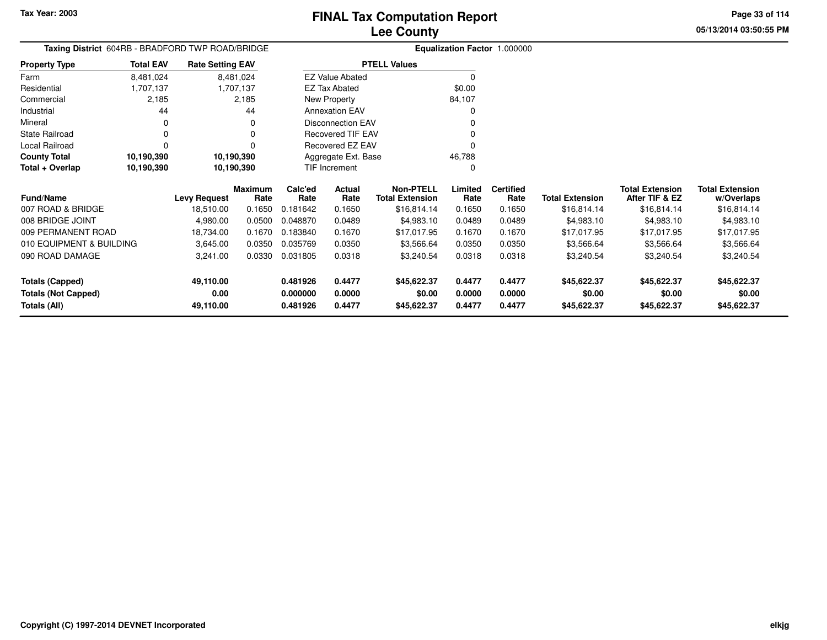**Totals (Capped)**

**Totals (All)**

**Totals (Not Capped)**

**49,110.00**

**49,110.00**

**0.00**

# **Lee CountyFINAL Tax Computation Report**

**0.481926 0.4477 \$45,622.37 0.4477 0.4477 \$45,622.37 \$45,622.37 \$45,622.37**

**0.000000 0.0000 \$0.00 0.0000 0.0000 \$0.00 \$0.00 \$0.00**

**0.481926 0.4477 \$45,622.37 0.4477 0.4477 \$45,622.37 \$45,622.37 \$45,622.37**

**05/13/2014 03:50:55 PMPage 33 of 114**

| Taxing District 604RB - BRADFORD TWP ROAD/BRIDGE |                  |                         |                        |                 | Equalization Factor 1.000000 |                                            |                 |                          |                        |                                          |                                      |  |  |
|--------------------------------------------------|------------------|-------------------------|------------------------|-----------------|------------------------------|--------------------------------------------|-----------------|--------------------------|------------------------|------------------------------------------|--------------------------------------|--|--|
| <b>Property Type</b>                             | <b>Total EAV</b> | <b>Rate Setting EAV</b> |                        |                 |                              | <b>PTELL Values</b>                        |                 |                          |                        |                                          |                                      |  |  |
| Farm                                             | 8,481,024        |                         | 8,481,024              |                 | <b>EZ Value Abated</b>       |                                            |                 |                          |                        |                                          |                                      |  |  |
| Residential                                      | 1,707,137        |                         | 1,707,137              |                 | EZ Tax Abated                |                                            | \$0.00          |                          |                        |                                          |                                      |  |  |
| Commercial                                       | 2,185            |                         | 2,185                  |                 | New Property                 |                                            | 84,107          |                          |                        |                                          |                                      |  |  |
| Industrial                                       | 44               |                         | 44                     |                 | <b>Annexation EAV</b>        |                                            | 0               |                          |                        |                                          |                                      |  |  |
| Mineral                                          | 0                |                         | 0                      |                 | <b>Disconnection EAV</b>     |                                            |                 |                          |                        |                                          |                                      |  |  |
| <b>State Railroad</b>                            | 0                |                         | $\Omega$               |                 | <b>Recovered TIF EAV</b>     |                                            |                 |                          |                        |                                          |                                      |  |  |
| Local Railroad                                   | $\Omega$         |                         | 0                      |                 | <b>Recovered EZ EAV</b>      |                                            | 0               |                          |                        |                                          |                                      |  |  |
| <b>County Total</b>                              | 10,190,390       |                         | 10,190,390             |                 | Aggregate Ext. Base          |                                            | 46,788          |                          |                        |                                          |                                      |  |  |
| Total + Overlap                                  | 10,190,390       | 10,190,390              |                        | TIF Increment   |                              |                                            | $\Omega$        |                          |                        |                                          |                                      |  |  |
| <b>Fund/Name</b>                                 |                  | <b>Levy Request</b>     | <b>Maximum</b><br>Rate | Calc'ed<br>Rate | Actual<br>Rate               | <b>Non-PTELL</b><br><b>Total Extension</b> | Limited<br>Rate | <b>Certified</b><br>Rate | <b>Total Extension</b> | <b>Total Extension</b><br>After TIF & EZ | <b>Total Extension</b><br>w/Overlaps |  |  |
| 007 ROAD & BRIDGE                                |                  | 18,510.00               | 0.1650                 | 0.181642        | 0.1650                       | \$16,814.14                                | 0.1650          | 0.1650                   | \$16,814.14            | \$16,814.14                              | \$16,814.14                          |  |  |
| 008 BRIDGE JOINT                                 |                  | 4,980.00                | 0.0500                 | 0.048870        | 0.0489                       | \$4,983.10                                 | 0.0489          | 0.0489                   | \$4,983.10             | \$4,983.10                               | \$4,983.10                           |  |  |
| 009 PERMANENT ROAD                               |                  | 18,734.00               | 0.1670                 | 0.183840        | 0.1670                       | \$17,017.95                                | 0.1670          | 0.1670                   | \$17,017.95            | \$17,017.95                              | \$17,017.95                          |  |  |
| 010 EQUIPMENT & BUILDING                         |                  | 3,645.00                | 0.0350                 | 0.035769        | 0.0350                       | \$3,566.64                                 | 0.0350          | 0.0350                   | \$3,566.64             | \$3,566.64                               | \$3,566.64                           |  |  |
| 090 ROAD DAMAGE                                  |                  | 3,241.00                | 0.0330                 | 0.031805        | 0.0318                       | \$3,240.54                                 | 0.0318          | 0.0318                   | \$3,240.54             | \$3,240.54                               | \$3,240.54                           |  |  |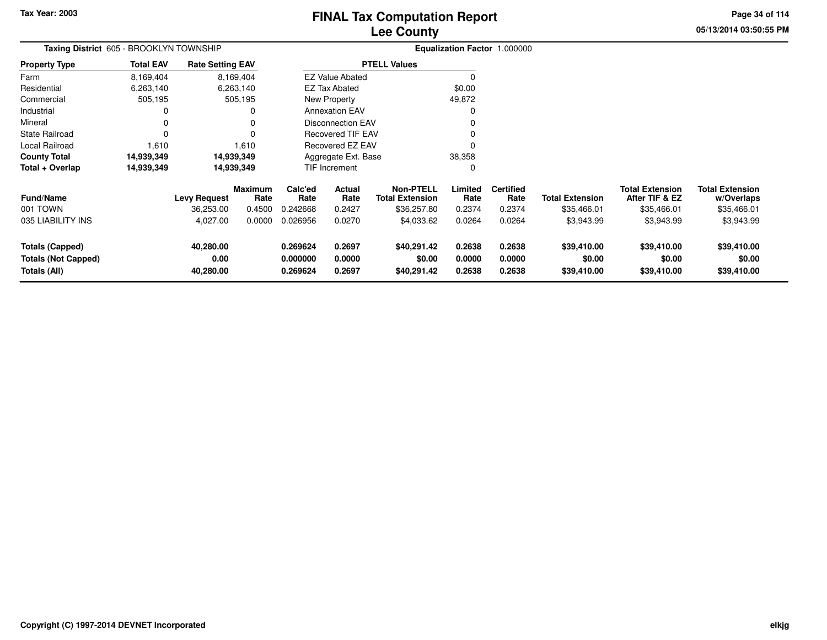# **Lee CountyFINAL Tax Computation Report**

**05/13/2014 03:50:55 PMPage 34 of 114**

| Taxing District 605 - BROOKLYN TOWNSHIP                              |                  |                                |                        |                                  |                            | Equalization Factor 1.000000         |                            |                            |                                      |                                          |                                      |
|----------------------------------------------------------------------|------------------|--------------------------------|------------------------|----------------------------------|----------------------------|--------------------------------------|----------------------------|----------------------------|--------------------------------------|------------------------------------------|--------------------------------------|
| <b>Property Type</b>                                                 | <b>Total EAV</b> | <b>Rate Setting EAV</b>        |                        |                                  |                            | <b>PTELL Values</b>                  |                            |                            |                                      |                                          |                                      |
| Farm                                                                 | 8,169,404        |                                | 8,169,404              |                                  | <b>EZ Value Abated</b>     |                                      | $\Omega$                   |                            |                                      |                                          |                                      |
| Residential                                                          | 6,263,140        |                                | 6,263,140              |                                  | <b>EZ Tax Abated</b>       |                                      | \$0.00                     |                            |                                      |                                          |                                      |
| Commercial                                                           | 505,195          |                                | 505,195                |                                  | New Property               |                                      | 49,872                     |                            |                                      |                                          |                                      |
| Industrial                                                           | 0                |                                |                        |                                  | <b>Annexation EAV</b>      |                                      |                            |                            |                                      |                                          |                                      |
| Mineral                                                              | 0                |                                |                        | Disconnection EAV                |                            |                                      |                            |                            |                                      |                                          |                                      |
| <b>State Railroad</b>                                                | $\Omega$         |                                |                        | <b>Recovered TIF EAV</b>         |                            |                                      |                            |                            |                                      |                                          |                                      |
| Local Railroad                                                       | 1,610            |                                | 1.610                  | <b>Recovered EZ EAV</b>          |                            |                                      |                            |                            |                                      |                                          |                                      |
| <b>County Total</b>                                                  | 14,939,349       |                                | 14,939,349             | Aggregate Ext. Base              |                            |                                      | 38,358                     |                            |                                      |                                          |                                      |
| Total + Overlap                                                      | 14,939,349       |                                | 14,939,349             |                                  | TIF Increment              |                                      | 0                          |                            |                                      |                                          |                                      |
| <b>Fund/Name</b>                                                     |                  | <b>Levy Request</b>            | <b>Maximum</b><br>Rate | Calc'ed<br>Rate                  | Actual<br>Rate             | Non-PTELL<br><b>Total Extension</b>  | Limited<br>Rate            | <b>Certified</b><br>Rate   | <b>Total Extension</b>               | <b>Total Extension</b><br>After TIF & EZ | <b>Total Extension</b><br>w/Overlaps |
| 001 TOWN                                                             |                  | 36,253.00                      | 0.4500                 | 0.242668                         | 0.2427                     | \$36,257.80                          | 0.2374                     | 0.2374                     | \$35,466.01                          | \$35,466.01                              | \$35,466.01                          |
| 035 LIABILITY INS                                                    |                  | 4,027.00                       | 0.0000                 | 0.026956                         | 0.0270                     | \$4,033.62                           | 0.0264                     | 0.0264                     | \$3,943.99                           | \$3,943.99                               | \$3,943.99                           |
| <b>Totals (Capped)</b><br><b>Totals (Not Capped)</b><br>Totals (All) |                  | 40,280.00<br>0.00<br>40,280.00 |                        | 0.269624<br>0.000000<br>0.269624 | 0.2697<br>0.0000<br>0.2697 | \$40,291.42<br>\$0.00<br>\$40,291.42 | 0.2638<br>0.0000<br>0.2638 | 0.2638<br>0.0000<br>0.2638 | \$39,410.00<br>\$0.00<br>\$39,410.00 | \$39,410.00<br>\$0.00<br>\$39,410.00     | \$39,410.00<br>\$0.00<br>\$39,410.00 |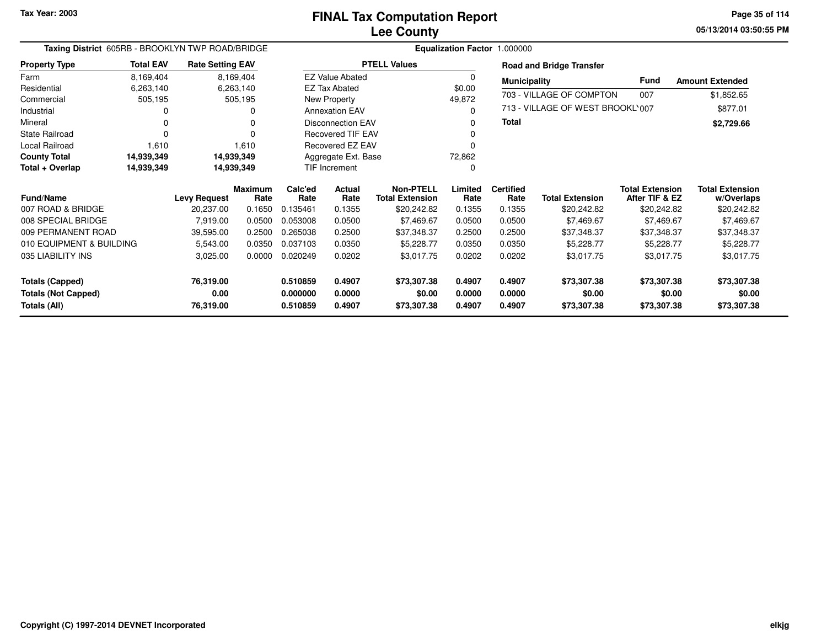**05/13/2014 03:50:55 PM Page 35 of 114**

| Taxing District 605RB - BROOKLYN TWP ROAD/BRIDGE |                    |                         |                        |                 |                          |                                     |                 | Equalization Factor 1.000000 |                                  |                                          |                                      |
|--------------------------------------------------|--------------------|-------------------------|------------------------|-----------------|--------------------------|-------------------------------------|-----------------|------------------------------|----------------------------------|------------------------------------------|--------------------------------------|
| <b>Property Type</b>                             | <b>Total EAV</b>   | <b>Rate Setting EAV</b> |                        |                 |                          | <b>PTELL Values</b>                 |                 |                              | <b>Road and Bridge Transfer</b>  |                                          |                                      |
| Farm                                             | 8,169,404          |                         | 8,169,404              |                 | <b>EZ Value Abated</b>   |                                     | 0               | <b>Municipality</b>          |                                  | Fund                                     | <b>Amount Extended</b>               |
| Residential                                      | 6,263,140          |                         | 6,263,140              |                 | <b>EZ Tax Abated</b>     |                                     | \$0.00          |                              |                                  |                                          |                                      |
| Commercial                                       | 505,195            |                         | 505,195                |                 | New Property             |                                     | 49,872          |                              | 703 - VILLAGE OF COMPTON         | 007                                      | \$1,852.65                           |
| Industrial                                       | 0                  |                         | ი                      |                 | <b>Annexation EAV</b>    |                                     | $\Omega$        |                              | 713 - VILLAGE OF WEST BROOKL'007 |                                          | \$877.01                             |
| Mineral                                          | 0                  |                         | U                      |                 | <b>Disconnection EAV</b> |                                     | 0               | <b>Total</b>                 |                                  |                                          | \$2,729.66                           |
| <b>State Railroad</b>                            | $\Omega$           |                         | U                      |                 | <b>Recovered TIF EAV</b> |                                     | O               |                              |                                  |                                          |                                      |
| Local Railroad                                   | 1,610              |                         | 1,610                  |                 | Recovered EZ EAV         |                                     | O               |                              |                                  |                                          |                                      |
| <b>County Total</b>                              | 14,939,349         |                         | 14,939,349             |                 | Aggregate Ext. Base      |                                     | 72,862          |                              |                                  |                                          |                                      |
| Total + Overlap                                  | 14,939,349         |                         | 14,939,349             |                 | <b>TIF Increment</b>     |                                     | 0               |                              |                                  |                                          |                                      |
| <b>Fund/Name</b>                                 |                    | <b>Levy Request</b>     | <b>Maximum</b><br>Rate | Calc'ed<br>Rate | <b>Actual</b><br>Rate    | Non-PTELL<br><b>Total Extension</b> | Limited<br>Rate | <b>Certified</b><br>Rate     | <b>Total Extension</b>           | <b>Total Extension</b><br>After TIF & EZ | <b>Total Extension</b><br>w/Overlaps |
| 007 ROAD & BRIDGE                                |                    | 20,237.00               | 0.1650                 | 0.135461        | 0.1355                   | \$20,242.82                         | 0.1355          | 0.1355                       | \$20,242.82                      | \$20,242.82                              | \$20,242.82                          |
| 008 SPECIAL BRIDGE                               |                    | 7,919.00                | 0.0500                 | 0.053008        | 0.0500                   | \$7,469.67                          | 0.0500          | 0.0500                       | \$7,469.67                       | \$7,469.67                               | \$7,469.67                           |
| 009 PERMANENT ROAD                               |                    | 39,595.00               | 0.2500                 | 0.265038        | 0.2500                   | \$37,348.37                         | 0.2500          | 0.2500                       | \$37,348.37                      | \$37,348.37                              | \$37,348.37                          |
| 010 EQUIPMENT & BUILDING                         |                    | 5,543.00                | 0.0350                 | 0.037103        | 0.0350                   | \$5,228.77                          | 0.0350          | 0.0350                       | \$5,228.77                       | \$5,228.77                               | \$5,228.77                           |
| 035 LIABILITY INS                                | 0.0000<br>3,025.00 |                         | 0.020249               | 0.0202          | \$3,017.75               | 0.0202                              | 0.0202          | \$3,017.75                   | \$3,017.75                       | \$3,017.75                               |                                      |
| <b>Totals (Capped)</b>                           |                    | 76,319.00               |                        | 0.510859        | 0.4907                   | \$73,307.38                         | 0.4907          | 0.4907                       | \$73,307.38                      | \$73,307.38                              | \$73,307.38                          |
| <b>Totals (Not Capped)</b>                       |                    | 0.00                    |                        | 0.000000        | 0.0000                   | \$0.00                              | 0.0000          | 0.0000                       | \$0.00                           | \$0.00                                   | \$0.00                               |
| Totals (All)                                     |                    | 76,319.00               |                        | 0.510859        | 0.4907                   | \$73,307.38                         | 0.4907          | 0.4907                       | \$73,307.38                      | \$73,307.38                              | \$73,307.38                          |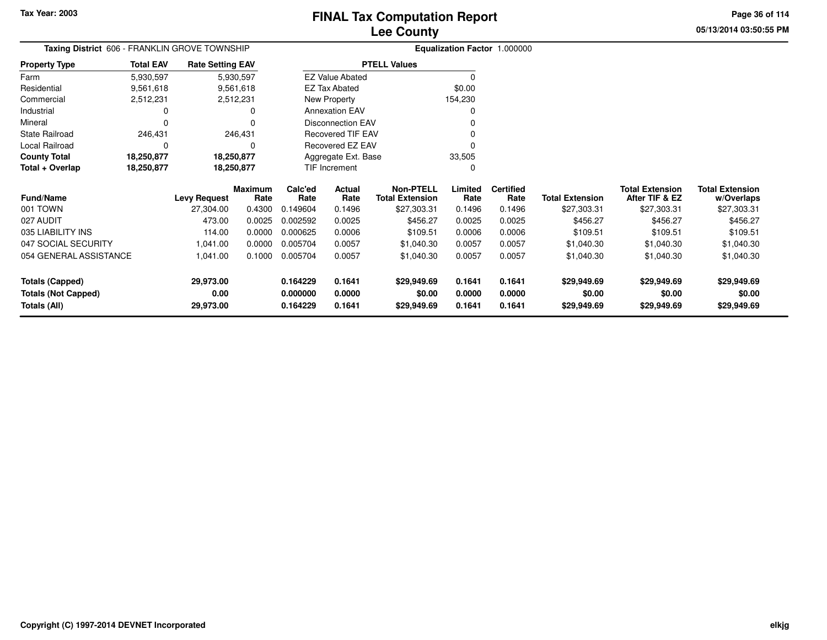**05/13/2014 03:50:55 PMPage 36 of 114**

| Taxing District 606 - FRANKLIN GROVE TOWNSHIP |                  |                         |                        |                     | Equalization Factor 1.000000 |                                            |                 |                          |                        |                                          |                                      |
|-----------------------------------------------|------------------|-------------------------|------------------------|---------------------|------------------------------|--------------------------------------------|-----------------|--------------------------|------------------------|------------------------------------------|--------------------------------------|
| <b>Property Type</b>                          | <b>Total EAV</b> | <b>Rate Setting EAV</b> |                        |                     |                              | <b>PTELL Values</b>                        |                 |                          |                        |                                          |                                      |
| Farm                                          | 5,930,597        |                         | 5,930,597              |                     | <b>EZ Value Abated</b>       |                                            | 0               |                          |                        |                                          |                                      |
| Residential                                   | 9,561,618        |                         | 9,561,618              |                     | <b>EZ Tax Abated</b>         |                                            | \$0.00          |                          |                        |                                          |                                      |
| Commercial                                    | 2,512,231        | 2,512,231               |                        |                     | New Property                 |                                            | 154,230         |                          |                        |                                          |                                      |
| Industrial                                    |                  |                         | $\Omega$               |                     | <b>Annexation EAV</b>        |                                            | 0               |                          |                        |                                          |                                      |
| Mineral                                       |                  |                         | $\Omega$               |                     | <b>Disconnection EAV</b>     |                                            | 0               |                          |                        |                                          |                                      |
| <b>State Railroad</b>                         | 246,431          |                         | 246,431                |                     | <b>Recovered TIF EAV</b>     |                                            | 0               |                          |                        |                                          |                                      |
| Local Railroad                                |                  |                         | O                      |                     | Recovered EZ EAV             |                                            | 0               |                          |                        |                                          |                                      |
| <b>County Total</b>                           | 18,250,877       | 18,250,877              |                        | Aggregate Ext. Base |                              |                                            | 33,505          |                          |                        |                                          |                                      |
| Total + Overlap                               | 18,250,877       | 18,250,877              |                        |                     | TIF Increment                |                                            | 0               |                          |                        |                                          |                                      |
| <b>Fund/Name</b>                              |                  | <b>Levy Request</b>     | <b>Maximum</b><br>Rate | Calc'ed<br>Rate     | Actual<br>Rate               | <b>Non-PTELL</b><br><b>Total Extension</b> | Limited<br>Rate | <b>Certified</b><br>Rate | <b>Total Extension</b> | <b>Total Extension</b><br>After TIF & EZ | <b>Total Extension</b><br>w/Overlaps |
| 001 TOWN                                      |                  | 27,304.00               | 0.4300                 | 0.149604            | 0.1496                       | \$27,303.31                                | 0.1496          | 0.1496                   | \$27,303.31            | \$27,303.31                              | \$27,303.31                          |
| 027 AUDIT                                     |                  | 473.00                  | 0.0025                 | 0.002592            | 0.0025                       | \$456.27                                   | 0.0025          | 0.0025                   | \$456.27               | \$456.27                                 | \$456.27                             |
| 035 LIABILITY INS                             |                  | 114.00                  | 0.0000                 | 0.000625            | 0.0006                       | \$109.51                                   | 0.0006          | 0.0006                   | \$109.51               | \$109.51                                 | \$109.51                             |
| 047 SOCIAL SECURITY                           |                  | 1,041.00                | 0.0000                 | 0.005704            | 0.0057                       | \$1,040.30                                 | 0.0057          | 0.0057                   | \$1,040.30             | \$1,040.30                               | \$1,040.30                           |
| 054 GENERAL ASSISTANCE                        |                  | 1,041.00                | 0.1000                 | 0.005704            | 0.0057                       | \$1,040.30                                 | 0.0057          | 0.0057                   | \$1,040.30             | \$1,040.30                               | \$1,040.30                           |
| <b>Totals (Capped)</b>                        |                  | 29,973.00               |                        | 0.164229            | 0.1641                       | \$29,949.69                                | 0.1641          | 0.1641                   | \$29,949.69            | \$29,949.69                              | \$29,949.69                          |
| <b>Totals (Not Capped)</b>                    |                  | 0.00                    |                        | 0.000000            | 0.0000                       | \$0.00                                     | 0.0000          | 0.0000                   | \$0.00                 | \$0.00                                   | \$0.00                               |
| Totals (All)                                  |                  | 29,973.00               |                        | 0.164229            | 0.1641                       | \$29,949.69                                | 0.1641          | 0.1641                   | \$29,949.69            | \$29,949.69                              | \$29,949.69                          |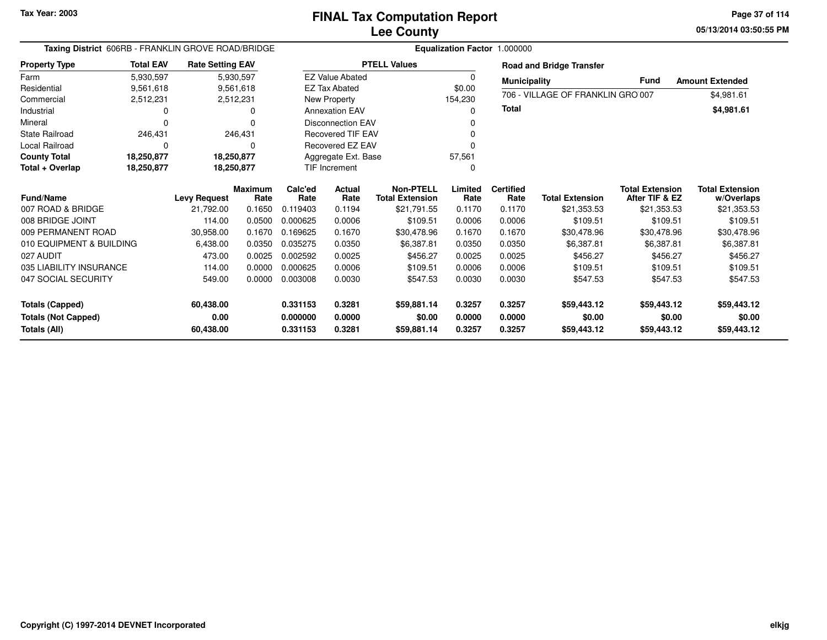**05/13/2014 03:50:55 PM Page 37 of 114**

| Taxing District 606RB - FRANKLIN GROVE ROAD/BRIDGE                   |                          |                                |                       |                                  | Equalization Factor 1.000000 |                                            |                            |                            |                                      |                                          |                                      |  |  |
|----------------------------------------------------------------------|--------------------------|--------------------------------|-----------------------|----------------------------------|------------------------------|--------------------------------------------|----------------------------|----------------------------|--------------------------------------|------------------------------------------|--------------------------------------|--|--|
| <b>Property Type</b>                                                 | <b>Total EAV</b>         | <b>Rate Setting EAV</b>        |                       |                                  |                              | <b>PTELL Values</b>                        |                            |                            | <b>Road and Bridge Transfer</b>      |                                          |                                      |  |  |
| Farm                                                                 | 5,930,597                |                                | 5,930,597             |                                  | <b>EZ Value Abated</b>       |                                            | 0                          | <b>Municipality</b>        |                                      | Fund                                     | <b>Amount Extended</b>               |  |  |
| Residential                                                          | 9,561,618                |                                | 9,561,618             |                                  | <b>EZ Tax Abated</b>         |                                            | \$0.00                     |                            | 706 - VILLAGE OF FRANKLIN GRO 007    |                                          |                                      |  |  |
| Commercial                                                           | 2,512,231<br>2,512,231   |                                |                       |                                  | New Property                 |                                            | 154,230                    |                            |                                      |                                          | \$4,981.61                           |  |  |
| Industrial                                                           | 0<br>o                   |                                | <b>Annexation EAV</b> |                                  |                              | n                                          | <b>Total</b>               |                            |                                      | \$4,981.61                               |                                      |  |  |
| Mineral                                                              | $\Omega$                 | ŋ                              |                       |                                  | <b>Disconnection EAV</b>     |                                            |                            |                            |                                      |                                          |                                      |  |  |
| <b>State Railroad</b>                                                | 246,431<br>246,431       |                                |                       | <b>Recovered TIF EAV</b>         |                              |                                            |                            |                            |                                      |                                          |                                      |  |  |
| <b>Local Railroad</b>                                                | 0<br>0                   |                                |                       | Recovered EZ EAV                 |                              |                                            |                            |                            |                                      |                                          |                                      |  |  |
| <b>County Total</b>                                                  | 18,250,877<br>18,250,877 |                                |                       | Aggregate Ext. Base              |                              | 57,561                                     |                            |                            |                                      |                                          |                                      |  |  |
| Total + Overlap                                                      | 18,250,877               |                                | 18,250,877            |                                  | <b>TIF Increment</b>         |                                            | $\Omega$                   |                            |                                      |                                          |                                      |  |  |
| <b>Fund/Name</b>                                                     |                          | <b>Levy Request</b>            | Maximum<br>Rate       | Calc'ed<br>Rate                  | <b>Actual</b><br>Rate        | <b>Non-PTELL</b><br><b>Total Extension</b> | Limited<br>Rate            | <b>Certified</b><br>Rate   | <b>Total Extension</b>               | <b>Total Extension</b><br>After TIF & EZ | <b>Total Extension</b><br>w/Overlaps |  |  |
| 007 ROAD & BRIDGE                                                    |                          | 21.792.00                      | 0.1650                | 0.119403                         | 0.1194                       | \$21,791.55                                | 0.1170                     | 0.1170                     | \$21,353.53                          | \$21,353.53                              | \$21,353.53                          |  |  |
| 008 BRIDGE JOINT                                                     |                          | 114.00                         | 0.0500                | 0.000625                         | 0.0006                       | \$109.51                                   | 0.0006                     | 0.0006                     | \$109.51                             | \$109.51                                 | \$109.51                             |  |  |
| 009 PERMANENT ROAD                                                   |                          | 30,958.00                      | 0.1670                | 0.169625                         | 0.1670                       | \$30,478.96                                | 0.1670                     | 0.1670                     | \$30,478.96                          | \$30,478.96                              | \$30,478.96                          |  |  |
| 010 EQUIPMENT & BUILDING                                             |                          | 6,438.00                       | 0.0350                | 0.035275                         | 0.0350                       | \$6,387.81                                 | 0.0350                     | 0.0350                     | \$6,387.81                           | \$6,387.81                               | \$6,387.81                           |  |  |
| 027 AUDIT                                                            |                          | 473.00                         | 0.0025                | 0.002592                         | 0.0025                       | \$456.27                                   | 0.0025                     | 0.0025                     | \$456.27                             | \$456.27                                 | \$456.27                             |  |  |
| 035 LIABILITY INSURANCE                                              |                          | 114.00                         | 0.0000                | 0.000625                         | 0.0006                       | \$109.51                                   | 0.0006                     | 0.0006                     | \$109.51                             | \$109.51                                 | \$109.51                             |  |  |
| 047 SOCIAL SECURITY                                                  | 0.0000<br>549.00         |                                | 0.003008              | 0.0030                           | \$547.53                     | 0.0030                                     | 0.0030                     | \$547.53                   | \$547.53                             | \$547.53                                 |                                      |  |  |
| <b>Totals (Capped)</b><br><b>Totals (Not Capped)</b><br>Totals (All) |                          | 60,438.00<br>0.00<br>60,438.00 |                       | 0.331153<br>0.000000<br>0.331153 | 0.3281<br>0.0000<br>0.3281   | \$59,881.14<br>\$0.00<br>\$59,881.14       | 0.3257<br>0.0000<br>0.3257 | 0.3257<br>0.0000<br>0.3257 | \$59,443.12<br>\$0.00<br>\$59,443.12 | \$59,443.12<br>\$0.00<br>\$59,443.12     | \$59,443.12<br>\$0.00<br>\$59,443.12 |  |  |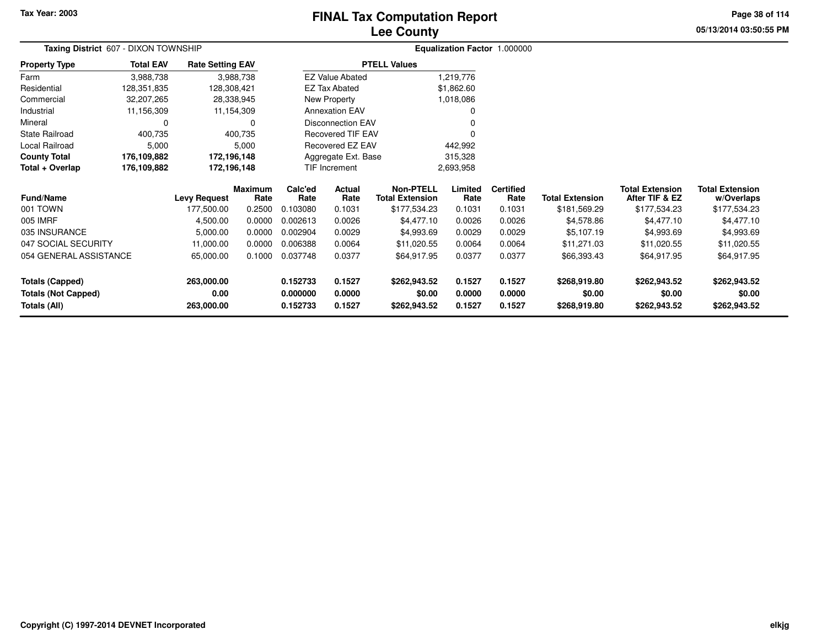# **Lee CountyFINAL Tax Computation Report**

**05/13/2014 03:50:55 PM Page 38 of 114**

| Taxing District 607 - DIXON TOWNSHIP              |                                     |                         |                 | Equalization Factor 1.000000 |                        |                                            |                 |                          |                        |                                          |                                      |
|---------------------------------------------------|-------------------------------------|-------------------------|-----------------|------------------------------|------------------------|--------------------------------------------|-----------------|--------------------------|------------------------|------------------------------------------|--------------------------------------|
| <b>Property Type</b>                              | <b>Total EAV</b>                    | <b>Rate Setting EAV</b> |                 |                              |                        | <b>PTELL Values</b>                        |                 |                          |                        |                                          |                                      |
| Farm                                              | 3,988,738                           |                         | 3,988,738       |                              | <b>EZ Value Abated</b> |                                            | 1,219,776       |                          |                        |                                          |                                      |
| Residential                                       | 128,351,835<br>128,308,421          |                         |                 |                              | <b>EZ Tax Abated</b>   |                                            | \$1,862.60      |                          |                        |                                          |                                      |
| Commercial<br>32,207,265<br>28,338,945            |                                     |                         |                 | New Property                 |                        | 1,018,086                                  |                 |                          |                        |                                          |                                      |
| Industrial<br>11,156,309<br>11,154,309            |                                     |                         |                 | <b>Annexation EAV</b>        |                        |                                            |                 |                          |                        |                                          |                                      |
| Mineral<br>0                                      |                                     | $\Omega$                |                 | <b>Disconnection EAV</b>     |                        |                                            |                 |                          |                        |                                          |                                      |
| <b>State Railroad</b><br>400,735<br>400,735       |                                     |                         |                 | Recovered TIF EAV            |                        |                                            |                 |                          |                        |                                          |                                      |
| Local Railroad<br>5,000<br>5,000                  |                                     |                         |                 | Recovered EZ EAV             |                        | 442,992                                    |                 |                          |                        |                                          |                                      |
| <b>County Total</b><br>176,109,882<br>172,196,148 |                                     |                         |                 | Aggregate Ext. Base          |                        | 315,328                                    |                 |                          |                        |                                          |                                      |
| Total + Overlap                                   | 176,109,882                         |                         | 172,196,148     | TIF Increment<br>2,693,958   |                        |                                            |                 |                          |                        |                                          |                                      |
| <b>Fund/Name</b>                                  |                                     | <b>Levy Request</b>     | Maximum<br>Rate | Calc'ed<br>Rate              | Actual<br>Rate         | <b>Non-PTELL</b><br><b>Total Extension</b> | Limited<br>Rate | <b>Certified</b><br>Rate | <b>Total Extension</b> | <b>Total Extension</b><br>After TIF & EZ | <b>Total Extension</b><br>w/Overlaps |
| 001 TOWN                                          |                                     | 177,500.00              | 0.2500          | 0.103080                     | 0.1031                 | \$177,534.23                               | 0.1031          | 0.1031                   | \$181,569.29           | \$177,534.23                             | \$177,534.23                         |
| 005 IMRF                                          |                                     | 4,500.00                | 0.0000          | 0.002613                     | 0.0026                 | \$4,477.10                                 | 0.0026          | 0.0026                   | \$4,578.86             | \$4,477.10                               | \$4,477.10                           |
| 035 INSURANCE                                     |                                     | 5,000.00                | 0.0000          | 0.002904                     | 0.0029                 | \$4,993.69                                 | 0.0029          | 0.0029                   | \$5,107.19             | \$4,993.69                               | \$4,993.69                           |
| 047 SOCIAL SECURITY                               |                                     | 11,000.00               | 0.0000          | 0.006388                     | 0.0064                 | \$11,020.55                                | 0.0064          | 0.0064                   | \$11,271.03            | \$11,020.55                              | \$11,020.55                          |
|                                                   | 054 GENERAL ASSISTANCE<br>65,000.00 |                         | 0.1000          | 0.037748                     | 0.0377                 | \$64,917.95                                | 0.0377          | 0.0377                   | \$66,393.43            | \$64,917.95                              | \$64,917.95                          |
| <b>Totals (Capped)</b>                            |                                     | 263,000.00              |                 | 0.152733                     | 0.1527                 | \$262,943.52                               | 0.1527          | 0.1527                   | \$268,919.80           | \$262,943.52                             | \$262,943.52                         |
| <b>Totals (Not Capped)</b>                        |                                     | 0.00                    |                 | 0.000000                     | 0.0000                 | \$0.00                                     | 0.0000          | 0.0000                   | \$0.00                 | \$0.00                                   | \$0.00                               |
| Totals (All)                                      |                                     | 263,000.00              |                 | 0.152733                     | 0.1527                 | \$262,943.52                               | 0.1527          | 0.1527                   | \$268,919.80           | \$262,943.52                             | \$262,943.52                         |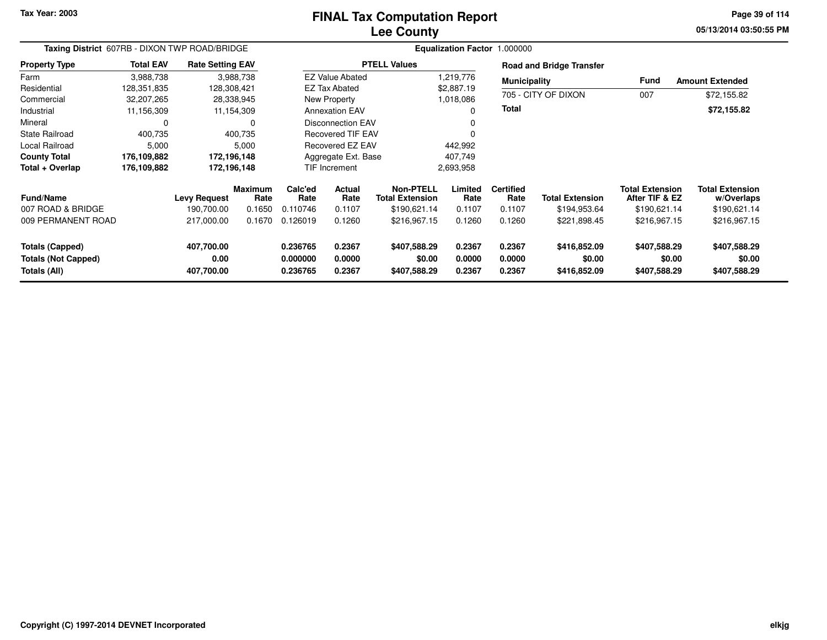### **Lee CountyFINAL Tax Computation Report**

**05/13/2014 03:50:55 PM Page 39 of 114**

| Taxing District 607RB - DIXON TWP ROAD/BRIDGE                        |                  |                                  |                 | Equalization Factor 1.000000     |                                    |                                        |                            |                            |                                        |                                          |                                        |  |  |
|----------------------------------------------------------------------|------------------|----------------------------------|-----------------|----------------------------------|------------------------------------|----------------------------------------|----------------------------|----------------------------|----------------------------------------|------------------------------------------|----------------------------------------|--|--|
| <b>Property Type</b>                                                 | <b>Total EAV</b> | <b>Rate Setting EAV</b>          |                 |                                  |                                    | <b>PTELL Values</b>                    |                            |                            | <b>Road and Bridge Transfer</b>        |                                          |                                        |  |  |
| Farm                                                                 | 3,988,738        |                                  | 3,988,738       |                                  | <b>EZ Value Abated</b>             |                                        | 1,219,776                  |                            | <b>Municipality</b>                    | <b>Fund</b>                              | <b>Amount Extended</b>                 |  |  |
| Residential                                                          | 128,351,835      |                                  | 128,308,421     |                                  | <b>EZ Tax Abated</b><br>\$2,887.19 |                                        |                            |                            |                                        |                                          |                                        |  |  |
| Commercial                                                           | 32,207,265       |                                  | 28,338,945      | New Property<br>1,018,086        |                                    |                                        |                            | 705 - CITY OF DIXON        | 007                                    | \$72,155.82                              |                                        |  |  |
| Industrial                                                           | 11,156,309       |                                  | 11,154,309      |                                  | <b>Annexation EAV</b><br>0         |                                        |                            | Total                      |                                        |                                          | \$72,155.82                            |  |  |
| Mineral                                                              | 0                |                                  | 0               |                                  | <b>Disconnection EAV</b><br>0      |                                        |                            |                            |                                        |                                          |                                        |  |  |
| <b>State Railroad</b>                                                | 400,735          |                                  | 400,735         |                                  | <b>Recovered TIF EAV</b><br>0      |                                        |                            |                            |                                        |                                          |                                        |  |  |
| <b>Local Railroad</b>                                                | 5,000            |                                  | 5,000           |                                  | <b>Recovered EZ EAV</b><br>442,992 |                                        |                            |                            |                                        |                                          |                                        |  |  |
| <b>County Total</b>                                                  | 176,109,882      |                                  | 172,196,148     |                                  | Aggregate Ext. Base<br>407,749     |                                        |                            |                            |                                        |                                          |                                        |  |  |
| Total + Overlap                                                      | 176,109,882      |                                  | 172,196,148     |                                  | TIF Increment                      |                                        | 2,693,958                  |                            |                                        |                                          |                                        |  |  |
| <b>Fund/Name</b>                                                     |                  | <b>Levy Request</b>              | Maximum<br>Rate | Calc'ed<br>Rate                  | <b>Actual</b><br>Rate              | Non-PTELL<br><b>Total Extension</b>    | Limited<br>Rate            | <b>Certified</b><br>Rate   | <b>Total Extension</b>                 | <b>Total Extension</b><br>After TIF & EZ | <b>Total Extension</b><br>w/Overlaps   |  |  |
| 007 ROAD & BRIDGE                                                    |                  | 190,700.00                       | 0.1650          | 0.110746                         | 0.1107                             | \$190,621.14                           | 0.1107                     | 0.1107                     | \$194,953.64                           | \$190,621.14                             | \$190,621.14                           |  |  |
| 009 PERMANENT ROAD                                                   |                  | 217,000.00                       | 0.1670          | 0.126019                         | 0.1260                             | \$216,967.15                           | 0.1260                     | 0.1260                     | \$221,898.45                           | \$216,967.15                             | \$216,967.15                           |  |  |
| <b>Totals (Capped)</b><br><b>Totals (Not Capped)</b><br>Totals (All) |                  | 407,700.00<br>0.00<br>407,700.00 |                 | 0.236765<br>0.000000<br>0.236765 | 0.2367<br>0.0000<br>0.2367         | \$407,588.29<br>\$0.00<br>\$407,588.29 | 0.2367<br>0.0000<br>0.2367 | 0.2367<br>0.0000<br>0.2367 | \$416,852.09<br>\$0.00<br>\$416,852.09 | \$407,588.29<br>\$0.00<br>\$407,588.29   | \$407,588.29<br>\$0.00<br>\$407,588.29 |  |  |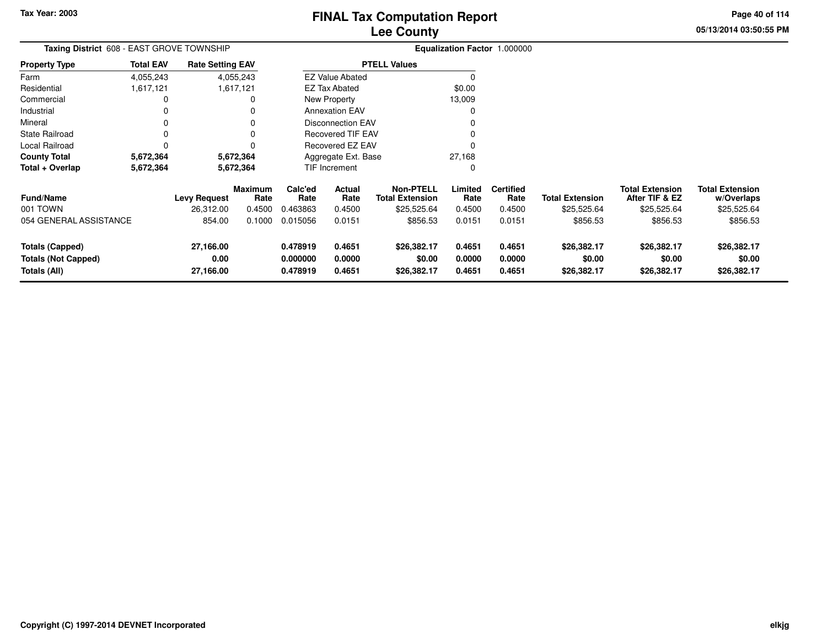**05/13/2014 03:50:55 PM Page 40 of 114**

| Taxing District 608 - EAST GROVE TOWNSHIP                            |                  |                                |                        |                                  |                                | Equalization Factor 1.000000               |                            |                            |                                      |                                          |                                      |
|----------------------------------------------------------------------|------------------|--------------------------------|------------------------|----------------------------------|--------------------------------|--------------------------------------------|----------------------------|----------------------------|--------------------------------------|------------------------------------------|--------------------------------------|
| <b>Property Type</b>                                                 | <b>Total EAV</b> | <b>Rate Setting EAV</b>        |                        |                                  |                                | <b>PTELL Values</b>                        |                            |                            |                                      |                                          |                                      |
| Farm                                                                 | 4,055,243        |                                | 4,055,243              |                                  | <b>EZ Value Abated</b>         |                                            |                            |                            |                                      |                                          |                                      |
| Residential                                                          | 1,617,121        |                                | 1,617,121              |                                  | \$0.00<br><b>EZ Tax Abated</b> |                                            |                            |                            |                                      |                                          |                                      |
| Commercial                                                           | 0                |                                | 0                      |                                  | 13,009<br>New Property         |                                            |                            |                            |                                      |                                          |                                      |
| Industrial                                                           | 0                |                                | 0                      |                                  | <b>Annexation EAV</b>          |                                            |                            |                            |                                      |                                          |                                      |
| Mineral                                                              | 0                |                                | 0                      |                                  | <b>Disconnection EAV</b>       |                                            |                            |                            |                                      |                                          |                                      |
| <b>State Railroad</b>                                                | 0                |                                | 0                      |                                  | <b>Recovered TIF EAV</b>       |                                            |                            |                            |                                      |                                          |                                      |
| Local Railroad                                                       | 0                |                                | 0                      |                                  | Recovered EZ EAV               |                                            |                            |                            |                                      |                                          |                                      |
| <b>County Total</b>                                                  | 5,672,364        |                                | 5,672,364              |                                  | Aggregate Ext. Base            |                                            | 27,168                     |                            |                                      |                                          |                                      |
| Total + Overlap                                                      | 5,672,364        | 5,672,364                      |                        | TIF Increment                    |                                |                                            |                            |                            |                                      |                                          |                                      |
| <b>Fund/Name</b>                                                     |                  | <b>Levy Request</b>            | <b>Maximum</b><br>Rate | Calc'ed<br>Rate                  | Actual<br>Rate                 | <b>Non-PTELL</b><br><b>Total Extension</b> | Limited<br>Rate            | <b>Certified</b><br>Rate   | <b>Total Extension</b>               | <b>Total Extension</b><br>After TIF & EZ | <b>Total Extension</b><br>w/Overlaps |
| 001 TOWN                                                             |                  | 26,312.00                      | 0.4500                 | 0.463863                         | 0.4500                         | \$25,525.64                                | 0.4500                     | 0.4500                     | \$25,525.64                          | \$25,525.64                              | \$25,525.64                          |
| 054 GENERAL ASSISTANCE                                               |                  | 854.00                         | 0.1000                 | 0.015056                         | 0.0151                         | \$856.53                                   | 0.0151                     | 0.0151                     | \$856.53                             | \$856.53                                 | \$856.53                             |
| <b>Totals (Capped)</b><br><b>Totals (Not Capped)</b><br>Totals (All) |                  | 27,166.00<br>0.00<br>27,166.00 |                        | 0.478919<br>0.000000<br>0.478919 | 0.4651<br>0.0000<br>0.4651     | \$26,382.17<br>\$0.00<br>\$26,382.17       | 0.4651<br>0.0000<br>0.4651 | 0.4651<br>0.0000<br>0.4651 | \$26,382.17<br>\$0.00<br>\$26,382.17 | \$26,382.17<br>\$0.00<br>\$26,382.17     | \$26,382.17<br>\$0.00<br>\$26,382.17 |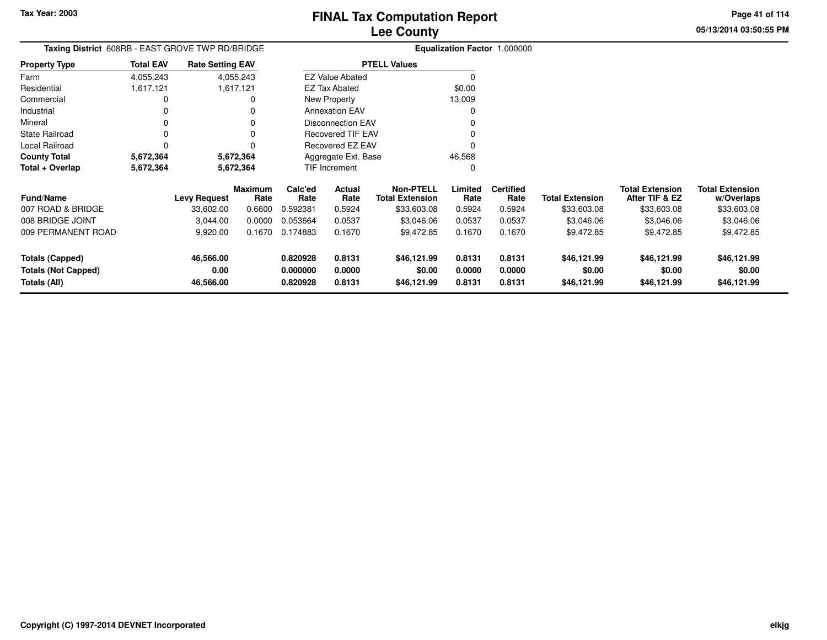**05/13/2014 03:50:55 PMPage 41 of 114**

| <b>Taxing District</b> 608RB - EAST GROVE TWP RD/BRIDGE |           |                     |                                                                                        |                |                                                                                |                                                                                                                                           |                          |                        |                                          |                                      |
|---------------------------------------------------------|-----------|---------------------|----------------------------------------------------------------------------------------|----------------|--------------------------------------------------------------------------------|-------------------------------------------------------------------------------------------------------------------------------------------|--------------------------|------------------------|------------------------------------------|--------------------------------------|
| <b>Total EAV</b>                                        |           |                     |                                                                                        |                |                                                                                |                                                                                                                                           |                          |                        |                                          |                                      |
| 4,055,243                                               |           |                     |                                                                                        |                |                                                                                |                                                                                                                                           |                          |                        |                                          |                                      |
| 1,617,121                                               |           |                     |                                                                                        |                |                                                                                | \$0.00                                                                                                                                    |                          |                        |                                          |                                      |
| 0                                                       |           |                     |                                                                                        |                |                                                                                | 13,009                                                                                                                                    |                          |                        |                                          |                                      |
| 0                                                       |           |                     |                                                                                        |                |                                                                                | O                                                                                                                                         |                          |                        |                                          |                                      |
| 0                                                       |           |                     |                                                                                        |                |                                                                                |                                                                                                                                           |                          |                        |                                          |                                      |
| 0                                                       |           |                     |                                                                                        |                |                                                                                |                                                                                                                                           |                          |                        |                                          |                                      |
| 0                                                       |           |                     |                                                                                        |                |                                                                                |                                                                                                                                           |                          |                        |                                          |                                      |
| 5,672,364                                               |           |                     |                                                                                        |                |                                                                                | 46,568                                                                                                                                    |                          |                        |                                          |                                      |
| 5,672,364                                               |           |                     |                                                                                        |                |                                                                                | 0                                                                                                                                         |                          |                        |                                          |                                      |
|                                                         |           | Rate                | Calc'ed<br>Rate                                                                        | Actual<br>Rate | <b>Non-PTELL</b><br><b>Total Extension</b>                                     | Limited<br>Rate                                                                                                                           | <b>Certified</b><br>Rate | <b>Total Extension</b> | <b>Total Extension</b><br>After TIF & EZ | <b>Total Extension</b><br>w/Overlaps |
|                                                         | 33,602.00 | 0.6600              | 0.592381                                                                               | 0.5924         | \$33,603.08                                                                    | 0.5924                                                                                                                                    | 0.5924                   | \$33,603.08            | \$33,603.08                              | \$33,603.08                          |
|                                                         | 3,044.00  | 0.0000              | 0.053664                                                                               | 0.0537         | \$3,046.06                                                                     | 0.0537                                                                                                                                    | 0.0537                   | \$3,046.06             | \$3,046.06                               | \$3,046.06                           |
|                                                         | 9,920.00  | 0.1670              | 0.174883                                                                               | 0.1670         | \$9,472.85                                                                     | 0.1670                                                                                                                                    | 0.1670                   | \$9,472.85             | \$9,472.85                               | \$9,472.85                           |
|                                                         | 46,566.00 |                     | 0.820928                                                                               | 0.8131         | \$46,121.99                                                                    | 0.8131                                                                                                                                    | 0.8131                   | \$46,121.99            | \$46,121.99                              | \$46,121.99                          |
|                                                         | 0.00      |                     | 0.000000                                                                               | 0.0000         | \$0.00                                                                         | 0.0000                                                                                                                                    | 0.0000                   | \$0.00                 | \$0.00                                   | \$0.00                               |
|                                                         | 46,566.00 |                     | 0.820928                                                                               | 0.8131         | \$46,121.99                                                                    | 0.8131                                                                                                                                    | 0.8131                   | \$46,121.99            | \$46,121.99                              | \$46,121.99                          |
|                                                         |           | <b>Levy Request</b> | <b>Rate Setting EAV</b><br>4,055,243<br>1,617,121<br>5,672,364<br>5,672,364<br>Maximum |                | <b>EZ Tax Abated</b><br>New Property<br><b>Annexation EAV</b><br>TIF Increment | <b>PTELL Values</b><br><b>EZ Value Abated</b><br><b>Disconnection EAV</b><br>Recovered TIF EAV<br>Recovered EZ EAV<br>Aggregate Ext. Base |                          |                        | <b>Equalization Factor 1.000000</b>      |                                      |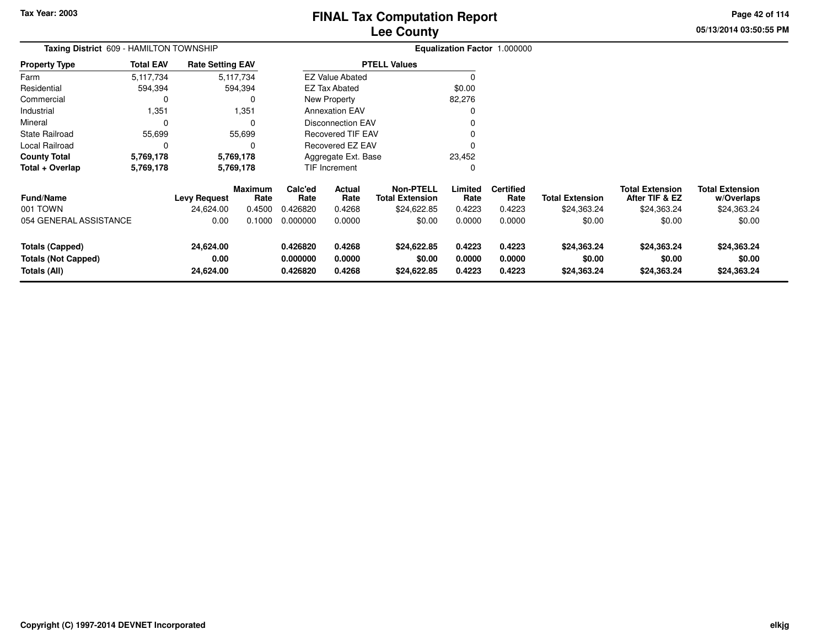**05/13/2014 03:50:55 PM Page 42 of 114**

| Taxing District 609 - HAMILTON TOWNSHIP                              |                    |                                  |                           |                                  |                            |                                                           |                            | Equalization Factor 1.000000       |                                       |                                                         |                                                     |
|----------------------------------------------------------------------|--------------------|----------------------------------|---------------------------|----------------------------------|----------------------------|-----------------------------------------------------------|----------------------------|------------------------------------|---------------------------------------|---------------------------------------------------------|-----------------------------------------------------|
| <b>Property Type</b>                                                 | <b>Total EAV</b>   | <b>Rate Setting EAV</b>          |                           |                                  |                            | <b>PTELL Values</b>                                       |                            |                                    |                                       |                                                         |                                                     |
| Farm                                                                 | 5,117,734          |                                  | 5,117,734                 |                                  | <b>EZ Value Abated</b>     |                                                           |                            |                                    |                                       |                                                         |                                                     |
| Residential                                                          | 594,394<br>594,394 |                                  |                           |                                  | EZ Tax Abated              |                                                           | \$0.00                     |                                    |                                       |                                                         |                                                     |
| Commercial                                                           | 0<br>0             |                                  |                           |                                  | New Property               |                                                           | 82,276                     |                                    |                                       |                                                         |                                                     |
| Industrial                                                           | 1,351<br>1,351     |                                  |                           |                                  | <b>Annexation EAV</b>      |                                                           | $\Omega$                   |                                    |                                       |                                                         |                                                     |
| Mineral                                                              | $\Omega$<br>0      |                                  |                           |                                  | <b>Disconnection EAV</b>   |                                                           |                            |                                    |                                       |                                                         |                                                     |
| <b>State Railroad</b>                                                | 55,699             |                                  | 55,699                    |                                  | <b>Recovered TIF EAV</b>   |                                                           |                            |                                    |                                       |                                                         |                                                     |
| Local Railroad                                                       | 0                  |                                  | 0                         |                                  | Recovered EZ EAV           |                                                           | 0                          |                                    |                                       |                                                         |                                                     |
| <b>County Total</b>                                                  | 5,769,178          |                                  | 5,769,178                 |                                  | Aggregate Ext. Base        |                                                           | 23,452                     |                                    |                                       |                                                         |                                                     |
| Total + Overlap                                                      | 5,769,178          | 5,769,178                        |                           |                                  | <b>TIF Increment</b>       |                                                           | $\Omega$                   |                                    |                                       |                                                         |                                                     |
| <b>Fund/Name</b><br>001 TOWN                                         |                    | <b>Levy Request</b><br>24,624.00 | Maximum<br>Rate<br>0.4500 | Calc'ed<br>Rate<br>0.426820      | Actual<br>Rate<br>0.4268   | <b>Non-PTELL</b><br><b>Total Extension</b><br>\$24,622.85 | Limited<br>Rate<br>0.4223  | <b>Certified</b><br>Rate<br>0.4223 | <b>Total Extension</b><br>\$24,363.24 | <b>Total Extension</b><br>After TIF & EZ<br>\$24,363.24 | <b>Total Extension</b><br>w/Overlaps<br>\$24,363.24 |
| 054 GENERAL ASSISTANCE                                               |                    | 0.00                             | 0.1000                    | 0.000000                         | 0.0000                     | \$0.00                                                    | 0.0000                     | 0.0000                             | \$0.00                                | \$0.00                                                  | \$0.00                                              |
| <b>Totals (Capped)</b><br><b>Totals (Not Capped)</b><br>Totals (All) |                    | 24,624.00<br>0.00<br>24,624.00   |                           | 0.426820<br>0.000000<br>0.426820 | 0.4268<br>0.0000<br>0.4268 | \$24,622.85<br>\$0.00<br>\$24,622.85                      | 0.4223<br>0.0000<br>0.4223 | 0.4223<br>0.0000<br>0.4223         | \$24,363.24<br>\$0.00<br>\$24,363.24  | \$24,363.24<br>\$0.00<br>\$24,363.24                    | \$24,363.24<br>\$0.00<br>\$24,363.24                |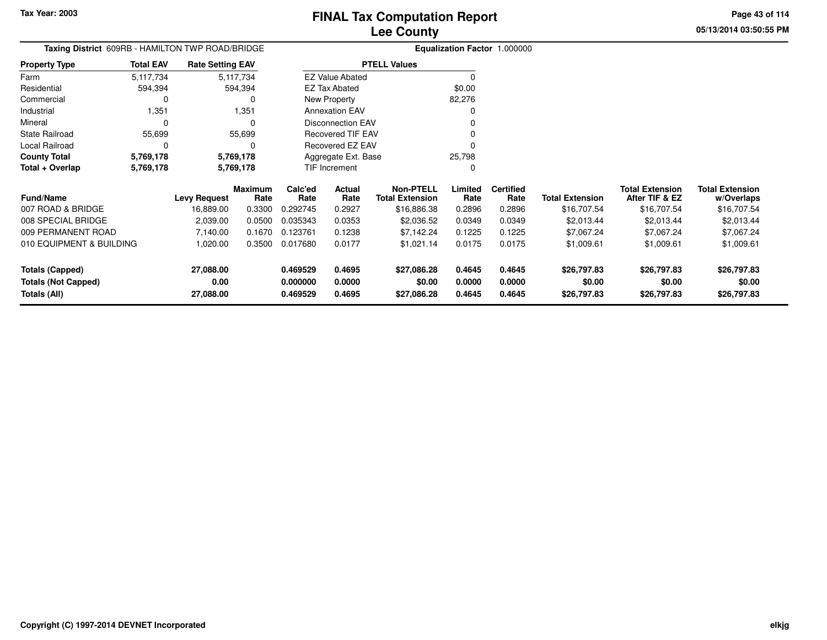Local Railroad 0<br> **County Total** 5,769,178

**5,769,178 5,769,178**

**County Total 5,769,178 5,769,178**

**Total + Overlap**

# **Lee CountyFINAL Tax Computation Report**

<sup>0</sup>

0

25,798 $\pmb{0}$  **05/13/2014 03:50:55 PMPage 43 of 114**

|                      | Lee County       |                                                  |                          |                              |  |  |  |  |  |  |  |
|----------------------|------------------|--------------------------------------------------|--------------------------|------------------------------|--|--|--|--|--|--|--|
|                      |                  | Taxing District 609RB - HAMILTON TWP ROAD/BRIDGE |                          | Equalization Factor 1.000000 |  |  |  |  |  |  |  |
| <b>Property Type</b> | <b>Total EAV</b> | <b>Rate Setting EAV</b>                          | <b>PTELL Values</b>      |                              |  |  |  |  |  |  |  |
| Farm                 | 5,117,734        | 5,117,734                                        | <b>EZ Value Abated</b>   |                              |  |  |  |  |  |  |  |
| Residential          | 594.394          | 594.394                                          | EZ Tax Abated            | \$0.00                       |  |  |  |  |  |  |  |
| Commercial           |                  |                                                  | New Property             | 82,276                       |  |  |  |  |  |  |  |
| Industrial           | 1.351            | 1.351                                            | <b>Annexation EAV</b>    | 0                            |  |  |  |  |  |  |  |
| Mineral              |                  |                                                  | Disconnection EAV        | 0                            |  |  |  |  |  |  |  |
| State Railroad       | 55.699           | 55.699                                           | <b>Recovered TIF EAV</b> |                              |  |  |  |  |  |  |  |
|                      |                  |                                                  |                          |                              |  |  |  |  |  |  |  |

Recovered EZ EAV

Aggregate Ext. BaseTIF Increment

 $\mathsf 0$ 

5,769,178

5,769,178

| <b>Fund/Name</b>                                              | <b>Levy Request</b>            | <b>Maximum</b><br>Rate | Calc'ed<br>Rate                  | Actual<br>Rate             | Non-PTELL<br><b>Total Extension</b>  | Limited<br>Rate            | <b>Certified</b><br>Rate   | <b>Total Extension</b>               | <b>Total Extension</b><br>After TIF & EZ | <b>Total Extension</b><br>w/Overlaps |
|---------------------------------------------------------------|--------------------------------|------------------------|----------------------------------|----------------------------|--------------------------------------|----------------------------|----------------------------|--------------------------------------|------------------------------------------|--------------------------------------|
| 007 ROAD & BRIDGE<br>008 SPECIAL BRIDGE                       | 16.889.00<br>2.039.00          | 0.3300<br>0.0500       | 0.292745<br>0.035343             | 0.2927<br>0.0353           | \$16,886.38<br>\$2,036.52            | 0.2896<br>0.0349           | 0.2896<br>0.0349           | \$16,707.54<br>\$2,013.44            | \$16,707.54<br>\$2.013.44                | \$16,707.54<br>\$2.013.44            |
| 009 PERMANENT ROAD                                            | 7.140.00                       | 0.1670                 | 0.123761                         | 0.1238                     | \$7.142.24                           | 0.1225                     | 0.1225                     | \$7,067.24                           | \$7,067.24                               | \$7,067.24                           |
| 010 EQUIPMENT & BUILDING                                      | 1.020.00                       | 0.3500                 | 0.017680                         | 0.0177                     | \$1.021.14                           | 0.0175                     | 0.0175                     | \$1,009.61                           | \$1,009.61                               | \$1,009.61                           |
| Totals (Capped)<br><b>Totals (Not Capped)</b><br>Totals (All) | 27,088.00<br>0.00<br>27,088.00 |                        | 0.469529<br>0.000000<br>0.469529 | 0.4695<br>0.0000<br>0.4695 | \$27,086.28<br>\$0.00<br>\$27,086.28 | 0.4645<br>0.0000<br>0.4645 | 0.4645<br>0.0000<br>0.4645 | \$26,797.83<br>\$0.00<br>\$26,797.83 | \$26,797.83<br>\$0.00<br>\$26,797.83     | \$26,797.83<br>\$0.00<br>\$26,797.83 |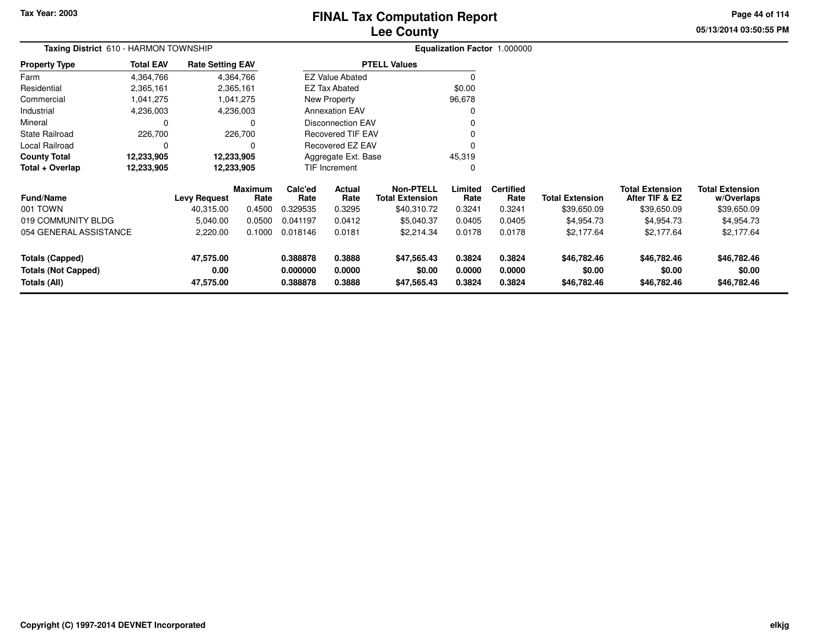**Property Type**

FarmResidential

2,365,161 2,365,161

4,364,7662,365,161

# **Lee CountyFINAL Tax Computation Report**

**05/13/2014 03:50:55 PMPage 44 of 114**

|          |                                       |                         | Lee County          |                              |
|----------|---------------------------------------|-------------------------|---------------------|------------------------------|
|          | Taxing District 610 - HARMON TOWNSHIP |                         |                     | Equalization Factor 1.000000 |
| rty Type | <b>Total EAV</b>                      | <b>Rate Setting EAV</b> | <b>PTELL Values</b> |                              |
|          | 4.364.766                             | 4,364,766               | EZ Value Abated     |                              |

\$0.00

| Commercial                 | .041,275               |                     | 1,041,275              |                 | New Property             |                                     | 96,678          |                          |                        |                                          |                                      |
|----------------------------|------------------------|---------------------|------------------------|-----------------|--------------------------|-------------------------------------|-----------------|--------------------------|------------------------|------------------------------------------|--------------------------------------|
| Industrial                 | 4,236,003<br>4,236,003 |                     |                        |                 | <b>Annexation EAV</b>    |                                     | $\Omega$        |                          |                        |                                          |                                      |
| Mineral                    | $\Omega$               |                     | $\Omega$               |                 | <b>Disconnection EAV</b> |                                     | $\Omega$        |                          |                        |                                          |                                      |
| State Railroad             | 226,700                |                     | 226,700                |                 | Recovered TIF EAV        |                                     | 0               |                          |                        |                                          |                                      |
| Local Railroad             | 0                      |                     | 0                      |                 | Recovered EZ EAV         |                                     | $\Omega$        |                          |                        |                                          |                                      |
| <b>County Total</b>        | 12,233,905             |                     | 12,233,905             |                 | Aggregate Ext. Base      |                                     | 45,319          |                          |                        |                                          |                                      |
| Total + Overlap            | 12,233,905             |                     | 12,233,905             |                 | TIF Increment            |                                     | $\Omega$        |                          |                        |                                          |                                      |
| <b>Fund/Name</b>           |                        | <b>Levy Request</b> | <b>Maximum</b><br>Rate | Calc'ed<br>Rate | Actual<br>Rate           | <b>Non-PTELL</b><br>Total Extension | Limited<br>Rate | <b>Certified</b><br>Rate | <b>Total Extension</b> | <b>Total Extension</b><br>After TIF & EZ | <b>Total Extension</b><br>w/Overlaps |
| 001 TOWN                   |                        | 40,315.00           | 0.4500                 | 0.329535        | 0.3295                   | \$40,310.72                         | 0.3241          | 0.3241                   | \$39,650.09            | \$39,650.09                              | \$39,650.09                          |
| 019 COMMUNITY BLDG         |                        | 5,040.00            | 0.0500                 | 0.041197        | 0.0412                   | \$5,040.37                          | 0.0405          | 0.0405                   | \$4,954.73             | \$4,954.73                               | \$4,954.73                           |
| 054 GENERAL ASSISTANCE     |                        | 2,220.00            | 0.1000                 | 0.018146        | 0.0181                   | \$2,214.34                          | 0.0178          | 0.0178                   | \$2,177.64             | \$2,177.64                               | \$2,177.64                           |
| <b>Totals (Capped)</b>     |                        | 47,575.00           |                        | 0.388878        | 0.3888                   | \$47,565.43                         | 0.3824          | 0.3824                   | \$46,782.46            | \$46,782.46                              | \$46,782.46                          |
| <b>Totals (Not Capped)</b> |                        | 0.00                |                        | 0.000000        | 0.0000                   | \$0.00                              | 0.0000          | 0.0000                   | \$0.00                 | \$0.00                                   | \$0.00                               |
| Totals (All)               |                        | 47,575.00           |                        | 0.388878        | 0.3888                   | \$47,565.43                         | 0.3824          | 0.3824                   | \$46,782.46            | \$46,782.46                              | \$46,782.46                          |

EZ Tax Abated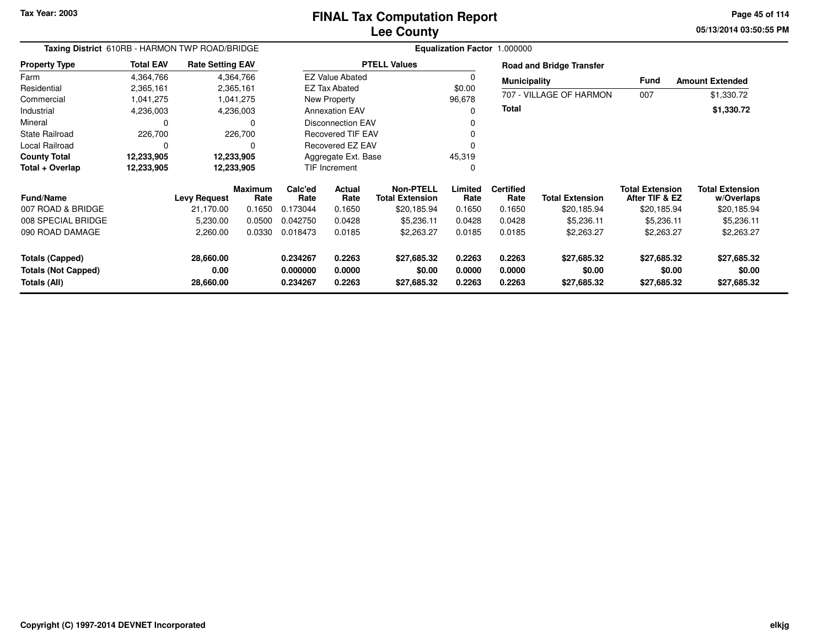**05/13/2014 03:50:55 PM Page 45 of 114**

| Taxing District 610RB - HARMON TWP ROAD/BRIDGE |                  |                         |                        | Equalization Factor 1.000000 |                          |                                            |                  |                          |                                 |                                          |                                      |  |  |
|------------------------------------------------|------------------|-------------------------|------------------------|------------------------------|--------------------------|--------------------------------------------|------------------|--------------------------|---------------------------------|------------------------------------------|--------------------------------------|--|--|
| <b>Property Type</b>                           | <b>Total EAV</b> | <b>Rate Setting EAV</b> |                        |                              |                          | <b>PTELL Values</b>                        |                  |                          | <b>Road and Bridge Transfer</b> |                                          |                                      |  |  |
| Farm                                           | 4,364,766        |                         | 4,364,766              |                              | <b>EZ Value Abated</b>   |                                            | $\Omega$         | <b>Municipality</b>      |                                 | Fund                                     | <b>Amount Extended</b>               |  |  |
| Residential                                    | 2,365,161        |                         | 2,365,161              |                              | EZ Tax Abated            |                                            | \$0.00           |                          |                                 |                                          |                                      |  |  |
| Commercial                                     | 1,041,275        |                         | 1,041,275              | New Property                 |                          |                                            | 96,678           |                          | 707 - VILLAGE OF HARMON         | 007                                      | \$1,330.72                           |  |  |
| Industrial                                     | 4,236,003        |                         | 4,236,003              | <b>Annexation EAV</b>        |                          |                                            | $\Omega$         | <b>Total</b>             |                                 |                                          | \$1,330.72                           |  |  |
| Mineral                                        |                  |                         | 0                      |                              | <b>Disconnection EAV</b> |                                            |                  |                          |                                 |                                          |                                      |  |  |
| <b>State Railroad</b>                          | 226,700          |                         | 226,700                |                              | <b>Recovered TIF EAV</b> |                                            |                  |                          |                                 |                                          |                                      |  |  |
| Local Railroad                                 | $\Omega$         |                         | $\Omega$               |                              | <b>Recovered EZ EAV</b>  |                                            |                  |                          |                                 |                                          |                                      |  |  |
| <b>County Total</b>                            | 12,233,905       |                         | 12,233,905             |                              | Aggregate Ext. Base      |                                            | 45,319           |                          |                                 |                                          |                                      |  |  |
| Total + Overlap                                | 12,233,905       |                         | 12,233,905             | TIF Increment                |                          |                                            | 0                |                          |                                 |                                          |                                      |  |  |
| <b>Fund/Name</b>                               |                  | <b>Levy Request</b>     | <b>Maximum</b><br>Rate | Calc'ed<br>Rate              | Actual<br>Rate           | <b>Non-PTELL</b><br><b>Total Extension</b> | Limited<br>Rate  | <b>Certified</b><br>Rate | <b>Total Extension</b>          | <b>Total Extension</b><br>After TIF & EZ | <b>Total Extension</b><br>w/Overlaps |  |  |
| 007 ROAD & BRIDGE                              |                  | 21,170.00               | 0.1650                 | 0.173044                     | 0.1650                   | \$20,185.94                                | 0.1650           | 0.1650                   | \$20,185.94                     | \$20,185.94                              | \$20,185.94                          |  |  |
| 008 SPECIAL BRIDGE                             |                  | 5,230.00                | 0.0500                 | 0.042750                     | 0.0428                   | \$5,236.11                                 | 0.0428           | 0.0428                   | \$5,236.11                      | \$5,236.11                               | \$5,236.11                           |  |  |
| 090 ROAD DAMAGE                                |                  | 2,260.00                | 0.0330                 | 0.018473                     | 0.0185                   | \$2,263.27                                 | 0.0185           | 0.0185                   | \$2,263.27                      | \$2,263.27                               | \$2,263.27                           |  |  |
| <b>Totals (Capped)</b>                         |                  | 28,660.00               |                        | 0.234267                     | 0.2263                   | \$27,685.32                                | 0.2263           | 0.2263                   | \$27,685.32                     | \$27,685.32                              | \$27,685.32                          |  |  |
| <b>Totals (Not Capped)</b><br>Totals (All)     |                  | 0.00<br>28,660.00       |                        | 0.000000<br>0.234267         | 0.0000<br>0.2263         | \$0.00<br>\$27,685.32                      | 0.0000<br>0.2263 | 0.0000<br>0.2263         | \$0.00<br>\$27,685.32           | \$0.00<br>\$27,685.32                    | \$0.00<br>\$27,685.32                |  |  |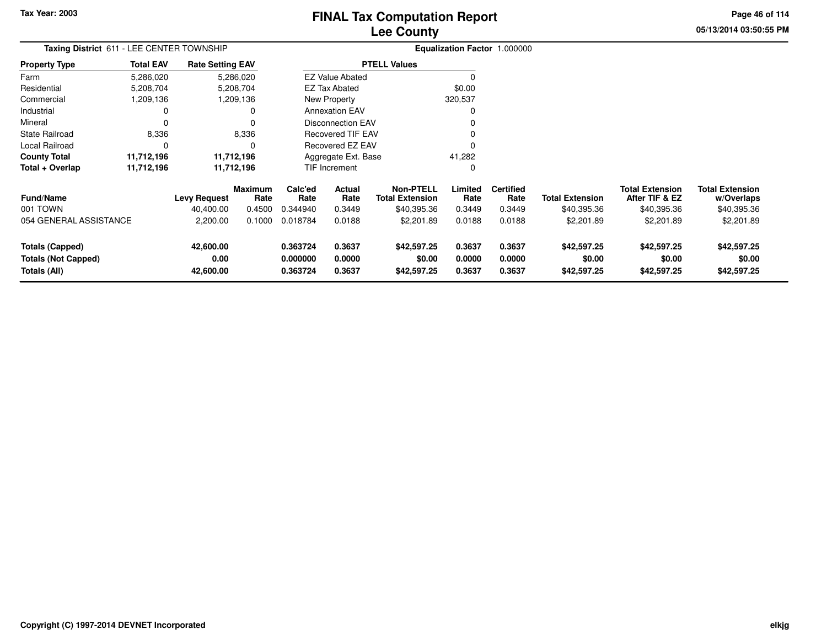# **Lee CountyFINAL Tax Computation Report**

**05/13/2014 03:50:55 PM Page 46 of 114**

| Taxing District 611 - LEE CENTER TOWNSHIP                            |                  |                                |                 |                                  |                                | Equalization Factor 1.000000               |                            |                            |                                      |                                          |                                      |
|----------------------------------------------------------------------|------------------|--------------------------------|-----------------|----------------------------------|--------------------------------|--------------------------------------------|----------------------------|----------------------------|--------------------------------------|------------------------------------------|--------------------------------------|
| <b>Property Type</b>                                                 | <b>Total EAV</b> | <b>Rate Setting EAV</b>        |                 |                                  |                                | <b>PTELL Values</b>                        |                            |                            |                                      |                                          |                                      |
| Farm                                                                 | 5,286,020        |                                | 5,286,020       |                                  | <b>EZ Value Abated</b>         |                                            |                            |                            |                                      |                                          |                                      |
| Residential                                                          | 5,208,704        |                                | 5,208,704       |                                  | \$0.00<br><b>EZ Tax Abated</b> |                                            |                            |                            |                                      |                                          |                                      |
| Commercial                                                           | 1,209,136        |                                | 1,209,136       |                                  | New Property<br>320,537        |                                            |                            |                            |                                      |                                          |                                      |
| Industrial                                                           |                  |                                | 0               |                                  | <b>Annexation EAV</b>          |                                            |                            |                            |                                      |                                          |                                      |
| Mineral                                                              |                  |                                | $\Omega$        |                                  | <b>Disconnection EAV</b>       |                                            |                            |                            |                                      |                                          |                                      |
| <b>State Railroad</b>                                                | 8,336            |                                | 8,336           |                                  | <b>Recovered TIF EAV</b>       |                                            |                            |                            |                                      |                                          |                                      |
| Local Railroad                                                       | 0                |                                | $\Omega$        |                                  | <b>Recovered EZ EAV</b>        |                                            |                            |                            |                                      |                                          |                                      |
| <b>County Total</b>                                                  | 11,712,196       |                                | 11,712,196      |                                  | Aggregate Ext. Base            |                                            | 41,282                     |                            |                                      |                                          |                                      |
| Total + Overlap                                                      | 11,712,196       |                                | 11,712,196      |                                  | <b>TIF Increment</b>           |                                            | 0                          |                            |                                      |                                          |                                      |
| <b>Fund/Name</b>                                                     |                  | <b>Levy Request</b>            | Maximum<br>Rate | Calc'ed<br>Rate                  | Actual<br>Rate                 | <b>Non-PTELL</b><br><b>Total Extension</b> | Limited<br>Rate            | <b>Certified</b><br>Rate   | <b>Total Extension</b>               | <b>Total Extension</b><br>After TIF & EZ | <b>Total Extension</b><br>w/Overlaps |
| 001 TOWN                                                             |                  | 40.400.00                      | 0.4500          | 0.344940                         | 0.3449                         | \$40,395.36                                | 0.3449                     | 0.3449                     | \$40,395.36                          | \$40,395.36                              | \$40,395.36                          |
| 054 GENERAL ASSISTANCE                                               |                  | 2,200.00                       | 0.1000          | 0.018784                         | 0.0188                         | \$2,201.89                                 | 0.0188                     | 0.0188                     | \$2,201.89                           | \$2,201.89                               | \$2,201.89                           |
| <b>Totals (Capped)</b><br><b>Totals (Not Capped)</b><br>Totals (All) |                  | 42,600.00<br>0.00<br>42,600.00 |                 | 0.363724<br>0.000000<br>0.363724 | 0.3637<br>0.0000<br>0.3637     | \$42,597.25<br>\$0.00<br>\$42,597.25       | 0.3637<br>0.0000<br>0.3637 | 0.3637<br>0.0000<br>0.3637 | \$42,597.25<br>\$0.00<br>\$42,597.25 | \$42,597.25<br>\$0.00<br>\$42,597.25     | \$42,597.25<br>\$0.00<br>\$42,597.25 |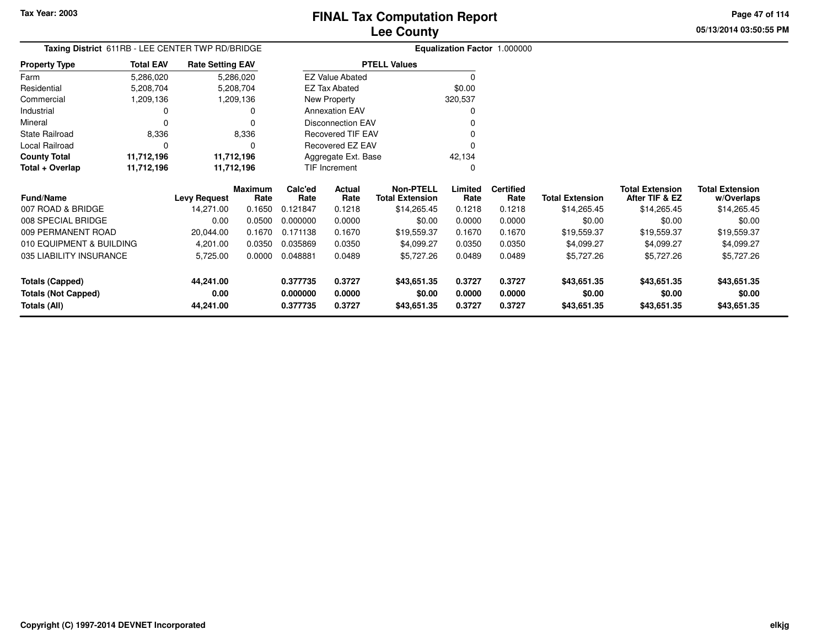**Totals (All)**

# **Lee CountyFINAL Tax Computation Report**

**0.000000 0.0000 \$0.00 0.0000 0.0000 \$0.00 \$0.00 \$0.00**

**0.377735 0.3727 \$43,651.35 0.3727 0.3727 \$43,651.35 \$43,651.35 \$43,651.35**

**05/13/2014 03:50:55 PMPage 47 of 114**

> **w/Overlaps**\$14,265.45

|                            | Taxing District 611RB - LEE CENTER TWP RD/BRIDGE |                         |                        |                 |                          |                                            |                 | Equalization Factor 1.000000 |                        |                                          |                                      |
|----------------------------|--------------------------------------------------|-------------------------|------------------------|-----------------|--------------------------|--------------------------------------------|-----------------|------------------------------|------------------------|------------------------------------------|--------------------------------------|
| <b>Property Type</b>       | <b>Total EAV</b>                                 | <b>Rate Setting EAV</b> |                        |                 |                          | <b>PTELL Values</b>                        |                 |                              |                        |                                          |                                      |
| Farm                       | 5,286,020                                        |                         | 5,286,020              |                 | <b>EZ Value Abated</b>   |                                            |                 |                              |                        |                                          |                                      |
| Residential                | 5,208,704                                        |                         | 5,208,704              |                 | <b>EZ Tax Abated</b>     |                                            | \$0.00          |                              |                        |                                          |                                      |
| Commercial                 | 1,209,136                                        |                         | 1,209,136              |                 | New Property             |                                            | 320,537         |                              |                        |                                          |                                      |
| Industrial                 |                                                  |                         |                        |                 | <b>Annexation EAV</b>    |                                            |                 |                              |                        |                                          |                                      |
| Mineral                    |                                                  |                         |                        |                 | <b>Disconnection EAV</b> |                                            |                 |                              |                        |                                          |                                      |
| <b>State Railroad</b>      | 8,336                                            |                         | 8,336                  |                 | Recovered TIF EAV        |                                            |                 |                              |                        |                                          |                                      |
| Local Railroad             |                                                  |                         | 0                      |                 | Recovered EZ EAV         |                                            |                 |                              |                        |                                          |                                      |
| <b>County Total</b>        | 11,712,196                                       | 11,712,196              |                        |                 | Aggregate Ext. Base      |                                            | 42,134          |                              |                        |                                          |                                      |
| Total + Overlap            | 11,712,196                                       |                         | 11,712,196             |                 | TIF Increment            |                                            |                 |                              |                        |                                          |                                      |
| <b>Fund/Name</b>           |                                                  | <b>Levy Request</b>     | <b>Maximum</b><br>Rate | Calc'ed<br>Rate | Actual<br>Rate           | <b>Non-PTELL</b><br><b>Total Extension</b> | Limited<br>Rate | <b>Certified</b><br>Rate     | <b>Total Extension</b> | <b>Total Extension</b><br>After TIF & EZ | <b>Total Extension</b><br>w/Overlaps |
| 007 ROAD & BRIDGE          |                                                  | 14,271.00               | 0.1650                 | 0.121847        | 0.1218                   | \$14,265.45                                | 0.1218          | 0.1218                       | \$14,265.45            | \$14,265.45                              | \$14,265.45                          |
| 008 SPECIAL BRIDGE         |                                                  | 0.00                    | 0.0500                 | 0.000000        | 0.0000                   | \$0.00                                     | 0.0000          | 0.0000                       | \$0.00                 | \$0.00                                   | \$0.00                               |
| 009 PERMANENT ROAD         |                                                  | 20,044.00               | 0.1670                 | 0.171138        | 0.1670                   | \$19,559.37                                | 0.1670          | 0.1670                       | \$19,559.37            | \$19,559.37                              | \$19,559.37                          |
| 010 EQUIPMENT & BUILDING   |                                                  | 4,201.00                | 0.0350                 | 0.035869        | 0.0350                   | \$4,099.27                                 | 0.0350          | 0.0350                       | \$4,099.27             | \$4,099.27                               | \$4,099.27                           |
| 035 LIABILITY INSURANCE    |                                                  | 5,725.00                | 0.0000                 | 0.048881        | 0.0489                   | \$5,727.26                                 | 0.0489          | 0.0489                       | \$5,727.26             | \$5,727.26                               | \$5,727.26                           |
| <b>Totals (Capped)</b>     |                                                  | 44,241.00               |                        | 0.377735        | 0.3727                   | \$43,651.35                                | 0.3727          | 0.3727                       | \$43,651.35            | \$43,651.35                              | \$43,651.35                          |
| <b>Totals (Not Capped)</b> |                                                  | 0.00                    |                        | 0.000000        | 0.0000                   | \$0.00                                     | 0.0000          | 0.0000                       | \$0.00                 | \$0.00                                   | \$0.00                               |

**44,241.00**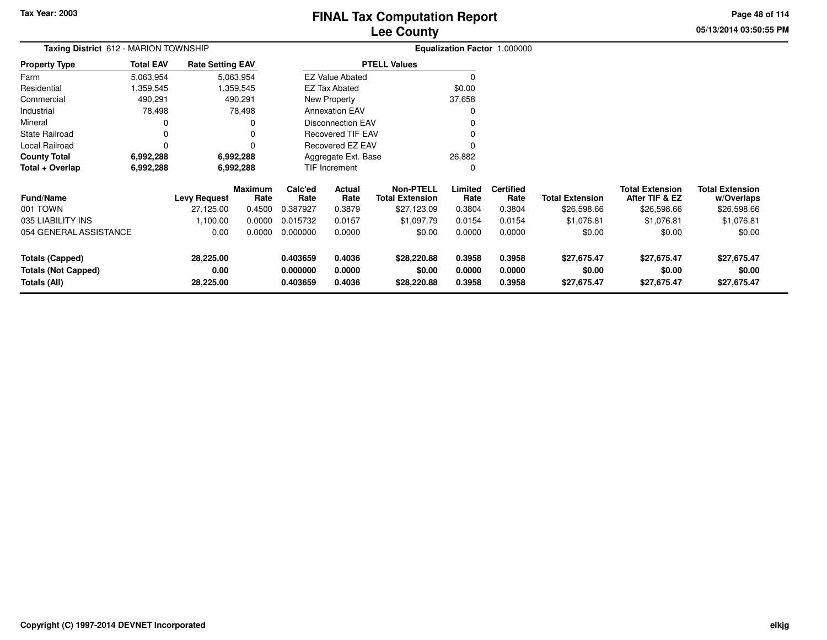# **Lee CountyFINAL Tax Computation Report**

**05/13/2014 03:50:55 PM Page 48 of 114**

|                       | Taxing District 612 - MARION TOWNSHIP |                         |                          | Equalization Factor 1.000000 |  |
|-----------------------|---------------------------------------|-------------------------|--------------------------|------------------------------|--|
| <b>Property Type</b>  | <b>Total EAV</b>                      | <b>Rate Setting EAV</b> | <b>PTELL Values</b>      |                              |  |
| Farm                  | 5,063,954                             | 5,063,954               | <b>EZ Value Abated</b>   |                              |  |
| Residential           | 1,359,545                             | 1,359,545               | EZ Tax Abated            | \$0.00                       |  |
| Commercial            | 490,291                               | 490,291                 | New Property             | 37,658                       |  |
| Industrial            | 78,498                                | 78.498                  | <b>Annexation EAV</b>    |                              |  |
| Mineral               |                                       | 0                       | Disconnection EAV        |                              |  |
| <b>State Railroad</b> |                                       | 0                       | <b>Recovered TIF EAV</b> |                              |  |
| Local Railroad        |                                       | $\Omega$                | <b>Recovered EZ EAV</b>  |                              |  |
| <b>County Total</b>   | 6,992,288                             | 6,992,288               | Aggregate Ext. Base      | 26,882                       |  |
| Total + Overlap       | 6,992,288                             | 6,992,288               | <b>TIF Increment</b>     | 0                            |  |
|                       |                                       |                         |                          |                              |  |

| <b>Fund/Name</b>           | <b>Levy Request</b> | <b>Maximum</b><br>Rate | Calc'ed<br>Rate | Actual<br>Rate | <b>Non-PTELL</b><br>Total Extension | Limited<br>Rate | <b>Certified</b><br>Rate | <b>Total Extension</b> | <b>Total Extension</b><br>After TIF & EZ | <b>Total Extension</b><br>w/Overlaps |
|----------------------------|---------------------|------------------------|-----------------|----------------|-------------------------------------|-----------------|--------------------------|------------------------|------------------------------------------|--------------------------------------|
| 001 TOWN                   | 27.125.00           | 0.4500                 | 0.387927        | 0.3879         | \$27,123.09                         | 0.3804          | 0.3804                   | \$26,598.66            | \$26,598.66                              | \$26,598.66                          |
| 035 LIABILITY INS          | 1.100.00            | 0.0000                 | 0.015732        | 0.0157         | \$1.097.79                          | 0.0154          | 0.0154                   | \$1,076.81             | \$1,076.81                               | \$1,076.81                           |
| 054 GENERAL ASSISTANCE     | 0.00                | 0.0000                 | 0.000000        | 0.0000         | \$0.00                              | 0.0000          | 0.0000                   | \$0.00                 | \$0.00                                   | \$0.00                               |
| Totals (Capped)            | 28.225.00           |                        | 0.403659        | 0.4036         | \$28,220.88                         | 0.3958          | 0.3958                   | \$27.675.47            | \$27.675.47                              | \$27,675.47                          |
| <b>Totals (Not Capped)</b> | 0.00                |                        | 0.000000        | 0.0000         | \$0.00                              | 0.0000          | 0.0000                   | \$0.00                 | \$0.00                                   | \$0.00                               |
| Totals (All)               | 28,225.00           |                        | 0.403659        | 0.4036         | \$28,220.88                         | 0.3958          | 0.3958                   | \$27,675.47            | \$27,675.47                              | \$27,675.47                          |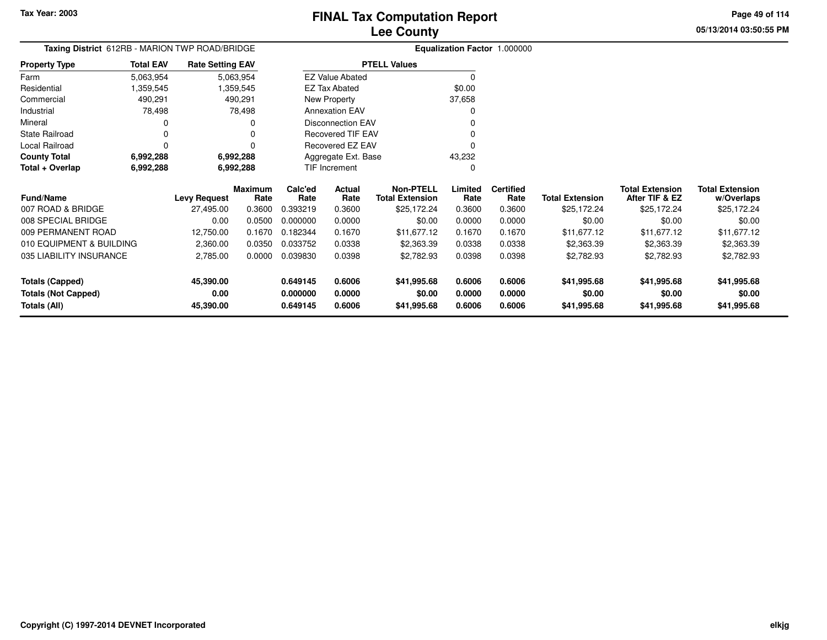**05/13/2014 03:50:55 PMPage 49 of 114**

| Taxing District 612RB - MARION TWP ROAD/BRIDGE |                  |                         |                 | <b>Equalization Factor 1.000000</b> |                          |                                            |                 |                          |                        |                                          |                                      |
|------------------------------------------------|------------------|-------------------------|-----------------|-------------------------------------|--------------------------|--------------------------------------------|-----------------|--------------------------|------------------------|------------------------------------------|--------------------------------------|
| <b>Property Type</b>                           | <b>Total EAV</b> | <b>Rate Setting EAV</b> |                 |                                     |                          | <b>PTELL Values</b>                        |                 |                          |                        |                                          |                                      |
| Farm                                           | 5,063,954        |                         | 5,063,954       |                                     | <b>EZ Value Abated</b>   |                                            | $\mathbf 0$     |                          |                        |                                          |                                      |
| Residential                                    | 359,545.         |                         | 359,545. ا      |                                     | <b>EZ Tax Abated</b>     |                                            | \$0.00          |                          |                        |                                          |                                      |
| Commercial                                     | 490,291          |                         | 490,291         |                                     | New Property             |                                            | 37,658          |                          |                        |                                          |                                      |
| Industrial                                     | 78,498           |                         | 78,498          |                                     | <b>Annexation EAV</b>    |                                            | $\Omega$        |                          |                        |                                          |                                      |
| Mineral                                        | 0                |                         | 0               |                                     | <b>Disconnection EAV</b> |                                            |                 |                          |                        |                                          |                                      |
| <b>State Railroad</b>                          | 0                |                         |                 |                                     | Recovered TIF EAV        |                                            |                 |                          |                        |                                          |                                      |
| Local Railroad                                 | $\Omega$         |                         | $\Omega$        |                                     | Recovered EZ EAV         |                                            | $\Omega$        |                          |                        |                                          |                                      |
| <b>County Total</b>                            | 6,992,288        |                         | 6,992,288       |                                     | Aggregate Ext. Base      |                                            | 43,232          |                          |                        |                                          |                                      |
| Total + Overlap                                | 6,992,288        |                         | 6,992,288       |                                     | TIF Increment            |                                            | $\Omega$        |                          |                        |                                          |                                      |
| Fund/Name                                      |                  | <b>Levy Request</b>     | Maximum<br>Rate | Calc'ed<br>Rate                     | Actual<br>Rate           | <b>Non-PTELL</b><br><b>Total Extension</b> | Limited<br>Rate | <b>Certified</b><br>Rate | <b>Total Extension</b> | <b>Total Extension</b><br>After TIF & EZ | <b>Total Extension</b><br>w/Overlaps |
| 007 ROAD & BRIDGE                              |                  | 27,495.00               | 0.3600          | 0.393219                            | 0.3600                   | \$25,172.24                                | 0.3600          | 0.3600                   | \$25,172.24            | \$25,172.24                              | \$25,172.24                          |
| 008 SPECIAL BRIDGE                             |                  | 0.00                    | 0.0500          | 0.000000                            | 0.0000                   | \$0.00                                     | 0.0000          | 0.0000                   | \$0.00                 | \$0.00                                   | \$0.00                               |
| 009 PERMANENT ROAD                             |                  | 12,750.00               | 0.1670          | 0.182344                            | 0.1670                   | \$11,677.12                                | 0.1670          | 0.1670                   | \$11,677.12            | \$11,677.12                              | \$11,677.12                          |
| 010 EQUIPMENT & BUILDING                       |                  | 2,360.00                | 0.0350          | 0.033752                            | 0.0338                   | \$2,363.39                                 | 0.0338          | 0.0338                   | \$2,363.39             | \$2,363.39                               | \$2,363.39                           |
| 035 LIABILITY INSURANCE                        |                  | 2,785.00                | 0.0000          | 0.039830                            | 0.0398                   | \$2,782.93                                 | 0.0398          | 0.0398                   | \$2,782.93             | \$2,782.93                               | \$2,782.93                           |
| <b>Totals (Capped)</b>                         |                  | 45,390.00               |                 | 0.649145                            | 0.6006                   | \$41,995.68                                | 0.6006          | 0.6006                   | \$41,995.68            | \$41,995.68                              | \$41,995.68                          |
| <b>Totals (Not Capped)</b>                     |                  | 0.00                    |                 | 0.000000                            | 0.0000                   | \$0.00                                     | 0.0000          | 0.0000                   | \$0.00                 | \$0.00                                   | \$0.00                               |
| Totals (All)                                   |                  | 45,390.00               |                 | 0.649145                            | 0.6006                   | \$41,995.68                                | 0.6006          | 0.6006                   | \$41,995.68            | \$41,995.68                              | \$41,995.68                          |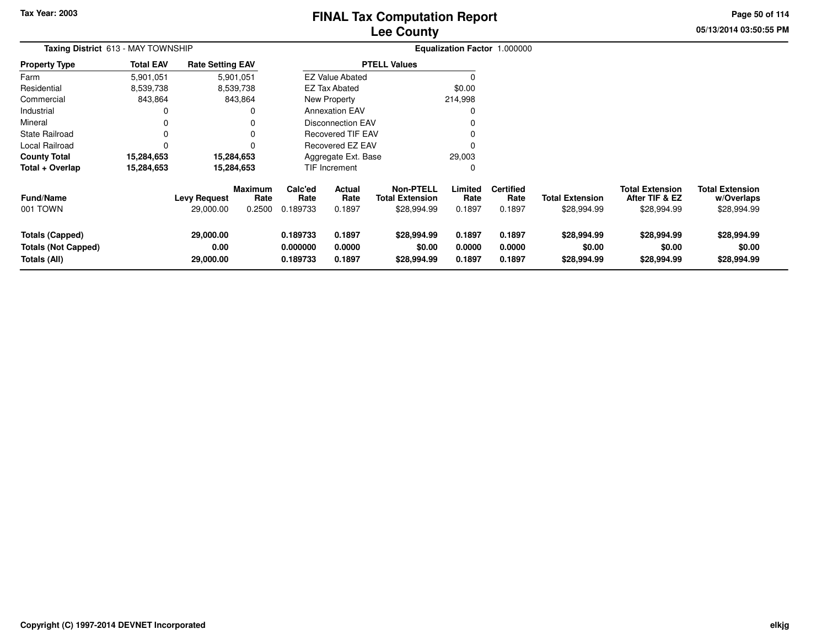# **Lee CountyFINAL Tax Computation Report**

**05/13/2014 03:50:55 PM Page 50 of 114**

| Taxing District 613 - MAY TOWNSHIP                                   | Equalization Factor 1.000000 |                                  |                                  |                                  |                                 |                                                           |                            |                                    |                                      |                                                         |                                                     |
|----------------------------------------------------------------------|------------------------------|----------------------------------|----------------------------------|----------------------------------|---------------------------------|-----------------------------------------------------------|----------------------------|------------------------------------|--------------------------------------|---------------------------------------------------------|-----------------------------------------------------|
| <b>Property Type</b>                                                 | <b>Total EAV</b>             | <b>Rate Setting EAV</b>          |                                  |                                  |                                 | <b>PTELL Values</b>                                       |                            |                                    |                                      |                                                         |                                                     |
| Farm                                                                 | 5,901,051                    |                                  | 5,901,051                        |                                  | <b>EZ Value Abated</b>          |                                                           |                            |                                    |                                      |                                                         |                                                     |
| Residential                                                          | 8,539,738                    |                                  | 8,539,738                        |                                  | <b>EZ Tax Abated</b>            |                                                           | \$0.00                     |                                    |                                      |                                                         |                                                     |
| Commercial                                                           | 843,864                      |                                  | 843,864                          |                                  | New Property                    |                                                           | 214,998                    |                                    |                                      |                                                         |                                                     |
| Industrial                                                           |                              |                                  |                                  |                                  | <b>Annexation EAV</b>           |                                                           | C                          |                                    |                                      |                                                         |                                                     |
| Mineral                                                              |                              |                                  |                                  |                                  | <b>Disconnection EAV</b>        |                                                           | 0                          |                                    |                                      |                                                         |                                                     |
| <b>State Railroad</b>                                                | 0                            |                                  |                                  |                                  | <b>Recovered TIF EAV</b>        |                                                           | $\Omega$                   |                                    |                                      |                                                         |                                                     |
| <b>Local Railroad</b>                                                | $\Omega$                     |                                  |                                  |                                  | Recovered EZ EAV                |                                                           | $\mathsf{C}$               |                                    |                                      |                                                         |                                                     |
| <b>County Total</b>                                                  | 15,284,653                   |                                  | 15,284,653                       |                                  | Aggregate Ext. Base             |                                                           | 29,003                     |                                    |                                      |                                                         |                                                     |
| Total + Overlap                                                      | 15,284,653                   |                                  | 15,284,653                       |                                  | <b>TIF Increment</b>            |                                                           | 0                          |                                    |                                      |                                                         |                                                     |
| <b>Fund/Name</b><br>001 TOWN                                         |                              | <b>Levy Request</b><br>29,000.00 | <b>Maximum</b><br>Rate<br>0.2500 | Calc'ed<br>Rate<br>0.189733      | <b>Actual</b><br>Rate<br>0.1897 | <b>Non-PTELL</b><br><b>Total Extension</b><br>\$28,994.99 | Limited<br>Rate<br>0.1897  | <b>Certified</b><br>Rate<br>0.1897 | Total Extension<br>\$28,994.99       | <b>Total Extension</b><br>After TIF & EZ<br>\$28,994.99 | <b>Total Extension</b><br>w/Overlaps<br>\$28,994.99 |
| <b>Totals (Capped)</b><br><b>Totals (Not Capped)</b><br>Totals (All) |                              | 29,000.00<br>0.00<br>29,000.00   |                                  | 0.189733<br>0.000000<br>0.189733 | 0.1897<br>0.0000<br>0.1897      | \$28,994.99<br>\$0.00<br>\$28,994.99                      | 0.1897<br>0.0000<br>0.1897 | 0.1897<br>0.0000<br>0.1897         | \$28,994.99<br>\$0.00<br>\$28,994.99 | \$28,994.99<br>\$0.00<br>\$28,994.99                    | \$28,994.99<br>\$0.00<br>\$28,994.99                |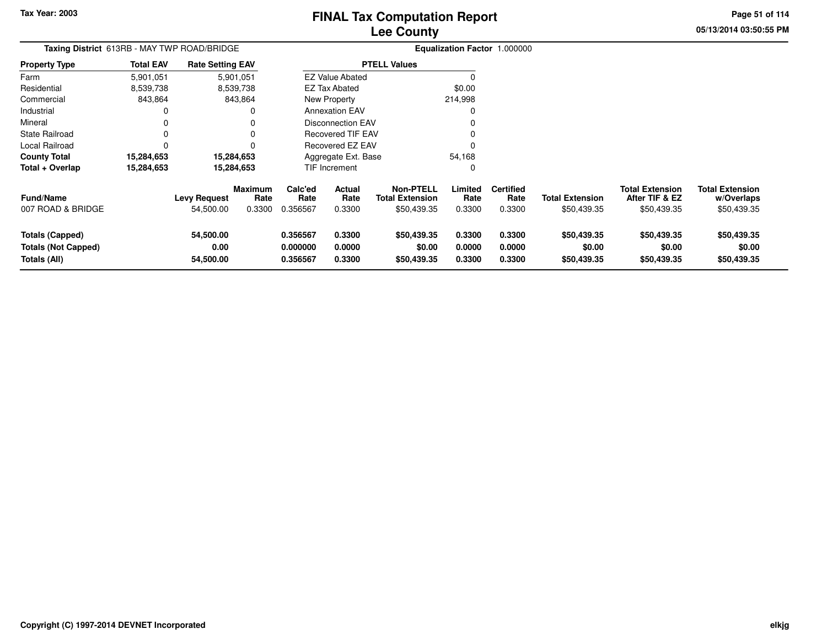**Totals (Not Capped)**

**Totals (All)**

**0.00**

**54,500.00**

# **Lee CountyFINAL Tax Computation Report**

**0.000000 0.0000 \$0.00 0.0000 0.0000 \$0.00 \$0.00 \$0.00**

**0.356567 0.3300 \$50,439.35 0.3300 0.3300 \$50,439.35 \$50,439.35 \$50,439.35**

**05/13/2014 03:50:55 PM Page 51 of 114**

|                        | Taxing District 613RB - MAY TWP ROAD/BRIDGE |                         |                        |                 |                          |                                            | Equalization Factor 1.000000 |                          |                        |                                          |                                      |
|------------------------|---------------------------------------------|-------------------------|------------------------|-----------------|--------------------------|--------------------------------------------|------------------------------|--------------------------|------------------------|------------------------------------------|--------------------------------------|
| <b>Property Type</b>   | <b>Total EAV</b>                            | <b>Rate Setting EAV</b> |                        |                 |                          | <b>PTELL Values</b>                        |                              |                          |                        |                                          |                                      |
| Farm                   | 5,901,051                                   |                         | 5,901,051              |                 | <b>EZ Value Abated</b>   |                                            |                              |                          |                        |                                          |                                      |
| Residential            | 8,539,738                                   |                         | 8,539,738              |                 | EZ Tax Abated            |                                            | \$0.00                       |                          |                        |                                          |                                      |
| Commercial             | 843,864                                     |                         | 843,864                |                 | New Property             |                                            | 214,998                      |                          |                        |                                          |                                      |
| Industrial             | 0                                           |                         | 0                      |                 | <b>Annexation EAV</b>    |                                            | 0                            |                          |                        |                                          |                                      |
| Mineral                | 0                                           |                         |                        |                 | <b>Disconnection EAV</b> |                                            |                              |                          |                        |                                          |                                      |
| State Railroad         | 0                                           |                         | 0                      |                 | Recovered TIF EAV        |                                            |                              |                          |                        |                                          |                                      |
| Local Railroad         | 0                                           |                         | 0                      |                 | <b>Recovered EZ EAV</b>  |                                            | $\Omega$                     |                          |                        |                                          |                                      |
| <b>County Total</b>    | 15,284,653                                  |                         | 15,284,653             |                 | Aggregate Ext. Base      |                                            | 54,168                       |                          |                        |                                          |                                      |
| Total + Overlap        | 15,284,653                                  |                         | 15,284,653             |                 | TIF Increment            |                                            | 0                            |                          |                        |                                          |                                      |
| <b>Fund/Name</b>       |                                             | Levy Request            | <b>Maximum</b><br>Rate | Calc'ed<br>Rate | Actual<br>Rate           | <b>Non-PTELL</b><br><b>Total Extension</b> | Limited<br>Rate              | <b>Certified</b><br>Rate | <b>Total Extension</b> | <b>Total Extension</b><br>After TIF & EZ | <b>Total Extension</b><br>w/Overlaps |
| 007 ROAD & BRIDGE      |                                             | 54,500.00               | 0.3300                 | 0.356567        | 0.3300                   | \$50,439.35                                | 0.3300                       | 0.3300                   | \$50,439.35            | \$50,439.35                              | \$50,439.35                          |
| <b>Totals (Capped)</b> |                                             | 54,500.00               |                        | 0.356567        | 0.3300                   | \$50,439.35                                | 0.3300                       | 0.3300                   | \$50,439.35            | \$50,439.35                              | \$50,439.35                          |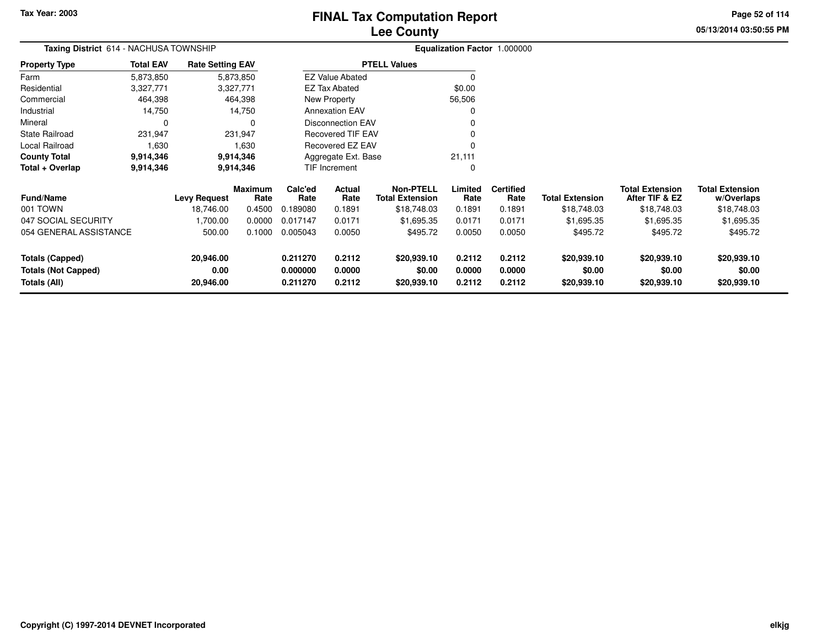**05/13/2014 03:50:55 PM Page 52 of 114**

| <b>Taxing District</b> 614 - NACHUSA TOWNSHIP |                  |                         |                 |                      |                          |                                            |                  | <b>Equalization Factor 1.000000</b> |                        |                                          |                                      |
|-----------------------------------------------|------------------|-------------------------|-----------------|----------------------|--------------------------|--------------------------------------------|------------------|-------------------------------------|------------------------|------------------------------------------|--------------------------------------|
| <b>Property Type</b>                          | <b>Total EAV</b> | <b>Rate Setting EAV</b> |                 |                      |                          | <b>PTELL Values</b>                        |                  |                                     |                        |                                          |                                      |
| Farm                                          | 5,873,850        |                         | 5,873,850       |                      | <b>EZ Value Abated</b>   |                                            | 0                |                                     |                        |                                          |                                      |
| Residential                                   | 3,327,771        |                         | 3,327,771       |                      | <b>EZ Tax Abated</b>     |                                            | \$0.00           |                                     |                        |                                          |                                      |
| Commercial                                    | 464,398          |                         | 464,398         |                      | New Property             |                                            | 56,506           |                                     |                        |                                          |                                      |
| Industrial                                    | 14,750           |                         | 14,750          |                      | <b>Annexation EAV</b>    |                                            | 0                |                                     |                        |                                          |                                      |
| Mineral                                       | 0                |                         | 0               |                      | <b>Disconnection EAV</b> |                                            |                  |                                     |                        |                                          |                                      |
| <b>State Railroad</b>                         | 231,947          |                         | 231,947         |                      | <b>Recovered TIF EAV</b> |                                            |                  |                                     |                        |                                          |                                      |
| Local Railroad                                | 1,630            |                         | 1,630           |                      | Recovered EZ EAV         |                                            | $\Omega$         |                                     |                        |                                          |                                      |
| <b>County Total</b>                           | 9,914,346        |                         | 9,914,346       |                      | Aggregate Ext. Base      |                                            | 21,111           |                                     |                        |                                          |                                      |
| Total + Overlap                               | 9,914,346        |                         | 9,914,346       |                      | TIF Increment            |                                            | $\mathbf 0$      |                                     |                        |                                          |                                      |
| <b>Fund/Name</b>                              |                  | <b>Levy Request</b>     | Maximum<br>Rate | Calc'ed<br>Rate      | Actual<br>Rate           | <b>Non-PTELL</b><br><b>Total Extension</b> | Limited<br>Rate  | <b>Certified</b><br>Rate            | <b>Total Extension</b> | <b>Total Extension</b><br>After TIF & EZ | <b>Total Extension</b><br>w/Overlaps |
| 001 TOWN                                      |                  | 18,746.00               | 0.4500          | 0.189080             | 0.1891                   | \$18,748.03                                | 0.1891           | 0.1891                              | \$18,748.03            | \$18,748.03                              | \$18,748.03                          |
| 047 SOCIAL SECURITY                           |                  | 1,700.00                | 0.0000          | 0.017147             | 0.0171                   | \$1,695.35                                 | 0.0171           | 0.0171                              | \$1,695.35             | \$1,695.35                               | \$1,695.35                           |
| 054 GENERAL ASSISTANCE                        |                  | 500.00                  | 0.1000          | 0.005043             | 0.0050                   | \$495.72                                   | 0.0050           | 0.0050                              | \$495.72               | \$495.72                                 | \$495.72                             |
| <b>Totals (Capped)</b>                        |                  | 20,946.00               |                 | 0.211270             | 0.2112                   | \$20,939.10                                | 0.2112           | 0.2112                              | \$20,939.10            | \$20,939.10                              | \$20,939.10                          |
| <b>Totals (Not Capped)</b><br>Totals (All)    |                  | 0.00<br>20,946.00       |                 | 0.000000<br>0.211270 | 0.0000<br>0.2112         | \$0.00<br>\$20,939.10                      | 0.0000<br>0.2112 | 0.0000<br>0.2112                    | \$0.00<br>\$20,939.10  | \$0.00<br>\$20,939.10                    | \$0.00<br>\$20,939.10                |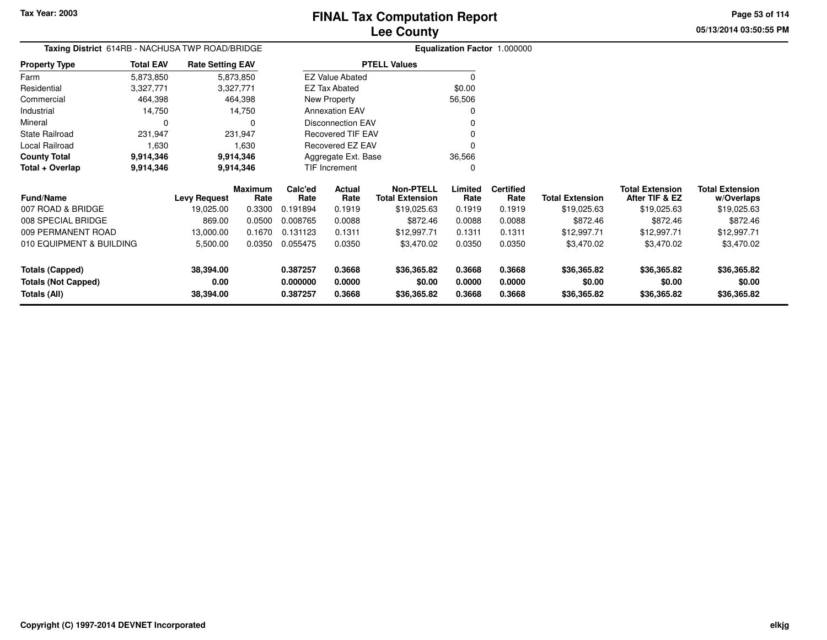**Totals (All)**

# **Lee CountyFINAL Tax Computation Report**

**0.387257 0.3668 \$36,365.82 0.3668 0.3668 \$36,365.82 \$36,365.82 \$36,365.82**

**05/13/2014 03:50:55 PMPage 53 of 114**

> **w/Overlaps**\$19,025.63

| Taxing District 614RB - NACHUSA TWP ROAD/BRIDGE |                  |                         |                        |                 |                          |                                            |                 | Equalization Factor 1.000000 |                        |                                          |                                      |
|-------------------------------------------------|------------------|-------------------------|------------------------|-----------------|--------------------------|--------------------------------------------|-----------------|------------------------------|------------------------|------------------------------------------|--------------------------------------|
| <b>Property Type</b>                            | <b>Total EAV</b> | <b>Rate Setting EAV</b> |                        |                 |                          | <b>PTELL Values</b>                        |                 |                              |                        |                                          |                                      |
| Farm                                            | 5,873,850        |                         | 5,873,850              |                 | <b>EZ Value Abated</b>   |                                            |                 |                              |                        |                                          |                                      |
| Residential                                     | 3,327,771        |                         | 3,327,771              |                 | <b>EZ Tax Abated</b>     |                                            | \$0.00          |                              |                        |                                          |                                      |
| Commercial                                      | 464,398          |                         | 464,398                |                 | New Property             |                                            | 56,506          |                              |                        |                                          |                                      |
| Industrial                                      | 14,750           |                         | 14,750                 |                 | <b>Annexation EAV</b>    |                                            |                 |                              |                        |                                          |                                      |
| Mineral                                         | $\Omega$         |                         | $\Omega$               |                 | <b>Disconnection EAV</b> |                                            |                 |                              |                        |                                          |                                      |
| <b>State Railroad</b>                           | 231,947          |                         | 231,947                |                 | <b>Recovered TIF EAV</b> |                                            |                 |                              |                        |                                          |                                      |
| Local Railroad                                  | 1,630            |                         | 1,630                  |                 | Recovered EZ EAV         |                                            | $\Omega$        |                              |                        |                                          |                                      |
| <b>County Total</b>                             | 9,914,346        |                         | 9,914,346              |                 | Aggregate Ext. Base      |                                            | 36,566          |                              |                        |                                          |                                      |
| Total + Overlap                                 | 9,914,346        |                         | 9,914,346              |                 | TIF Increment            |                                            | 0               |                              |                        |                                          |                                      |
| <b>Fund/Name</b>                                |                  | <b>Levy Request</b>     | <b>Maximum</b><br>Rate | Calc'ed<br>Rate | Actual<br>Rate           | <b>Non-PTELL</b><br><b>Total Extension</b> | Limited<br>Rate | <b>Certified</b><br>Rate     | <b>Total Extension</b> | <b>Total Extension</b><br>After TIF & EZ | <b>Total Extension</b><br>w/Overlaps |
| 007 ROAD & BRIDGE                               |                  | 19,025.00               | 0.3300                 | 0.191894        | 0.1919                   | \$19,025.63                                | 0.1919          | 0.1919                       | \$19,025.63            | \$19,025.63                              | \$19,025.63                          |
| 008 SPECIAL BRIDGE                              |                  | 869.00                  | 0.0500                 | 0.008765        | 0.0088                   | \$872.46                                   | 0.0088          | 0.0088                       | \$872.46               | \$872.46                                 | \$872.46                             |
| 009 PERMANENT ROAD                              |                  | 13,000.00               | 0.1670                 | 0.131123        | 0.1311                   | \$12,997.71                                | 0.1311          | 0.1311                       | \$12,997.71            | \$12,997.71                              | \$12,997.71                          |
| 010 EQUIPMENT & BUILDING                        |                  | 5,500.00                | 0.0350                 | 0.055475        | 0.0350                   | \$3,470.02                                 | 0.0350          | 0.0350                       | \$3,470.02             | \$3,470.02                               | \$3,470.02                           |
| <b>Totals (Capped)</b>                          |                  | 38,394.00               |                        | 0.387257        | 0.3668                   | \$36,365.82                                | 0.3668          | 0.3668                       | \$36,365.82            | \$36,365.82                              | \$36,365.82                          |
| <b>Totals (Not Capped)</b>                      |                  | 0.00                    |                        | 0.000000        | 0.0000                   | \$0.00                                     | 0.0000          | 0.0000                       | \$0.00                 | \$0.00                                   | \$0.00                               |

**38,394.00**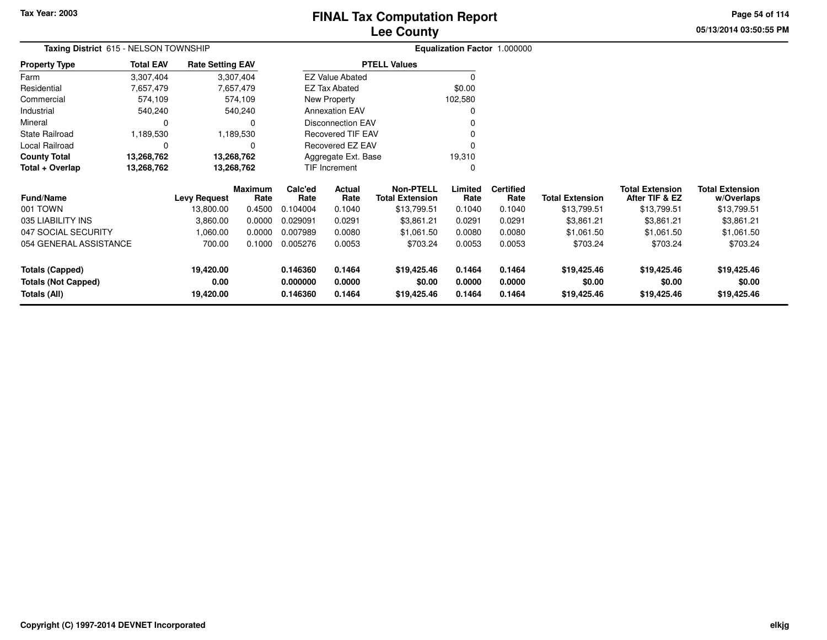# **Lee CountyFINAL Tax Computation Report**

**05/13/2014 03:50:55 PMPage 54 of 114**

|             | <b>Lee County</b>                   |  |
|-------------|-------------------------------------|--|
| D           | <b>Equalization Factor 1.000000</b> |  |
| Setting EAV | <b>PTELL Values</b>                 |  |

|                      | <b>Taxing District</b> 615 - NELSON TOWNSHIP |                         | <b>Equalization Factor</b> |         |  |  |  |
|----------------------|----------------------------------------------|-------------------------|----------------------------|---------|--|--|--|
| <b>Property Type</b> | <b>Total EAV</b>                             | <b>Rate Setting EAV</b> | <b>PTELL Values</b>        |         |  |  |  |
| Farm                 | 3,307,404                                    | 3,307,404               | <b>EZ Value Abated</b>     |         |  |  |  |
| Residential          | 7,657,479                                    | 7,657,479               | EZ Tax Abated              | \$0.00  |  |  |  |
| Commercial           | 574.109                                      | 574.109                 | New Property               | 102,580 |  |  |  |
| Industrial           | 540.240                                      | 540.240                 | <b>Annexation EAV</b>      |         |  |  |  |
| Mineral              |                                              | 0                       | <b>Disconnection EAV</b>   |         |  |  |  |
| State Railroad       | 1,189,530                                    | 1,189,530               | Recovered TIF EAV          |         |  |  |  |
| Local Railroad       |                                              | 0                       | Recovered EZ EAV           |         |  |  |  |
| <b>County Total</b>  | 13,268,762                                   | 13,268,762              | Aggregate Ext. Base        | 19,310  |  |  |  |
| Total + Overlap      | 13,268,762                                   | 13,268,762              | <b>TIF Increment</b>       |         |  |  |  |

| <b>Fund/Name</b>           | <b>Levy Request</b> | <b>Maximum</b><br>Rate | Calc'ed<br>Rate | Actual<br>Rate | Non-PTELL<br><b>Total Extension</b> | Limited<br>Rate | <b>Certified</b><br>Rate | <b>Total Extension</b> | <b>Total Extension</b><br>After TIF & EZ | <b>Total Extension</b><br>w/Overlaps |
|----------------------------|---------------------|------------------------|-----------------|----------------|-------------------------------------|-----------------|--------------------------|------------------------|------------------------------------------|--------------------------------------|
| 001 TOWN                   | 13,800.00           | 0.4500                 | 0.104004        | 0.1040         | \$13,799.51                         | 0.1040          | 0.1040                   | \$13,799.51            | \$13,799.51                              | \$13,799.51                          |
| 035 LIABILITY INS          | 3,860.00            | 0.0000                 | 0.029091        | 0.0291         | \$3,861.21                          | 0.0291          | 0.0291                   | \$3,861.21             | \$3,861.21                               | \$3,861.21                           |
| 047 SOCIAL SECURITY        | 00.060.1            | 0.0000                 | 0.007989        | 0.0080         | \$1.061.50                          | 0.0080          | 0.0080                   | \$1,061.50             | \$1,061.50                               | \$1,061.50                           |
| 054 GENERAL ASSISTANCE     | 700.00              | 0.1000                 | 0.005276        | 0.0053         | \$703.24                            | 0.0053          | 0.0053                   | \$703.24               | \$703.24                                 | \$703.24                             |
| Totals (Capped)            | 19,420.00           |                        | 0.146360        | 0.1464         | \$19,425.46                         | 0.1464          | 0.1464                   | \$19,425.46            | \$19,425.46                              | \$19,425.46                          |
| <b>Totals (Not Capped)</b> | 0.00                |                        | 0.000000        | 0.0000         | \$0.00                              | 0.0000          | 0.0000                   | \$0.00                 | \$0.00                                   | \$0.00                               |
| Totals (All)               | 19,420.00           |                        | 0.146360        | 0.1464         | \$19,425.46                         | 0.1464          | 0.1464                   | \$19,425.46            | \$19,425.46                              | \$19,425.46                          |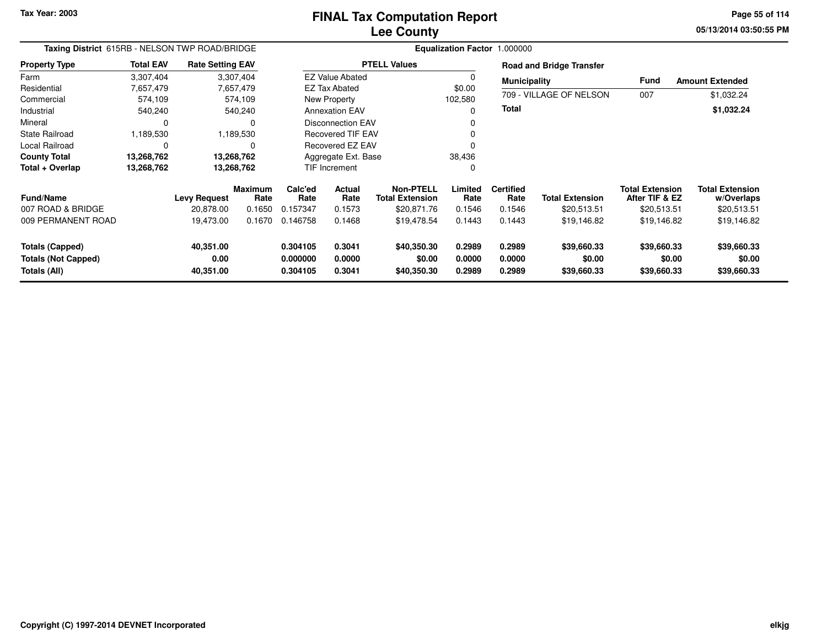# **Lee CountyFINAL Tax Computation Report**

**05/13/2014 03:50:55 PM Page 55 of 114**

| Taxing District 615RB - NELSON TWP ROAD/BRIDGE                |                  |                                |                        | Equalization Factor 1.000000     |                            |                                            |                            |                            |                                      |                                          |                                      |  |
|---------------------------------------------------------------|------------------|--------------------------------|------------------------|----------------------------------|----------------------------|--------------------------------------------|----------------------------|----------------------------|--------------------------------------|------------------------------------------|--------------------------------------|--|
| <b>Property Type</b>                                          | <b>Total EAV</b> | <b>Rate Setting EAV</b>        |                        |                                  |                            | <b>PTELL Values</b>                        |                            |                            | <b>Road and Bridge Transfer</b>      |                                          |                                      |  |
| Farm                                                          | 3,307,404        |                                | 3,307,404              |                                  | <b>EZ Value Abated</b>     |                                            |                            | <b>Municipality</b>        |                                      | Fund                                     | <b>Amount Extended</b>               |  |
| Residential                                                   | 7,657,479        |                                | 7,657,479              |                                  | EZ Tax Abated              |                                            | \$0.00                     |                            |                                      |                                          |                                      |  |
| Commercial                                                    | 574,109          |                                | 574,109                |                                  | New Property<br>102,580    |                                            |                            |                            | 709 - VILLAGE OF NELSON              | 007                                      | \$1,032.24                           |  |
| Industrial                                                    | 540,240          |                                | 540,240                |                                  | <b>Annexation EAV</b>      |                                            |                            | <b>Total</b>               |                                      |                                          | \$1,032.24                           |  |
| Mineral                                                       | 0                |                                | 0                      |                                  | <b>Disconnection EAV</b>   |                                            |                            |                            |                                      |                                          |                                      |  |
| State Railroad                                                | 1,189,530        |                                | 1,189,530              |                                  | <b>Recovered TIF EAV</b>   |                                            |                            |                            |                                      |                                          |                                      |  |
| <b>Local Railroad</b>                                         | 0                |                                | 0                      |                                  | Recovered EZ EAV           |                                            |                            |                            |                                      |                                          |                                      |  |
| <b>County Total</b>                                           | 13,268,762       |                                | 13,268,762             |                                  | Aggregate Ext. Base        |                                            |                            |                            |                                      |                                          |                                      |  |
| Total + Overlap                                               | 13,268,762       |                                | 13,268,762             | 38,436<br>TIF Increment          |                            |                                            |                            |                            |                                      |                                          |                                      |  |
| <b>Fund/Name</b>                                              |                  | <b>Levy Request</b>            | <b>Maximum</b><br>Rate | Calc'ed<br>Rate                  | Actual<br>Rate             | <b>Non-PTELL</b><br><b>Total Extension</b> | Limited<br>Rate            | <b>Certified</b><br>Rate   | <b>Total Extension</b>               | <b>Total Extension</b><br>After TIF & EZ | <b>Total Extension</b><br>w/Overlaps |  |
| 007 ROAD & BRIDGE                                             |                  | 20.878.00                      | 0.1650                 | 0.157347                         | 0.1573                     | \$20,871.76                                | 0.1546                     | 0.1546                     | \$20,513.51                          | \$20,513.51                              | \$20,513.51                          |  |
| 009 PERMANENT ROAD                                            |                  | 19,473.00                      | 0.1670                 | 0.146758                         | 0.1468                     | \$19,478.54                                | 0.1443                     | 0.1443                     | \$19,146.82                          | \$19,146.82                              | \$19,146.82                          |  |
| Totals (Capped)<br><b>Totals (Not Capped)</b><br>Totals (All) |                  | 40,351.00<br>0.00<br>40,351.00 |                        | 0.304105<br>0.000000<br>0.304105 | 0.3041<br>0.0000<br>0.3041 | \$40,350.30<br>\$0.00<br>\$40,350.30       | 0.2989<br>0.0000<br>0.2989 | 0.2989<br>0.0000<br>0.2989 | \$39,660.33<br>\$0.00<br>\$39,660.33 | \$39,660.33<br>\$0.00<br>\$39,660.33     | \$39,660.33<br>\$0.00<br>\$39,660.33 |  |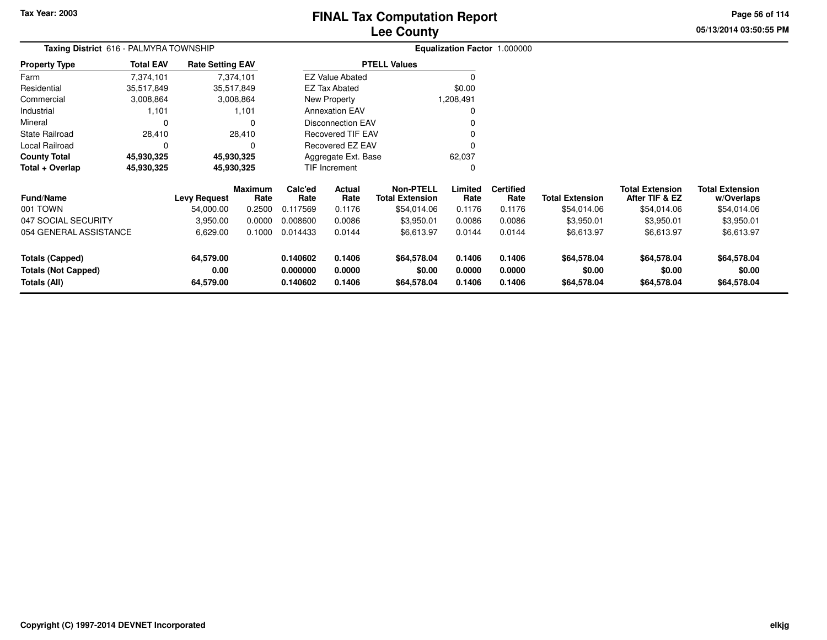# **Lee CountyFINAL Tax Computation Report**

**05/13/2014 03:50:55 PMPage 56 of 114**

| TIVAL TAX GOMPULATION NEPOLI |  |
|------------------------------|--|
| <b>Lee County</b>            |  |

| <b>Taxing District</b> 616 - PALMYRA TOWNSHIP |                  |                         |                        |                 |                          | Equalization Factor 1.000000               |                 |                          |                        |                                          |                                      |
|-----------------------------------------------|------------------|-------------------------|------------------------|-----------------|--------------------------|--------------------------------------------|-----------------|--------------------------|------------------------|------------------------------------------|--------------------------------------|
| <b>Property Type</b>                          | <b>Total EAV</b> | <b>Rate Setting EAV</b> |                        |                 |                          | <b>PTELL Values</b>                        |                 |                          |                        |                                          |                                      |
| Farm                                          | 7,374,101        |                         | 7,374,101              |                 | <b>EZ Value Abated</b>   |                                            | 0               |                          |                        |                                          |                                      |
| Residential                                   | 35,517,849       |                         | 35,517,849             |                 | <b>EZ Tax Abated</b>     |                                            | \$0.00          |                          |                        |                                          |                                      |
| Commercial                                    | 3,008,864        |                         | 3,008,864              |                 | New Property             |                                            | 1,208,491       |                          |                        |                                          |                                      |
| Industrial                                    | 1,101            |                         | 1,101                  |                 | <b>Annexation EAV</b>    |                                            | 0               |                          |                        |                                          |                                      |
| Mineral                                       | C                |                         | $\Omega$               |                 | <b>Disconnection EAV</b> |                                            | 0               |                          |                        |                                          |                                      |
| <b>State Railroad</b>                         | 28,410           |                         | 28,410                 |                 | Recovered TIF EAV        |                                            | 0               |                          |                        |                                          |                                      |
| Local Railroad                                |                  |                         | $\Omega$               |                 | Recovered EZ EAV         |                                            | 0               |                          |                        |                                          |                                      |
| <b>County Total</b>                           | 45,930,325       |                         | 45,930,325             |                 | Aggregate Ext. Base      |                                            | 62,037          |                          |                        |                                          |                                      |
| Total + Overlap                               | 45,930,325       |                         | 45,930,325             |                 | TIF Increment            |                                            | $\Omega$        |                          |                        |                                          |                                      |
| <b>Fund/Name</b>                              |                  | <b>Levy Request</b>     | <b>Maximum</b><br>Rate | Calc'ed<br>Rate | Actual<br>Rate           | <b>Non-PTELL</b><br><b>Total Extension</b> | Limited<br>Rate | <b>Certified</b><br>Rate | <b>Total Extension</b> | <b>Total Extension</b><br>After TIF & EZ | <b>Total Extension</b><br>w/Overlaps |
| 001 TOWN                                      |                  | 54,000.00               | 0.2500                 | 0.117569        | 0.1176                   | \$54,014.06                                | 0.1176          | 0.1176                   | \$54,014.06            | \$54,014.06                              | \$54,014.06                          |
| 047 SOCIAL SECURITY                           |                  | 3,950.00                | 0.0000                 | 0.008600        | 0.0086                   | \$3,950.01                                 | 0.0086          | 0.0086                   | \$3,950.01             | \$3,950.01                               | \$3,950.01                           |
| 054 GENERAL ASSISTANCE                        |                  | 6,629.00                | 0.1000                 | 0.014433        | 0.0144                   | \$6,613.97                                 | 0.0144          | 0.0144                   | \$6,613.97             | \$6,613.97                               | \$6,613.97                           |
| <b>Totals (Capped)</b>                        |                  | 64,579.00               |                        | 0.140602        | 0.1406                   | \$64,578.04                                | 0.1406          | 0.1406                   | \$64,578.04            | \$64,578.04                              | \$64,578.04                          |
| <b>Totals (Not Capped)</b>                    |                  | 0.00                    |                        | 0.000000        | 0.0000                   | \$0.00                                     | 0.0000          | 0.0000                   | \$0.00                 | \$0.00                                   | \$0.00                               |
| 64,579.00<br>Totals (All)                     |                  |                         | 0.140602               | 0.1406          | \$64,578.04              | 0.1406                                     | 0.1406          | \$64,578.04              | \$64,578.04            | \$64,578.04                              |                                      |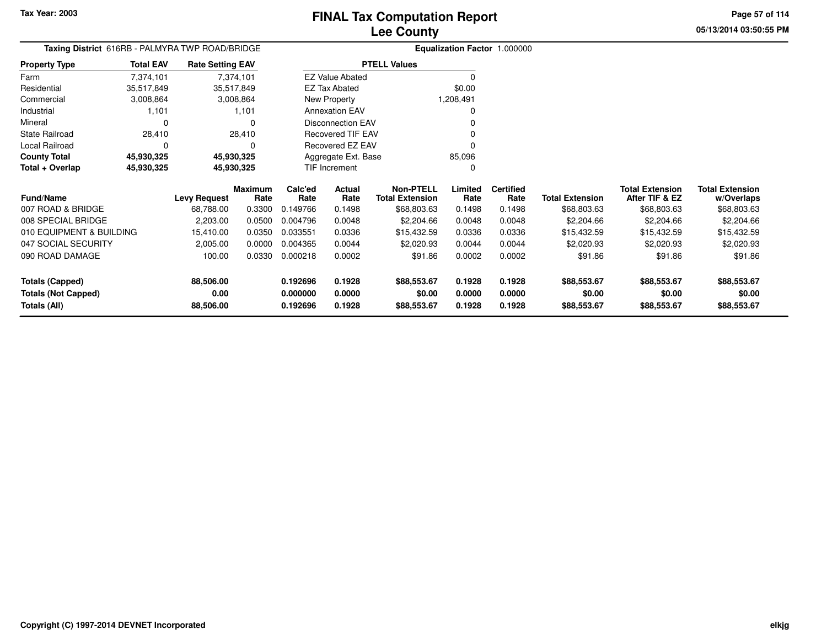**Totals (All)**

# **Lee CountyFINAL Tax Computation Report**

**05/13/2014 03:50:55 PMPage 57 of 114**

| Taxing District 616RB - PALMYRA TWP ROAD/BRIDGE |                  |                         |                        |                 |                          | Equalization Factor 1.000000               |                 |                          |                        |                                          |                                      |
|-------------------------------------------------|------------------|-------------------------|------------------------|-----------------|--------------------------|--------------------------------------------|-----------------|--------------------------|------------------------|------------------------------------------|--------------------------------------|
| <b>Property Type</b>                            | <b>Total EAV</b> | <b>Rate Setting EAV</b> |                        |                 |                          | <b>PTELL Values</b>                        |                 |                          |                        |                                          |                                      |
| Farm                                            | 7,374,101        |                         | 7,374,101              |                 | <b>EZ Value Abated</b>   |                                            | $\Omega$        |                          |                        |                                          |                                      |
| Residential                                     | 35,517,849       | 35,517,849              |                        |                 | <b>EZ Tax Abated</b>     |                                            | \$0.00          |                          |                        |                                          |                                      |
| Commercial                                      | 3,008,864        |                         | 3,008,864              |                 | <b>New Property</b>      |                                            | 1,208,491       |                          |                        |                                          |                                      |
| Industrial                                      | 1,101            |                         | 1,101                  |                 | <b>Annexation EAV</b>    |                                            | 0               |                          |                        |                                          |                                      |
| Mineral                                         | $\Omega$         |                         | 0                      |                 | <b>Disconnection EAV</b> |                                            |                 |                          |                        |                                          |                                      |
| <b>State Railroad</b>                           | 28,410           |                         | 28,410                 |                 | <b>Recovered TIF EAV</b> |                                            |                 |                          |                        |                                          |                                      |
| Local Railroad                                  | 0                |                         | 0                      |                 | <b>Recovered EZ EAV</b>  |                                            | 0               |                          |                        |                                          |                                      |
| <b>County Total</b>                             | 45,930,325       | 45,930,325              |                        |                 | Aggregate Ext. Base      |                                            | 85,096          |                          |                        |                                          |                                      |
| Total + Overlap                                 | 45,930,325       | 45,930,325              |                        |                 | <b>TIF Increment</b>     |                                            | $\Omega$        |                          |                        |                                          |                                      |
| <b>Fund/Name</b>                                |                  | <b>Levy Request</b>     | <b>Maximum</b><br>Rate | Calc'ed<br>Rate | Actual<br>Rate           | <b>Non-PTELL</b><br><b>Total Extension</b> | Limited<br>Rate | <b>Certified</b><br>Rate | <b>Total Extension</b> | <b>Total Extension</b><br>After TIF & EZ | <b>Total Extension</b><br>w/Overlaps |
| 007 ROAD & BRIDGE                               |                  | 68,788.00               | 0.3300                 | 0.149766        | 0.1498                   | \$68,803.63                                | 0.1498          | 0.1498                   | \$68,803.63            | \$68,803.63                              | \$68,803.63                          |
| 008 SPECIAL BRIDGE                              |                  | 2,203.00                | 0.0500                 | 0.004796        | 0.0048                   | \$2,204.66                                 | 0.0048          | 0.0048                   | \$2,204.66             | \$2,204.66                               | \$2,204.66                           |
| 010 EQUIPMENT & BUILDING                        |                  | 15,410.00               | 0.0350                 | 0.033551        | 0.0336                   | \$15,432.59                                | 0.0336          | 0.0336                   | \$15,432.59            | \$15,432.59                              | \$15,432.59                          |
| 047 SOCIAL SECURITY                             |                  | 2,005.00                | 0.0000                 | 0.004365        | 0.0044                   | \$2,020.93                                 | 0.0044          | 0.0044                   | \$2,020.93             | \$2,020.93                               | \$2,020.93                           |
| 090 ROAD DAMAGE                                 |                  | 100.00                  | 0.0330                 | 0.000218        | 0.0002                   | \$91.86                                    | 0.0002          | 0.0002                   | \$91.86                | \$91.86                                  | \$91.86                              |
| <b>Totals (Capped)</b>                          |                  | 88,506.00               |                        | 0.192696        | 0.1928                   | \$88,553.67                                | 0.1928          | 0.1928                   | \$88,553.67            | \$88,553.67                              | \$88,553.67                          |
| <b>Totals (Not Capped)</b>                      |                  | 0.00                    |                        | 0.000000        | 0.0000                   | \$0.00                                     | 0.0000          | 0.0000                   | \$0.00                 | \$0.00                                   | \$0.00                               |

**0.192696 0.1928 \$88,553.67 0.1928 0.1928 \$88,553.67 \$88,553.67 \$88,553.67**

**88,506.00**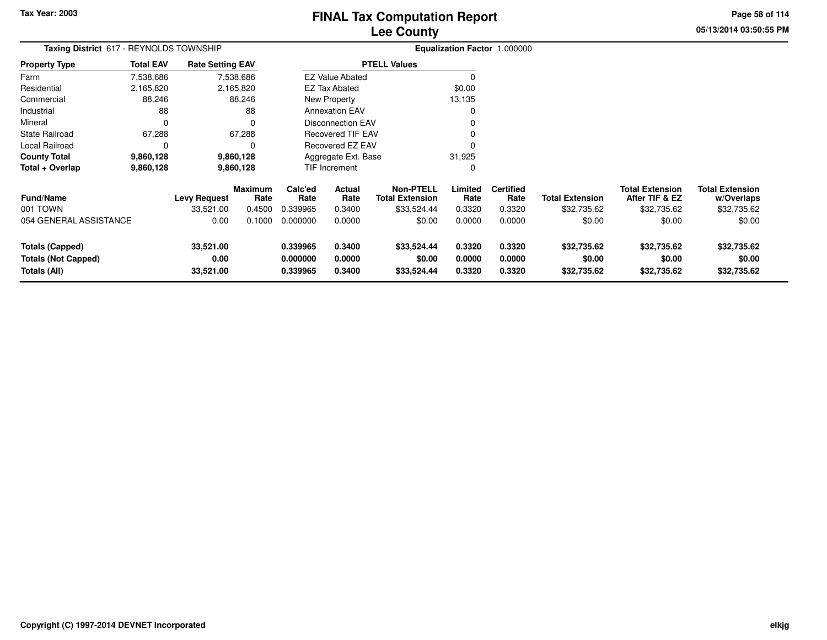# **Lee CountyFINAL Tax Computation Report**

**05/13/2014 03:50:55 PM Page 58 of 114**

| <b>Taxing District</b> 617 - REYNOLDS TOWNSHIP |                  |                         |                        |                 |                          |                                            |                 | Equalization Factor 1.000000 |                        |                                          |                                      |
|------------------------------------------------|------------------|-------------------------|------------------------|-----------------|--------------------------|--------------------------------------------|-----------------|------------------------------|------------------------|------------------------------------------|--------------------------------------|
| Property Type                                  | <b>Total EAV</b> | <b>Rate Setting EAV</b> |                        |                 |                          | <b>PTELL Values</b>                        |                 |                              |                        |                                          |                                      |
| Farm                                           | 7,538,686        |                         | 7,538,686              |                 | <b>EZ Value Abated</b>   |                                            | $\Omega$        |                              |                        |                                          |                                      |
| Residential                                    | 2,165,820        |                         | 2,165,820              |                 | <b>EZ Tax Abated</b>     |                                            | \$0.00          |                              |                        |                                          |                                      |
| Commercial                                     | 88,246           |                         | 88,246                 |                 | New Property             |                                            | 13,135          |                              |                        |                                          |                                      |
| Industrial                                     | 88               |                         | 88                     |                 | <b>Annexation EAV</b>    |                                            | 0               |                              |                        |                                          |                                      |
| Mineral                                        | 0                |                         | $\Omega$               |                 | <b>Disconnection EAV</b> |                                            |                 |                              |                        |                                          |                                      |
| State Railroad                                 | 67,288           |                         | 67,288                 |                 | <b>Recovered TIF EAV</b> |                                            |                 |                              |                        |                                          |                                      |
| Local Railroad                                 | 0                |                         | 0                      |                 | Recovered EZ EAV         |                                            | 0               |                              |                        |                                          |                                      |
| County Total                                   | 9,860,128        |                         | 9,860,128              |                 | Aggregate Ext. Base      |                                            | 31,925          |                              |                        |                                          |                                      |
| Total + Overlap                                | 9,860,128        |                         | 9,860,128              |                 | <b>TIF Increment</b>     |                                            | 0               |                              |                        |                                          |                                      |
| <b>Fund/Name</b>                               |                  | <b>Levy Request</b>     | <b>Maximum</b><br>Rate | Calc'ed<br>Rate | Actual<br>Rate           | <b>Non-PTELL</b><br><b>Total Extension</b> | Limited<br>Rate | <b>Certified</b><br>Rate     | <b>Total Extension</b> | <b>Total Extension</b><br>After TIF & EZ | <b>Total Extension</b><br>w/Overlaps |
| 001 TOWN                                       |                  | 33,521.00               | 0.4500                 | 0.339965        | 0.3400                   | \$33,524.44                                | 0.3320          | 0.3320                       | \$32,735.62            | \$32,735.62                              | \$32,735.62                          |
| 054 GENERAL ASSISTANCE                         |                  | 0.00                    | 0.1000                 | 0.000000        | 0.0000                   | \$0.00                                     | 0.0000          | 0.0000                       | \$0.00                 | \$0.00                                   | \$0.00                               |
| <b>Totals (Capped)</b>                         |                  | 33,521.00               |                        | 0.339965        | 0.3400                   | \$33,524.44                                | 0.3320          | 0.3320                       | \$32,735.62            | \$32,735.62                              | \$32,735.62                          |
| <b>Totals (Not Capped)</b>                     |                  | 0.00                    |                        | 0.000000        | 0.0000                   | \$0.00                                     | 0.0000          | 0.0000                       | \$0.00                 | \$0.00                                   | \$0.00                               |
| Totals (All)                                   |                  | 33,521.00               |                        | 0.339965        | 0.3400                   | \$33,524.44                                | 0.3320          | 0.3320                       | \$32,735.62            | \$32,735.62                              | \$32,735.62                          |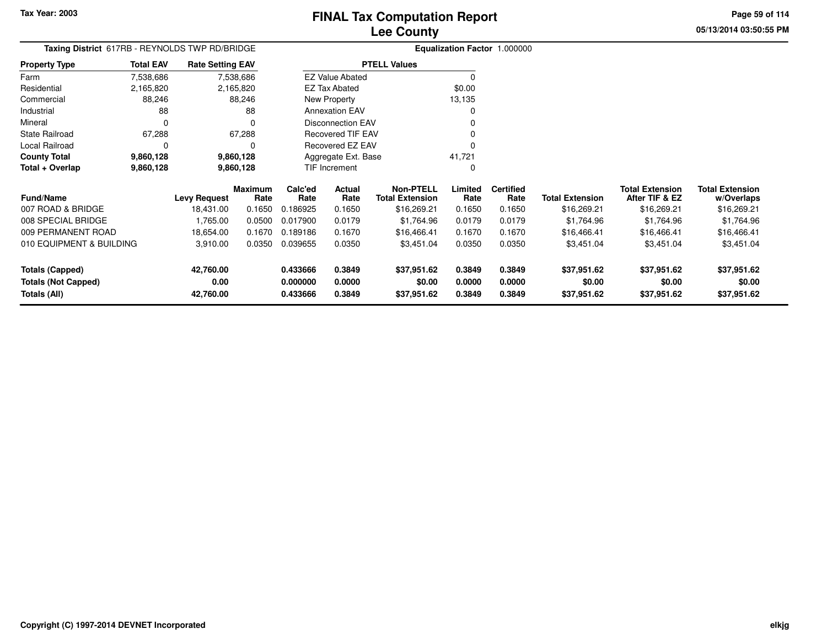**05/13/2014 03:50:55 PMPage 59 of 114**

| Taxing District 617RB - REYNOLDS TWP RD/BRIDGE |                  | Equalization Factor 1.000000 |                        |                 |                          |                                            |                 |                          |                        |                                          |                                      |
|------------------------------------------------|------------------|------------------------------|------------------------|-----------------|--------------------------|--------------------------------------------|-----------------|--------------------------|------------------------|------------------------------------------|--------------------------------------|
| <b>Property Type</b>                           | <b>Total EAV</b> | <b>Rate Setting EAV</b>      |                        |                 |                          | <b>PTELL Values</b>                        |                 |                          |                        |                                          |                                      |
| Farm                                           | 7,538,686        |                              | 7,538,686              |                 | <b>EZ Value Abated</b>   |                                            | 0               |                          |                        |                                          |                                      |
| Residential                                    | 2,165,820        |                              | 2,165,820              |                 | <b>EZ Tax Abated</b>     |                                            | \$0.00          |                          |                        |                                          |                                      |
| Commercial                                     | 88,246           |                              | 88,246                 |                 | New Property             |                                            | 13,135          |                          |                        |                                          |                                      |
| Industrial                                     | 88               |                              | 88                     |                 | <b>Annexation EAV</b>    |                                            |                 |                          |                        |                                          |                                      |
| Mineral                                        | $\Omega$         |                              | $\Omega$               |                 | <b>Disconnection EAV</b> |                                            |                 |                          |                        |                                          |                                      |
| <b>State Railroad</b>                          | 67,288           |                              | 67,288                 |                 | <b>Recovered TIF EAV</b> |                                            |                 |                          |                        |                                          |                                      |
| Local Railroad                                 |                  |                              | O                      |                 | Recovered EZ EAV         |                                            |                 |                          |                        |                                          |                                      |
| <b>County Total</b>                            | 9,860,128        | 9,860,128                    |                        |                 | Aggregate Ext. Base      |                                            | 41,721          |                          |                        |                                          |                                      |
| Total + Overlap                                | 9,860,128        |                              | 9,860,128              |                 | TIF Increment            |                                            | O               |                          |                        |                                          |                                      |
| <b>Fund/Name</b>                               |                  | <b>Levy Request</b>          | <b>Maximum</b><br>Rate | Calc'ed<br>Rate | Actual<br>Rate           | <b>Non-PTELL</b><br><b>Total Extension</b> | Limited<br>Rate | <b>Certified</b><br>Rate | <b>Total Extension</b> | <b>Total Extension</b><br>After TIF & EZ | <b>Total Extension</b><br>w/Overlaps |
| 007 ROAD & BRIDGE                              |                  | 18,431.00                    | 0.1650                 | 0.186925        | 0.1650                   | \$16,269.21                                | 0.1650          | 0.1650                   | \$16,269.21            | \$16,269.21                              | \$16,269.21                          |
| 008 SPECIAL BRIDGE                             |                  | 1,765.00                     | 0.0500                 | 0.017900        | 0.0179                   | \$1,764.96                                 | 0.0179          | 0.0179                   | \$1,764.96             | \$1,764.96                               | \$1,764.96                           |
| 009 PERMANENT ROAD                             |                  | 18,654.00                    | 0.1670                 | 0.189186        | 0.1670                   | \$16,466.41                                | 0.1670          | 0.1670                   | \$16,466.41            | \$16,466.41                              | \$16,466.41                          |
| 010 EQUIPMENT & BUILDING                       |                  | 3,910.00                     | 0.0350                 | 0.039655        | 0.0350                   | \$3,451.04                                 | 0.0350          | 0.0350                   | \$3,451.04             | \$3,451.04                               | \$3,451.04                           |
| <b>Totals (Capped)</b>                         |                  | 42,760.00                    |                        | 0.433666        | 0.3849                   | \$37,951.62                                | 0.3849          | 0.3849                   | \$37,951.62            | \$37,951.62                              | \$37,951.62                          |
| <b>Totals (Not Capped)</b>                     |                  | 0.00                         |                        | 0.000000        | 0.0000                   | \$0.00                                     | 0.0000          | 0.0000                   | \$0.00                 | \$0.00                                   | \$0.00                               |
| Totals (All)                                   |                  | 42,760.00                    |                        | 0.433666        | 0.3849                   | \$37,951.62                                | 0.3849          | 0.3849                   | \$37,951.62            | \$37,951.62                              | \$37,951.62                          |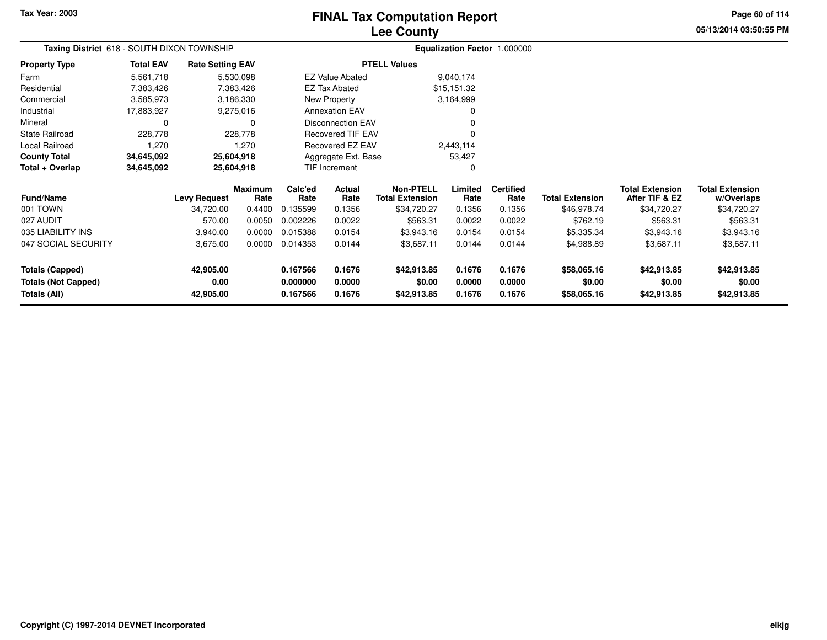# **Lee CountyFINAL Tax Computation Report**

**05/13/2014 03:50:55 PMPage 60 of 114**

|                       |                                            |                         |            |          |                          | LUU VUUIIL             |             |                              |                        |                        |                        |
|-----------------------|--------------------------------------------|-------------------------|------------|----------|--------------------------|------------------------|-------------|------------------------------|------------------------|------------------------|------------------------|
|                       | Taxing District 618 - SOUTH DIXON TOWNSHIP |                         |            |          |                          |                        |             | Equalization Factor 1.000000 |                        |                        |                        |
| <b>Property Type</b>  | <b>Total EAV</b>                           | <b>Rate Setting EAV</b> |            |          |                          | <b>PTELL Values</b>    |             |                              |                        |                        |                        |
| Farm                  | 5,561,718                                  |                         | 5,530,098  |          | <b>EZ Value Abated</b>   |                        | 9,040,174   |                              |                        |                        |                        |
| Residential           | 7,383,426                                  |                         | 7,383,426  |          | <b>EZ Tax Abated</b>     |                        | \$15,151.32 |                              |                        |                        |                        |
| Commercial            | 3,585,973                                  |                         | 3,186,330  |          | New Property             |                        | 3,164,999   |                              |                        |                        |                        |
| Industrial            | 17,883,927                                 |                         | 9,275,016  |          | <b>Annexation EAV</b>    |                        | 0           |                              |                        |                        |                        |
| Mineral               | 0                                          |                         |            |          | <b>Disconnection EAV</b> |                        |             |                              |                        |                        |                        |
| <b>State Railroad</b> | 228,778                                    |                         | 228,778    |          | Recovered TIF EAV        |                        | 0           |                              |                        |                        |                        |
| Local Railroad        | 1,270                                      |                         | 1,270      |          | Recovered EZ EAV         |                        | 2,443,114   |                              |                        |                        |                        |
| <b>County Total</b>   | 34,645,092                                 | 25,604,918              |            |          | Aggregate Ext. Base      |                        | 53,427      |                              |                        |                        |                        |
| Total + Overlap       | 34,645,092                                 |                         | 25,604,918 |          | TIF Increment            |                        | 0           |                              |                        |                        |                        |
|                       |                                            |                         | Maximum    | Calc'ed  | Actual                   | <b>Non-PTELL</b>       | Limited     | <b>Certified</b>             |                        | <b>Total Extension</b> | <b>Total Extension</b> |
| <b>Fund/Name</b>      |                                            | <b>Levy Request</b>     | Rate       | Rate     | Rate                     | <b>Total Extension</b> | Rate        | Rate                         | <b>Total Extension</b> | After TIF & EZ         | w/Overlaps             |
| 001 TOWN              |                                            | 34.720.00               | 0.4400     | 0.135599 | 0.1356                   | \$34,720.27            | 0.1356      | 0.1356                       | \$46,978.74            | \$34,720.27            | \$34,720.27            |
| 027 AUDIT             | 570.00<br>0.0050<br>0.002226<br>0.0022     |                         |            |          | \$563.31                 | 0.0022                 | 0.0022      | \$762.19                     | \$563.31               | \$563.31               |                        |
| 035 LIARILITY INS     |                                            | 3.940.00                | n nnnn     | 0.015388 | 0.0154                   | <b>\$3 943 16</b>      | 0.0154      | 0.0154                       | \$5.335.34             | \$394316               | \$394316               |

| 027 AUDIT           | 570.00    | 0.0050 | 0.002226 | 0.0022 | \$563.31    | 0.0022 | 0.0022 | \$762.19    | \$563.31    | \$563.31    |
|---------------------|-----------|--------|----------|--------|-------------|--------|--------|-------------|-------------|-------------|
| 035 LIABILITY INS   | 3.940.00  | 0.0000 | 0.015388 | 0.0154 | \$3.943.16  | 0.0154 | 0.0154 | \$5,335.34  | \$3,943.16  | \$3,943.16  |
| 047 SOCIAL SECURITY | 3.675.00  | 0.0000 | 0.014353 | 0.0144 | \$3.687.11  | 0.0144 | 0.0144 | \$4,988.89  | \$3,687.11  | \$3,687.11  |
| Totals (Capped)     | 42.905.00 |        | 0.167566 | 0.1676 | \$42,913.85 | 0.1676 | 0.1676 | \$58,065.16 | \$42,913.85 | \$42,913.85 |
| Totals (Not Capped) | 0.00      |        | 0.000000 | 0.0000 | \$0.00      | 0.0000 | 0.0000 | \$0.00      | \$0.00      | \$0.00      |
| Totals (All)        | 42.905.00 |        | 0.167566 | 0.1676 | \$42,913.85 | 0.1676 | 0.1676 | \$58,065.16 | \$42,913.85 | \$42,913.85 |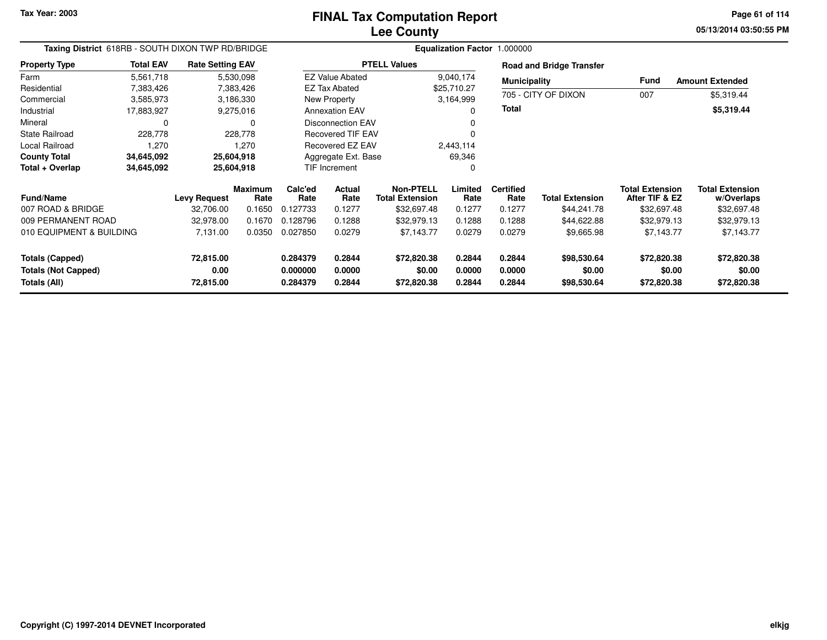**05/13/2014 03:50:55 PM Page 61 of 114**

| Taxing District 618RB - SOUTH DIXON TWP RD/BRIDGE |                  |                         |                 | Equalization Factor 1.000000 |                          |                                            |                 |                          |                                 |                                          |                                      |  |
|---------------------------------------------------|------------------|-------------------------|-----------------|------------------------------|--------------------------|--------------------------------------------|-----------------|--------------------------|---------------------------------|------------------------------------------|--------------------------------------|--|
| <b>Property Type</b>                              | <b>Total EAV</b> | <b>Rate Setting EAV</b> |                 |                              |                          | <b>PTELL Values</b>                        |                 |                          | <b>Road and Bridge Transfer</b> |                                          |                                      |  |
| Farm                                              | 5,561,718        |                         | 5,530,098       |                              | <b>EZ Value Abated</b>   |                                            | 9,040,174       | <b>Municipality</b>      |                                 | Fund                                     | <b>Amount Extended</b>               |  |
| Residential                                       | 7,383,426        |                         | 7,383,426       |                              | <b>EZ Tax Abated</b>     |                                            | \$25,710.27     |                          |                                 |                                          |                                      |  |
| Commercial                                        | 3,585,973        |                         | 3,186,330       |                              | New Property             |                                            | 3,164,999       |                          | 705 - CITY OF DIXON             | 007                                      | \$5,319.44                           |  |
| Industrial                                        | 17,883,927       |                         | 9,275,016       |                              | <b>Annexation EAV</b>    |                                            | 0               | Total                    |                                 |                                          | \$5,319.44                           |  |
| Mineral                                           | 0                |                         | 0               |                              | <b>Disconnection EAV</b> |                                            | 0               |                          |                                 |                                          |                                      |  |
| <b>State Railroad</b>                             | 228,778          |                         | 228,778         |                              | Recovered TIF EAV        |                                            | 0               |                          |                                 |                                          |                                      |  |
| Local Railroad                                    | 1,270            |                         | 1,270           |                              | Recovered EZ EAV         |                                            | 2,443,114       |                          |                                 |                                          |                                      |  |
| <b>County Total</b>                               | 34,645,092       |                         | 25,604,918      |                              | Aggregate Ext. Base      |                                            | 69,346          |                          |                                 |                                          |                                      |  |
| Total + Overlap                                   | 34,645,092       |                         | 25,604,918      |                              | TIF Increment            |                                            | 0               |                          |                                 |                                          |                                      |  |
| <b>Fund/Name</b>                                  |                  | <b>Levy Request</b>     | Maximum<br>Rate | Calc'ed<br>Rate              | Actual<br>Rate           | <b>Non-PTELL</b><br><b>Total Extension</b> | Limited<br>Rate | <b>Certified</b><br>Rate | <b>Total Extension</b>          | <b>Total Extension</b><br>After TIF & EZ | <b>Total Extension</b><br>w/Overlaps |  |
| 007 ROAD & BRIDGE                                 |                  | 32,706.00               | 0.1650          | 0.127733                     | 0.1277                   | \$32,697.48                                | 0.1277          | 0.1277                   | \$44,241.78                     | \$32,697.48                              | \$32,697.48                          |  |
| 009 PERMANENT ROAD                                |                  | 32,978.00               | 0.1670          | 0.128796                     | 0.1288                   | \$32,979.13                                | 0.1288          | 0.1288                   | \$44,622.88                     | \$32,979.13                              | \$32,979.13                          |  |
| 010 EQUIPMENT & BUILDING                          |                  | 7,131.00                | 0.0350          | 0.027850                     | 0.0279                   | \$7,143.77                                 | 0.0279          | 0.0279                   | \$9,665.98                      | \$7,143.77                               | \$7,143.77                           |  |
| <b>Totals (Capped)</b>                            |                  | 72,815.00               |                 | 0.284379                     | 0.2844                   | \$72,820.38                                | 0.2844          | 0.2844                   | \$98,530.64                     | \$72,820.38                              | \$72,820.38                          |  |
| <b>Totals (Not Capped)</b>                        |                  | 0.00                    |                 | 0.000000                     | 0.0000                   | \$0.00                                     | 0.0000          | 0.0000                   | \$0.00                          | \$0.00                                   | \$0.00                               |  |
| Totals (All)                                      |                  | 72,815.00               |                 | 0.284379                     | 0.2844                   | \$72,820.38                                | 0.2844          | 0.2844                   | \$98,530.64                     | \$72,820.38                              | \$72,820.38                          |  |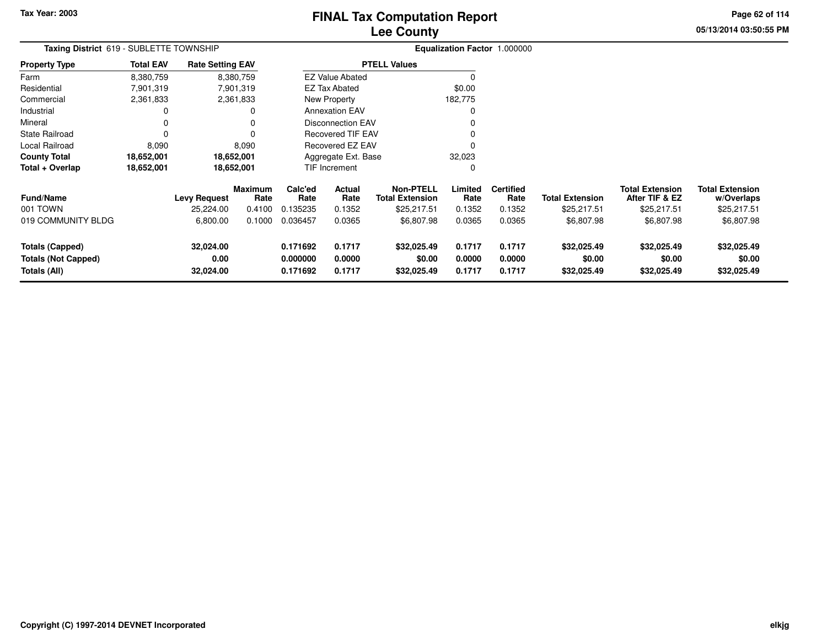# **Lee CountyFINAL Tax Computation Report**

**05/13/2014 03:50:55 PMPage 62 of 114**

|                                                                                                                                                                                                                                                                                                                                                                                                                                                                            |                  |                         |                        |                 |                          | ---- -----                                 |                 |                              |                        |                                          |                           |
|----------------------------------------------------------------------------------------------------------------------------------------------------------------------------------------------------------------------------------------------------------------------------------------------------------------------------------------------------------------------------------------------------------------------------------------------------------------------------|------------------|-------------------------|------------------------|-----------------|--------------------------|--------------------------------------------|-----------------|------------------------------|------------------------|------------------------------------------|---------------------------|
| Taxing District 619 - SUBLETTE TOWNSHIP                                                                                                                                                                                                                                                                                                                                                                                                                                    |                  |                         |                        |                 |                          |                                            |                 | Equalization Factor 1.000000 |                        |                                          |                           |
| <b>Property Type</b>                                                                                                                                                                                                                                                                                                                                                                                                                                                       | <b>Total EAV</b> | <b>Rate Setting EAV</b> |                        |                 |                          | <b>PTELL Values</b>                        |                 |                              |                        |                                          |                           |
| Farm                                                                                                                                                                                                                                                                                                                                                                                                                                                                       | 8,380,759        |                         | 8,380,759              |                 | <b>EZ Value Abated</b>   |                                            |                 |                              |                        |                                          |                           |
| Residential                                                                                                                                                                                                                                                                                                                                                                                                                                                                | 7,901,319        |                         | 7,901,319              |                 | <b>EZ Tax Abated</b>     |                                            | \$0.00          |                              |                        |                                          |                           |
| Commercial                                                                                                                                                                                                                                                                                                                                                                                                                                                                 | 2,361,833        |                         | 2,361,833              |                 | New Property             |                                            | 182.775         |                              |                        |                                          |                           |
| Industrial                                                                                                                                                                                                                                                                                                                                                                                                                                                                 | 0                |                         |                        |                 | <b>Annexation EAV</b>    |                                            |                 |                              |                        |                                          |                           |
| Mineral                                                                                                                                                                                                                                                                                                                                                                                                                                                                    | 0                |                         | 0                      |                 | Disconnection EAV        |                                            |                 |                              |                        |                                          |                           |
| State Railroad                                                                                                                                                                                                                                                                                                                                                                                                                                                             |                  |                         |                        |                 | <b>Recovered TIF EAV</b> |                                            |                 |                              |                        |                                          |                           |
| Local Railroad                                                                                                                                                                                                                                                                                                                                                                                                                                                             | 8,090            |                         | 8,090                  |                 | Recovered EZ EAV         |                                            |                 |                              |                        |                                          |                           |
| <b>County Total</b>                                                                                                                                                                                                                                                                                                                                                                                                                                                        | 18,652,001       |                         | 18,652,001             |                 | Aggregate Ext. Base      |                                            | 32,023          |                              |                        |                                          |                           |
| Total + Overlap                                                                                                                                                                                                                                                                                                                                                                                                                                                            | 18,652,001       |                         | 18,652,001             |                 | TIF Increment            |                                            |                 |                              |                        |                                          |                           |
| <b>Fund/Name</b>                                                                                                                                                                                                                                                                                                                                                                                                                                                           |                  | <b>Levy Request</b>     | <b>Maximum</b><br>Rate | Calc'ed<br>Rate | Actual<br>Rate           | <b>Non-PTELL</b><br><b>Total Extension</b> | Limited<br>Rate | <b>Certified</b><br>Rate     | <b>Total Extension</b> | <b>Total Extension</b><br>After TIF & EZ | <b>Total Exte</b><br>w/Ov |
| 001 TOWN                                                                                                                                                                                                                                                                                                                                                                                                                                                                   |                  | 25,224.00               | 0.4100                 | 0.135235        | 0.1352                   | \$25,217.51                                | 0.1352          | 0.1352                       | \$25,217.51            | \$25,217.51                              | \$25,2                    |
| $\mathcal{L}(\mathcal{L}) = \mathcal{L}(\mathcal{L}) = \mathcal{L}(\mathcal{L}) = \mathcal{L}(\mathcal{L}) = \mathcal{L}(\mathcal{L}) = \mathcal{L}(\mathcal{L}) = \mathcal{L}(\mathcal{L}) = \mathcal{L}(\mathcal{L}) = \mathcal{L}(\mathcal{L}) = \mathcal{L}(\mathcal{L}) = \mathcal{L}(\mathcal{L}) = \mathcal{L}(\mathcal{L}) = \mathcal{L}(\mathcal{L}) = \mathcal{L}(\mathcal{L}) = \mathcal{L}(\mathcal{L}) = \mathcal{L}(\mathcal{L}) = \mathcal{L}(\mathcal{L})$ |                  | 0.00000                 |                        | 0.1000000000007 | 0.0005                   | 0.0070                                     | 0.000           | 0.0005                       | 0.0070                 | 0.0070                                   | $\sim$ $\sim$             |

| <b>Fund/Name</b>           | <b>Levy Request</b> | Maximum<br>Rate | Calc'ed<br>Rate | Actual<br>Rate | Non-PTELL<br><b>Total Extension</b> | Limited<br>Rate | Certified<br>Rate | <b>Total Extension</b> | Total Extension<br>After TIF & EZ | <b>Total Extension</b><br>w/Overlaps |  |
|----------------------------|---------------------|-----------------|-----------------|----------------|-------------------------------------|-----------------|-------------------|------------------------|-----------------------------------|--------------------------------------|--|
| 001 TOWN                   | 25.224.00           | 0.4100          | 0.135235        | 0.1352         | \$25,217.51                         | 0.1352          | 0.1352            | \$25,217.51            | \$25,217.51                       | \$25,217.51                          |  |
| 019 COMMUNITY BLDG         | 6.800.00            | 0.1000          | 0.036457        | 0.0365         | \$6,807.98                          | 0.0365          | 0.0365            | \$6,807.98             | \$6,807.98                        | \$6,807.98                           |  |
| Totals (Capped)            | 32,024.00           |                 | 0.171692        | 0.1717         | \$32,025,49                         | 0.1717          | 0.1717            | \$32,025.49            | \$32,025.49                       | \$32,025.49                          |  |
| <b>Totals (Not Capped)</b> | 0.00                |                 | 0.000000        | 0.0000         | \$0.00                              | 0.0000          | 0.0000            | \$0.00                 | \$0.00                            | \$0.00                               |  |
| Totals (All)               | 32,024.00           |                 | 0.171692        | 0.1717         | \$32.025.49                         | 0.1717          | 0.1717            | \$32,025.49            | \$32,025.49                       | \$32,025.49                          |  |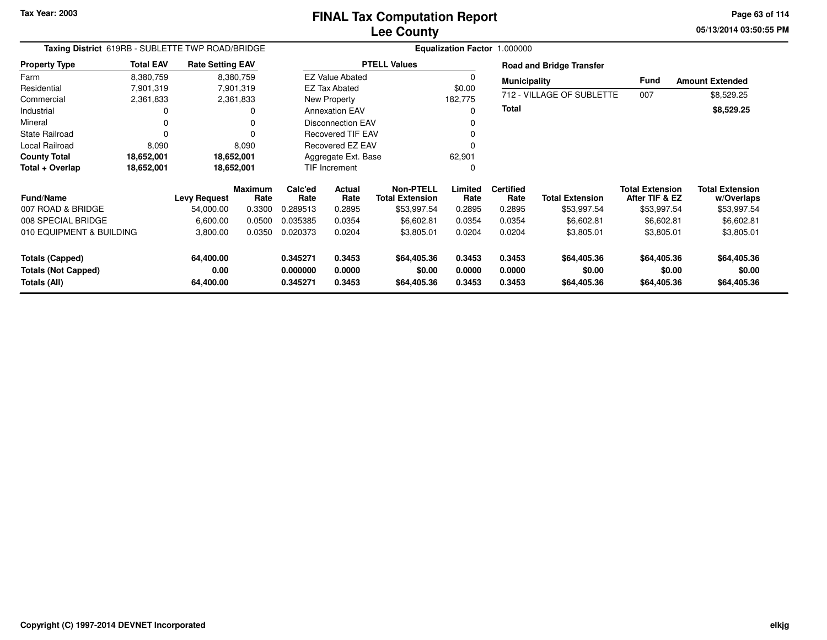**05/13/2014 03:50:55 PM Page 63 of 114**

| Taxing District 619RB - SUBLETTE TWP ROAD/BRIDGE |                  |                         |                        | <b>Equalization Factor</b><br>1.000000 |                          |                                            |                 |                          |                                 |                                          |                                      |
|--------------------------------------------------|------------------|-------------------------|------------------------|----------------------------------------|--------------------------|--------------------------------------------|-----------------|--------------------------|---------------------------------|------------------------------------------|--------------------------------------|
| <b>Property Type</b>                             | <b>Total EAV</b> | <b>Rate Setting EAV</b> |                        |                                        |                          | <b>PTELL Values</b>                        |                 |                          | <b>Road and Bridge Transfer</b> |                                          |                                      |
| Farm                                             | 8,380,759        |                         | 8,380,759              |                                        | <b>EZ Value Abated</b>   |                                            | 0               | <b>Municipality</b>      |                                 | <b>Fund</b>                              | <b>Amount Extended</b>               |
| Residential                                      | 7,901,319        |                         | 7,901,319              |                                        | <b>EZ Tax Abated</b>     |                                            | \$0.00          |                          |                                 |                                          |                                      |
| Commercial                                       | 2,361,833        |                         | 2,361,833              |                                        | New Property             |                                            | 182,775         |                          | 712 - VILLAGE OF SUBLETTE       | 007                                      | \$8,529.25                           |
| Industrial                                       | 0                |                         | 0                      |                                        | <b>Annexation EAV</b>    |                                            | 0               | Total                    |                                 |                                          | \$8,529.25                           |
| Mineral                                          | 0                |                         |                        |                                        | <b>Disconnection EAV</b> |                                            |                 |                          |                                 |                                          |                                      |
| <b>State Railroad</b>                            | $\Omega$         |                         |                        |                                        | <b>Recovered TIF EAV</b> |                                            |                 |                          |                                 |                                          |                                      |
| Local Railroad                                   | 8,090            |                         | 8,090                  |                                        | Recovered EZ EAV         |                                            |                 |                          |                                 |                                          |                                      |
| <b>County Total</b>                              | 18,652,001       |                         | 18,652,001             |                                        | Aggregate Ext. Base      |                                            | 62,901          |                          |                                 |                                          |                                      |
| Total + Overlap                                  | 18,652,001       |                         | 18,652,001             |                                        | TIF Increment            |                                            | 0               |                          |                                 |                                          |                                      |
| <b>Fund/Name</b>                                 |                  | <b>Levy Request</b>     | <b>Maximum</b><br>Rate | Calc'ed<br>Rate                        | <b>Actual</b><br>Rate    | <b>Non-PTELL</b><br><b>Total Extension</b> | Limited<br>Rate | <b>Certified</b><br>Rate | <b>Total Extension</b>          | <b>Total Extension</b><br>After TIF & EZ | <b>Total Extension</b><br>w/Overlaps |
| 007 ROAD & BRIDGE                                |                  | 54,000.00               | 0.3300                 | 0.289513                               | 0.2895                   | \$53,997.54                                | 0.2895          | 0.2895                   | \$53,997.54                     | \$53,997.54                              | \$53,997.54                          |
| 008 SPECIAL BRIDGE                               |                  | 6,600.00                | 0.0500                 | 0.035385                               | 0.0354                   | \$6,602.81                                 | 0.0354          | 0.0354                   | \$6,602.81                      | \$6,602.81                               | \$6,602.81                           |
| 010 EQUIPMENT & BUILDING                         |                  | 3,800.00                | 0.0350                 | 0.020373                               | 0.0204                   | \$3,805.01                                 | 0.0204          | 0.0204                   | \$3,805.01                      | \$3,805.01                               | \$3,805.01                           |
| <b>Totals (Capped)</b>                           |                  | 64,400.00               |                        | 0.345271                               | 0.3453                   | \$64,405.36                                | 0.3453          | 0.3453                   | \$64,405.36                     | \$64,405.36                              | \$64,405.36                          |
| <b>Totals (Not Capped)</b>                       |                  | 0.00                    |                        | 0.000000                               | 0.0000                   | \$0.00                                     | 0.0000          | 0.0000                   | \$0.00                          | \$0.00                                   | \$0.00                               |
| Totals (All)                                     |                  | 64,400.00               |                        | 0.345271                               | 0.3453                   | \$64,405.36                                | 0.3453          | 0.3453                   | \$64,405.36                     | \$64,405.36                              | \$64,405.36                          |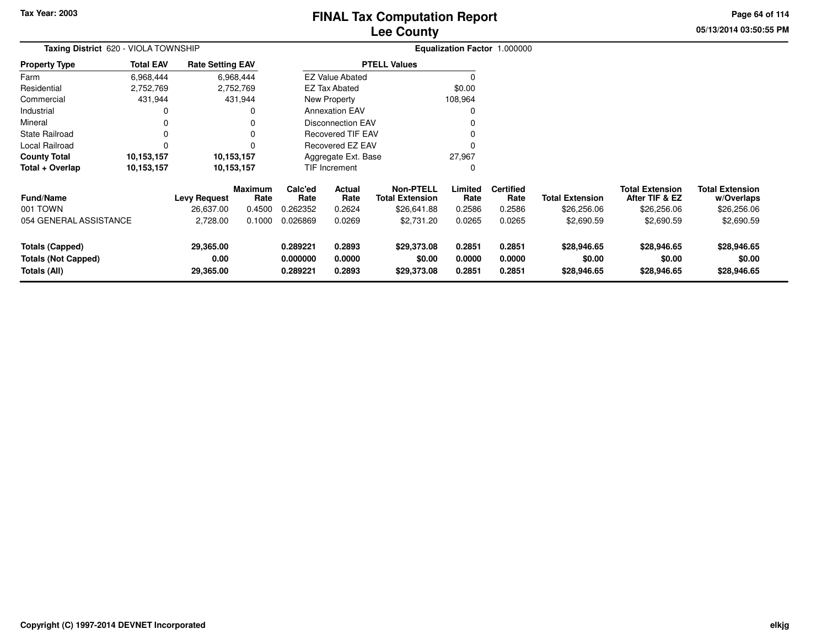# **Lee CountyFINAL Tax Computation Report**

**05/13/2014 03:50:55 PMPage 64 of 114**

| Taxing District 620 - VIOLA TOWNSHIP                                 |                  |                                |                        |                                  |                            |                                            |                            | Equalization Factor 1.000000 |                                      |                                          |                                      |
|----------------------------------------------------------------------|------------------|--------------------------------|------------------------|----------------------------------|----------------------------|--------------------------------------------|----------------------------|------------------------------|--------------------------------------|------------------------------------------|--------------------------------------|
| <b>Property Type</b>                                                 | <b>Total EAV</b> | <b>Rate Setting EAV</b>        |                        |                                  |                            | <b>PTELL Values</b>                        |                            |                              |                                      |                                          |                                      |
| Farm                                                                 | 6,968,444        |                                | 6,968,444              |                                  | <b>EZ Value Abated</b>     |                                            |                            |                              |                                      |                                          |                                      |
| Residential                                                          | 2,752,769        |                                | 2,752,769              |                                  | EZ Tax Abated              |                                            | \$0.00                     |                              |                                      |                                          |                                      |
| Commercial                                                           | 431,944          |                                | 431,944                |                                  | New Property               |                                            | 108,964                    |                              |                                      |                                          |                                      |
| Industrial                                                           | 0                |                                |                        |                                  | <b>Annexation EAV</b>      |                                            |                            |                              |                                      |                                          |                                      |
| Mineral                                                              | 0                |                                |                        |                                  | <b>Disconnection EAV</b>   |                                            |                            |                              |                                      |                                          |                                      |
| <b>State Railroad</b>                                                | 0                |                                |                        |                                  | <b>Recovered TIF EAV</b>   |                                            |                            |                              |                                      |                                          |                                      |
| Local Railroad                                                       | 0                |                                |                        |                                  | Recovered EZ EAV           |                                            |                            |                              |                                      |                                          |                                      |
| <b>County Total</b>                                                  | 10,153,157       |                                | 10,153,157             |                                  | Aggregate Ext. Base        |                                            | 27,967                     |                              |                                      |                                          |                                      |
| Total + Overlap                                                      | 10,153,157       |                                | 10,153,157             |                                  | TIF Increment              |                                            |                            |                              |                                      |                                          |                                      |
| <b>Fund/Name</b>                                                     |                  | <b>Levy Request</b>            | <b>Maximum</b><br>Rate | Calc'ed<br>Rate                  | Actual<br>Rate             | <b>Non-PTELL</b><br><b>Total Extension</b> | Limited<br>Rate            | <b>Certified</b><br>Rate     | <b>Total Extension</b>               | <b>Total Extension</b><br>After TIF & EZ | <b>Total Extension</b><br>w/Overlaps |
| 001 TOWN                                                             |                  | 26,637.00                      | 0.4500                 | 0.262352                         | 0.2624                     | \$26,641.88                                | 0.2586                     | 0.2586                       | \$26,256.06                          | \$26,256.06                              | \$26,256.06                          |
| 054 GENERAL ASSISTANCE                                               |                  | 2,728.00                       | 0.1000                 | 0.026869                         | 0.0269                     | \$2,731.20                                 | 0.0265                     | 0.0265                       | \$2,690.59                           | \$2,690.59                               | \$2,690.59                           |
| <b>Totals (Capped)</b><br><b>Totals (Not Capped)</b><br>Totals (All) |                  | 29,365.00<br>0.00<br>29,365.00 |                        | 0.289221<br>0.000000<br>0.289221 | 0.2893<br>0.0000<br>0.2893 | \$29,373.08<br>\$0.00<br>\$29,373.08       | 0.2851<br>0.0000<br>0.2851 | 0.2851<br>0.0000<br>0.2851   | \$28,946.65<br>\$0.00<br>\$28,946.65 | \$28,946.65<br>\$0.00<br>\$28,946.65     | \$28,946.65<br>\$0.00<br>\$28,946.65 |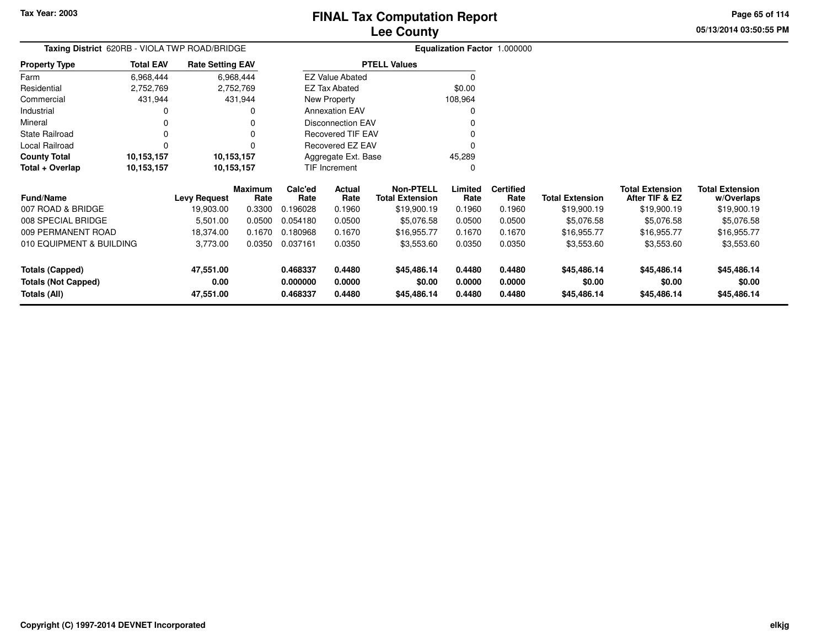**05/13/2014 03:50:55 PMPage 65 of 114**

|                                               |                  |                         | <b>Lee County</b>                   |  |
|-----------------------------------------------|------------------|-------------------------|-------------------------------------|--|
| Taxing District 620RB - VIOLA TWP ROAD/BRIDGE |                  |                         | <b>Equalization Factor 1.000000</b> |  |
| rty Type                                      | <b>Total EAV</b> | <b>Rate Setting EAV</b> | <b>PTELL Values</b>                 |  |
|                                               |                  |                         |                                     |  |

| <b>Property Type</b> | <b>Total EAV</b> | <b>Rate Setting EAV</b> | <b>PTELL Values</b>      |         |
|----------------------|------------------|-------------------------|--------------------------|---------|
| Farm                 | 6,968,444        | 6,968,444               | <b>EZ Value Abated</b>   | 0       |
| Residential          | 2,752,769        | 2,752,769               | EZ Tax Abated            | \$0.00  |
| Commercial           | 431.944          | 431.944                 | New Property             | 108.964 |
| Industrial           | 0                | 0                       | <b>Annexation EAV</b>    | 0       |
| Mineral              | 0                | 0                       | <b>Disconnection EAV</b> | 0       |
| State Railroad       | 0                | 0                       | <b>Recovered TIF EAV</b> | 0       |
| Local Railroad       |                  | 0                       | Recovered EZ EAV         | 0       |
| <b>County Total</b>  | 10,153,157       | 10,153,157              | Aggregate Ext. Base      | 45.289  |
| Total + Overlap      | 10,153,157       | 10,153,157              | <b>TIF Increment</b>     | 0       |

| <b>Fund/Name</b>                                              | Levy Request                   | Maximum<br>Rate | Calc'ed<br>Rate                  | Actual<br>Rate             | Non-PTELL<br>Total Extension         | Limited<br>Rate            | <b>Certified</b><br>Rate   | <b>Total Extension</b>               | <b>Total Extension</b><br>After TIF & EZ | <b>Total Extension</b><br>w/Overlaps |
|---------------------------------------------------------------|--------------------------------|-----------------|----------------------------------|----------------------------|--------------------------------------|----------------------------|----------------------------|--------------------------------------|------------------------------------------|--------------------------------------|
| 007 ROAD & BRIDGE                                             | 19,903.00                      | 0.3300          | 0.196028                         | 0.1960                     | \$19,900.19                          | 0.1960                     | 0.1960                     | \$19,900.19                          | \$19,900.19                              | \$19,900.19                          |
| 008 SPECIAL BRIDGE                                            | 5,501.00                       | 0.0500          | 0.054180                         | 0.0500                     | \$5,076.58                           | 0.0500                     | 0.0500                     | \$5,076.58                           | \$5,076.58                               | \$5,076.58                           |
| 009 PERMANENT ROAD                                            | 18.374.00                      | 0.1670          | 0.180968                         | 0.1670                     | \$16.955.77                          | 0.1670                     | 0.1670                     | \$16.955.77                          | \$16.955.77                              | \$16,955.77                          |
| 010 EQUIPMENT & BUILDING                                      | 3,773.00                       | 0.0350          | 0.037161                         | 0.0350                     | \$3,553.60                           | 0.0350                     | 0.0350                     | \$3,553.60                           | \$3,553.60                               | \$3,553.60                           |
| Totals (Capped)<br><b>Totals (Not Capped)</b><br>Totals (All) | 47.551.00<br>0.00<br>47,551.00 |                 | 0.468337<br>0.000000<br>0.468337 | 0.4480<br>0.0000<br>0.4480 | \$45,486.14<br>\$0.00<br>\$45,486,14 | 0.4480<br>0.0000<br>0.4480 | 0.4480<br>0.0000<br>0.4480 | \$45,486.14<br>\$0.00<br>\$45,486.14 | \$45,486.14<br>\$0.00<br>\$45,486.14     | \$45,486.14<br>\$0.00<br>\$45,486.14 |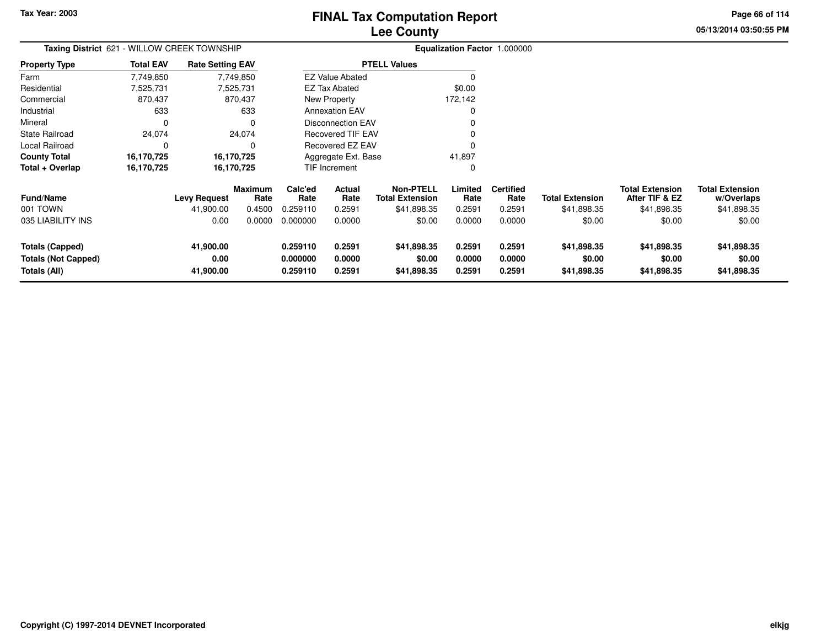**05/13/2014 03:50:55 PM Page 66 of 114**

| Taxing District 621 - WILLOW CREEK TOWNSHIP                          |                  |                                |                        |                                  |                            |                                            |                            | Equalization Factor 1.000000 |                                      |                                          |                                      |
|----------------------------------------------------------------------|------------------|--------------------------------|------------------------|----------------------------------|----------------------------|--------------------------------------------|----------------------------|------------------------------|--------------------------------------|------------------------------------------|--------------------------------------|
| <b>Property Type</b>                                                 | <b>Total EAV</b> | <b>Rate Setting EAV</b>        |                        |                                  |                            | <b>PTELL Values</b>                        |                            |                              |                                      |                                          |                                      |
| Farm                                                                 | 7,749,850        |                                | 7,749,850              |                                  | <b>EZ Value Abated</b>     |                                            |                            |                              |                                      |                                          |                                      |
| Residential                                                          | 7,525,731        |                                | 7,525,731              |                                  | <b>EZ Tax Abated</b>       |                                            | \$0.00                     |                              |                                      |                                          |                                      |
| Commercial                                                           | 870,437          |                                | 870,437                |                                  | New Property               |                                            | 172,142                    |                              |                                      |                                          |                                      |
| Industrial                                                           | 633              |                                | 633                    |                                  | <b>Annexation EAV</b>      |                                            | 0                          |                              |                                      |                                          |                                      |
| Mineral                                                              | $\Omega$         |                                | 0                      |                                  | <b>Disconnection EAV</b>   |                                            |                            |                              |                                      |                                          |                                      |
| <b>State Railroad</b>                                                | 24,074           |                                | 24,074                 |                                  | <b>Recovered TIF EAV</b>   |                                            |                            |                              |                                      |                                          |                                      |
| Local Railroad                                                       | 0                |                                | 0                      |                                  | <b>Recovered EZ EAV</b>    |                                            | 0                          |                              |                                      |                                          |                                      |
| <b>County Total</b>                                                  | 16,170,725       |                                | 16,170,725             |                                  | Aggregate Ext. Base        |                                            | 41,897                     |                              |                                      |                                          |                                      |
| Total + Overlap                                                      | 16,170,725       |                                | 16,170,725             |                                  | TIF Increment              |                                            | 0                          |                              |                                      |                                          |                                      |
| <b>Fund/Name</b>                                                     |                  | Levy Request                   | <b>Maximum</b><br>Rate | Calc'ed<br>Rate                  | Actual<br>Rate             | <b>Non-PTELL</b><br><b>Total Extension</b> | Limited<br>Rate            | <b>Certified</b><br>Rate     | <b>Total Extension</b>               | <b>Total Extension</b><br>After TIF & EZ | <b>Total Extension</b><br>w/Overlaps |
| 001 TOWN                                                             |                  | 41,900.00                      | 0.4500                 | 0.259110                         | 0.2591                     | \$41,898.35                                | 0.2591                     | 0.2591                       | \$41,898.35                          | \$41,898.35                              | \$41,898.35                          |
| 035 LIABILITY INS                                                    |                  | 0.00                           | 0.0000                 | 0.000000                         | 0.0000                     | \$0.00                                     | 0.0000                     | 0.0000                       | \$0.00                               | \$0.00                                   | \$0.00                               |
| <b>Totals (Capped)</b><br><b>Totals (Not Capped)</b><br>Totals (All) |                  | 41,900.00<br>0.00<br>41,900.00 |                        | 0.259110<br>0.000000<br>0.259110 | 0.2591<br>0.0000<br>0.2591 | \$41,898.35<br>\$0.00<br>\$41,898.35       | 0.2591<br>0.0000<br>0.2591 | 0.2591<br>0.0000<br>0.2591   | \$41,898.35<br>\$0.00<br>\$41,898.35 | \$41,898.35<br>\$0.00<br>\$41,898.35     | \$41,898.35<br>\$0.00<br>\$41,898.35 |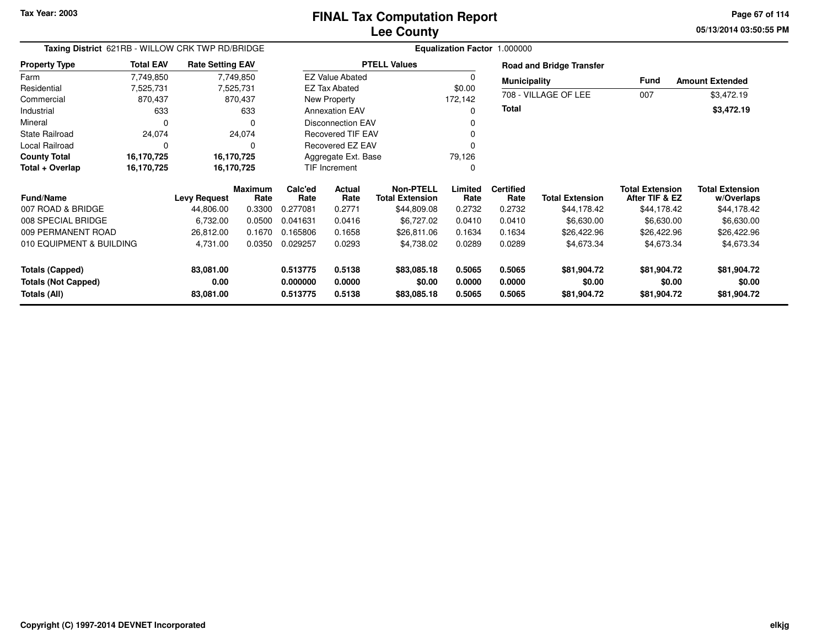**05/13/2014 03:50:55 PMPage 67 of 114**

|                                            | Taxing District 621RB - WILLOW CRK TWP RD/BRIDGE |                         |                 |                      |                          |                                     |                  |                          |                                 |                                          |                                      |
|--------------------------------------------|--------------------------------------------------|-------------------------|-----------------|----------------------|--------------------------|-------------------------------------|------------------|--------------------------|---------------------------------|------------------------------------------|--------------------------------------|
| <b>Property Type</b>                       | <b>Total EAV</b>                                 | <b>Rate Setting EAV</b> |                 |                      |                          | <b>PTELL Values</b>                 |                  |                          | <b>Road and Bridge Transfer</b> |                                          |                                      |
| Farm                                       | 7,749,850                                        |                         | 7,749,850       |                      | <b>EZ Value Abated</b>   |                                     | 0                | <b>Municipality</b>      |                                 | <b>Fund</b>                              | <b>Amount Extended</b>               |
| Residential                                | 7,525,731                                        |                         | 7,525,731       |                      | <b>EZ Tax Abated</b>     |                                     | \$0.00           |                          |                                 |                                          |                                      |
| Commercial                                 | 870,437                                          |                         | 870,437         |                      | New Property             |                                     | 172,142          |                          | 708 - VILLAGE OF LEE            | 007                                      | \$3,472.19                           |
| Industrial                                 | 633                                              |                         | 633             |                      | <b>Annexation EAV</b>    |                                     | 0                | Total                    |                                 |                                          | \$3,472.19                           |
| Mineral                                    | 0                                                |                         | $\Omega$        |                      | <b>Disconnection EAV</b> |                                     | 0                |                          |                                 |                                          |                                      |
| State Railroad                             | 24,074                                           |                         | 24,074          |                      | <b>Recovered TIF EAV</b> |                                     | 0                |                          |                                 |                                          |                                      |
| Local Railroad                             | 0                                                |                         | 0               |                      | Recovered EZ EAV         |                                     |                  |                          |                                 |                                          |                                      |
| <b>County Total</b>                        | 16,170,725                                       | 16,170,725              |                 |                      | Aggregate Ext. Base      |                                     | 79,126           |                          |                                 |                                          |                                      |
| Total + Overlap                            | 16,170,725                                       | 16,170,725              |                 | TIF Increment        |                          |                                     | 0                |                          |                                 |                                          |                                      |
| <b>Fund/Name</b>                           |                                                  | <b>Levy Request</b>     | Maximum<br>Rate | Calc'ed<br>Rate      | Actual<br>Rate           | Non-PTELL<br><b>Total Extension</b> | Limited<br>Rate  | <b>Certified</b><br>Rate | <b>Total Extension</b>          | <b>Total Extension</b><br>After TIF & EZ | <b>Total Extension</b><br>w/Overlaps |
| 007 ROAD & BRIDGE                          |                                                  | 44,806.00               | 0.3300          | 0.277081             | 0.2771                   | \$44,809.08                         | 0.2732           | 0.2732                   | \$44,178.42                     | \$44,178.42                              | \$44,178.42                          |
| 008 SPECIAL BRIDGE                         |                                                  | 6,732.00                | 0.0500          | 0.041631             | 0.0416                   | \$6,727.02                          | 0.0410           | 0.0410                   | \$6,630.00                      | \$6,630.00                               | \$6,630.00                           |
| 009 PERMANENT ROAD                         |                                                  | 26,812.00               | 0.1670          | 0.165806             | 0.1658                   | \$26,811.06                         | 0.1634           | 0.1634                   | \$26,422.96                     | \$26,422.96                              | \$26,422.96                          |
| 010 EQUIPMENT & BUILDING                   |                                                  | 4,731.00                | 0.0350          | 0.029257             | 0.0293                   | \$4,738.02                          | 0.0289           | 0.0289                   | \$4,673.34                      | \$4,673.34                               | \$4,673.34                           |
| <b>Totals (Capped)</b>                     |                                                  | 83,081.00               |                 | 0.513775             | 0.5138                   | \$83,085.18                         | 0.5065           | 0.5065                   | \$81,904.72                     | \$81,904.72                              | \$81,904.72                          |
| <b>Totals (Not Capped)</b><br>Totals (All) |                                                  | 0.00<br>83,081.00       |                 | 0.000000<br>0.513775 | 0.0000<br>0.5138         | \$0.00<br>\$83,085.18               | 0.0000<br>0.5065 | 0.0000<br>0.5065         | \$0.00<br>\$81,904.72           | \$0.00<br>\$81,904.72                    | \$0.00<br>\$81,904.72                |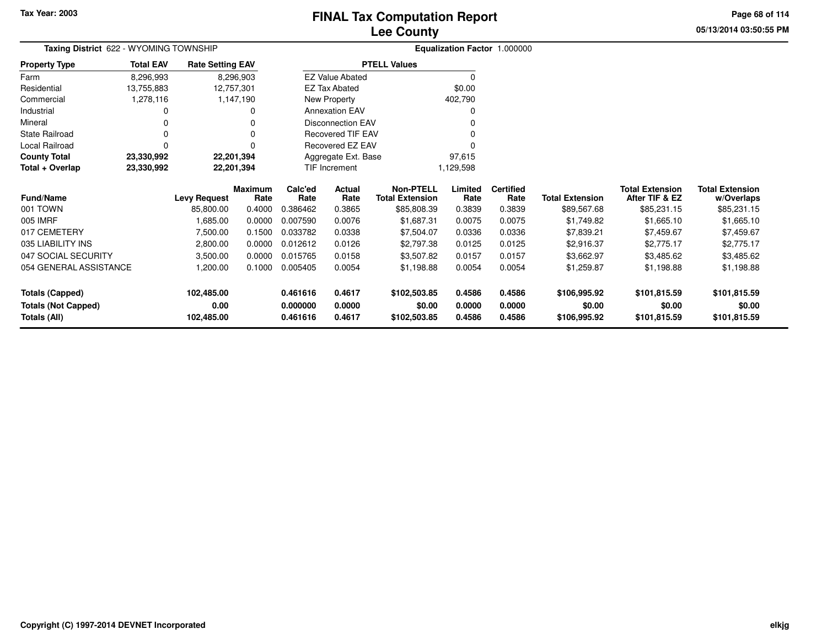# **Lee CountyFINAL Tax Computation Report**

**05/13/2014 03:50:55 PMPage 68 of 114**

|                            | Taxing District 622 - WYOMING TOWNSHIP |                         |                        |                          |                          |                                            |                 | Equalization Factor 1.000000 |                        |                                          |                                      |
|----------------------------|----------------------------------------|-------------------------|------------------------|--------------------------|--------------------------|--------------------------------------------|-----------------|------------------------------|------------------------|------------------------------------------|--------------------------------------|
| <b>Property Type</b>       | <b>Total EAV</b>                       | <b>Rate Setting EAV</b> |                        |                          |                          | <b>PTELL Values</b>                        |                 |                              |                        |                                          |                                      |
| Farm                       | 8,296,993                              |                         | 8,296,903              |                          | <b>EZ Value Abated</b>   |                                            | $\Omega$        |                              |                        |                                          |                                      |
| Residential                | 13,755,883                             |                         | 12,757,301             |                          | <b>EZ Tax Abated</b>     |                                            | \$0.00          |                              |                        |                                          |                                      |
| Commercial                 | 1,278,116                              |                         | 1,147,190              | New Property             |                          |                                            | 402,790         |                              |                        |                                          |                                      |
| Industrial                 | 0                                      |                         | 0                      |                          | <b>Annexation EAV</b>    |                                            |                 |                              |                        |                                          |                                      |
| Mineral                    |                                        |                         |                        |                          | <b>Disconnection EAV</b> |                                            |                 |                              |                        |                                          |                                      |
| <b>State Railroad</b>      | 0                                      |                         | 0                      | <b>Recovered TIF EAV</b> |                          |                                            |                 |                              |                        |                                          |                                      |
| Local Railroad             | $\Omega$                               |                         | 0                      | Recovered EZ EAV         |                          |                                            |                 |                              |                        |                                          |                                      |
| <b>County Total</b>        | 23,330,992                             |                         | 22,201,394             |                          | Aggregate Ext. Base      |                                            | 97,615          |                              |                        |                                          |                                      |
| Total + Overlap            | 23,330,992                             |                         | 22,201,394             | TIF Increment            |                          | 1,129,598                                  |                 |                              |                        |                                          |                                      |
| <b>Fund/Name</b>           |                                        | <b>Levy Request</b>     | <b>Maximum</b><br>Rate | Calc'ed<br>Rate          | Actual<br>Rate           | <b>Non-PTELL</b><br><b>Total Extension</b> | Limited<br>Rate | <b>Certified</b><br>Rate     | <b>Total Extension</b> | <b>Total Extension</b><br>After TIF & EZ | <b>Total Extension</b><br>w/Overlaps |
| 001 TOWN                   |                                        | 85,800.00               | 0.4000                 | 0.386462                 | 0.3865                   | \$85,808.39                                | 0.3839          | 0.3839                       | \$89,567.68            | \$85,231.15                              | \$85,231.15                          |
| 005 IMRF                   |                                        | 1,685.00                | 0.0000                 | 0.007590                 | 0.0076                   | \$1,687.31                                 | 0.0075          | 0.0075                       | \$1,749.82             | \$1,665.10                               | \$1,665.10                           |
| 017 CEMETERY               |                                        | 7,500.00                | 0.1500                 | 0.033782                 | 0.0338                   | \$7,504.07                                 | 0.0336          | 0.0336                       | \$7,839.21             | \$7,459.67                               | \$7,459.67                           |
| 035 LIABILITY INS          |                                        | 2,800.00                | 0.0000                 | 0.012612                 | 0.0126                   | \$2,797.38                                 | 0.0125          | 0.0125                       | \$2,916.37             | \$2,775.17                               | \$2,775.17                           |
| 047 SOCIAL SECURITY        |                                        | 3,500.00                | 0.0000                 | 0.015765                 | 0.0158                   | \$3,507.82                                 | 0.0157          | 0.0157                       | \$3,662.97             | \$3,485.62                               | \$3,485.62                           |
| 054 GENERAL ASSISTANCE     |                                        | 1,200.00                | 0.1000                 | 0.005405                 | 0.0054                   | \$1,198.88                                 | 0.0054          | 0.0054                       | \$1,259.87             | \$1,198.88                               | \$1,198.88                           |
| <b>Totals (Capped)</b>     |                                        | 102,485.00              |                        | 0.461616                 | 0.4617                   | \$102,503.85                               | 0.4586          | 0.4586                       | \$106,995.92           | \$101,815.59                             | \$101,815.59                         |
| <b>Totals (Not Capped)</b> |                                        | 0.00                    |                        | 0.000000                 | 0.0000                   | \$0.00                                     | 0.0000          | 0.0000                       | \$0.00                 | \$0.00                                   | \$0.00                               |
| Totals (All)               |                                        | 102,485.00              |                        | 0.461616                 | 0.4617                   | \$102,503.85                               | 0.4586          | 0.4586                       | \$106,995.92           | \$101,815.59                             | \$101,815.59                         |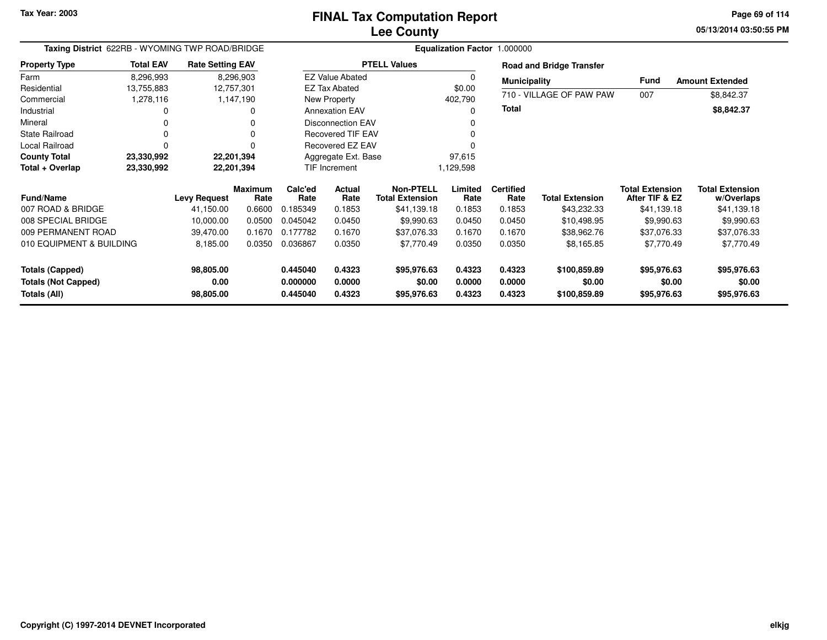**05/13/2014 03:50:55 PM Page 69 of 114**

|                                            |                  | Taxing District 622RB - WYOMING TWP ROAD/BRIDGE |                        |                      | Equalization Factor 1.000000 |                                            |                  |                          |                                 |                                          |                                      |  |  |  |
|--------------------------------------------|------------------|-------------------------------------------------|------------------------|----------------------|------------------------------|--------------------------------------------|------------------|--------------------------|---------------------------------|------------------------------------------|--------------------------------------|--|--|--|
| <b>Property Type</b>                       | <b>Total EAV</b> | <b>Rate Setting EAV</b>                         |                        |                      |                              | <b>PTELL Values</b>                        |                  |                          | <b>Road and Bridge Transfer</b> |                                          |                                      |  |  |  |
| Farm                                       | 8,296,993        | 8,296,903                                       |                        |                      | <b>EZ Value Abated</b>       |                                            |                  | <b>Municipality</b>      |                                 | <b>Fund</b>                              | <b>Amount Extended</b>               |  |  |  |
| Residential                                | 13,755,883       | 12,757,301                                      |                        |                      | <b>EZ Tax Abated</b>         |                                            | \$0.00           |                          | 710 - VILLAGE OF PAW PAW        |                                          |                                      |  |  |  |
| Commercial                                 | 1,278,116        | 1,147,190                                       |                        |                      | New Property                 |                                            | 402,790          |                          |                                 | 007                                      | \$8,842.37                           |  |  |  |
| Industrial                                 |                  |                                                 | ი                      |                      | <b>Annexation EAV</b>        |                                            |                  | Total                    |                                 |                                          | \$8,842.37                           |  |  |  |
| Mineral                                    |                  |                                                 | 0                      |                      | <b>Disconnection EAV</b>     |                                            |                  |                          |                                 |                                          |                                      |  |  |  |
| <b>State Railroad</b>                      |                  |                                                 | 0                      |                      | <b>Recovered TIF EAV</b>     |                                            |                  |                          |                                 |                                          |                                      |  |  |  |
| Local Railroad                             |                  |                                                 | 0                      |                      | Recovered EZ EAV             |                                            |                  |                          |                                 |                                          |                                      |  |  |  |
| <b>County Total</b>                        | 23,330,992       | 22,201,394                                      |                        | Aggregate Ext. Base  |                              |                                            | 97,615           |                          |                                 |                                          |                                      |  |  |  |
| Total + Overlap                            | 23,330,992       | 22,201,394                                      |                        | <b>TIF Increment</b> |                              |                                            | 1,129,598        |                          |                                 |                                          |                                      |  |  |  |
| <b>Fund/Name</b>                           |                  | <b>Levy Request</b>                             | <b>Maximum</b><br>Rate | Calc'ed<br>Rate      | Actual<br>Rate               | <b>Non-PTELL</b><br><b>Total Extension</b> | Limited<br>Rate  | <b>Certified</b><br>Rate | <b>Total Extension</b>          | <b>Total Extension</b><br>After TIF & EZ | <b>Total Extension</b><br>w/Overlaps |  |  |  |
| 007 ROAD & BRIDGE                          |                  | 41,150.00                                       | 0.6600                 | 0.185349             | 0.1853                       | \$41,139.18                                | 0.1853           | 0.1853                   | \$43,232.33                     | \$41,139.18                              | \$41,139.18                          |  |  |  |
| 008 SPECIAL BRIDGE                         |                  | 10,000.00                                       | 0.0500                 | 0.045042             | 0.0450                       | \$9,990.63                                 | 0.0450           | 0.0450                   | \$10,498.95                     | \$9,990.63                               | \$9,990.63                           |  |  |  |
| 009 PERMANENT ROAD                         |                  | 39,470.00                                       | 0.1670                 | 0.177782             | 0.1670                       | \$37,076.33                                | 0.1670           | 0.1670                   | \$38,962.76                     | \$37,076.33                              | \$37,076.33                          |  |  |  |
| 010 EQUIPMENT & BUILDING                   |                  | 8,185.00                                        | 0.0350                 | 0.036867             | 0.0350                       | \$7,770.49                                 | 0.0350           | 0.0350                   | \$8,165.85                      | \$7,770.49                               | \$7,770.49                           |  |  |  |
| <b>Totals (Capped)</b>                     |                  | 98,805.00                                       |                        | 0.445040             | 0.4323                       | \$95,976.63                                | 0.4323           | 0.4323                   | \$100,859.89                    | \$95,976.63                              | \$95,976.63                          |  |  |  |
| <b>Totals (Not Capped)</b><br>Totals (All) |                  | 0.00<br>98,805.00                               |                        | 0.000000<br>0.445040 | 0.0000<br>0.4323             | \$0.00<br>\$95,976.63                      | 0.0000<br>0.4323 | 0.0000<br>0.4323         | \$0.00<br>\$100,859.89          | \$0.00<br>\$95,976.63                    | \$0.00<br>\$95,976.63                |  |  |  |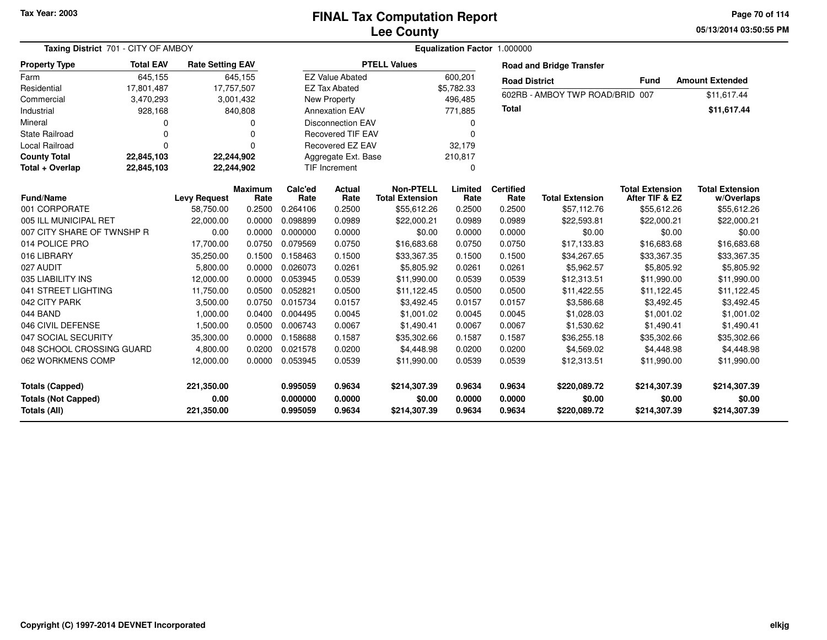#### **Lee CountyFINAL Tax Computation Report**

**05/13/2014 03:50:55 PM Page 70 of 114**

|                                                                      | Taxing District 701 - CITY OF AMBOY |                                  |                        |                                  | Equalization Factor 1.000000 |                                            |                            |                            |                                        |                                          |                                        |  |  |
|----------------------------------------------------------------------|-------------------------------------|----------------------------------|------------------------|----------------------------------|------------------------------|--------------------------------------------|----------------------------|----------------------------|----------------------------------------|------------------------------------------|----------------------------------------|--|--|
| <b>Property Type</b>                                                 | <b>Total EAV</b>                    | <b>Rate Setting EAV</b>          |                        |                                  |                              | <b>PTELL Values</b>                        |                            |                            | <b>Road and Bridge Transfer</b>        |                                          |                                        |  |  |
| Farm                                                                 | 645,155                             |                                  | 645,155                |                                  | <b>EZ Value Abated</b>       |                                            | 600,201                    | <b>Road District</b>       |                                        | <b>Fund</b>                              | <b>Amount Extended</b>                 |  |  |
| Residential                                                          | 17,801,487                          | 17,757,507                       |                        |                                  | <b>EZ Tax Abated</b>         |                                            | \$5,782.33                 |                            |                                        |                                          |                                        |  |  |
| Commercial                                                           | 3,470,293                           |                                  | 3,001,432              |                                  | New Property                 |                                            | 496,485                    |                            | 602RB - AMBOY TWP ROAD/BRID 007        |                                          | \$11,617.44                            |  |  |
| Industrial                                                           | 928,168                             |                                  | 840,808                | <b>Annexation EAV</b>            |                              |                                            | 771,885                    | Total                      |                                        |                                          | \$11,617.44                            |  |  |
| Mineral                                                              | 0                                   |                                  | O                      |                                  | <b>Disconnection EAV</b>     |                                            | 0                          |                            |                                        |                                          |                                        |  |  |
| <b>State Railroad</b>                                                | $\Omega$                            |                                  | O                      |                                  | <b>Recovered TIF EAV</b>     |                                            | $\Omega$                   |                            |                                        |                                          |                                        |  |  |
| <b>Local Railroad</b>                                                | $\Omega$                            |                                  | $\Omega$               |                                  | <b>Recovered EZ EAV</b>      |                                            | 32,179                     |                            |                                        |                                          |                                        |  |  |
| <b>County Total</b>                                                  | 22,845,103                          | 22,244,902                       |                        |                                  | Aggregate Ext. Base          |                                            | 210,817                    |                            |                                        |                                          |                                        |  |  |
| Total + Overlap                                                      | 22,845,103                          | 22,244,902                       |                        |                                  | <b>TIF Increment</b>         |                                            | $\Omega$                   |                            |                                        |                                          |                                        |  |  |
| <b>Fund/Name</b>                                                     |                                     | <b>Levy Request</b>              | <b>Maximum</b><br>Rate | Calc'ed<br>Rate                  | Actual<br>Rate               | <b>Non-PTELL</b><br><b>Total Extension</b> | Limited<br>Rate            | <b>Certified</b><br>Rate   | <b>Total Extension</b>                 | <b>Total Extension</b><br>After TIF & EZ | <b>Total Extension</b><br>w/Overlaps   |  |  |
| 001 CORPORATE                                                        |                                     | 58,750.00                        | 0.2500                 | 0.264106                         | 0.2500                       | \$55,612.26                                | 0.2500                     | 0.2500                     | \$57,112.76                            | \$55,612.26                              | \$55,612.26                            |  |  |
| 005 ILL MUNICIPAL RET                                                |                                     | 22,000.00                        | 0.0000                 | 0.098899                         | 0.0989                       | \$22,000.21                                | 0.0989                     | 0.0989                     | \$22,593.81                            | \$22,000.21                              | \$22,000.21                            |  |  |
| 007 CITY SHARE OF TWNSHP R                                           |                                     | 0.00                             | 0.0000                 | 0.000000                         | 0.0000                       | \$0.00                                     | 0.0000                     | 0.0000                     | \$0.00                                 | \$0.00                                   | \$0.00                                 |  |  |
| 014 POLICE PRO                                                       |                                     | 17,700.00                        | 0.0750                 | 0.079569                         | 0.0750                       | \$16,683.68                                | 0.0750                     | 0.0750                     | \$17,133.83                            | \$16,683.68                              | \$16,683.68                            |  |  |
| 016 LIBRARY                                                          |                                     | 35,250.00                        | 0.1500                 | 0.158463                         | 0.1500                       | \$33,367.35                                | 0.1500                     | 0.1500                     | \$34,267.65                            | \$33,367.35                              | \$33,367.35                            |  |  |
| 027 AUDIT                                                            |                                     | 5,800.00                         | 0.0000                 | 0.026073                         | 0.0261                       | \$5,805.92                                 | 0.0261                     | 0.0261                     | \$5,962.57                             | \$5,805.92                               | \$5,805.92                             |  |  |
| 035 LIABILITY INS                                                    |                                     | 12,000.00                        | 0.0000                 | 0.053945                         | 0.0539                       | \$11,990.00                                | 0.0539                     | 0.0539                     | \$12,313.51                            | \$11,990.00                              | \$11,990.00                            |  |  |
| 041 STREET LIGHTING                                                  |                                     | 11,750.00                        | 0.0500                 | 0.052821                         | 0.0500                       | \$11,122.45                                | 0.0500                     | 0.0500                     | \$11,422.55                            | \$11,122.45                              | \$11,122.45                            |  |  |
| 042 CITY PARK                                                        |                                     | 3,500.00                         | 0.0750                 | 0.015734                         | 0.0157                       | \$3,492.45                                 | 0.0157                     | 0.0157                     | \$3,586.68                             | \$3,492.45                               | \$3,492.45                             |  |  |
| 044 BAND                                                             |                                     | 1,000.00                         | 0.0400                 | 0.004495                         | 0.0045                       | \$1,001.02                                 | 0.0045                     | 0.0045                     | \$1,028.03                             | \$1,001.02                               | \$1,001.02                             |  |  |
| 046 CIVIL DEFENSE                                                    |                                     | 1,500.00                         | 0.0500                 | 0.006743                         | 0.0067                       | \$1,490.41                                 | 0.0067                     | 0.0067                     | \$1,530.62                             | \$1,490.41                               | \$1,490.41                             |  |  |
| 047 SOCIAL SECURITY                                                  |                                     | 35,300.00                        | 0.0000                 | 0.158688                         | 0.1587                       | \$35,302.66                                | 0.1587                     | 0.1587                     | \$36,255.18                            | \$35,302.66                              | \$35,302.66                            |  |  |
| 048 SCHOOL CROSSING GUARD                                            |                                     | 4,800.00                         | 0.0200                 | 0.021578                         | 0.0200                       | \$4,448.98                                 | 0.0200                     | 0.0200                     | \$4,569.02                             | \$4,448.98                               | \$4,448.98                             |  |  |
| 062 WORKMENS COMP                                                    |                                     | 12,000.00                        | 0.0000                 | 0.053945                         | 0.0539                       | \$11,990.00                                | 0.0539                     | 0.0539                     | \$12,313.51                            | \$11,990.00                              | \$11,990.00                            |  |  |
| <b>Totals (Capped)</b><br><b>Totals (Not Capped)</b><br>Totals (All) |                                     | 221,350.00<br>0.00<br>221,350.00 |                        | 0.995059<br>0.000000<br>0.995059 | 0.9634<br>0.0000<br>0.9634   | \$214,307.39<br>\$0.00<br>\$214,307.39     | 0.9634<br>0.0000<br>0.9634 | 0.9634<br>0.0000<br>0.9634 | \$220,089.72<br>\$0.00<br>\$220,089.72 | \$214,307.39<br>\$0.00<br>\$214,307.39   | \$214,307.39<br>\$0.00<br>\$214,307.39 |  |  |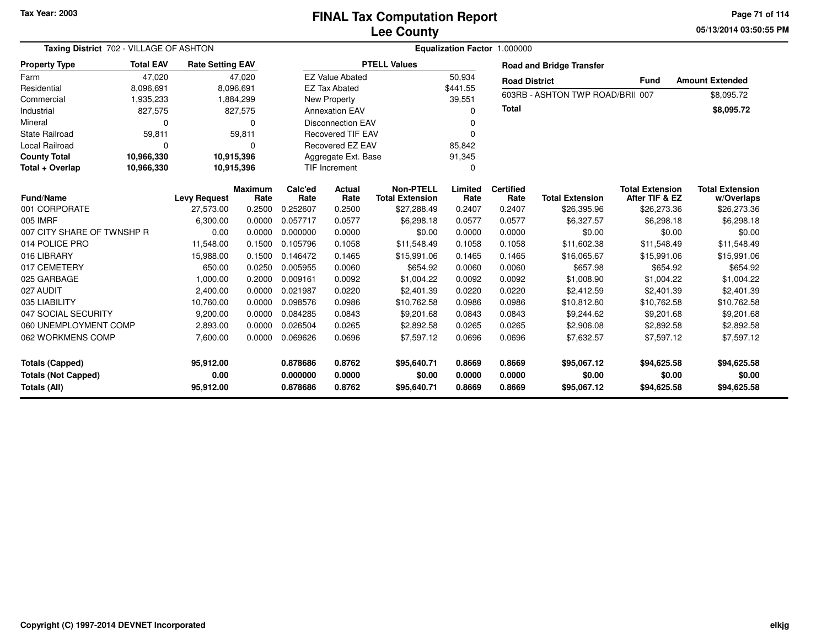**05/13/2014 03:50:55 PMPage 71 of 114**

| Taxing District 702 - VILLAGE OF ASHTON                                                   |                     |           |                                                                                                                                | Equalization Factor 1.000000 |                                                                                                 |                                                                                                                                     |                          |                        |                                                                        |                                                                |  |  |  |
|-------------------------------------------------------------------------------------------|---------------------|-----------|--------------------------------------------------------------------------------------------------------------------------------|------------------------------|-------------------------------------------------------------------------------------------------|-------------------------------------------------------------------------------------------------------------------------------------|--------------------------|------------------------|------------------------------------------------------------------------|----------------------------------------------------------------|--|--|--|
| <b>Total EAV</b>                                                                          |                     |           |                                                                                                                                |                              |                                                                                                 |                                                                                                                                     |                          |                        |                                                                        |                                                                |  |  |  |
| 47,020                                                                                    |                     |           |                                                                                                                                |                              |                                                                                                 | 50,934                                                                                                                              |                          |                        |                                                                        | <b>Amount Extended</b>                                         |  |  |  |
| 8,096,691                                                                                 |                     |           |                                                                                                                                |                              |                                                                                                 | \$441.55                                                                                                                            |                          |                        |                                                                        |                                                                |  |  |  |
| 1,935,233                                                                                 |                     |           |                                                                                                                                |                              |                                                                                                 | 39,551                                                                                                                              |                          |                        |                                                                        | \$8,095.72                                                     |  |  |  |
| 827,575                                                                                   |                     |           |                                                                                                                                |                              |                                                                                                 | n                                                                                                                                   |                          |                        |                                                                        | \$8,095.72                                                     |  |  |  |
| $\Omega$<br>$\Omega$<br><b>State Railroad</b>                                             |                     |           | <b>Disconnection EAV</b>                                                                                                       |                              |                                                                                                 |                                                                                                                                     |                          |                        |                                                                        |                                                                |  |  |  |
| 59,811                                                                                    |                     |           |                                                                                                                                |                              |                                                                                                 | O                                                                                                                                   |                          |                        |                                                                        |                                                                |  |  |  |
| $\Omega$                                                                                  |                     | $\Omega$  |                                                                                                                                |                              |                                                                                                 | 85,842                                                                                                                              |                          |                        |                                                                        |                                                                |  |  |  |
| 10,966,330                                                                                |                     |           |                                                                                                                                |                              |                                                                                                 | 91,345                                                                                                                              |                          |                        |                                                                        |                                                                |  |  |  |
| 10,966,330                                                                                |                     |           |                                                                                                                                |                              |                                                                                                 | 0                                                                                                                                   |                          |                        |                                                                        |                                                                |  |  |  |
|                                                                                           | <b>Levy Request</b> | Rate      | Calc'ed<br>Rate                                                                                                                | <b>Actual</b><br>Rate        | <b>Non-PTELL</b><br><b>Total Extension</b>                                                      | Limited<br>Rate                                                                                                                     | <b>Certified</b><br>Rate | <b>Total Extension</b> | <b>Total Extension</b><br>After TIF & EZ                               | <b>Total Extension</b><br>w/Overlaps                           |  |  |  |
|                                                                                           | 27,573.00           | 0.2500    | 0.252607                                                                                                                       | 0.2500                       | \$27,288.49                                                                                     | 0.2407                                                                                                                              | 0.2407                   | \$26,395.96            | \$26,273.36                                                            | \$26,273.36                                                    |  |  |  |
|                                                                                           | 6,300.00            | 0.0000    | 0.057717                                                                                                                       | 0.0577                       | \$6,298.18                                                                                      | 0.0577                                                                                                                              | 0.0577                   | \$6,327.57             | \$6,298.18                                                             | \$6,298.18                                                     |  |  |  |
| 007 CITY SHARE OF TWNSHP R                                                                | 0.00                | 0.0000    | 0.000000                                                                                                                       | 0.0000                       | \$0.00                                                                                          | 0.0000                                                                                                                              | 0.0000                   | \$0.00                 | \$0.00                                                                 | \$0.00                                                         |  |  |  |
|                                                                                           | 11,548.00           | 0.1500    | 0.105796                                                                                                                       | 0.1058                       | \$11,548.49                                                                                     | 0.1058                                                                                                                              | 0.1058                   | \$11,602.38            | \$11,548.49                                                            | \$11,548.49                                                    |  |  |  |
|                                                                                           | 15,988.00           | 0.1500    | 0.146472                                                                                                                       | 0.1465                       | \$15,991.06                                                                                     | 0.1465                                                                                                                              | 0.1465                   | \$16,065.67            | \$15,991.06                                                            | \$15,991.06                                                    |  |  |  |
|                                                                                           | 650.00              | 0.0250    | 0.005955                                                                                                                       | 0.0060                       | \$654.92                                                                                        | 0.0060                                                                                                                              | 0.0060                   | \$657.98               | \$654.92                                                               | \$654.92                                                       |  |  |  |
|                                                                                           | 1,000.00            | 0.2000    | 0.009161                                                                                                                       | 0.0092                       | \$1,004.22                                                                                      | 0.0092                                                                                                                              | 0.0092                   | \$1,008.90             | \$1,004.22                                                             | \$1,004.22                                                     |  |  |  |
|                                                                                           | 2,400.00            | 0.0000    | 0.021987                                                                                                                       | 0.0220                       | \$2,401.39                                                                                      | 0.0220                                                                                                                              | 0.0220                   | \$2,412.59             | \$2,401.39                                                             | \$2,401.39                                                     |  |  |  |
|                                                                                           | 10,760.00           | 0.0000    | 0.098576                                                                                                                       | 0.0986                       | \$10,762.58                                                                                     | 0.0986                                                                                                                              | 0.0986                   | \$10,812.80            | \$10,762.58                                                            | \$10,762.58                                                    |  |  |  |
|                                                                                           | 9,200.00            | 0.0000    | 0.084285                                                                                                                       | 0.0843                       | \$9,201.68                                                                                      | 0.0843                                                                                                                              | 0.0843                   | \$9,244.62             | \$9,201.68                                                             | \$9,201.68                                                     |  |  |  |
| 060 UNEMPLOYMENT COMP                                                                     | 2,893.00            | 0.0000    | 0.026504                                                                                                                       | 0.0265                       | \$2,892.58                                                                                      | 0.0265                                                                                                                              | 0.0265                   | \$2,906.08             | \$2,892.58                                                             | \$2,892.58                                                     |  |  |  |
|                                                                                           | 7,600.00            | 0.0000    | 0.069626                                                                                                                       | 0.0696                       | \$7,597.12                                                                                      | 0.0696                                                                                                                              | 0.0696                   | \$7,632.57             | \$7,597.12                                                             | \$7,597.12                                                     |  |  |  |
| <b>Totals (Capped)</b><br>95,912.00<br>0.00<br><b>Totals (Not Capped)</b><br>Totals (All) |                     |           | 0.878686<br>0.000000                                                                                                           | 0.8762<br>0.0000             | \$95,640.71<br>\$0.00                                                                           | 0.8669<br>0.0000                                                                                                                    | 0.8669<br>0.0000         | \$95,067.12<br>\$0.00  | \$94,625.58<br>\$0.00                                                  | \$94,625.58<br>\$0.00<br>\$94,625.58                           |  |  |  |
|                                                                                           |                     | 95,912.00 | <b>Rate Setting EAV</b><br>47,020<br>8,096,691<br>1,884,299<br>827,575<br>59,811<br>10,915,396<br>10,915,396<br><b>Maximum</b> | 0.878686                     | <b>EZ Tax Abated</b><br>New Property<br><b>Annexation EAV</b><br><b>TIF Increment</b><br>0.8762 | <b>PTELL Values</b><br><b>EZ Value Abated</b><br><b>Recovered TIF EAV</b><br>Recovered EZ EAV<br>Aggregate Ext. Base<br>\$95,640.71 | 0.8669                   | Total<br>0.8669        | <b>Road and Bridge Transfer</b><br><b>Road District</b><br>\$95,067.12 | <b>Fund</b><br>603RB - ASHTON TWP ROAD/BRII 007<br>\$94,625.58 |  |  |  |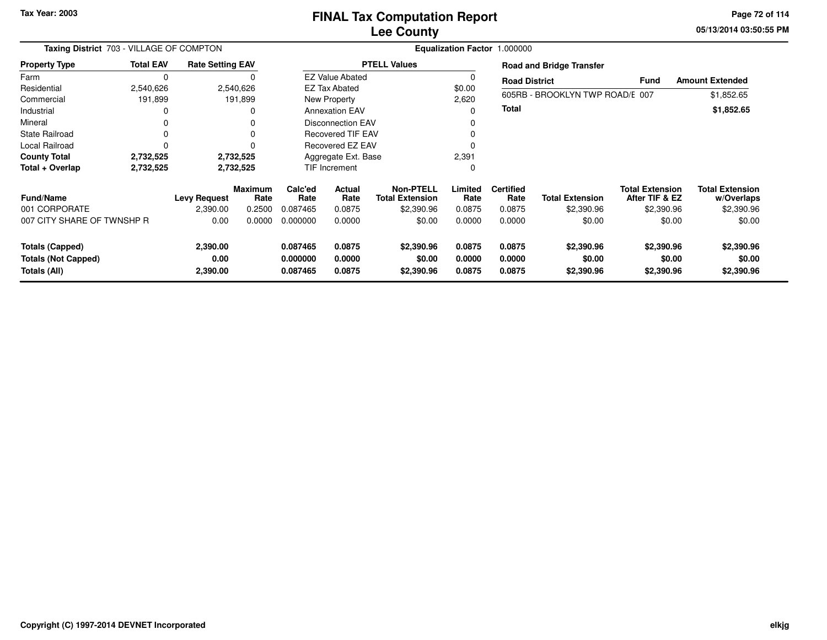**05/13/2014 03:50:55 PM Page 72 of 114**

| Taxing District 703 - VILLAGE OF COMPTON                             |                  |                              |                        | Equalization Factor 1.000000     |                            |                                            |                            |                            |                                    |                                          |                                      |  |
|----------------------------------------------------------------------|------------------|------------------------------|------------------------|----------------------------------|----------------------------|--------------------------------------------|----------------------------|----------------------------|------------------------------------|------------------------------------------|--------------------------------------|--|
| <b>Property Type</b>                                                 | <b>Total EAV</b> | <b>Rate Setting EAV</b>      |                        |                                  |                            | <b>PTELL Values</b>                        |                            |                            | <b>Road and Bridge Transfer</b>    |                                          |                                      |  |
| Farm                                                                 | 0                |                              |                        |                                  | <b>EZ Value Abated</b>     |                                            |                            | <b>Road District</b>       |                                    | Fund                                     | <b>Amount Extended</b>               |  |
| Residential                                                          | 2,540,626        |                              | 2,540,626              | <b>EZ Tax Abated</b>             |                            |                                            | \$0.00                     |                            |                                    |                                          |                                      |  |
| Commercial                                                           | 191,899          |                              | 191,899                | New Property                     |                            |                                            | 2,620                      |                            | 605RB - BROOKLYN TWP ROAD/E 007    |                                          | \$1,852.65                           |  |
| Industrial                                                           |                  |                              | 0                      | <b>Annexation EAV</b>            |                            |                                            |                            | <b>Total</b>               |                                    |                                          | \$1,852.65                           |  |
| Mineral                                                              |                  |                              | 0                      |                                  | <b>Disconnection EAV</b>   |                                            |                            |                            |                                    |                                          |                                      |  |
| State Railroad                                                       |                  |                              | 0                      |                                  | <b>Recovered TIF EAV</b>   |                                            |                            |                            |                                    |                                          |                                      |  |
| Local Railroad                                                       | 0                |                              | 0                      |                                  | Recovered EZ EAV           |                                            |                            |                            |                                    |                                          |                                      |  |
| <b>County Total</b>                                                  | 2,732,525        |                              | 2,732,525              | Aggregate Ext. Base              |                            |                                            | 2,391                      |                            |                                    |                                          |                                      |  |
| Total + Overlap                                                      | 2,732,525        |                              | 2,732,525              |                                  | TIF Increment              |                                            | $\Omega$                   |                            |                                    |                                          |                                      |  |
| <b>Fund/Name</b>                                                     |                  | <b>Levy Request</b>          | <b>Maximum</b><br>Rate | Calc'ed<br>Rate                  | Actual<br>Rate             | <b>Non-PTELL</b><br><b>Total Extension</b> | Limited<br>Rate            | <b>Certified</b><br>Rate   | <b>Total Extension</b>             | <b>Total Extension</b><br>After TIF & EZ | <b>Total Extension</b><br>w/Overlaps |  |
| 001 CORPORATE                                                        |                  | 2,390.00                     | 0.2500                 | 0.087465                         | 0.0875                     | \$2,390.96                                 | 0.0875                     | 0.0875                     | \$2,390.96                         | \$2,390.96                               | \$2,390.96                           |  |
| 007 CITY SHARE OF TWNSHP R                                           |                  | 0.00                         | 0.0000                 | 0.000000                         | 0.0000                     | \$0.00                                     | 0.0000                     | 0.0000                     | \$0.00                             | \$0.00                                   | \$0.00                               |  |
| <b>Totals (Capped)</b><br><b>Totals (Not Capped)</b><br>Totals (All) |                  | 2,390.00<br>0.00<br>2,390.00 |                        | 0.087465<br>0.000000<br>0.087465 | 0.0875<br>0.0000<br>0.0875 | \$2,390.96<br>\$0.00<br>\$2,390.96         | 0.0875<br>0.0000<br>0.0875 | 0.0875<br>0.0000<br>0.0875 | \$2,390.96<br>\$0.00<br>\$2,390.96 | \$2,390.96<br>\$0.00<br>\$2,390.96       | \$2,390.96<br>\$0.00<br>\$2,390.96   |  |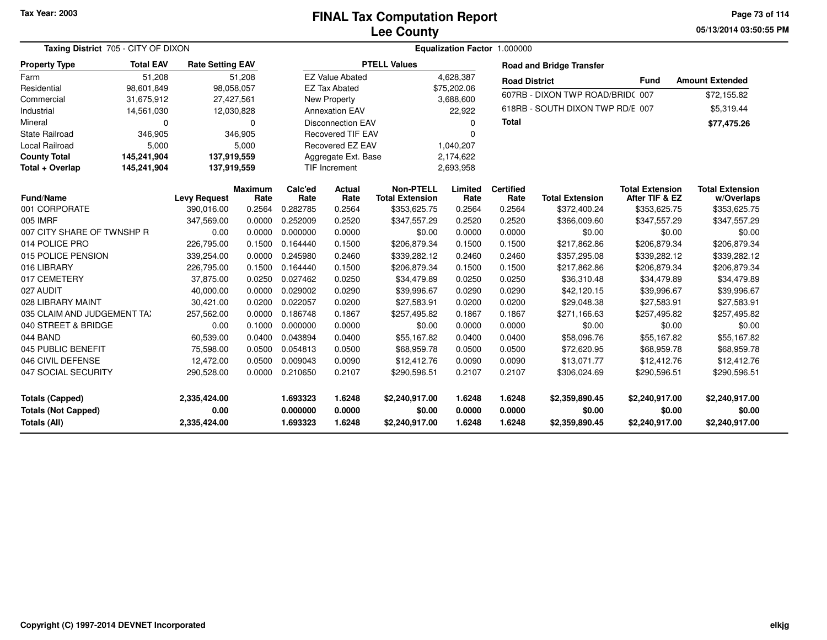**05/13/2014 03:50:55 PMPage 73 of 114**

| Taxing District 705 - CITY OF DIXON                                  |                  |                                      |                        |                                  |                            | Equalization Factor 1.000000               |                            |                            |                                            |                                            |                                            |
|----------------------------------------------------------------------|------------------|--------------------------------------|------------------------|----------------------------------|----------------------------|--------------------------------------------|----------------------------|----------------------------|--------------------------------------------|--------------------------------------------|--------------------------------------------|
| <b>Property Type</b>                                                 | <b>Total EAV</b> | <b>Rate Setting EAV</b>              |                        |                                  |                            | <b>PTELL Values</b>                        |                            |                            | <b>Road and Bridge Transfer</b>            |                                            |                                            |
| Farm                                                                 | 51,208           |                                      | 51,208                 |                                  | <b>EZ Value Abated</b>     |                                            | 4,628,387                  | <b>Road District</b>       |                                            | <b>Fund</b>                                | <b>Amount Extended</b>                     |
| Residential                                                          | 98,601,849       |                                      | 98,058,057             |                                  | <b>EZ Tax Abated</b>       |                                            | \$75,202.06                |                            | 607RB - DIXON TWP ROAD/BRID(007            |                                            |                                            |
| Commercial                                                           | 31,675,912       |                                      | 27,427,561             |                                  | New Property               |                                            | 3,688,600                  |                            |                                            |                                            | \$72,155.82                                |
| Industrial                                                           | 14,561,030       |                                      | 12,030,828             |                                  | <b>Annexation EAV</b>      |                                            | 22,922                     |                            | 618RB - SOUTH DIXON TWP RD/E 007           |                                            | \$5,319.44                                 |
| Mineral                                                              | 0                |                                      | 0                      |                                  | <b>Disconnection EAV</b>   |                                            | $\Omega$                   | <b>Total</b>               |                                            |                                            | \$77,475.26                                |
| <b>State Railroad</b>                                                | 346,905          |                                      | 346,905                |                                  | <b>Recovered TIF EAV</b>   |                                            | $\Omega$                   |                            |                                            |                                            |                                            |
| Local Railroad                                                       | 5,000            |                                      | 5,000                  |                                  | Recovered EZ EAV           |                                            | 1,040,207                  |                            |                                            |                                            |                                            |
| <b>County Total</b>                                                  | 145,241,904      |                                      | 137,919,559            |                                  | Aggregate Ext. Base        |                                            | 2,174,622                  |                            |                                            |                                            |                                            |
| Total + Overlap                                                      | 145,241,904      |                                      | 137,919,559            |                                  | <b>TIF Increment</b>       |                                            | 2,693,958                  |                            |                                            |                                            |                                            |
| <b>Fund/Name</b>                                                     |                  | <b>Levy Request</b>                  | <b>Maximum</b><br>Rate | Calc'ed<br>Rate                  | Actual<br>Rate             | <b>Non-PTELL</b><br><b>Total Extension</b> | Limited<br>Rate            | <b>Certified</b><br>Rate   | <b>Total Extension</b>                     | <b>Total Extension</b><br>After TIF & EZ   | <b>Total Extension</b><br>w/Overlaps       |
| 001 CORPORATE                                                        |                  | 390,016.00                           | 0.2564                 | 0.282785                         | 0.2564                     | \$353,625.75                               | 0.2564                     | 0.2564                     | \$372,400.24                               | \$353,625.75                               | \$353,625.75                               |
| 005 IMRF                                                             |                  | 347,569.00                           | 0.0000                 | 0.252009                         | 0.2520                     | \$347,557.29                               | 0.2520                     | 0.2520                     | \$366,009.60                               | \$347,557.29                               | \$347,557.29                               |
| 007 CITY SHARE OF TWNSHP R                                           |                  | 0.00                                 | 0.0000                 | 0.000000                         | 0.0000                     | \$0.00                                     | 0.0000                     | 0.0000                     | \$0.00                                     | \$0.00                                     | \$0.00                                     |
| 014 POLICE PRO                                                       |                  | 226,795.00                           | 0.1500                 | 0.164440                         | 0.1500                     | \$206,879.34                               | 0.1500                     | 0.1500                     | \$217,862.86                               | \$206,879.34                               | \$206,879.34                               |
| 015 POLICE PENSION                                                   |                  | 339,254.00                           | 0.0000                 | 0.245980                         | 0.2460                     | \$339,282.12                               | 0.2460                     | 0.2460                     | \$357,295.08                               | \$339,282.12                               | \$339,282.12                               |
| 016 LIBRARY                                                          |                  | 226,795.00                           | 0.1500                 | 0.164440                         | 0.1500                     | \$206,879.34                               | 0.1500                     | 0.1500                     | \$217,862.86                               | \$206,879.34                               | \$206,879.34                               |
| 017 CEMETERY                                                         |                  | 37,875.00                            | 0.0250                 | 0.027462                         | 0.0250                     | \$34,479.89                                | 0.0250                     | 0.0250                     | \$36,310.48                                | \$34,479.89                                | \$34,479.89                                |
| 027 AUDIT                                                            |                  | 40,000.00                            | 0.0000                 | 0.029002                         | 0.0290                     | \$39,996.67                                | 0.0290                     | 0.0290                     | \$42,120.15                                | \$39,996.67                                | \$39,996.67                                |
| 028 LIBRARY MAINT                                                    |                  | 30,421.00                            | 0.0200                 | 0.022057                         | 0.0200                     | \$27,583.91                                | 0.0200                     | 0.0200                     | \$29,048.38                                | \$27,583.91                                | \$27,583.91                                |
| 035 CLAIM AND JUDGEMENT TAX                                          |                  | 257,562.00                           | 0.0000                 | 0.186748                         | 0.1867                     | \$257,495.82                               | 0.1867                     | 0.1867                     | \$271,166.63                               | \$257,495.82                               | \$257,495.82                               |
| 040 STREET & BRIDGE                                                  |                  | 0.00                                 | 0.1000                 | 0.000000                         | 0.0000                     | \$0.00                                     | 0.0000                     | 0.0000                     | \$0.00                                     | \$0.00                                     | \$0.00                                     |
| 044 BAND                                                             |                  | 60,539.00                            | 0.0400                 | 0.043894                         | 0.0400                     | \$55,167.82                                | 0.0400                     | 0.0400                     | \$58,096.76                                | \$55,167.82                                | \$55,167.82                                |
| 045 PUBLIC BENEFIT                                                   |                  | 75,598.00                            | 0.0500                 | 0.054813                         | 0.0500                     | \$68,959.78                                | 0.0500                     | 0.0500                     | \$72,620.95                                | \$68,959.78                                | \$68,959.78                                |
| 046 CIVIL DEFENSE                                                    |                  | 12,472.00                            | 0.0500                 | 0.009043                         | 0.0090                     | \$12,412.76                                | 0.0090                     | 0.0090                     | \$13,071.77                                | \$12,412.76                                | \$12,412.76                                |
| 047 SOCIAL SECURITY                                                  |                  | 290,528.00                           | 0.0000                 | 0.210650                         | 0.2107                     | \$290,596.51                               | 0.2107                     | 0.2107                     | \$306,024.69                               | \$290,596.51                               | \$290,596.51                               |
| <b>Totals (Capped)</b><br><b>Totals (Not Capped)</b><br>Totals (All) |                  | 2,335,424.00<br>0.00<br>2,335,424.00 |                        | 1.693323<br>0.000000<br>1.693323 | 1.6248<br>0.0000<br>1.6248 | \$2,240,917.00<br>\$0.00<br>\$2,240,917.00 | 1.6248<br>0.0000<br>1.6248 | 1.6248<br>0.0000<br>1.6248 | \$2,359,890.45<br>\$0.00<br>\$2,359,890.45 | \$2,240,917.00<br>\$0.00<br>\$2,240,917.00 | \$2,240,917.00<br>\$0.00<br>\$2,240,917.00 |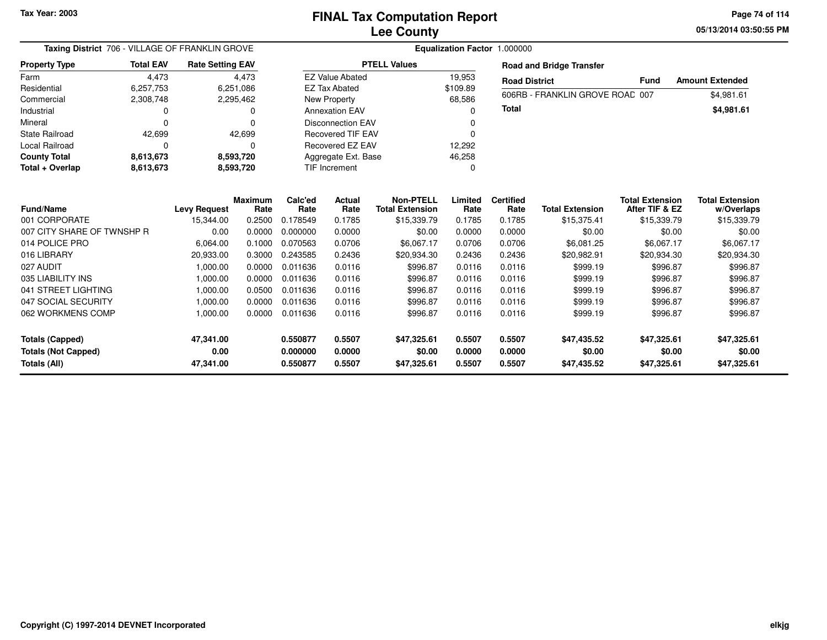**05/13/2014 03:50:55 PM Page 74 of 114**

| Taxing District 706 - VILLAGE OF FRANKLIN GROVE   |                                                     |                         |                        |                      | Equalization Factor 1.000000 |                                            |                  |                          |                                 |                                          |                                      |
|---------------------------------------------------|-----------------------------------------------------|-------------------------|------------------------|----------------------|------------------------------|--------------------------------------------|------------------|--------------------------|---------------------------------|------------------------------------------|--------------------------------------|
| <b>Property Type</b>                              | <b>Total EAV</b>                                    | <b>Rate Setting EAV</b> |                        |                      |                              | <b>PTELL Values</b>                        |                  |                          | <b>Road and Bridge Transfer</b> |                                          |                                      |
| Farm                                              | 4,473                                               |                         | 4,473                  |                      | <b>EZ Value Abated</b>       |                                            | 19,953           | <b>Road District</b>     |                                 | <b>Fund</b>                              | <b>Amount Extended</b>               |
| Residential                                       | 6,257,753                                           |                         | 6,251,086              |                      | <b>EZ Tax Abated</b>         |                                            | \$109.89         |                          | 606RB - FRANKLIN GROVE ROAD 007 |                                          | \$4,981.61                           |
| Commercial                                        | 2,308,748                                           |                         | 2,295,462              |                      | <b>New Property</b>          |                                            | 68,586           |                          |                                 |                                          |                                      |
| Industrial                                        | 0                                                   |                         |                        |                      | <b>Annexation EAV</b>        |                                            | 0                | Total                    |                                 |                                          | \$4,981.61                           |
| Mineral                                           | $\Omega$                                            |                         | $\Omega$               |                      | <b>Disconnection EAV</b>     |                                            | O                |                          |                                 |                                          |                                      |
| <b>State Railroad</b>                             | 42,699                                              |                         | 42,699                 |                      | <b>Recovered TIF EAV</b>     |                                            | O                |                          |                                 |                                          |                                      |
| Local Railroad                                    | $\Omega$                                            |                         |                        |                      | Recovered EZ EAV             |                                            | 12,292           |                          |                                 |                                          |                                      |
| <b>County Total</b>                               | 8,613,673                                           |                         | 8,593,720              |                      | Aggregate Ext. Base          |                                            | 46,258           |                          |                                 |                                          |                                      |
| Total + Overlap                                   | <b>TIF Increment</b><br>8,613,673<br>8,593,720<br>0 |                         |                        |                      |                              |                                            |                  |                          |                                 |                                          |                                      |
| <b>Fund/Name</b>                                  |                                                     | <b>Levy Request</b>     | <b>Maximum</b><br>Rate | Calc'ed<br>Rate      | <b>Actual</b><br>Rate        | <b>Non-PTELL</b><br><b>Total Extension</b> | Limited<br>Rate  | <b>Certified</b><br>Rate | <b>Total Extension</b>          | <b>Total Extension</b><br>After TIF & EZ | <b>Total Extension</b><br>w/Overlaps |
| 001 CORPORATE                                     |                                                     | 15,344.00               | 0.2500                 | 0.178549             | 0.1785                       | \$15,339.79                                | 0.1785           | 0.1785                   | \$15,375.41                     | \$15,339.79                              | \$15,339.79                          |
| 007 CITY SHARE OF TWNSHP R                        |                                                     | 0.00                    | 0.0000                 | 0.000000             | 0.0000                       | \$0.00                                     | 0.0000           | 0.0000                   | \$0.00                          | \$0.00                                   | \$0.00                               |
| 014 POLICE PRO                                    |                                                     | 6,064.00                | 0.1000                 | 0.070563             | 0.0706                       | \$6,067.17                                 | 0.0706           | 0.0706                   | \$6,081.25                      | \$6,067.17                               | \$6,067.17                           |
| 016 LIBRARY                                       |                                                     | 20,933.00               | 0.3000                 | 0.243585             | 0.2436                       | \$20,934.30                                | 0.2436           | 0.2436                   | \$20,982.91                     | \$20,934.30                              | \$20,934.30                          |
| 027 AUDIT                                         |                                                     | 1,000.00                | 0.0000                 | 0.011636             | 0.0116                       | \$996.87                                   | 0.0116           | 0.0116                   | \$999.19                        | \$996.87                                 | \$996.87                             |
| 035 LIABILITY INS                                 |                                                     | 1,000.00                | 0.0000                 | 0.011636             | 0.0116                       | \$996.87                                   | 0.0116           | 0.0116                   | \$999.19                        | \$996.87                                 | \$996.87                             |
| 041 STREET LIGHTING                               |                                                     | 1,000.00                | 0.0500                 | 0.011636             | 0.0116                       | \$996.87                                   | 0.0116           | 0.0116                   | \$999.19                        | \$996.87                                 | \$996.87                             |
| 047 SOCIAL SECURITY                               |                                                     | 1,000.00                | 0.0000                 | 0.011636             | 0.0116                       | \$996.87                                   | 0.0116           | 0.0116                   | \$999.19                        | \$996.87                                 | \$996.87                             |
| 062 WORKMENS COMP                                 |                                                     | 1,000.00                | 0.0000                 | 0.011636             | 0.0116                       | \$996.87                                   | 0.0116           | 0.0116                   | \$999.19                        | \$996.87                                 | \$996.87                             |
| Totals (Capped)                                   |                                                     | 47,341.00               |                        | 0.550877             | 0.5507                       | \$47,325.61                                | 0.5507           | 0.5507                   | \$47,435.52                     | \$47,325.61                              | \$47,325.61                          |
| <b>Totals (Not Capped)</b><br><b>Totals (All)</b> |                                                     | 0.00<br>47,341.00       |                        | 0.000000<br>0.550877 | 0.0000<br>0.5507             | \$0.00<br>\$47,325.61                      | 0.0000<br>0.5507 | 0.0000<br>0.5507         | \$0.00<br>\$47,435.52           | \$0.00<br>\$47,325.61                    | \$0.00<br>\$47,325.61                |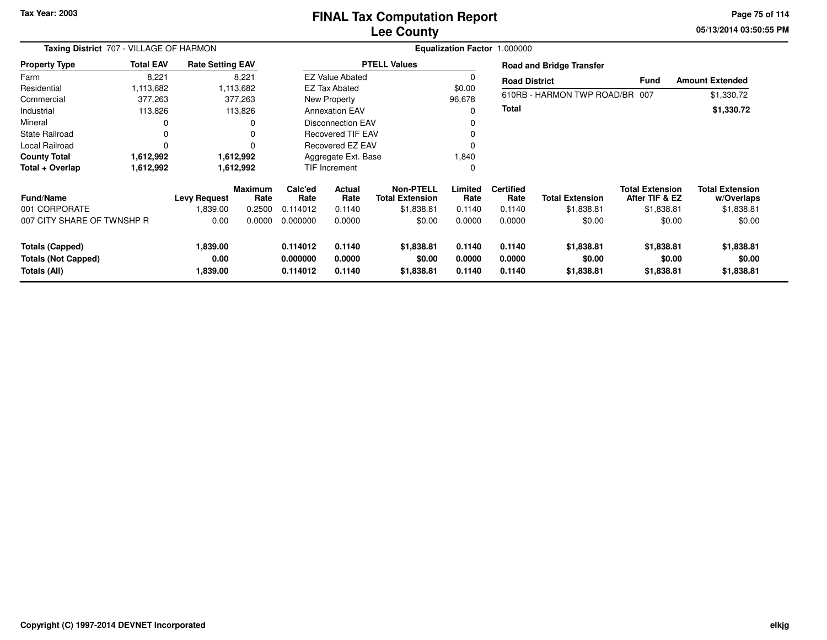### **Lee CountyFINAL Tax Computation Report**

**05/13/2014 03:50:55 PM Page 75 of 114**

| Taxing District 707 - VILLAGE OF HARMON<br><b>Rate Setting EAV</b>   |                  |                              |                        |                                  |                            |                                            | Equalization Factor 1.000000 |                            |                                    |                                          |                                      |  |
|----------------------------------------------------------------------|------------------|------------------------------|------------------------|----------------------------------|----------------------------|--------------------------------------------|------------------------------|----------------------------|------------------------------------|------------------------------------------|--------------------------------------|--|
| <b>Property Type</b>                                                 | <b>Total EAV</b> |                              |                        |                                  |                            | <b>PTELL Values</b>                        |                              |                            | <b>Road and Bridge Transfer</b>    |                                          |                                      |  |
| Farm                                                                 | 8,221            |                              | 8,221                  |                                  | <b>EZ Value Abated</b>     |                                            |                              | <b>Road District</b>       |                                    | <b>Fund</b>                              | <b>Amount Extended</b>               |  |
| Residential                                                          | 1,113,682        |                              | 1,113,682              |                                  | <b>EZ Tax Abated</b>       |                                            | \$0.00                       |                            |                                    |                                          |                                      |  |
| Commercial                                                           | 377,263          |                              | 377,263                |                                  | New Property               |                                            | 96,678                       |                            | 610RB - HARMON TWP ROAD/BR 007     |                                          | \$1,330.72                           |  |
| Industrial                                                           | 113,826          |                              | 113,826                |                                  | <b>Annexation EAV</b>      |                                            |                              | Total                      |                                    |                                          | \$1,330.72                           |  |
| Mineral                                                              | 0                |                              |                        |                                  | <b>Disconnection EAV</b>   |                                            |                              |                            |                                    |                                          |                                      |  |
| <b>State Railroad</b>                                                | 0                |                              |                        |                                  | <b>Recovered TIF EAV</b>   |                                            |                              |                            |                                    |                                          |                                      |  |
| Local Railroad                                                       | $\Omega$         |                              |                        |                                  | <b>Recovered EZ EAV</b>    |                                            |                              |                            |                                    |                                          |                                      |  |
| <b>County Total</b>                                                  | 1,612,992        |                              | 1,612,992              |                                  | Aggregate Ext. Base        |                                            | 1,840                        |                            |                                    |                                          |                                      |  |
| Total + Overlap                                                      | 1,612,992        |                              | 1,612,992              |                                  | <b>TIF Increment</b>       |                                            |                              |                            |                                    |                                          |                                      |  |
| <b>Fund/Name</b>                                                     |                  | <b>Levy Request</b>          | <b>Maximum</b><br>Rate | Calc'ed<br>Rate                  | <b>Actual</b><br>Rate      | <b>Non-PTELL</b><br><b>Total Extension</b> | Limited<br>Rate              | <b>Certified</b><br>Rate   | <b>Total Extension</b>             | <b>Total Extension</b><br>After TIF & EZ | <b>Total Extension</b><br>w/Overlaps |  |
| 001 CORPORATE                                                        |                  | 1,839.00                     | 0.2500                 | 0.114012                         | 0.1140                     | \$1,838.81                                 | 0.1140                       | 0.1140                     | \$1,838.81                         | \$1,838.81                               | \$1,838.81                           |  |
| 007 CITY SHARE OF TWNSHP R                                           |                  | 0.00                         | 0.0000                 | 0.000000                         | 0.0000                     | \$0.00                                     | 0.0000                       | 0.0000                     | \$0.00                             | \$0.00                                   | \$0.00                               |  |
| <b>Totals (Capped)</b><br><b>Totals (Not Capped)</b><br>Totals (All) |                  | 1,839.00<br>0.00<br>1,839.00 |                        | 0.114012<br>0.000000<br>0.114012 | 0.1140<br>0.0000<br>0.1140 | \$1,838.81<br>\$0.00<br>\$1,838.81         | 0.1140<br>0.0000<br>0.1140   | 0.1140<br>0.0000<br>0.1140 | \$1,838.81<br>\$0.00<br>\$1,838.81 | \$1,838.81<br>\$0.00<br>\$1,838.81       | \$1,838.81<br>\$0.00<br>\$1,838.81   |  |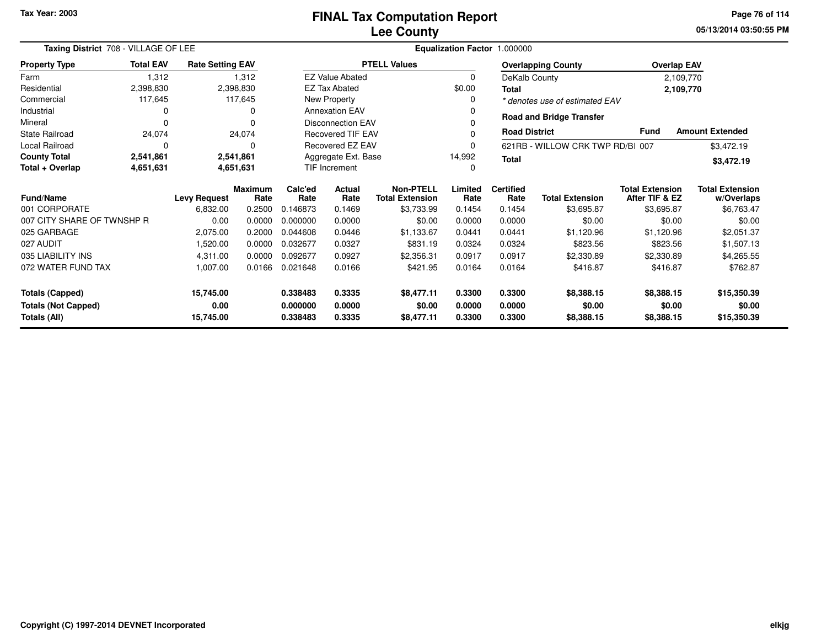**05/13/2014 03:50:55 PMPage 76 of 114**

| Taxing District 708 - VILLAGE OF LEE    |                  |                                                                                               |                 |                | Equalization Factor 1.000000                  |                     |                          |                        |                                          |                                      |                        |
|-----------------------------------------|------------------|-----------------------------------------------------------------------------------------------|-----------------|----------------|-----------------------------------------------|---------------------|--------------------------|------------------------|------------------------------------------|--------------------------------------|------------------------|
| <b>Property Type</b>                    | <b>Total EAV</b> | <b>Rate Setting EAV</b>                                                                       |                 |                |                                               | <b>PTELL Values</b> |                          |                        | <b>Overlapping County</b>                | <b>Overlap EAV</b>                   |                        |
| Farm                                    | 1,312            |                                                                                               | 1,312           |                | <b>EZ Value Abated</b>                        |                     | 0                        | DeKalb County          |                                          |                                      | 2,109,770              |
| Residential                             | 2,398,830        |                                                                                               | 2,398,830       |                | <b>EZ Tax Abated</b>                          |                     | \$0.00                   | <b>Total</b>           |                                          |                                      | 2,109,770              |
| Commercial                              | 117,645          |                                                                                               | 117,645         |                | New Property                                  |                     | 0                        |                        | * denotes use of estimated EAV           |                                      |                        |
| Industrial                              | 0                |                                                                                               |                 |                | <b>Annexation EAV</b>                         |                     |                          |                        |                                          |                                      |                        |
| Mineral                                 |                  |                                                                                               |                 |                | <b>Disconnection EAV</b>                      |                     |                          |                        | <b>Road and Bridge Transfer</b>          |                                      |                        |
| <b>State Railroad</b>                   | 24,074           |                                                                                               | 24,074          |                | <b>Recovered TIF EAV</b>                      |                     | 0                        | <b>Road District</b>   |                                          | <b>Fund</b>                          | <b>Amount Extended</b> |
| <b>Local Railroad</b>                   | $\Omega$         |                                                                                               | 0               |                | <b>Recovered EZ EAV</b>                       |                     | 0                        |                        | 621RB - WILLOW CRK TWP RD/B 007          |                                      | \$3,472.19             |
| <b>County Total</b>                     | 2,541,861        |                                                                                               | 2,541,861       |                | Aggregate Ext. Base<br>14,992<br><b>Total</b> |                     |                          |                        |                                          |                                      | \$3,472.19             |
| Total + Overlap                         | 4,651,631        |                                                                                               | 4,651,631       |                | <b>TIF Increment</b><br>0                     |                     |                          |                        |                                          |                                      |                        |
| <b>Fund/Name</b><br><b>Levy Request</b> |                  | <b>Maximum</b><br>Rate                                                                        | Calc'ed<br>Rate | Actual<br>Rate | <b>Non-PTELL</b><br><b>Total Extension</b>    | Limited<br>Rate     | <b>Certified</b><br>Rate | <b>Total Extension</b> | <b>Total Extension</b><br>After TIF & EZ | <b>Total Extension</b><br>w/Overlaps |                        |
| 001 CORPORATE                           |                  | 6,832.00                                                                                      | 0.2500          | 0.146873       | 0.1469                                        | \$3,733.99          | 0.1454                   | 0.1454                 | \$3,695.87                               | \$3,695.87                           | \$6,763.47             |
| 007 CITY SHARE OF TWNSHP R              |                  | 0.00                                                                                          | 0.0000          | 0.000000       | 0.0000                                        | \$0.00              | 0.0000                   | 0.0000                 | \$0.00                                   | \$0.00                               | \$0.00                 |
| 025 GARBAGE                             |                  | 2,075.00                                                                                      | 0.2000          | 0.044608       | 0.0446                                        | \$1,133.67          | 0.0441                   | 0.0441                 | \$1,120.96                               | \$1,120.96                           | \$2,051.37             |
| 027 AUDIT                               |                  | 1,520.00                                                                                      | 0.0000          | 0.032677       | 0.0327                                        | \$831.19            | 0.0324                   | 0.0324                 | \$823.56                                 | \$823.56                             | \$1,507.13             |
| 035 LIABILITY INS                       |                  | 4,311.00                                                                                      | 0.0000          | 0.092677       | 0.0927                                        | \$2,356.31          | 0.0917                   | 0.0917                 | \$2,330.89                               | \$2,330.89                           | \$4,265.55             |
| 072 WATER FUND TAX                      |                  | 1,007.00                                                                                      | 0.0166          | 0.021648       | 0.0166                                        | \$421.95            | 0.0164                   | 0.0164                 | \$416.87                                 | \$416.87                             | \$762.87               |
| <b>Totals (Capped)</b><br>15,745.00     |                  |                                                                                               |                 | 0.338483       | 0.3335                                        | \$8,477.11          | 0.3300                   | 0.3300                 | \$8,388.15                               | \$8,388.15                           | \$15,350.39            |
| <b>Totals (Not Capped)</b>              |                  | 0.00                                                                                          |                 | 0.000000       | 0.0000                                        | \$0.00              | 0.0000                   | 0.0000                 | \$0.00                                   | \$0.00                               | \$0.00                 |
| Totals (All)                            |                  | 0.3300<br>15,745.00<br>0.338483<br>0.3335<br>\$8,477.11<br>0.3300<br>\$8,388.15<br>\$8,388.15 |                 |                |                                               | \$15,350.39         |                          |                        |                                          |                                      |                        |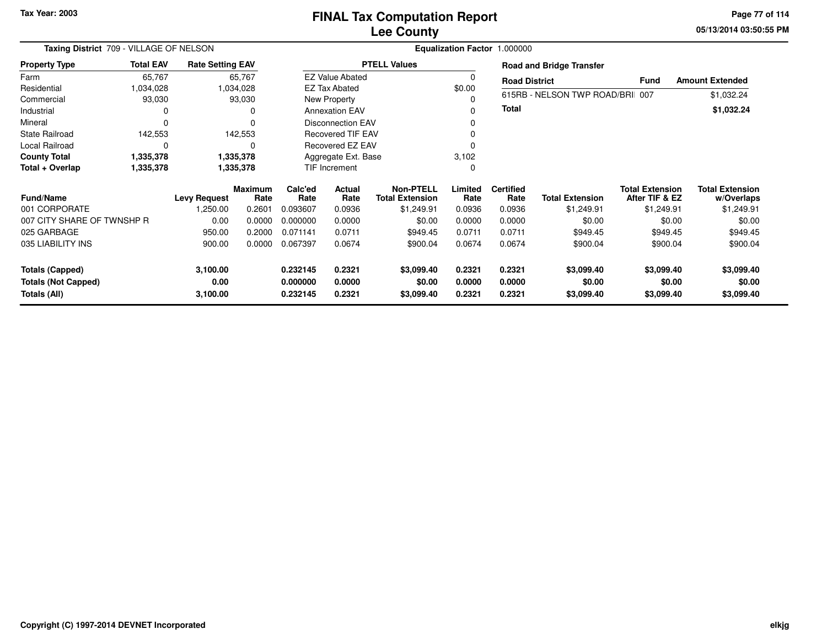**05/13/2014 03:50:55 PM Page 77 of 114**

| Taxing District 709 - VILLAGE OF NELSON    |                  | Equalization Factor 1.000000 |                        |                      |                          |                                            |                  |                          |                                 |                                          |                                      |  |
|--------------------------------------------|------------------|------------------------------|------------------------|----------------------|--------------------------|--------------------------------------------|------------------|--------------------------|---------------------------------|------------------------------------------|--------------------------------------|--|
| <b>Property Type</b>                       | <b>Total EAV</b> | <b>Rate Setting EAV</b>      |                        |                      |                          | <b>PTELL Values</b>                        |                  |                          | <b>Road and Bridge Transfer</b> |                                          |                                      |  |
| Farm                                       | 65,767           |                              | 65,767                 |                      | <b>EZ Value Abated</b>   |                                            | 0                | <b>Road District</b>     |                                 | <b>Fund</b>                              | <b>Amount Extended</b>               |  |
| Residential                                | 1,034,028        |                              | 1,034,028              |                      | <b>EZ Tax Abated</b>     |                                            | \$0.00           |                          |                                 |                                          |                                      |  |
| Commercial                                 | 93,030           |                              | 93,030                 |                      | New Property             |                                            | $\Omega$         |                          | 615RB - NELSON TWP ROAD/BRI 007 |                                          | \$1,032.24                           |  |
| Industrial                                 |                  |                              | 0                      |                      | <b>Annexation EAV</b>    |                                            | $\Omega$         | <b>Total</b>             |                                 |                                          | \$1,032.24                           |  |
| Mineral                                    | $\Omega$         |                              | $\Omega$               |                      | <b>Disconnection EAV</b> |                                            | $\Omega$         |                          |                                 |                                          |                                      |  |
| State Railroad                             | 142,553          |                              | 142,553                |                      | <b>Recovered TIF EAV</b> |                                            | $\Omega$         |                          |                                 |                                          |                                      |  |
| Local Railroad                             | $\Omega$         |                              | 0                      |                      | Recovered EZ EAV         |                                            | $\Omega$         |                          |                                 |                                          |                                      |  |
| <b>County Total</b>                        | 1,335,378        |                              | 1,335,378              |                      | Aggregate Ext. Base      |                                            | 3,102            |                          |                                 |                                          |                                      |  |
| Total + Overlap                            | 1,335,378        |                              | 1,335,378              | TIF Increment        |                          |                                            | $\mathbf 0$      |                          |                                 |                                          |                                      |  |
| <b>Fund/Name</b>                           |                  | <b>Levy Request</b>          | <b>Maximum</b><br>Rate | Calc'ed<br>Rate      | Actual<br>Rate           | <b>Non-PTELL</b><br><b>Total Extension</b> | Limited<br>Rate  | <b>Certified</b><br>Rate | <b>Total Extension</b>          | <b>Total Extension</b><br>After TIF & EZ | <b>Total Extension</b><br>w/Overlaps |  |
| 001 CORPORATE                              |                  | ,250.00                      | 0.2601                 | 0.093607             | 0.0936                   | \$1,249.91                                 | 0.0936           | 0.0936                   | \$1,249.91                      | \$1,249.91                               | \$1,249.91                           |  |
| 007 CITY SHARE OF TWNSHP R                 |                  | 0.00                         | 0.0000                 | 0.000000             | 0.0000                   | \$0.00                                     | 0.0000           | 0.0000                   | \$0.00                          | \$0.00                                   | \$0.00                               |  |
| 025 GARBAGE                                |                  | 950.00                       | 0.2000                 | 0.071141             | 0.0711                   | \$949.45                                   | 0.0711           | 0.0711                   | \$949.45                        | \$949.45                                 | \$949.45                             |  |
| 035 LIABILITY INS                          |                  | 900.00                       | 0.0000                 | 0.067397             | 0.0674                   | \$900.04                                   | 0.0674           | 0.0674                   | \$900.04                        | \$900.04                                 | \$900.04                             |  |
| <b>Totals (Capped)</b>                     |                  | 3,100.00                     |                        | 0.232145             | 0.2321                   | \$3,099.40                                 | 0.2321           | 0.2321                   | \$3,099.40                      | \$3,099.40                               | \$3,099.40                           |  |
| <b>Totals (Not Capped)</b><br>Totals (All) |                  | 0.00<br>3,100.00             |                        | 0.000000<br>0.232145 | 0.0000<br>0.2321         | \$0.00<br>\$3,099.40                       | 0.0000<br>0.2321 | 0.0000<br>0.2321         | \$0.00<br>\$3,099.40            | \$0.00<br>\$3,099.40                     | \$0.00<br>\$3,099.40                 |  |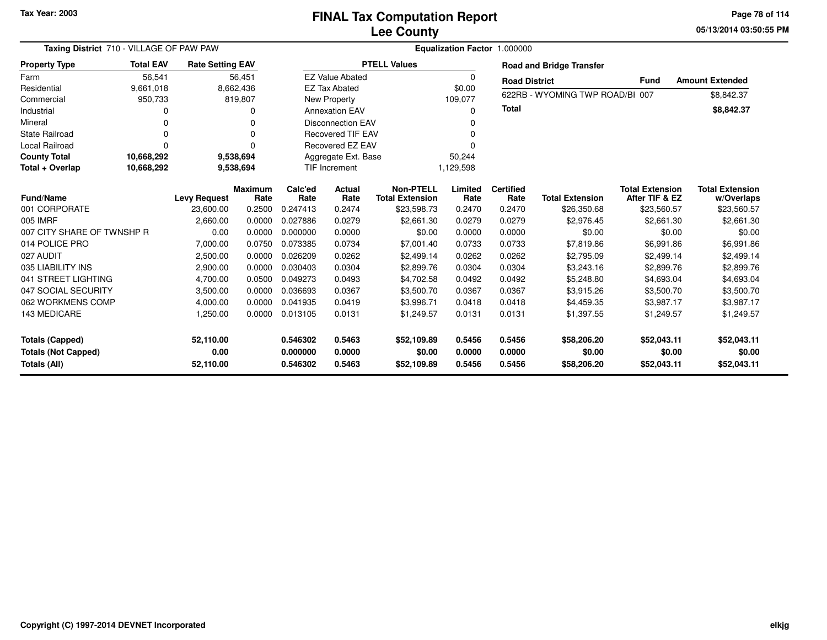**05/13/2014 03:50:55 PMPage 78 of 114**

| Taxing District 710 - VILLAGE OF PAW PAW                                    |                  | Equalization Factor 1.000000   |                        |                                  |                            |                                            |                            |                            |                                      |                                          |                                      |
|-----------------------------------------------------------------------------|------------------|--------------------------------|------------------------|----------------------------------|----------------------------|--------------------------------------------|----------------------------|----------------------------|--------------------------------------|------------------------------------------|--------------------------------------|
| <b>Property Type</b>                                                        | <b>Total EAV</b> | <b>Rate Setting EAV</b>        |                        |                                  |                            | <b>PTELL Values</b>                        |                            |                            | <b>Road and Bridge Transfer</b>      |                                          |                                      |
| Farm                                                                        | 56,541           |                                | 56,451                 |                                  | <b>EZ Value Abated</b>     |                                            | $\Omega$                   | <b>Road District</b>       |                                      | Fund                                     | <b>Amount Extended</b>               |
| Residential                                                                 | 9,661,018        |                                | 8,662,436              |                                  | <b>EZ Tax Abated</b>       |                                            | \$0.00                     |                            |                                      |                                          |                                      |
| Commercial                                                                  | 950,733          |                                | 819,807                |                                  | New Property               |                                            | 109,077                    |                            | 622RB - WYOMING TWP ROAD/BI 007      |                                          | \$8,842.37                           |
| Industrial                                                                  |                  |                                | 0                      |                                  | <b>Annexation EAV</b>      |                                            | 0                          | <b>Total</b>               |                                      |                                          | \$8,842.37                           |
| Mineral                                                                     |                  |                                |                        |                                  | <b>Disconnection EAV</b>   |                                            |                            |                            |                                      |                                          |                                      |
| <b>State Railroad</b>                                                       |                  |                                | O                      |                                  | <b>Recovered TIF EAV</b>   |                                            | ი                          |                            |                                      |                                          |                                      |
| Local Railroad                                                              | O                |                                | O                      |                                  | Recovered EZ EAV           |                                            |                            |                            |                                      |                                          |                                      |
| <b>County Total</b>                                                         | 10,668,292       |                                | 9,538,694              |                                  | Aggregate Ext. Base        |                                            | 50,244                     |                            |                                      |                                          |                                      |
| Total + Overlap                                                             | 10,668,292       |                                | 9,538,694              |                                  | <b>TIF Increment</b>       |                                            | 1,129,598                  |                            |                                      |                                          |                                      |
| <b>Fund/Name</b>                                                            |                  | <b>Levy Request</b>            | <b>Maximum</b><br>Rate | Calc'ed<br>Rate                  | Actual<br>Rate             | <b>Non-PTELL</b><br><b>Total Extension</b> | Limited<br>Rate            | <b>Certified</b><br>Rate   | <b>Total Extension</b>               | <b>Total Extension</b><br>After TIF & EZ | <b>Total Extension</b><br>w/Overlaps |
| 001 CORPORATE                                                               |                  | 23,600.00                      | 0.2500                 | 0.247413                         | 0.2474                     | \$23,598.73                                | 0.2470                     | 0.2470                     | \$26,350.68                          | \$23,560.57                              | \$23,560.57                          |
| 005 IMRF                                                                    |                  | 2,660.00                       | 0.0000                 | 0.027886                         | 0.0279                     | \$2,661.30                                 | 0.0279                     | 0.0279                     | \$2.976.45                           | \$2,661.30                               | \$2,661.30                           |
| 007 CITY SHARE OF TWNSHP R                                                  |                  | 0.00                           | 0.0000                 | 0.000000                         | 0.0000                     | \$0.00                                     | 0.0000                     | 0.0000                     | \$0.00                               | \$0.00                                   | \$0.00                               |
| 014 POLICE PRO                                                              |                  | 7,000.00                       | 0.0750                 | 0.073385                         | 0.0734                     | \$7,001.40                                 | 0.0733                     | 0.0733                     | \$7,819.86                           | \$6,991.86                               | \$6,991.86                           |
| 027 AUDIT                                                                   |                  | 2,500.00                       | 0.0000                 | 0.026209                         | 0.0262                     | \$2,499.14                                 | 0.0262                     | 0.0262                     | \$2,795.09                           | \$2,499.14                               | \$2,499.14                           |
| 035 LIABILITY INS                                                           |                  | 2,900.00                       | 0.0000                 | 0.030403                         | 0.0304                     | \$2,899.76                                 | 0.0304                     | 0.0304                     | \$3,243.16                           | \$2,899.76                               | \$2,899.76                           |
| 041 STREET LIGHTING                                                         |                  | 4,700.00                       | 0.0500                 | 0.049273                         | 0.0493                     | \$4,702.58                                 | 0.0492                     | 0.0492                     | \$5,248.80                           | \$4,693.04                               | \$4,693.04                           |
| 047 SOCIAL SECURITY                                                         |                  | 3,500.00                       | 0.0000                 | 0.036693                         | 0.0367                     | \$3,500.70                                 | 0.0367                     | 0.0367                     | \$3,915.26                           | \$3,500.70                               | \$3,500.70                           |
| 062 WORKMENS COMP                                                           |                  | 4,000.00                       | 0.0000                 | 0.041935                         | 0.0419                     | \$3,996.71                                 | 0.0418                     | 0.0418                     | \$4,459.35                           | \$3,987.17                               | \$3,987.17                           |
| 143 MEDICARE                                                                |                  | 1,250.00                       | 0.0000                 | 0.013105                         | 0.0131                     | \$1,249.57                                 | 0.0131                     | 0.0131                     | \$1,397.55                           | \$1,249.57                               | \$1,249.57                           |
| <b>Totals (Capped)</b><br><b>Totals (Not Capped)</b><br><b>Totals (All)</b> |                  | 52,110.00<br>0.00<br>52,110.00 |                        | 0.546302<br>0.000000<br>0.546302 | 0.5463<br>0.0000<br>0.5463 | \$52,109.89<br>\$0.00<br>\$52,109.89       | 0.5456<br>0.0000<br>0.5456 | 0.5456<br>0.0000<br>0.5456 | \$58,206.20<br>\$0.00<br>\$58,206.20 | \$52,043.11<br>\$0.00<br>\$52,043.11     | \$52,043.11<br>\$0.00<br>\$52,043.11 |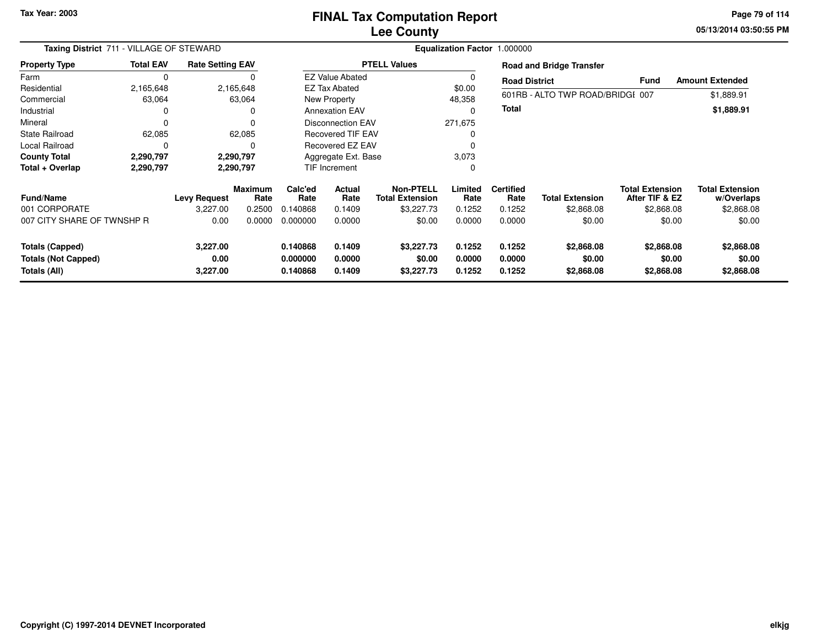**05/13/2014 03:50:55 PM Page 79 of 114**

| Taxing District 711 - VILLAGE OF STEWARD                             |                  |                              |                        |                                  |                            |                                     | Equalization Factor 1.000000 |                            |                                    |                                          |                                      |
|----------------------------------------------------------------------|------------------|------------------------------|------------------------|----------------------------------|----------------------------|-------------------------------------|------------------------------|----------------------------|------------------------------------|------------------------------------------|--------------------------------------|
| <b>Property Type</b>                                                 | <b>Total EAV</b> | <b>Rate Setting EAV</b>      |                        |                                  |                            | <b>PTELL Values</b>                 |                              |                            | <b>Road and Bridge Transfer</b>    |                                          |                                      |
| Farm                                                                 | 0                |                              |                        |                                  | <b>EZ Value Abated</b>     |                                     |                              | <b>Road District</b>       |                                    | <b>Fund</b>                              | <b>Amount Extended</b>               |
| Residential                                                          | 2,165,648        |                              | 2,165,648              |                                  | <b>EZ Tax Abated</b>       |                                     | \$0.00                       |                            |                                    |                                          |                                      |
| Commercial                                                           | 63,064           |                              | 63,064                 |                                  | New Property               |                                     | 48,358                       |                            | 601RB - ALTO TWP ROAD/BRIDGI 007   |                                          | \$1,889.91                           |
| Industrial                                                           |                  |                              | 0                      |                                  | <b>Annexation EAV</b>      |                                     |                              | <b>Total</b>               |                                    |                                          | \$1,889.91                           |
| Mineral                                                              | 0                |                              | 0                      |                                  | <b>Disconnection EAV</b>   |                                     | 271,675                      |                            |                                    |                                          |                                      |
| <b>State Railroad</b>                                                | 62,085           |                              | 62,085                 |                                  | <b>Recovered TIF EAV</b>   |                                     |                              |                            |                                    |                                          |                                      |
| Local Railroad                                                       | 0                |                              | O                      |                                  | Recovered EZ EAV           |                                     |                              |                            |                                    |                                          |                                      |
| <b>County Total</b>                                                  | 2,290,797        |                              | 2,290,797              |                                  | Aggregate Ext. Base        |                                     | 3,073                        |                            |                                    |                                          |                                      |
| Total + Overlap                                                      | 2,290,797        |                              | 2,290,797              |                                  | TIF Increment              |                                     | 0                            |                            |                                    |                                          |                                      |
| <b>Fund/Name</b>                                                     |                  | <b>Levy Request</b>          | <b>Maximum</b><br>Rate | Calc'ed<br>Rate                  | <b>Actual</b><br>Rate      | Non-PTELL<br><b>Total Extension</b> | Limited<br>Rate              | <b>Certified</b><br>Rate   | <b>Total Extension</b>             | <b>Total Extension</b><br>After TIF & EZ | <b>Total Extension</b><br>w/Overlaps |
| 001 CORPORATE                                                        |                  | 3.227.00                     | 0.2500                 | 0.140868                         | 0.1409                     | \$3,227.73                          | 0.1252                       | 0.1252                     | \$2,868.08                         | \$2,868.08                               | \$2,868.08                           |
| 007 CITY SHARE OF TWNSHP R                                           |                  | 0.00                         | 0.0000                 | 0.000000                         | 0.0000                     | \$0.00                              | 0.0000                       | 0.0000                     | \$0.00                             | \$0.00                                   | \$0.00                               |
| <b>Totals (Capped)</b><br><b>Totals (Not Capped)</b><br>Totals (All) |                  | 3,227.00<br>0.00<br>3,227.00 |                        | 0.140868<br>0.000000<br>0.140868 | 0.1409<br>0.0000<br>0.1409 | \$3,227.73<br>\$0.00<br>\$3,227.73  | 0.1252<br>0.0000<br>0.1252   | 0.1252<br>0.0000<br>0.1252 | \$2,868.08<br>\$0.00<br>\$2,868.08 | \$2,868.08<br>\$0.00<br>\$2,868.08       | \$2,868.08<br>\$0.00<br>\$2,868.08   |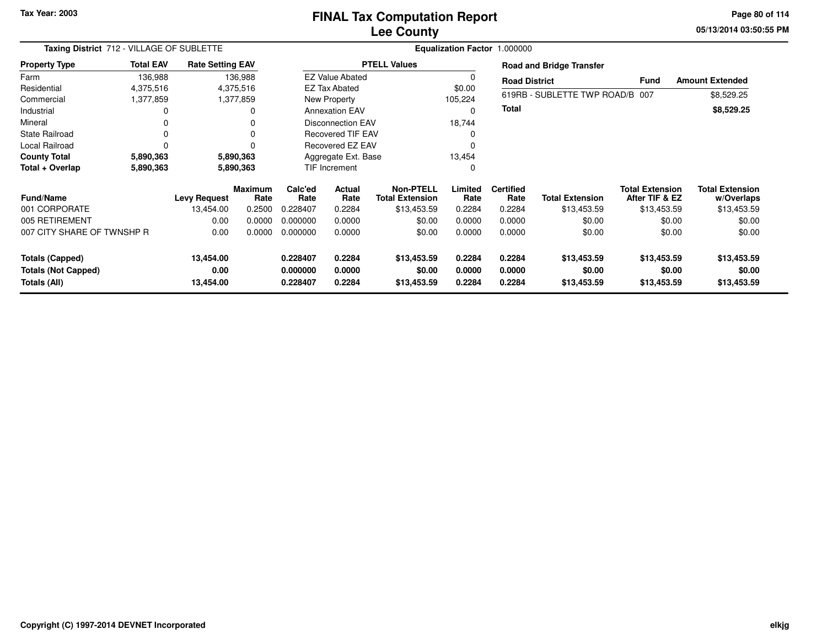### **Lee CountyFINAL Tax Computation Report**

**05/13/2014 03:50:55 PM Page 80 of 114**

| Taxing District 712 - VILLAGE OF SUBLETTE  |                  |                         |                        |                      |                          |                                            | Equalization Factor 1.000000 |                          |                                 |                                          |                                      |
|--------------------------------------------|------------------|-------------------------|------------------------|----------------------|--------------------------|--------------------------------------------|------------------------------|--------------------------|---------------------------------|------------------------------------------|--------------------------------------|
| <b>Property Type</b>                       | <b>Total EAV</b> | <b>Rate Setting EAV</b> |                        |                      |                          | <b>PTELL Values</b>                        |                              |                          | <b>Road and Bridge Transfer</b> |                                          |                                      |
| Farm                                       | 136,988          |                         | 136,988                |                      | <b>EZ Value Abated</b>   |                                            | 0                            | <b>Road District</b>     |                                 | Fund                                     | <b>Amount Extended</b>               |
| Residential                                | 4,375,516        |                         | 4,375,516              |                      | <b>EZ Tax Abated</b>     |                                            | \$0.00                       |                          |                                 |                                          |                                      |
| Commercial                                 | 1,377,859        |                         | 1,377,859              |                      | New Property             |                                            | 105,224                      |                          | 619RB - SUBLETTE TWP ROAD/B 007 |                                          | \$8,529.25                           |
| Industrial                                 | 0                |                         |                        |                      | <b>Annexation EAV</b>    |                                            | 0                            | Total                    |                                 |                                          | \$8,529.25                           |
| Mineral                                    | 0                |                         |                        |                      | <b>Disconnection EAV</b> |                                            | 18,744                       |                          |                                 |                                          |                                      |
| <b>State Railroad</b>                      | 0                |                         |                        |                      | Recovered TIF EAV        |                                            | 0                            |                          |                                 |                                          |                                      |
| Local Railroad                             |                  |                         |                        |                      | <b>Recovered EZ EAV</b>  |                                            |                              |                          |                                 |                                          |                                      |
| <b>County Total</b>                        | 5,890,363        |                         | 5,890,363              | Aggregate Ext. Base  |                          | 13,454                                     |                              |                          |                                 |                                          |                                      |
| Total + Overlap                            | 5,890,363        |                         | 5,890,363              |                      | TIF Increment<br>0       |                                            |                              |                          |                                 |                                          |                                      |
| <b>Fund/Name</b>                           |                  | <b>Levy Request</b>     | <b>Maximum</b><br>Rate | Calc'ed<br>Rate      | <b>Actual</b><br>Rate    | <b>Non-PTELL</b><br><b>Total Extension</b> | Limited<br>Rate              | <b>Certified</b><br>Rate | <b>Total Extension</b>          | <b>Total Extension</b><br>After TIF & EZ | <b>Total Extension</b><br>w/Overlaps |
| 001 CORPORATE                              |                  | 13,454.00               | 0.2500                 | 0.228407             | 0.2284                   | \$13,453.59                                | 0.2284                       | 0.2284                   | \$13,453.59                     | \$13,453.59                              | \$13,453.59                          |
| 005 RETIREMENT                             |                  | 0.00                    | 0.0000                 | 0.000000             | 0.0000                   | \$0.00                                     | 0.0000                       | 0.0000                   | \$0.00                          | \$0.00                                   | \$0.00                               |
| 007 CITY SHARE OF TWNSHP R                 |                  | 0.00                    | 0.0000                 | 0.000000             | 0.0000                   | \$0.00                                     | 0.0000                       | 0.0000                   | \$0.00                          | \$0.00                                   | \$0.00                               |
| <b>Totals (Capped)</b>                     |                  | 13,454.00               |                        | 0.228407             | 0.2284                   | \$13,453.59                                | 0.2284                       | 0.2284                   | \$13,453.59                     | \$13,453.59                              | \$13,453.59                          |
| <b>Totals (Not Capped)</b><br>Totals (All) |                  | 0.00<br>13,454.00       |                        | 0.000000<br>0.228407 | 0.0000<br>0.2284         | \$0.00<br>\$13,453.59                      | 0.0000<br>0.2284             | 0.0000<br>0.2284         | \$0.00<br>\$13,453.59           | \$0.00<br>\$13,453.59                    | \$0.00<br>\$13,453.59                |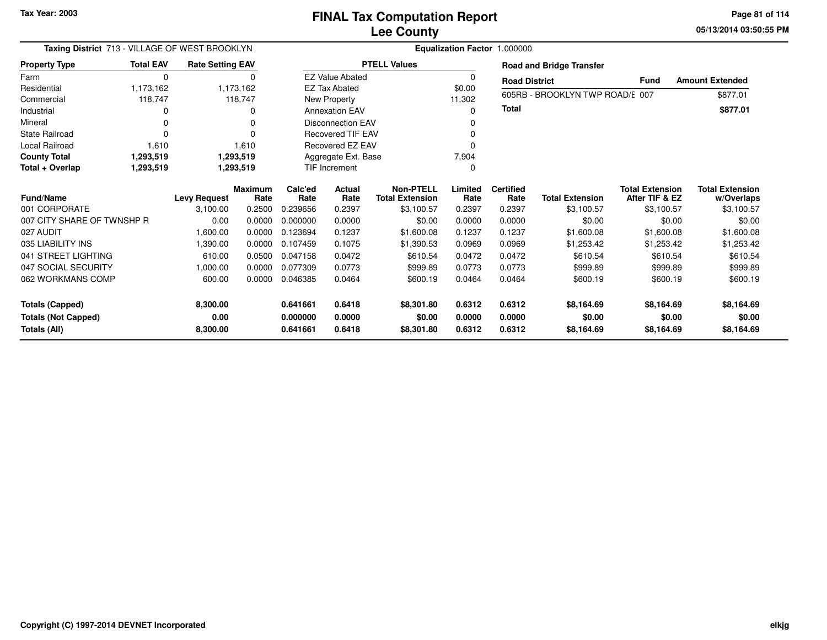**05/13/2014 03:50:55 PM Page 81 of 114**

| Taxing District 713 - VILLAGE OF WEST BROOKLYN |                  |                         |                |          |                                      | Equalization Factor 1.000000 |          |                      |                                 |                        |                        |
|------------------------------------------------|------------------|-------------------------|----------------|----------|--------------------------------------|------------------------------|----------|----------------------|---------------------------------|------------------------|------------------------|
| <b>Property Type</b>                           | <b>Total EAV</b> | <b>Rate Setting EAV</b> |                |          |                                      | <b>PTELL Values</b>          |          |                      | <b>Road and Bridge Transfer</b> |                        |                        |
| Farm                                           | $\Omega$         |                         | $\Omega$       |          | <b>EZ Value Abated</b>               |                              | $\Omega$ | <b>Road District</b> |                                 | <b>Fund</b>            | <b>Amount Extended</b> |
| Residential                                    | 1,173,162        |                         | 1,173,162      |          | <b>EZ Tax Abated</b>                 |                              | \$0.00   |                      |                                 |                        |                        |
| Commercial                                     | 118,747          |                         | 118,747        |          | New Property                         |                              | 11,302   |                      | 605RB - BROOKLYN TWP ROAD/E 007 |                        | \$877.01               |
| Industrial                                     |                  |                         | 0              |          | <b>Annexation EAV</b>                |                              | n        | <b>Total</b>         |                                 |                        | \$877.01               |
| Mineral                                        | 0                |                         | 0              |          | <b>Disconnection EAV</b>             |                              |          |                      |                                 |                        |                        |
| <b>State Railroad</b>                          |                  |                         | 0              |          | <b>Recovered TIF EAV</b>             |                              |          |                      |                                 |                        |                        |
| Local Railroad                                 | 1,610            |                         | 1,610          |          | Recovered EZ EAV                     |                              |          |                      |                                 |                        |                        |
| <b>County Total</b>                            | 1,293,519        |                         | 1,293,519      |          | Aggregate Ext. Base                  |                              | 7,904    |                      |                                 |                        |                        |
| Total + Overlap                                | 1,293,519        |                         | 1,293,519      |          | <b>TIF Increment</b><br><sup>0</sup> |                              |          |                      |                                 |                        |                        |
|                                                |                  |                         | <b>Maximum</b> | Calc'ed  | <b>Actual</b>                        | <b>Non-PTELL</b>             | Limited  | <b>Certified</b>     |                                 | <b>Total Extension</b> | <b>Total Extension</b> |
| <b>Fund/Name</b>                               |                  | <b>Levy Request</b>     | Rate           | Rate     | Rate                                 | <b>Total Extension</b>       | Rate     | Rate                 | <b>Total Extension</b>          | After TIF & EZ         | w/Overlaps             |
| 001 CORPORATE                                  |                  | 3,100.00                | 0.2500         | 0.239656 | 0.2397                               | \$3,100.57                   | 0.2397   | 0.2397               | \$3.100.57                      | \$3,100.57             | \$3,100.57             |
| 007 CITY SHARE OF TWNSHP R                     |                  | 0.00                    | 0.0000         | 0.000000 | 0.0000                               | \$0.00                       | 0.0000   | 0.0000               | \$0.00                          | \$0.00                 | \$0.00                 |
| 027 AUDIT                                      |                  | 1,600.00                | 0.0000         | 0.123694 | 0.1237                               | \$1,600.08                   | 0.1237   | 0.1237               | \$1,600.08                      | \$1,600.08             | \$1,600.08             |
| 035 LIABILITY INS                              |                  | 1.390.00                | 0.0000         | 0.107459 | 0.1075                               | \$1.390.53                   | 0.0969   | 0.0969               | \$1,253.42                      | \$1,253.42             | \$1,253.42             |
| 041 STREET LIGHTING                            |                  | 610.00                  | 0.0500         | 0.047158 | 0.0472                               | \$610.54                     | 0.0472   | 0.0472               | \$610.54                        | \$610.54               | \$610.54               |
| 047 SOCIAL SECURITY                            |                  | 00.00,1                 | 0.0000         | 0.077309 | 0.0773                               | \$999.89                     | 0.0773   | 0.0773               | \$999.89                        | \$999.89               | \$999.89               |
| 062 WORKMANS COMP                              |                  | 600.00                  | 0.0000         | 0.046385 | 0.0464                               | \$600.19                     | 0.0464   | 0.0464               | \$600.19                        | \$600.19               | \$600.19               |
| <b>Totals (Capped)</b>                         |                  | 8,300.00                |                | 0.641661 | 0.6418                               | \$8,301.80                   | 0.6312   | 0.6312               | \$8,164.69                      | \$8,164.69             | \$8,164.69             |
| <b>Totals (Not Capped)</b>                     |                  | 0.00                    |                | 0.000000 | 0.0000                               | \$0.00                       | 0.0000   | 0.0000               | \$0.00                          | \$0.00                 | \$0.00                 |
| Totals (All)                                   |                  | 8,300.00                |                | 0.641661 | 0.6418                               | \$8,301.80                   | 0.6312   | 0.6312               | \$8,164.69                      | \$8,164.69             | \$8,164.69             |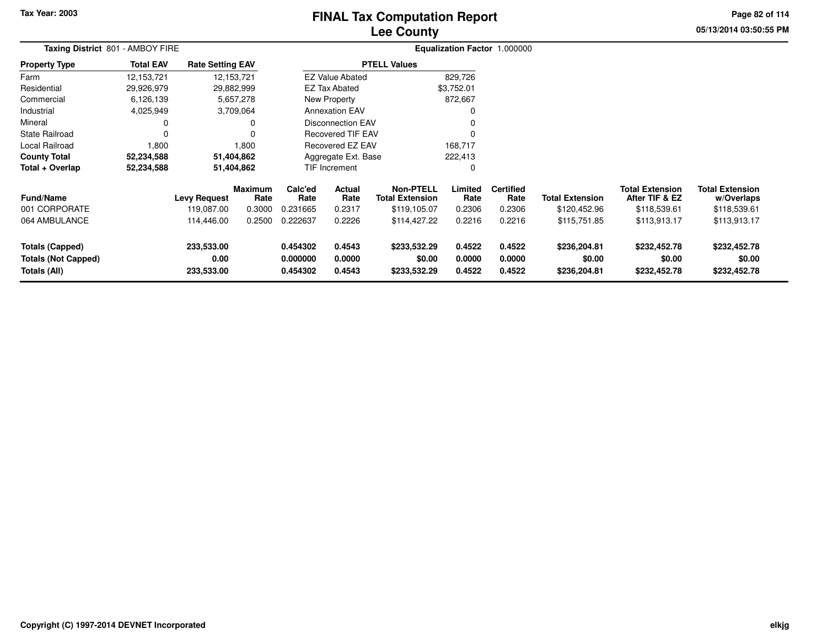# **Lee CountyFINAL Tax Computation Report**

**05/13/2014 03:50:55 PM Page 82 of 114**

| Taxing District 801 - AMBOY FIRE                                     |                  | Equalization Factor 1.000000      |                           |                                  |                            |                                                            |                            |                                    |                                        |                                                          |                                                      |  |
|----------------------------------------------------------------------|------------------|-----------------------------------|---------------------------|----------------------------------|----------------------------|------------------------------------------------------------|----------------------------|------------------------------------|----------------------------------------|----------------------------------------------------------|------------------------------------------------------|--|
| <b>Property Type</b>                                                 | <b>Total EAV</b> | <b>Rate Setting EAV</b>           |                           |                                  |                            | <b>PTELL Values</b>                                        |                            |                                    |                                        |                                                          |                                                      |  |
| Farm                                                                 | 12,153,721       |                                   | 12,153,721                |                                  | <b>EZ Value Abated</b>     |                                                            | 829,726                    |                                    |                                        |                                                          |                                                      |  |
| Residential                                                          | 29,926,979       | 29,882,999                        |                           |                                  | <b>EZ Tax Abated</b>       |                                                            | \$3,752.01                 |                                    |                                        |                                                          |                                                      |  |
| Commercial                                                           | 6,126,139        |                                   | 5,657,278                 |                                  | New Property               |                                                            | 872,667                    |                                    |                                        |                                                          |                                                      |  |
| Industrial                                                           | 4,025,949        |                                   | 3,709,064                 |                                  | <b>Annexation EAV</b>      |                                                            | 0                          |                                    |                                        |                                                          |                                                      |  |
| Mineral                                                              | 0                |                                   | 0                         |                                  | Disconnection EAV          |                                                            | 0                          |                                    |                                        |                                                          |                                                      |  |
| <b>State Railroad</b>                                                | $\Omega$         |                                   | $\Omega$                  |                                  | <b>Recovered TIF EAV</b>   |                                                            | $\mathbf{0}$               |                                    |                                        |                                                          |                                                      |  |
| <b>Local Railroad</b>                                                | 1,800            |                                   | 1,800                     |                                  | Recovered EZ EAV           |                                                            | 168,717                    |                                    |                                        |                                                          |                                                      |  |
| <b>County Total</b>                                                  | 52,234,588       | 51,404,862                        |                           |                                  | Aggregate Ext. Base        |                                                            | 222,413                    |                                    |                                        |                                                          |                                                      |  |
| Total + Overlap                                                      | 52,234,588       | 51,404,862                        |                           |                                  | <b>TIF Increment</b>       |                                                            | 0                          |                                    |                                        |                                                          |                                                      |  |
| <b>Fund/Name</b><br>001 CORPORATE                                    |                  | <b>Levy Request</b><br>119,087.00 | Maximum<br>Rate<br>0.3000 | Calc'ed<br>Rate<br>0.231665      | Actual<br>Rate<br>0.2317   | <b>Non-PTELL</b><br><b>Total Extension</b><br>\$119,105.07 | Limited<br>Rate<br>0.2306  | <b>Certified</b><br>Rate<br>0.2306 | <b>Total Extension</b><br>\$120,452.96 | <b>Total Extension</b><br>After TIF & EZ<br>\$118,539.61 | <b>Total Extension</b><br>w/Overlaps<br>\$118,539.61 |  |
| 064 AMBULANCE                                                        |                  | 114,446.00                        | 0.2500                    | 0.222637                         | 0.2226                     | \$114,427.22                                               | 0.2216                     | 0.2216                             | \$115,751.85                           | \$113,913.17                                             | \$113,913.17                                         |  |
| <b>Totals (Capped)</b><br><b>Totals (Not Capped)</b><br>Totals (All) |                  | 233,533.00<br>0.00<br>233,533.00  |                           | 0.454302<br>0.000000<br>0.454302 | 0.4543<br>0.0000<br>0.4543 | \$233,532.29<br>\$0.00<br>\$233,532.29                     | 0.4522<br>0.0000<br>0.4522 | 0.4522<br>0.0000<br>0.4522         | \$236,204.81<br>\$0.00<br>\$236,204.81 | \$232,452.78<br>\$0.00<br>\$232,452.78                   | \$232,452.78<br>\$0.00<br>\$232,452.78               |  |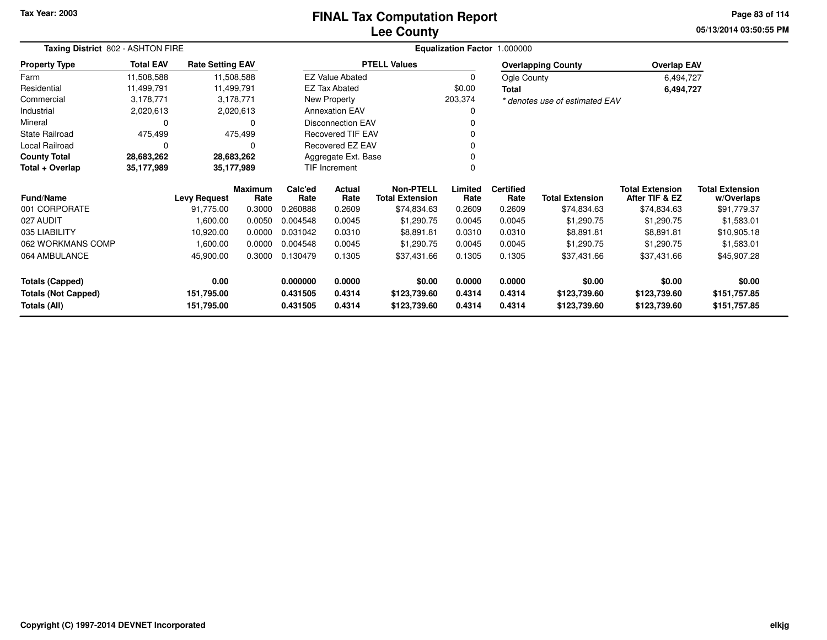#### **Lee CountyFINAL Tax Computation Report**

**05/13/2014 03:50:55 PMPage 83 of 114**

| Taxing District 802 - ASHTON FIRE |                  |                         |                        |                         |                          |                                            | Equalization Factor 1.000000 |                                |                           |                                          |                                      |
|-----------------------------------|------------------|-------------------------|------------------------|-------------------------|--------------------------|--------------------------------------------|------------------------------|--------------------------------|---------------------------|------------------------------------------|--------------------------------------|
| <b>Property Type</b>              | <b>Total EAV</b> | <b>Rate Setting EAV</b> |                        |                         |                          | <b>PTELL Values</b>                        |                              |                                | <b>Overlapping County</b> | <b>Overlap EAV</b>                       |                                      |
| Farm                              | 11,508,588       |                         | 11,508,588             |                         | <b>EZ Value Abated</b>   |                                            | 0                            | Ogle County                    |                           | 6,494,727                                |                                      |
| Residential                       | 11,499,791       | 11,499,791              |                        |                         | EZ Tax Abated            |                                            | \$0.00                       | <b>Total</b>                   |                           | 6,494,727                                |                                      |
| Commercial                        | 3,178,771        |                         | 3,178,771              | New Property<br>203,374 |                          |                                            |                              | * denotes use of estimated EAV |                           |                                          |                                      |
| Industrial                        | 2,020,613        |                         | 2,020,613              |                         | <b>Annexation EAV</b>    |                                            | 0                            |                                |                           |                                          |                                      |
| Mineral                           | 0                |                         | $\Omega$               |                         | <b>Disconnection EAV</b> |                                            |                              |                                |                           |                                          |                                      |
| <b>State Railroad</b>             | 475,499          |                         | 475,499                |                         | <b>Recovered TIF EAV</b> |                                            |                              |                                |                           |                                          |                                      |
| Local Railroad                    | 0                |                         | $\Omega$               |                         | Recovered EZ EAV         |                                            |                              |                                |                           |                                          |                                      |
| <b>County Total</b>               | 28,683,262       |                         | 28,683,262             |                         | Aggregate Ext. Base      |                                            |                              |                                |                           |                                          |                                      |
| Total + Overlap                   | 35,177,989       | 35,177,989              |                        |                         | TIF Increment            |                                            | 0                            |                                |                           |                                          |                                      |
| <b>Fund/Name</b>                  |                  | <b>Levy Request</b>     | <b>Maximum</b><br>Rate | Calc'ed<br>Rate         | <b>Actual</b><br>Rate    | <b>Non-PTELL</b><br><b>Total Extension</b> | Limited<br>Rate              | <b>Certified</b><br>Rate       | <b>Total Extension</b>    | <b>Total Extension</b><br>After TIF & EZ | <b>Total Extension</b><br>w/Overlaps |
| 001 CORPORATE                     |                  | 91,775.00               | 0.3000                 | 0.260888                | 0.2609                   | \$74,834.63                                | 0.2609                       | 0.2609                         | \$74,834.63               | \$74,834.63                              | \$91,779.37                          |
| 027 AUDIT                         |                  | 1,600.00                | 0.0050                 | 0.004548                | 0.0045                   | \$1,290.75                                 | 0.0045                       | 0.0045                         | \$1,290.75                | \$1,290.75                               | \$1,583.01                           |
| 035 LIABILITY                     |                  | 10,920.00               | 0.0000                 | 0.031042                | 0.0310                   | \$8,891.81                                 | 0.0310                       | 0.0310                         | \$8,891.81                | \$8,891.81                               | \$10,905.18                          |
| 062 WORKMANS COMP                 |                  | 1,600.00                | 0.0000                 | 0.004548                | 0.0045                   | \$1,290.75                                 | 0.0045                       | 0.0045                         | \$1,290.75                | \$1,290.75                               | \$1,583.01                           |
| 064 AMBULANCE                     |                  | 45,900.00               | 0.3000                 | 0.130479                | 0.1305                   | \$37,431.66                                | 0.1305                       | 0.1305                         | \$37,431.66               | \$37,431.66                              | \$45,907.28                          |
| <b>Totals (Capped)</b>            |                  | 0.00                    |                        | 0.000000                | 0.0000                   | \$0.00                                     | 0.0000                       | 0.0000                         | \$0.00                    | \$0.00                                   | \$0.00                               |
| <b>Totals (Not Capped)</b>        |                  | 151,795.00              |                        | 0.431505                | 0.4314                   | \$123,739.60                               | 0.4314                       | 0.4314                         | \$123,739.60              | \$123,739.60                             | \$151,757.85                         |
| Totals (All)                      |                  | 151,795.00              |                        | 0.431505                | 0.4314                   | \$123,739.60                               | 0.4314                       | 0.4314                         | \$123,739.60              | \$123,739.60                             | \$151,757.85                         |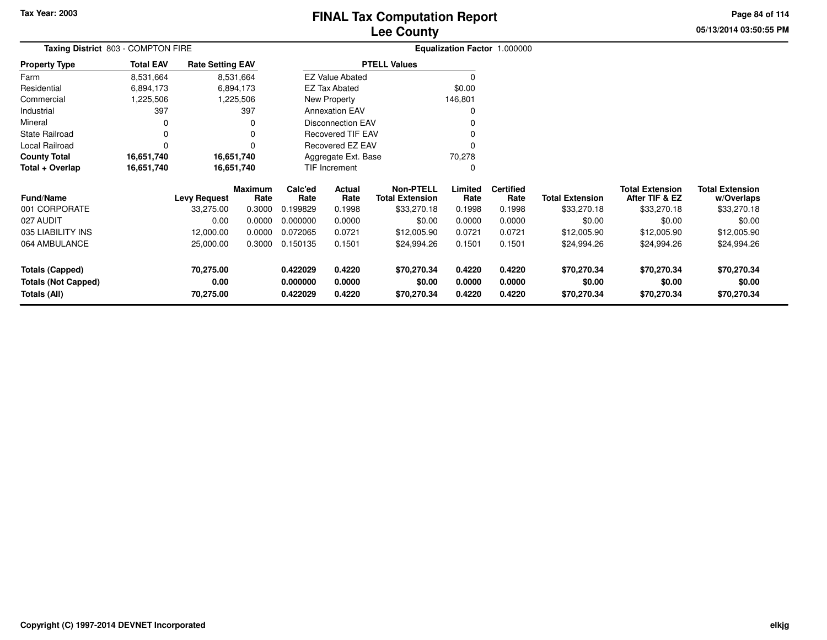# **Lee CountyFINAL Tax Computation Report**

**05/13/2014 03:50:55 PM Page 84 of 114**

| <b>Total EAV</b> |                                |                                    |                                                                                                              |                            |                                                                                |                                                                                                                                    |                            |                                      |                                          |                                      |
|------------------|--------------------------------|------------------------------------|--------------------------------------------------------------------------------------------------------------|----------------------------|--------------------------------------------------------------------------------|------------------------------------------------------------------------------------------------------------------------------------|----------------------------|--------------------------------------|------------------------------------------|--------------------------------------|
| 8,531,664        |                                |                                    |                                                                                                              |                            |                                                                                |                                                                                                                                    |                            |                                      |                                          |                                      |
| 6,894,173        |                                |                                    |                                                                                                              |                            |                                                                                | \$0.00                                                                                                                             |                            |                                      |                                          |                                      |
| 1,225,506        |                                |                                    |                                                                                                              |                            |                                                                                | 146,801                                                                                                                            |                            |                                      |                                          |                                      |
| 397              |                                | 397                                |                                                                                                              |                            |                                                                                |                                                                                                                                    |                            |                                      |                                          |                                      |
|                  |                                | 0                                  |                                                                                                              |                            |                                                                                |                                                                                                                                    |                            |                                      |                                          |                                      |
| 0                |                                | 0                                  |                                                                                                              |                            |                                                                                |                                                                                                                                    |                            |                                      |                                          |                                      |
| $\Omega$         |                                | 0                                  |                                                                                                              |                            |                                                                                |                                                                                                                                    |                            |                                      |                                          |                                      |
| 16,651,740       |                                |                                    |                                                                                                              |                            |                                                                                | 70,278                                                                                                                             |                            |                                      |                                          |                                      |
| 16,651,740       |                                |                                    |                                                                                                              |                            |                                                                                | 0                                                                                                                                  |                            |                                      |                                          |                                      |
|                  | <b>Levy Request</b>            | Rate                               | Calc'ed<br>Rate                                                                                              | Actual<br>Rate             | <b>Non-PTELL</b><br><b>Total Extension</b>                                     | Limited<br>Rate                                                                                                                    | <b>Certified</b><br>Rate   | <b>Total Extension</b>               | <b>Total Extension</b><br>After TIF & EZ | <b>Total Extension</b><br>w/Overlaps |
|                  | 33,275.00                      | 0.3000                             | 0.199829                                                                                                     | 0.1998                     | \$33,270.18                                                                    | 0.1998                                                                                                                             | 0.1998                     | \$33,270.18                          | \$33,270.18                              | \$33,270.18                          |
|                  | 0.00                           | 0.0000                             | 0.000000                                                                                                     | 0.0000                     | \$0.00                                                                         | 0.0000                                                                                                                             | 0.0000                     | \$0.00                               | \$0.00                                   | \$0.00                               |
|                  | 12,000.00                      | 0.0000                             | 0.072065                                                                                                     | 0.0721                     | \$12,005.90                                                                    | 0.0721                                                                                                                             | 0.0721                     | \$12,005.90                          | \$12,005.90                              | \$12,005.90                          |
|                  | 25,000.00                      | 0.3000                             | 0.150135                                                                                                     | 0.1501                     | \$24,994.26                                                                    | 0.1501                                                                                                                             | 0.1501                     | \$24,994.26                          | \$24,994.26                              | \$24,994.26                          |
|                  | 70,275.00<br>0.00<br>70,275.00 |                                    | 0.422029<br>0.000000<br>0.422029                                                                             | 0.4220<br>0.0000<br>0.4220 | \$70,270.34<br>\$0.00<br>\$70,270.34                                           | 0.4220<br>0.0000<br>0.4220                                                                                                         | 0.4220<br>0.0000<br>0.4220 | \$70,270.34<br>\$0.00<br>\$70,270.34 | \$70,270.34<br>\$0.00<br>\$70,270.34     | \$70,270.34<br>\$0.00<br>\$70,270.34 |
|                  |                                | Taxing District 803 - COMPTON FIRE | <b>Rate Setting EAV</b><br>8,531,664<br>6,894,173<br>1,225,506<br>16,651,740<br>16,651,740<br><b>Maximum</b> |                            | <b>EZ Tax Abated</b><br>New Property<br><b>Annexation EAV</b><br>TIF Increment | <b>PTELL Values</b><br><b>EZ Value Abated</b><br>Disconnection EAV<br>Recovered TIF EAV<br>Recovered EZ EAV<br>Aggregate Ext. Base |                            | Equalization Factor 1.000000         |                                          |                                      |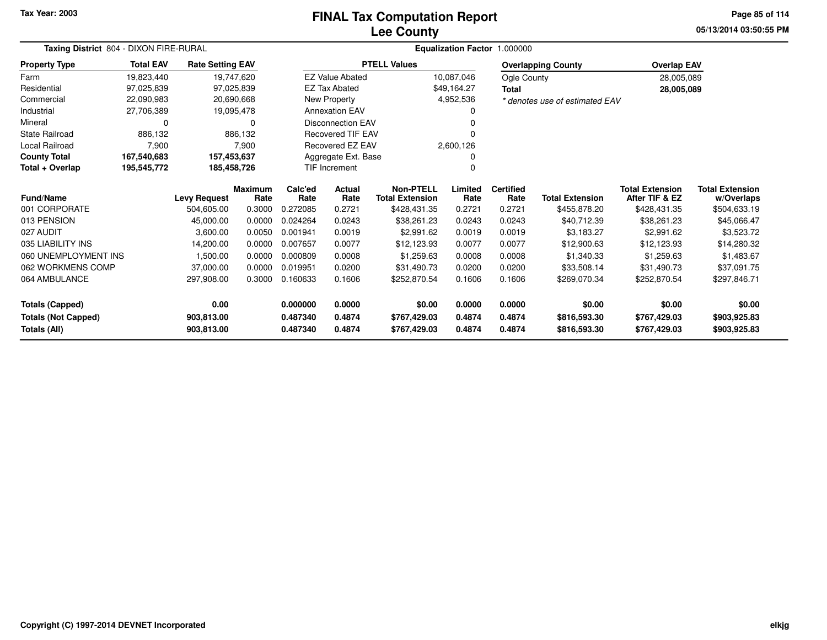# **Lee CountyFINAL Tax Computation Report**

**05/13/2014 03:50:55 PM Page 85 of 114**

| Taxing District 804 - DIXON FIRE-RURAL |                  |                         |                        |                 |                          |                                            |                 | Equalization Factor 1.000000 |                                |                                          |                                      |
|----------------------------------------|------------------|-------------------------|------------------------|-----------------|--------------------------|--------------------------------------------|-----------------|------------------------------|--------------------------------|------------------------------------------|--------------------------------------|
| <b>Property Type</b>                   | <b>Total EAV</b> | <b>Rate Setting EAV</b> |                        |                 |                          | <b>PTELL Values</b>                        |                 |                              | <b>Overlapping County</b>      | <b>Overlap EAV</b>                       |                                      |
| Farm                                   | 19,823,440       |                         | 19,747,620             |                 | <b>EZ Value Abated</b>   |                                            | 10,087,046      | Ogle County                  |                                | 28,005,089                               |                                      |
| Residential                            | 97,025,839       |                         | 97,025,839             |                 | <b>EZ Tax Abated</b>     |                                            | \$49,164.27     | <b>Total</b>                 |                                | 28,005,089                               |                                      |
| Commercial                             | 22,090,983       |                         | 20,690,668             |                 | New Property             |                                            | 4,952,536       |                              | * denotes use of estimated EAV |                                          |                                      |
| Industrial                             | 27,706,389       |                         | 19,095,478             |                 | <b>Annexation EAV</b>    |                                            |                 |                              |                                |                                          |                                      |
| Mineral                                | 0                |                         | 0                      |                 | <b>Disconnection EAV</b> |                                            |                 |                              |                                |                                          |                                      |
| State Railroad                         | 886,132          |                         | 886,132                |                 | <b>Recovered TIF EAV</b> |                                            |                 |                              |                                |                                          |                                      |
| Local Railroad                         | 7,900            |                         | 7,900                  |                 | Recovered EZ EAV         |                                            | 2,600,126       |                              |                                |                                          |                                      |
| <b>County Total</b>                    | 167,540,683      |                         | 157,453,637            |                 | Aggregate Ext. Base      |                                            |                 |                              |                                |                                          |                                      |
| Total + Overlap                        | 195,545,772      |                         | 185,458,726            |                 | TIF Increment            |                                            | <sup>0</sup>    |                              |                                |                                          |                                      |
| <b>Fund/Name</b>                       |                  | <b>Levy Request</b>     | <b>Maximum</b><br>Rate | Calc'ed<br>Rate | Actual<br>Rate           | <b>Non-PTELL</b><br><b>Total Extension</b> | Limited<br>Rate | <b>Certified</b><br>Rate     | <b>Total Extension</b>         | <b>Total Extension</b><br>After TIF & EZ | <b>Total Extension</b><br>w/Overlaps |
| 001 CORPORATE                          |                  | 504,605.00              | 0.3000                 | 0.272085        | 0.2721                   | \$428,431.35                               | 0.2721          | 0.2721                       | \$455,878.20                   | \$428,431.35                             | \$504,633.19                         |
| 013 PENSION                            |                  | 45,000.00               | 0.0000                 | 0.024264        | 0.0243                   | \$38,261.23                                | 0.0243          | 0.0243                       | \$40,712.39                    | \$38,261.23                              | \$45,066.47                          |
| 027 AUDIT                              |                  | 3,600.00                | 0.0050                 | 0.001941        | 0.0019                   | \$2,991.62                                 | 0.0019          | 0.0019                       | \$3,183.27                     | \$2,991.62                               | \$3,523.72                           |
| 035 LIABILITY INS                      |                  | 14,200.00               | 0.0000                 | 0.007657        | 0.0077                   | \$12,123.93                                | 0.0077          | 0.0077                       | \$12,900.63                    | \$12,123.93                              | \$14,280.32                          |
| 060 UNEMPLOYMENT INS                   |                  | 1,500.00                | 0.0000                 | 0.000809        | 0.0008                   | \$1,259.63                                 | 0.0008          | 0.0008                       | \$1,340.33                     | \$1,259.63                               | \$1,483.67                           |
| 062 WORKMENS COMP                      |                  | 37,000.00               | 0.0000                 | 0.019951        | 0.0200                   | \$31,490.73                                | 0.0200          | 0.0200                       | \$33,508.14                    | \$31,490.73                              | \$37,091.75                          |
| 064 AMBULANCE                          |                  | 297,908.00              | 0.3000                 | 0.160633        | 0.1606                   | \$252,870.54                               | 0.1606          | 0.1606                       | \$269,070.34                   | \$252,870.54                             | \$297,846.71                         |
| <b>Totals (Capped)</b>                 |                  | 0.00                    |                        | 0.000000        | 0.0000                   | \$0.00                                     | 0.0000          | 0.0000                       | \$0.00                         | \$0.00                                   | \$0.00                               |
| <b>Totals (Not Capped)</b>             |                  | 903,813.00              |                        | 0.487340        | 0.4874                   | \$767,429.03                               | 0.4874          | 0.4874                       | \$816,593.30                   | \$767,429.03                             | \$903,925.83                         |
| Totals (All)                           |                  | 903,813.00              |                        | 0.487340        | 0.4874                   | \$767,429.03                               | 0.4874          | 0.4874                       | \$816,593.30                   | \$767,429.03                             | \$903,925.83                         |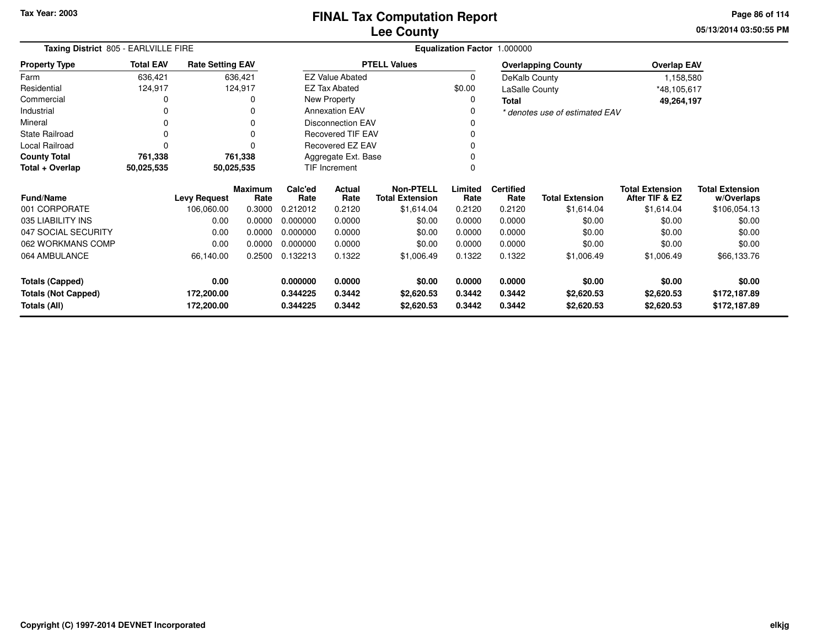**05/13/2014 03:50:55 PMPage 86 of 114**

| Taxing District 805 - EARLVILLE FIRE |                  |                         |                        |                 |                          |                                            |                 | Equalization Factor 1.000000 |                                |                                          |                                      |
|--------------------------------------|------------------|-------------------------|------------------------|-----------------|--------------------------|--------------------------------------------|-----------------|------------------------------|--------------------------------|------------------------------------------|--------------------------------------|
| <b>Property Type</b>                 | <b>Total EAV</b> | <b>Rate Setting EAV</b> |                        |                 |                          | <b>PTELL Values</b>                        |                 |                              | <b>Overlapping County</b>      | <b>Overlap EAV</b>                       |                                      |
| Farm                                 | 636,421          |                         | 636,421                |                 | <b>EZ Value Abated</b>   |                                            | 0               | DeKalb County                |                                | 1,158,580                                |                                      |
| Residential                          | 124,917          |                         | 124,917                |                 | <b>EZ Tax Abated</b>     |                                            | \$0.00          | <b>LaSalle County</b>        |                                | *48,105,617                              |                                      |
| Commercial                           |                  |                         | 0                      |                 | New Property             |                                            | 0               | <b>Total</b>                 |                                | 49,264,197                               |                                      |
| Industrial                           |                  |                         | 0                      |                 | <b>Annexation EAV</b>    |                                            | 0               |                              | * denotes use of estimated EAV |                                          |                                      |
| Mineral                              | 0                |                         | 0                      |                 | <b>Disconnection EAV</b> |                                            | 0               |                              |                                |                                          |                                      |
| <b>State Railroad</b>                | $\Omega$         |                         | 0                      |                 | <b>Recovered TIF EAV</b> |                                            | 0               |                              |                                |                                          |                                      |
| Local Railroad                       | $\Omega$         |                         | 0                      |                 | Recovered EZ EAV         |                                            | $\Omega$        |                              |                                |                                          |                                      |
| <b>County Total</b>                  | 761,338          |                         | 761,338                |                 | Aggregate Ext. Base      |                                            | 0               |                              |                                |                                          |                                      |
| Total + Overlap                      | 50,025,535       |                         | 50,025,535             | TIF Increment   |                          |                                            | $\Omega$        |                              |                                |                                          |                                      |
| Fund/Name                            |                  | <b>Levy Request</b>     | <b>Maximum</b><br>Rate | Calc'ed<br>Rate | Actual<br>Rate           | <b>Non-PTELL</b><br><b>Total Extension</b> | Limited<br>Rate | <b>Certified</b><br>Rate     | <b>Total Extension</b>         | <b>Total Extension</b><br>After TIF & EZ | <b>Total Extension</b><br>w/Overlaps |
| 001 CORPORATE                        |                  | 106,060.00              | 0.3000                 | 0.212012        | 0.2120                   | \$1,614.04                                 | 0.2120          | 0.2120                       | \$1,614.04                     | \$1,614.04                               | \$106,054.13                         |
| 035 LIABILITY INS                    |                  | 0.00                    | 0.0000                 | 0.000000        | 0.0000                   | \$0.00                                     | 0.0000          | 0.0000                       | \$0.00                         | \$0.00                                   | \$0.00                               |
| 047 SOCIAL SECURITY                  |                  | 0.00                    | 0.0000                 | 0.000000        | 0.0000                   | \$0.00                                     | 0.0000          | 0.0000                       | \$0.00                         | \$0.00                                   | \$0.00                               |
| 062 WORKMANS COMP                    |                  | 0.00                    | 0.0000                 | 0.000000        | 0.0000                   | \$0.00                                     | 0.0000          | 0.0000                       | \$0.00                         | \$0.00                                   | \$0.00                               |
| 064 AMBULANCE                        |                  | 66,140.00               | 0.2500                 | 0.132213        | 0.1322                   | \$1,006.49                                 | 0.1322          | 0.1322                       | \$1,006.49                     | \$1,006.49                               | \$66,133.76                          |
| <b>Totals (Capped)</b>               |                  | 0.00                    |                        | 0.000000        | 0.0000                   | \$0.00                                     | 0.0000          | 0.0000                       | \$0.00                         | \$0.00                                   | \$0.00                               |
| <b>Totals (Not Capped)</b>           |                  | 172,200.00              |                        | 0.344225        | 0.3442                   | \$2,620.53                                 | 0.3442          | 0.3442                       | \$2,620.53                     | \$2,620.53                               | \$172,187.89                         |
| Totals (All)                         | 172,200.00       |                         | 0.344225               | 0.3442          | \$2,620.53               | 0.3442                                     | 0.3442          | \$2,620.53                   | \$2,620.53                     | \$172,187.89                             |                                      |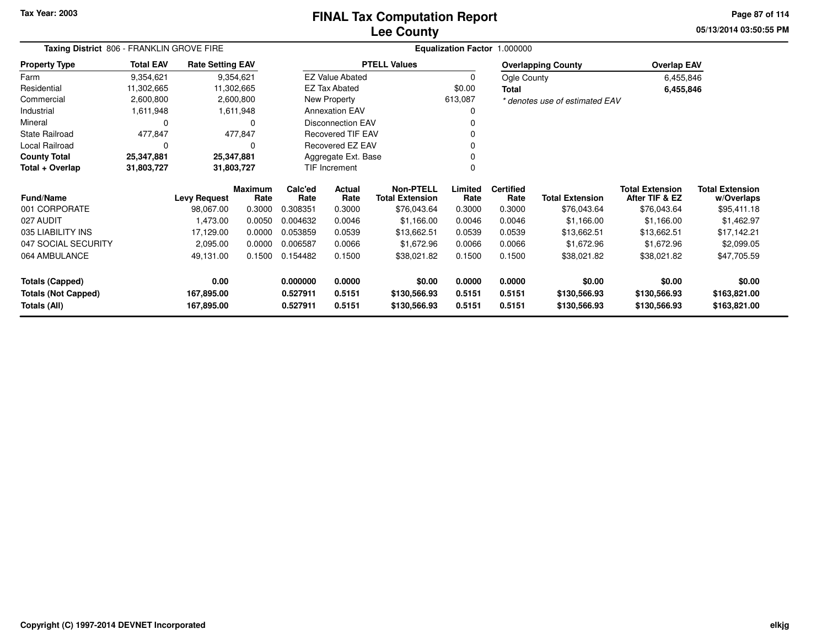### **Lee CountyFINAL Tax Computation Report**

**05/13/2014 03:50:55 PM Page 87 of 114**

| Taxing District 806 - FRANKLIN GROVE FIRE |                  |                         |                        |                 | Equalization Factor 1.000000 |                                            |                 |                          |                                |                                          |                                      |
|-------------------------------------------|------------------|-------------------------|------------------------|-----------------|------------------------------|--------------------------------------------|-----------------|--------------------------|--------------------------------|------------------------------------------|--------------------------------------|
| <b>Property Type</b>                      | <b>Total EAV</b> | <b>Rate Setting EAV</b> |                        |                 |                              | <b>PTELL Values</b>                        |                 |                          | <b>Overlapping County</b>      | <b>Overlap EAV</b>                       |                                      |
| Farm                                      | 9,354,621        |                         | 9,354,621              |                 | <b>EZ Value Abated</b>       |                                            | $\mathbf 0$     | Ogle County              |                                | 6,455,846                                |                                      |
| Residential                               | 11,302,665       |                         | 11,302,665             |                 | <b>EZ Tax Abated</b>         |                                            | \$0.00          | <b>Total</b>             |                                | 6,455,846                                |                                      |
| Commercial                                | 2,600,800        |                         | 2,600,800              |                 | New Property                 |                                            | 613,087         |                          | * denotes use of estimated EAV |                                          |                                      |
| Industrial                                | 1,611,948        |                         | 1,611,948              |                 | <b>Annexation EAV</b>        |                                            | 0               |                          |                                |                                          |                                      |
| Mineral                                   | $\Omega$         |                         | $\Omega$               |                 | <b>Disconnection EAV</b>     |                                            |                 |                          |                                |                                          |                                      |
| <b>State Railroad</b>                     | 477,847          |                         | 477,847                |                 | <b>Recovered TIF EAV</b>     |                                            |                 |                          |                                |                                          |                                      |
| Local Railroad                            | $\Omega$         |                         | 0                      |                 | Recovered EZ EAV             |                                            |                 |                          |                                |                                          |                                      |
| <b>County Total</b>                       | 25,347,881       | 25,347,881              |                        |                 | Aggregate Ext. Base          |                                            |                 |                          |                                |                                          |                                      |
| Total + Overlap                           | 31,803,727       |                         | 31,803,727             |                 | <b>TIF Increment</b>         |                                            | $\Omega$        |                          |                                |                                          |                                      |
| <b>Fund/Name</b>                          |                  | <b>Levy Request</b>     | <b>Maximum</b><br>Rate | Calc'ed<br>Rate | Actual<br>Rate               | <b>Non-PTELL</b><br><b>Total Extension</b> | Limited<br>Rate | <b>Certified</b><br>Rate | <b>Total Extension</b>         | <b>Total Extension</b><br>After TIF & EZ | <b>Total Extension</b><br>w/Overlaps |
| 001 CORPORATE                             |                  | 98,067.00               | 0.3000                 | 0.308351        | 0.3000                       | \$76,043.64                                | 0.3000          | 0.3000                   | \$76,043.64                    | \$76,043.64                              | \$95,411.18                          |
| 027 AUDIT                                 |                  | 1,473.00                | 0.0050                 | 0.004632        | 0.0046                       | \$1,166.00                                 | 0.0046          | 0.0046                   | \$1,166.00                     | \$1,166.00                               | \$1,462.97                           |
| 035 LIABILITY INS                         |                  | 17,129.00               | 0.0000                 | 0.053859        | 0.0539                       | \$13,662.51                                | 0.0539          | 0.0539                   | \$13,662.51                    | \$13,662.51                              | \$17,142.21                          |
| 047 SOCIAL SECURITY                       |                  | 2,095.00                | 0.0000                 | 0.006587        | 0.0066                       | \$1,672.96                                 | 0.0066          | 0.0066                   | \$1,672.96                     | \$1,672.96                               | \$2,099.05                           |
| 064 AMBULANCE                             |                  | 49,131.00               | 0.1500                 | 0.154482        | 0.1500                       | \$38,021.82                                | 0.1500          | 0.1500                   | \$38,021.82                    | \$38,021.82                              | \$47,705.59                          |
| <b>Totals (Capped)</b>                    |                  | 0.00                    |                        | 0.000000        | 0.0000                       | \$0.00                                     | 0.0000          | 0.0000                   | \$0.00                         | \$0.00                                   | \$0.00                               |
| <b>Totals (Not Capped)</b>                |                  | 167,895.00              |                        | 0.527911        | 0.5151                       | \$130,566.93                               | 0.5151          | 0.5151                   | \$130,566.93                   | \$130,566.93                             | \$163,821.00                         |
| Totals (All)                              |                  | 167,895.00              |                        | 0.527911        | 0.5151                       | \$130,566.93                               | 0.5151          | 0.5151                   | \$130,566.93                   | \$130,566.93                             | \$163,821.00                         |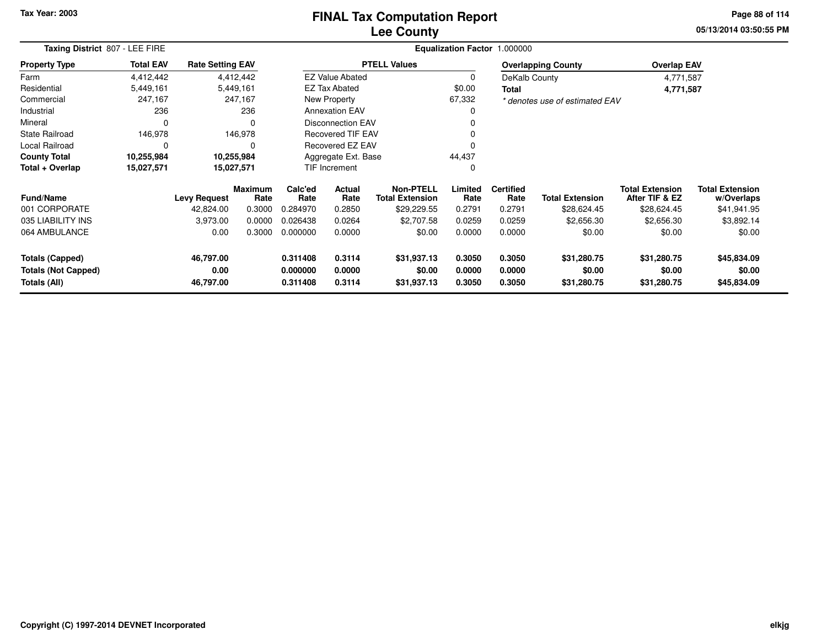#### **Lee CountyFINAL Tax Computation Report**

**05/13/2014 03:50:55 PM Page 88 of 114**

|                                            | Taxing District 807 - LEE FIRE |                         |                        |                                                                   |                                                       |                     |                  | Equalization Factor 1.000000 |                                |                                          |                                      |
|--------------------------------------------|--------------------------------|-------------------------|------------------------|-------------------------------------------------------------------|-------------------------------------------------------|---------------------|------------------|------------------------------|--------------------------------|------------------------------------------|--------------------------------------|
| <b>Property Type</b>                       | <b>Total EAV</b>               | <b>Rate Setting EAV</b> |                        |                                                                   |                                                       | <b>PTELL Values</b> |                  |                              | <b>Overlapping County</b>      | <b>Overlap EAV</b>                       |                                      |
| Farm                                       | 4,412,442                      |                         | 4,412,442              |                                                                   | <b>EZ Value Abated</b>                                |                     | 0                | DeKalb County                |                                | 4,771,587                                |                                      |
| Residential                                | 5,449,161                      |                         | 5,449,161              |                                                                   | <b>EZ Tax Abated</b>                                  |                     | \$0.00           | <b>Total</b>                 |                                | 4,771,587                                |                                      |
| Commercial                                 | 247,167                        |                         | 247,167                |                                                                   | <b>New Property</b>                                   |                     | 67,332           |                              | * denotes use of estimated EAV |                                          |                                      |
| Industrial                                 | 236                            |                         | 236                    |                                                                   | <b>Annexation EAV</b>                                 |                     |                  |                              |                                |                                          |                                      |
| Mineral                                    | $\Omega$                       |                         | $\Omega$               |                                                                   | <b>Disconnection EAV</b>                              |                     |                  |                              |                                |                                          |                                      |
| <b>State Railroad</b>                      | 146,978                        |                         | 146,978                |                                                                   | <b>Recovered TIF EAV</b>                              |                     |                  |                              |                                |                                          |                                      |
| Local Railroad                             | 0                              |                         | 0                      |                                                                   | Recovered EZ EAV                                      |                     |                  |                              |                                |                                          |                                      |
| <b>County Total</b>                        | 10,255,984                     |                         | 10,255,984             |                                                                   | Aggregate Ext. Base                                   |                     | 44,437           |                              |                                |                                          |                                      |
| Total + Overlap                            | 15,027,571                     |                         | 15,027,571             |                                                                   | TIF Increment                                         |                     | 0                |                              |                                |                                          |                                      |
| <b>Fund/Name</b>                           |                                | <b>Levy Request</b>     | <b>Maximum</b><br>Rate | Calc'ed<br>Rate                                                   | Non-PTELL<br>Actual<br><b>Total Extension</b><br>Rate |                     | Limited<br>Rate  | <b>Certified</b><br>Rate     | <b>Total Extension</b>         | <b>Total Extension</b><br>After TIF & EZ | <b>Total Extension</b><br>w/Overlaps |
| 001 CORPORATE                              |                                | 42,824.00               | 0.3000                 | 0.284970                                                          | 0.2850                                                | \$29,229.55         | 0.2791           | 0.2791                       | \$28,624.45                    | \$28,624.45                              | \$41,941.95                          |
| 035 LIABILITY INS                          |                                | 3,973.00                | 0.0000                 | 0.026438                                                          | 0.0264                                                | \$2,707.58          | 0.0259           | 0.0259                       | \$2,656.30                     | \$2,656.30                               | \$3,892.14                           |
| 064 AMBULANCE                              |                                | 0.00                    | 0.3000                 | 0.000000                                                          | 0.0000                                                |                     | 0.0000           | 0.0000                       | \$0.00                         | \$0.00                                   | \$0.00                               |
| <b>Totals (Capped)</b>                     |                                | 46,797.00               |                        | 0.311408                                                          | 0.3114                                                | \$31,937.13         | 0.3050           | 0.3050                       | \$31,280.75                    | \$31,280.75                              | \$45,834.09                          |
| <b>Totals (Not Capped)</b><br>Totals (All) |                                | 0.00<br>46,797.00       |                        | 0.000000<br>0.0000<br>\$0.00<br>0.3114<br>0.311408<br>\$31,937.13 |                                                       |                     | 0.0000<br>0.3050 | 0.0000<br>0.3050             | \$0.00<br>\$31,280.75          | \$0.00<br>\$31,280.75                    | \$0.00<br>\$45,834.09                |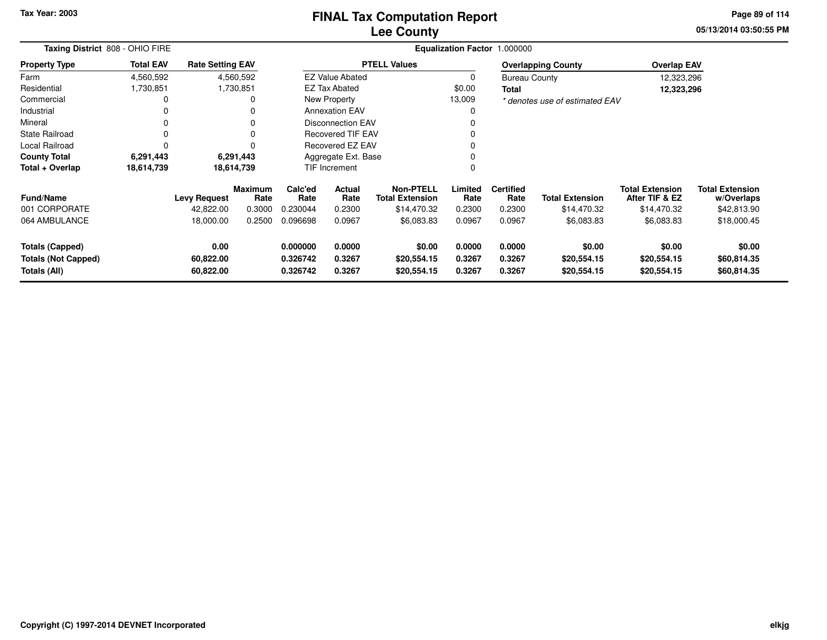#### **Lee CountyFINAL Tax Computation Report**

**05/13/2014 03:50:55 PM Page 89 of 114**

| Taxing District 808 - OHIO FIRE                      |                  |                         |                 |                                                                   |                        |                                            |                  | Equalization Factor 1.000000 |                                |                                          |                                      |
|------------------------------------------------------|------------------|-------------------------|-----------------|-------------------------------------------------------------------|------------------------|--------------------------------------------|------------------|------------------------------|--------------------------------|------------------------------------------|--------------------------------------|
| <b>Property Type</b>                                 | <b>Total EAV</b> | <b>Rate Setting EAV</b> |                 |                                                                   |                        | <b>PTELL Values</b>                        |                  |                              | <b>Overlapping County</b>      | <b>Overlap EAV</b>                       |                                      |
| Farm                                                 | 4,560,592        |                         | 4,560,592       |                                                                   | <b>EZ Value Abated</b> |                                            | 0                | <b>Bureau County</b>         |                                | 12,323,296                               |                                      |
| Residential                                          | 1,730,851        |                         | 1,730,851       |                                                                   | <b>EZ Tax Abated</b>   |                                            | \$0.00           | Total                        |                                | 12,323,296                               |                                      |
| Commercial                                           | 0                |                         | 0               |                                                                   | New Property           |                                            | 13,009           |                              | * denotes use of estimated EAV |                                          |                                      |
| Industrial                                           | 0                |                         | 0               |                                                                   | <b>Annexation EAV</b>  |                                            | 0                |                              |                                |                                          |                                      |
| Mineral                                              | 0                |                         | 0               | <b>Disconnection EAV</b>                                          |                        |                                            | 0                |                              |                                |                                          |                                      |
| <b>State Railroad</b>                                | 0                |                         | 0               | <b>Recovered TIF EAV</b>                                          |                        |                                            | 0                |                              |                                |                                          |                                      |
| <b>Local Railroad</b>                                | $\Omega$         |                         | $\Omega$        |                                                                   | Recovered EZ EAV       |                                            | 0                |                              |                                |                                          |                                      |
| <b>County Total</b>                                  | 6,291,443        |                         | 6,291,443       |                                                                   | Aggregate Ext. Base    |                                            | 0                |                              |                                |                                          |                                      |
| Total + Overlap                                      | 18,614,739       | 18,614,739              |                 |                                                                   | <b>TIF Increment</b>   |                                            |                  |                              |                                |                                          |                                      |
| <b>Fund/Name</b>                                     |                  | <b>Levy Request</b>     | Maximum<br>Rate | Calc'ed<br>Rate                                                   | <b>Actual</b><br>Rate  | <b>Non-PTELL</b><br><b>Total Extension</b> | Limited<br>Rate  | <b>Certified</b><br>Rate     | <b>Total Extension</b>         | <b>Total Extension</b><br>After TIF & EZ | <b>Total Extension</b><br>w/Overlaps |
| 001 CORPORATE                                        |                  | 42,822.00               | 0.3000          | 0.230044                                                          | 0.2300                 | \$14,470.32                                | 0.2300           | 0.2300                       | \$14,470.32                    | \$14,470.32                              | \$42,813.90                          |
| 064 AMBULANCE                                        |                  | 18,000.00               | 0.2500          | 0.096698                                                          | 0.0967                 | \$6,083.83                                 | 0.0967           | 0.0967                       | \$6,083.83                     | \$6,083.83                               | \$18,000.45                          |
| <b>Totals (Capped)</b><br><b>Totals (Not Capped)</b> |                  | 0.00<br>60,822.00       |                 | 0.000000<br>0.0000<br>\$0.00<br>0.326742<br>0.3267<br>\$20,554.15 |                        |                                            | 0.0000<br>0.3267 | 0.0000<br>0.3267             | \$0.00<br>\$20,554.15          | \$0.00<br>\$20,554.15                    | \$0.00<br>\$60,814.35                |
| Totals (All)                                         |                  | 60,822.00               |                 | 0.326742<br>0.3267<br>\$20,554.15                                 |                        |                                            | 0.3267           | 0.3267                       | \$20,554.15                    | \$20,554.15                              | \$60,814.35                          |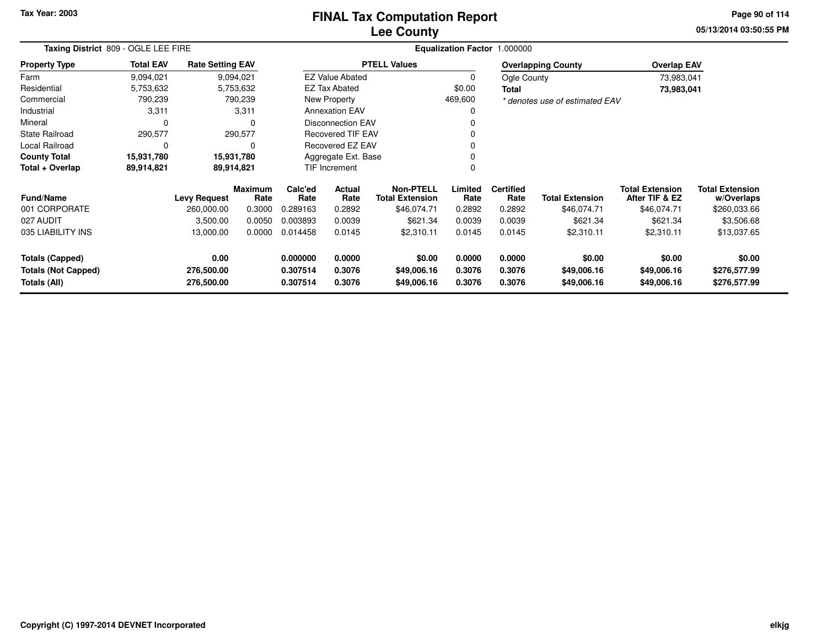### **Lee CountyFINAL Tax Computation Report**

**05/13/2014 03:50:55 PM Page 90 of 114**

| Taxing District 809 - OGLE LEE FIRE                  |                  |                         |                        |                                          |                                                 |                       |                  | Equalization Factor 1.000000 |                                |                                          |                                      |
|------------------------------------------------------|------------------|-------------------------|------------------------|------------------------------------------|-------------------------------------------------|-----------------------|------------------|------------------------------|--------------------------------|------------------------------------------|--------------------------------------|
| <b>Property Type</b>                                 | <b>Total EAV</b> | <b>Rate Setting EAV</b> |                        |                                          |                                                 | <b>PTELL Values</b>   |                  |                              | <b>Overlapping County</b>      | <b>Overlap EAV</b>                       |                                      |
| Farm                                                 | 9,094,021        |                         | 9,094,021              |                                          | <b>EZ Value Abated</b>                          |                       |                  | Ogle County                  |                                | 73,983,041                               |                                      |
| Residential                                          | 5,753,632        |                         | 5,753,632              |                                          | <b>EZ Tax Abated</b>                            |                       | \$0.00           | <b>Total</b>                 |                                | 73,983,041                               |                                      |
| Commercial                                           | 790,239          |                         | 790,239                |                                          | New Property                                    |                       | 469,600          |                              | * denotes use of estimated EAV |                                          |                                      |
| Industrial                                           | 3,311            |                         | 3,311                  |                                          | <b>Annexation EAV</b>                           |                       |                  |                              |                                |                                          |                                      |
| Mineral                                              | $\Omega$         |                         | $\Omega$               |                                          | <b>Disconnection EAV</b>                        |                       |                  |                              |                                |                                          |                                      |
| <b>State Railroad</b>                                | 290,577          |                         | 290,577                |                                          | Recovered TIF EAV                               |                       |                  |                              |                                |                                          |                                      |
| Local Railroad                                       | 0                |                         | 0                      |                                          | <b>Recovered EZ EAV</b>                         |                       |                  |                              |                                |                                          |                                      |
| <b>County Total</b>                                  | 15,931,780       |                         | 15,931,780             |                                          | Aggregate Ext. Base                             |                       |                  |                              |                                |                                          |                                      |
| Total + Overlap                                      | 89,914,821       |                         | 89,914,821             |                                          | TIF Increment                                   |                       |                  |                              |                                |                                          |                                      |
| <b>Fund/Name</b>                                     |                  | <b>Levy Request</b>     | <b>Maximum</b><br>Rate | Calc'ed<br>Rate                          | <b>Actual</b><br>Rate<br><b>Total Extension</b> |                       | Limited<br>Rate  | <b>Certified</b><br>Rate     | <b>Total Extension</b>         | <b>Total Extension</b><br>After TIF & EZ | <b>Total Extension</b><br>w/Overlaps |
| 001 CORPORATE                                        |                  | 260,000.00              | 0.3000                 | 0.289163                                 | 0.2892                                          | \$46,074.71           | 0.2892           | 0.2892                       | \$46,074.71                    | \$46,074.71                              | \$260,033.66                         |
| 027 AUDIT                                            |                  | 3,500.00                | 0.0050                 | 0.003893                                 | 0.0039                                          | \$621.34              | 0.0039           | 0.0039                       | \$621.34                       | \$621.34                                 | \$3,506.68                           |
| 035 LIABILITY INS                                    |                  | 13,000.00               | 0.0000                 | 0.014458                                 | 0.0145                                          | \$2,310.11            | 0.0145           | 0.0145                       | \$2,310.11                     | \$2,310.11                               | \$13,037.65                          |
| <b>Totals (Capped)</b><br><b>Totals (Not Capped)</b> |                  | 0.00<br>276,500.00      |                        | 0.000000<br>0.0000<br>0.307514<br>0.3076 |                                                 | \$0.00<br>\$49,006.16 | 0.0000<br>0.3076 | 0.0000<br>0.3076             | \$0.00<br>\$49,006.16          | \$0.00<br>\$49,006.16                    | \$0.00<br>\$276,577.99               |
| Totals (All)                                         |                  | 276,500.00              |                        | 0.307514                                 | 0.3076                                          | \$49,006.16           | 0.3076           | 0.3076                       | \$49,006.16                    | \$49,006.16                              | \$276,577.99                         |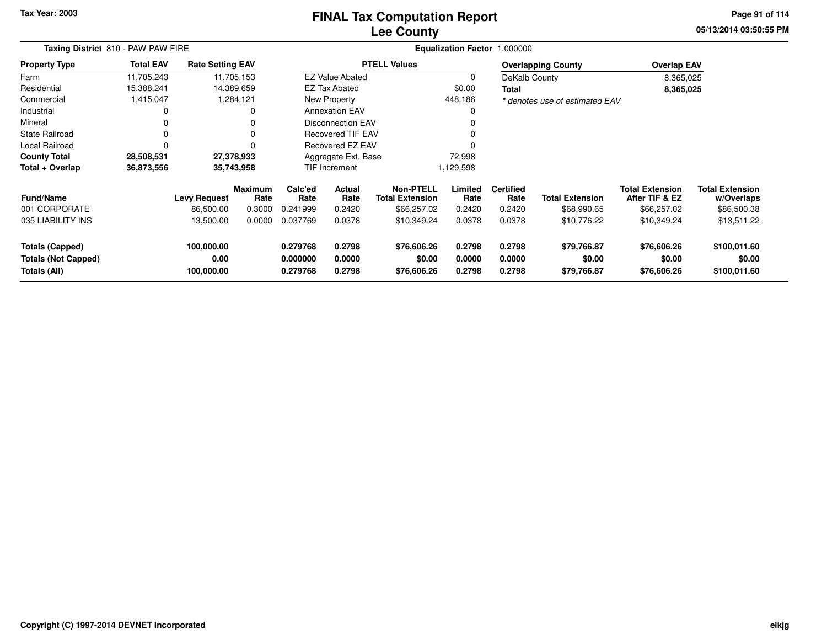## **Lee CountyFINAL Tax Computation Report**

**05/13/2014 03:50:55 PM Page 91 of 114**

|                                                                      | Taxing District 810 - PAW PAW FIRE |                                  |                        |                                                                |                          |                                      |                            | Equalization Factor 1.000000 |                                      |                                          |                                        |
|----------------------------------------------------------------------|------------------------------------|----------------------------------|------------------------|----------------------------------------------------------------|--------------------------|--------------------------------------|----------------------------|------------------------------|--------------------------------------|------------------------------------------|----------------------------------------|
| <b>Property Type</b>                                                 | <b>Total EAV</b>                   | <b>Rate Setting EAV</b>          |                        |                                                                |                          | <b>PTELL Values</b>                  |                            |                              | <b>Overlapping County</b>            | <b>Overlap EAV</b>                       |                                        |
| Farm                                                                 | 11,705,243                         |                                  | 11,705,153             |                                                                | <b>EZ Value Abated</b>   |                                      | 0                          | DeKalb County                |                                      | 8,365,025                                |                                        |
| Residential                                                          | 15,388,241                         |                                  | 14,389,659             |                                                                | <b>EZ Tax Abated</b>     |                                      | \$0.00                     | Total                        |                                      | 8,365,025                                |                                        |
| Commercial                                                           | 1,415,047                          |                                  | 1,284,121              |                                                                | New Property             |                                      | 448,186                    |                              | * denotes use of estimated EAV       |                                          |                                        |
| Industrial                                                           |                                    |                                  | 0                      |                                                                | <b>Annexation EAV</b>    |                                      | 0                          |                              |                                      |                                          |                                        |
| Mineral                                                              |                                    |                                  | 0                      |                                                                | Disconnection EAV        |                                      |                            |                              |                                      |                                          |                                        |
| <b>State Railroad</b>                                                |                                    |                                  | 0                      |                                                                | <b>Recovered TIF EAV</b> |                                      |                            |                              |                                      |                                          |                                        |
| Local Railroad                                                       |                                    |                                  | 0                      |                                                                | Recovered EZ EAV         |                                      |                            |                              |                                      |                                          |                                        |
| <b>County Total</b>                                                  | 28,508,531                         |                                  | 27,378,933             |                                                                | Aggregate Ext. Base      |                                      | 72,998                     |                              |                                      |                                          |                                        |
| Total + Overlap                                                      | 36,873,556                         |                                  | 35,743,958             |                                                                | <b>TIF Increment</b>     |                                      | 1,129,598                  |                              |                                      |                                          |                                        |
| <b>Fund/Name</b>                                                     |                                    | <b>Levy Request</b>              | <b>Maximum</b><br>Rate | Calc'ed<br>Rate                                                | Actual<br>Rate           | Non-PTELL<br><b>Total Extension</b>  | Limited<br>Rate            | <b>Certified</b><br>Rate     | <b>Total Extension</b>               | <b>Total Extension</b><br>After TIF & EZ | <b>Total Extension</b><br>w/Overlaps   |
| 001 CORPORATE                                                        |                                    | 86,500.00                        | 0.3000                 | 0.241999                                                       | 0.2420                   | \$66,257.02                          | 0.2420                     | 0.2420                       | \$68,990.65                          | \$66,257.02                              | \$86,500.38                            |
| 035 LIABILITY INS                                                    |                                    | 13,500.00                        | 0.0000                 | 0.037769                                                       | 0.0378                   | \$10,349.24                          | 0.0378                     | 0.0378                       | \$10,776.22                          | \$10,349.24                              | \$13,511.22                            |
| <b>Totals (Capped)</b><br><b>Totals (Not Capped)</b><br>Totals (All) |                                    | 100,000.00<br>0.00<br>100,000.00 |                        | 0.2798<br>0.279768<br>0.000000<br>0.0000<br>0.279768<br>0.2798 |                          | \$76,606.26<br>\$0.00<br>\$76,606.26 | 0.2798<br>0.0000<br>0.2798 | 0.2798<br>0.0000<br>0.2798   | \$79,766.87<br>\$0.00<br>\$79,766.87 | \$76,606.26<br>\$0.00<br>\$76,606.26     | \$100,011.60<br>\$0.00<br>\$100,011.60 |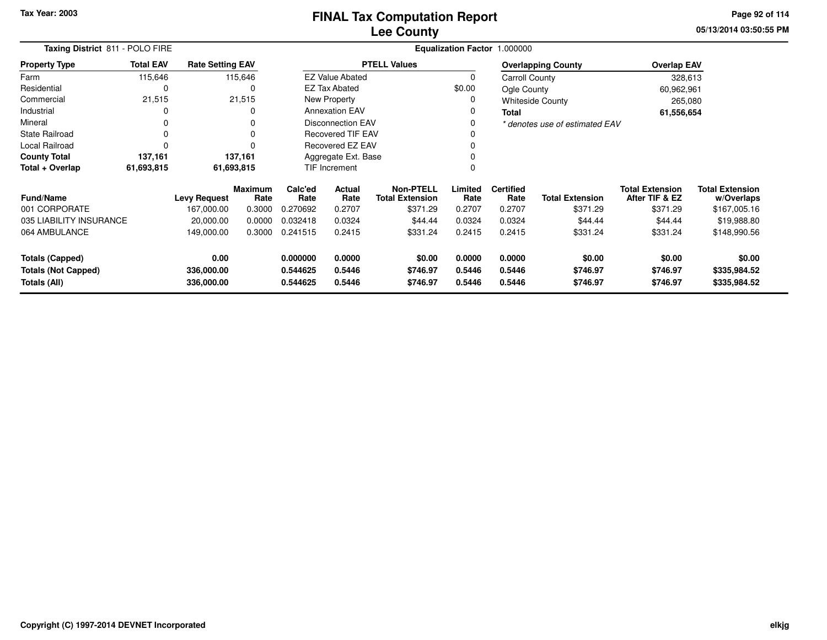**05/13/2014 03:50:55 PM Page 92 of 114**

| Taxing District 811 - POLO FIRE                                            |                  |                         |                        |                                          |                          |                                            |                  | Equalization Factor 1.000000 |                                |                                          |                                      |
|----------------------------------------------------------------------------|------------------|-------------------------|------------------------|------------------------------------------|--------------------------|--------------------------------------------|------------------|------------------------------|--------------------------------|------------------------------------------|--------------------------------------|
| <b>Property Type</b>                                                       | <b>Total EAV</b> | <b>Rate Setting EAV</b> |                        |                                          |                          | <b>PTELL Values</b>                        |                  |                              | <b>Overlapping County</b>      | <b>Overlap EAV</b>                       |                                      |
| Farm                                                                       | 115,646          |                         | 115,646                |                                          | <b>EZ Value Abated</b>   |                                            | 0                | Carroll County               |                                | 328,613                                  |                                      |
| Residential                                                                | 0                |                         | 0                      |                                          | <b>EZ Tax Abated</b>     |                                            | \$0.00           | Ogle County                  |                                | 60,962,961                               |                                      |
| Commercial                                                                 | 21,515           |                         | 21,515                 |                                          | New Property             |                                            | 0                |                              | <b>Whiteside County</b>        | 265,080                                  |                                      |
| Industrial                                                                 | 0                |                         |                        |                                          | <b>Annexation EAV</b>    |                                            | 0                | <b>Total</b>                 |                                | 61,556,654                               |                                      |
| Mineral                                                                    | 0                |                         |                        |                                          | <b>Disconnection EAV</b> |                                            | 0                |                              | * denotes use of estimated EAV |                                          |                                      |
| <b>State Railroad</b>                                                      | $\Omega$         |                         |                        |                                          | <b>Recovered TIF EAV</b> |                                            |                  |                              |                                |                                          |                                      |
| Local Railroad                                                             | $\Omega$         |                         |                        | <b>Recovered EZ EAV</b>                  |                          |                                            | $\Omega$         |                              |                                |                                          |                                      |
| <b>County Total</b>                                                        | 137,161          |                         | 137,161                | Aggregate Ext. Base                      |                          |                                            |                  |                              |                                |                                          |                                      |
| Total + Overlap                                                            | 61,693,815       |                         | 61,693,815             | <b>TIF Increment</b>                     |                          |                                            | 0                |                              |                                |                                          |                                      |
| <b>Fund/Name</b>                                                           |                  | <b>Levy Request</b>     | <b>Maximum</b><br>Rate | Calc'ed<br><b>Actual</b><br>Rate<br>Rate |                          | <b>Non-PTELL</b><br><b>Total Extension</b> | Limited<br>Rate  | <b>Certified</b><br>Rate     | <b>Total Extension</b>         | <b>Total Extension</b><br>After TIF & EZ | <b>Total Extension</b><br>w/Overlaps |
| 001 CORPORATE                                                              |                  | 167,000.00              | 0.3000                 | 0.270692                                 | 0.2707                   | \$371.29                                   | 0.2707           | 0.2707                       | \$371.29                       | \$371.29                                 | \$167,005.16                         |
| 035 LIABILITY INSURANCE                                                    |                  | 20,000.00               | 0.0000                 | 0.032418                                 | 0.0324                   | \$44.44                                    | 0.0324           | 0.0324                       | \$44.44                        | \$44.44                                  | \$19,988.80                          |
| 064 AMBULANCE                                                              |                  | 149,000.00              | 0.3000                 | 0.241515                                 | 0.2415                   | \$331.24                                   | 0.2415           | 0.2415                       | \$331.24                       | \$331.24                                 | \$148,990.56                         |
| 0.00<br><b>Totals (Capped)</b><br><b>Totals (Not Capped)</b><br>336,000.00 |                  |                         | 0.000000<br>0.544625   | 0.0000<br>0.5446                         | \$0.00<br>\$746.97       | 0.0000<br>0.5446                           | 0.0000<br>0.5446 | \$0.00<br>\$746.97           | \$0.00<br>\$746.97             | \$0.00<br>\$335,984.52                   |                                      |
| Totals (All)                                                               |                  | 336,000.00              |                        | 0.544625                                 | 0.5446                   | \$746.97                                   | 0.5446           | 0.5446                       | \$746.97                       | \$746.97                                 | \$335,984.52                         |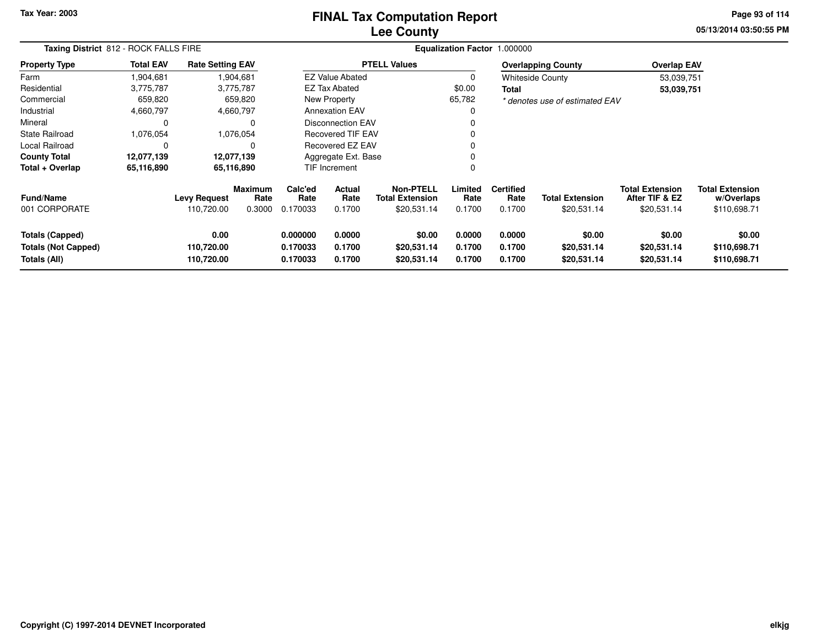### **Lee CountyFINAL Tax Computation Report**

**05/13/2014 03:50:55 PM Page 93 of 114**

| Taxing District 812 - ROCK FALLS FIRE                                |                  |                                   |                           |                                  |                            |                                                           |                            | <b>Equalization Factor 1.000000</b> |                                       |                                                         |                                                      |  |
|----------------------------------------------------------------------|------------------|-----------------------------------|---------------------------|----------------------------------|----------------------------|-----------------------------------------------------------|----------------------------|-------------------------------------|---------------------------------------|---------------------------------------------------------|------------------------------------------------------|--|
| <b>Property Type</b>                                                 | <b>Total EAV</b> | <b>Rate Setting EAV</b>           |                           |                                  |                            | <b>PTELL Values</b>                                       |                            |                                     | <b>Overlapping County</b>             | <b>Overlap EAV</b>                                      |                                                      |  |
| Farm                                                                 | 904.681. ا       |                                   | 1,904,681                 |                                  | <b>EZ Value Abated</b>     |                                                           | 0                          |                                     | Whiteside County                      | 53,039,751                                              |                                                      |  |
| Residential                                                          | 3,775,787        |                                   | 3,775,787                 |                                  | EZ Tax Abated              |                                                           | \$0.00                     | Total                               |                                       | 53,039,751                                              |                                                      |  |
| Commercial                                                           | 659,820          |                                   | 659,820                   |                                  | New Property               |                                                           | 65,782                     |                                     | * denotes use of estimated EAV        |                                                         |                                                      |  |
| Industrial                                                           | 4,660,797        |                                   | 4,660,797                 |                                  | <b>Annexation EAV</b>      |                                                           |                            |                                     |                                       |                                                         |                                                      |  |
| Mineral                                                              | 0                |                                   |                           |                                  | <b>Disconnection EAV</b>   |                                                           |                            |                                     |                                       |                                                         |                                                      |  |
| <b>State Railroad</b>                                                | 1,076,054        |                                   | 1,076,054                 |                                  | <b>Recovered TIF EAV</b>   |                                                           |                            |                                     |                                       |                                                         |                                                      |  |
| Local Railroad                                                       | 0                |                                   |                           |                                  | Recovered EZ EAV           |                                                           |                            |                                     |                                       |                                                         |                                                      |  |
| <b>County Total</b>                                                  | 12,077,139       | 12,077,139                        |                           |                                  | Aggregate Ext. Base        |                                                           |                            |                                     |                                       |                                                         |                                                      |  |
| Total + Overlap                                                      | 65,116,890       |                                   | 65,116,890                |                                  | TIF Increment              |                                                           | 0                          |                                     |                                       |                                                         |                                                      |  |
| <b>Fund/Name</b><br>001 CORPORATE                                    |                  | <b>Levy Request</b><br>110,720.00 | Maximum<br>Rate<br>0.3000 | Calc'ed<br>Rate<br>0.170033      | Actual<br>Rate<br>0.1700   | <b>Non-PTELL</b><br><b>Total Extension</b><br>\$20,531.14 | Limited<br>Rate<br>0.1700  | <b>Certified</b><br>Rate<br>0.1700  | <b>Total Extension</b><br>\$20,531.14 | <b>Total Extension</b><br>After TIF & EZ<br>\$20,531.14 | <b>Total Extension</b><br>w/Overlaps<br>\$110,698.71 |  |
| <b>Totals (Capped)</b><br><b>Totals (Not Capped)</b><br>Totals (All) |                  | 0.00<br>110,720.00<br>110,720.00  |                           | 0.000000<br>0.170033<br>0.170033 | 0.0000<br>0.1700<br>0.1700 | \$0.00<br>\$20,531.14<br>\$20,531.14                      | 0.0000<br>0.1700<br>0.1700 | 0.0000<br>0.1700<br>0.1700          | \$0.00<br>\$20,531.14<br>\$20,531.14  | \$0.00<br>\$20,531.14<br>\$20,531.14                    | \$0.00<br>\$110,698.71<br>\$110,698.71               |  |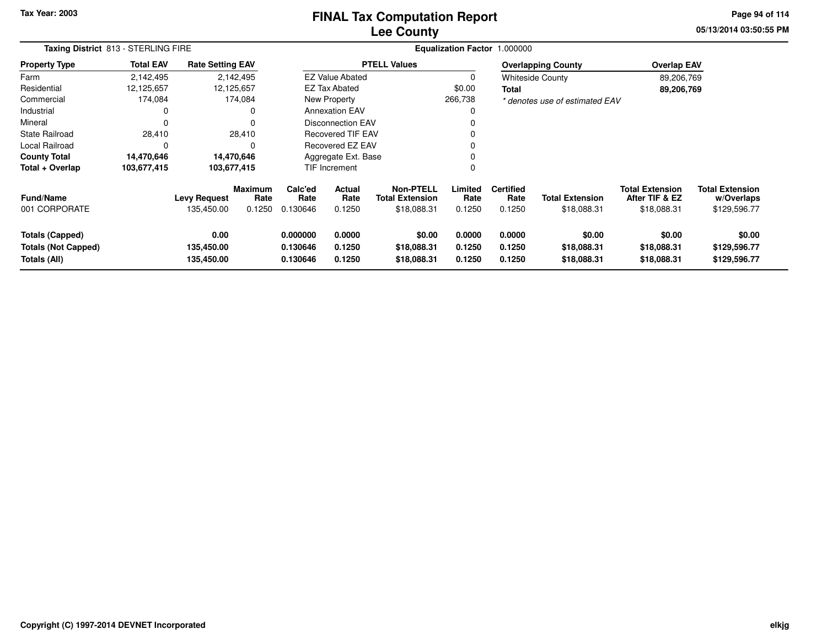### **Lee CountyFINAL Tax Computation Report**

**05/13/2014 03:50:55 PM Page 94 of 114**

| Taxing District 813 - STERLING FIRE                                  |                  |                                   |                                  |                                  |                                                                        |                                      | Equalization Factor 1.000000 |                                    |                                       |                                                         |                                                      |  |
|----------------------------------------------------------------------|------------------|-----------------------------------|----------------------------------|----------------------------------|------------------------------------------------------------------------|--------------------------------------|------------------------------|------------------------------------|---------------------------------------|---------------------------------------------------------|------------------------------------------------------|--|
| <b>Property Type</b>                                                 | <b>Total EAV</b> | <b>Rate Setting EAV</b>           |                                  |                                  |                                                                        | <b>PTELL Values</b>                  |                              |                                    | <b>Overlapping County</b>             | <b>Overlap EAV</b>                                      |                                                      |  |
| Farm                                                                 | 2,142,495        |                                   | 2,142,495                        |                                  | <b>EZ Value Abated</b>                                                 |                                      | 0                            |                                    | <b>Whiteside County</b>               | 89,206,769                                              |                                                      |  |
| Residential                                                          | 12,125,657       |                                   | 12,125,657                       |                                  | <b>EZ Tax Abated</b>                                                   |                                      | \$0.00                       | Total                              |                                       | 89,206,769                                              |                                                      |  |
| Commercial                                                           | 174,084          |                                   | 174,084                          |                                  | New Property                                                           |                                      | 266,738                      |                                    | * denotes use of estimated EAV        |                                                         |                                                      |  |
| Industrial                                                           | 0                |                                   | 0                                |                                  | <b>Annexation EAV</b>                                                  |                                      | 0                            |                                    |                                       |                                                         |                                                      |  |
| Mineral                                                              | $\Omega$         |                                   | $\Omega$                         |                                  | <b>Disconnection EAV</b>                                               |                                      |                              |                                    |                                       |                                                         |                                                      |  |
| <b>State Railroad</b>                                                | 28,410           |                                   | 28,410                           |                                  | <b>Recovered TIF EAV</b>                                               |                                      |                              |                                    |                                       |                                                         |                                                      |  |
| Local Railroad                                                       | $\Omega$         |                                   | C                                |                                  | <b>Recovered EZ EAV</b>                                                |                                      |                              |                                    |                                       |                                                         |                                                      |  |
| <b>County Total</b>                                                  | 14,470,646       |                                   | 14,470,646                       |                                  | Aggregate Ext. Base                                                    |                                      |                              |                                    |                                       |                                                         |                                                      |  |
| Total + Overlap                                                      | 103,677,415      | 103,677,415                       |                                  |                                  | <b>TIF Increment</b>                                                   |                                      | 0                            |                                    |                                       |                                                         |                                                      |  |
| <b>Fund/Name</b><br>001 CORPORATE                                    |                  | <b>Levy Request</b><br>135,450.00 | <b>Maximum</b><br>Rate<br>0.1250 | Calc'ed<br>Rate<br>0.130646      | <b>Non-PTELL</b><br>Actual<br>Rate<br><b>Total Extension</b><br>0.1250 |                                      | Limited<br>Rate<br>0.1250    | <b>Certified</b><br>Rate<br>0.1250 | <b>Total Extension</b><br>\$18,088.31 | <b>Total Extension</b><br>After TIF & EZ<br>\$18,088.31 | <b>Total Extension</b><br>w/Overlaps<br>\$129,596.77 |  |
| <b>Totals (Capped)</b><br><b>Totals (Not Capped)</b><br>Totals (All) |                  | 0.00<br>135,450.00<br>135,450.00  |                                  | 0.000000<br>0.130646<br>0.130646 | 0.0000<br>0.1250<br>0.1250                                             | \$0.00<br>\$18,088.31<br>\$18,088.31 | 0.0000<br>0.1250<br>0.1250   | 0.0000<br>0.1250<br>0.1250         | \$0.00<br>\$18,088.31<br>\$18,088.31  | \$0.00<br>\$18,088.31<br>\$18,088.31                    | \$0.00<br>\$129,596.77<br>\$129,596.77               |  |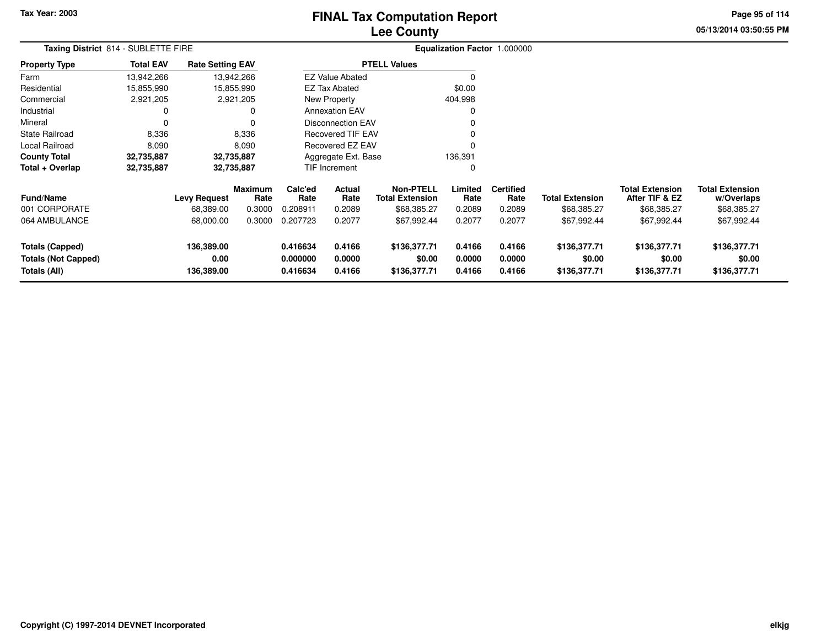# **Lee CountyFINAL Tax Computation Report**

**05/13/2014 03:50:55 PM Page 95 of 114**

|                                                               | Taxing District 814 - SUBLETTE FIRE |                                  |                        |                                                                |                          |                                            |                            | Equalization Factor 1.000000 |                                        |                                          |                                        |  |
|---------------------------------------------------------------|-------------------------------------|----------------------------------|------------------------|----------------------------------------------------------------|--------------------------|--------------------------------------------|----------------------------|------------------------------|----------------------------------------|------------------------------------------|----------------------------------------|--|
| <b>Property Type</b>                                          | <b>Total EAV</b>                    | <b>Rate Setting EAV</b>          |                        |                                                                |                          | <b>PTELL Values</b>                        |                            |                              |                                        |                                          |                                        |  |
| Farm                                                          | 13,942,266                          | 13,942,266                       |                        |                                                                | <b>EZ Value Abated</b>   |                                            |                            |                              |                                        |                                          |                                        |  |
| Residential                                                   | 15,855,990                          | 15,855,990                       |                        |                                                                | <b>EZ Tax Abated</b>     |                                            | \$0.00                     |                              |                                        |                                          |                                        |  |
| Commercial                                                    | 2,921,205                           | 2,921,205                        |                        |                                                                | New Property             |                                            | 404,998                    |                              |                                        |                                          |                                        |  |
| Industrial                                                    | 0                                   |                                  | 0                      |                                                                | <b>Annexation EAV</b>    |                                            | 0                          |                              |                                        |                                          |                                        |  |
| Mineral                                                       | 0                                   |                                  | $\Omega$               |                                                                | Disconnection EAV        |                                            | 0                          |                              |                                        |                                          |                                        |  |
| <b>State Railroad</b>                                         | 8,336                               |                                  | 8,336                  |                                                                | <b>Recovered TIF EAV</b> |                                            | 0                          |                              |                                        |                                          |                                        |  |
| Local Railroad                                                | 8,090                               |                                  | 8,090                  |                                                                | Recovered EZ EAV         |                                            | $\Omega$                   |                              |                                        |                                          |                                        |  |
| <b>County Total</b>                                           | 32,735,887                          | 32,735,887                       |                        |                                                                | Aggregate Ext. Base      |                                            | 136,391                    |                              |                                        |                                          |                                        |  |
| Total + Overlap                                               | 32,735,887                          | 32,735,887                       |                        |                                                                | TIF Increment            |                                            | 0                          |                              |                                        |                                          |                                        |  |
| <b>Fund/Name</b>                                              |                                     | <b>Levy Request</b>              | <b>Maximum</b><br>Rate | Calc'ed<br>Rate                                                | Actual<br>Rate           | <b>Non-PTELL</b><br><b>Total Extension</b> | Limited<br>Rate            | <b>Certified</b><br>Rate     | <b>Total Extension</b>                 | <b>Total Extension</b><br>After TIF & EZ | <b>Total Extension</b><br>w/Overlaps   |  |
| 001 CORPORATE                                                 |                                     | 68,389.00                        | 0.3000                 | 0.208911                                                       | 0.2089                   | \$68,385.27                                | 0.2089                     | 0.2089                       | \$68,385.27                            | \$68,385.27                              | \$68,385.27                            |  |
| 064 AMBULANCE                                                 |                                     | 68,000.00                        | 0.3000                 | 0.207723                                                       | 0.2077                   | \$67,992.44                                | 0.2077                     | 0.2077                       | \$67,992.44                            | \$67,992.44                              | \$67,992.44                            |  |
| Totals (Capped)<br><b>Totals (Not Capped)</b><br>Totals (All) |                                     | 136,389.00<br>0.00<br>136,389.00 |                        | 0.416634<br>0.4166<br>0.000000<br>0.0000<br>0.4166<br>0.416634 |                          | \$136,377.71<br>\$0.00<br>\$136,377.71     | 0.4166<br>0.0000<br>0.4166 | 0.4166<br>0.0000<br>0.4166   | \$136,377.71<br>\$0.00<br>\$136,377.71 | \$136,377.71<br>\$0.00<br>\$136,377.71   | \$136,377.71<br>\$0.00<br>\$136,377.71 |  |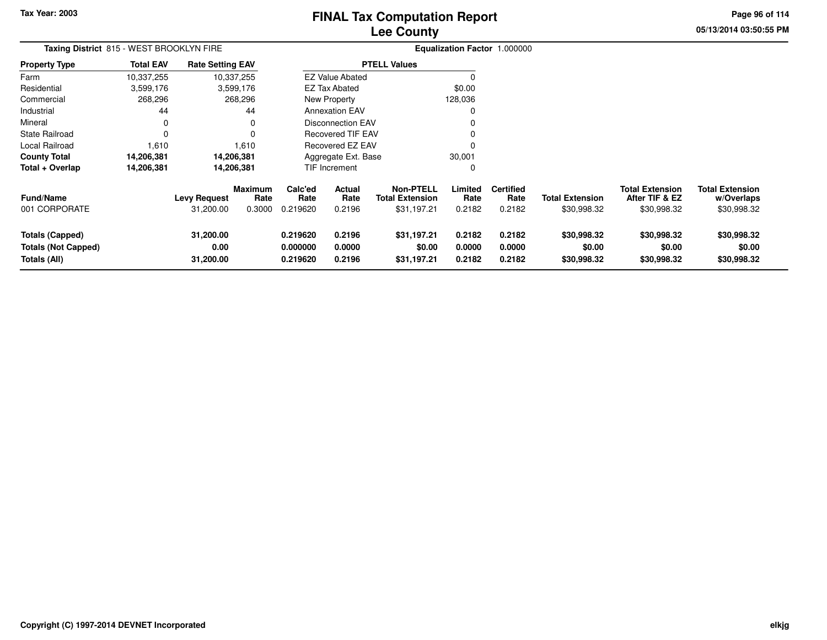# **Lee CountyFINAL Tax Computation Report**

**05/13/2014 03:50:55 PM Page 96 of 114**

| Taxing District 815 - WEST BROOKLYN FIRE                             |                  |                                  |                                  |                                  |                            |                                                           |                            | Equalization Factor 1.000000       |                                       |                                                         |                                                     |
|----------------------------------------------------------------------|------------------|----------------------------------|----------------------------------|----------------------------------|----------------------------|-----------------------------------------------------------|----------------------------|------------------------------------|---------------------------------------|---------------------------------------------------------|-----------------------------------------------------|
| <b>Property Type</b>                                                 | <b>Total EAV</b> | <b>Rate Setting EAV</b>          |                                  |                                  |                            | <b>PTELL Values</b>                                       |                            |                                    |                                       |                                                         |                                                     |
| Farm                                                                 | 10,337,255       |                                  | 10,337,255                       |                                  | <b>EZ Value Abated</b>     |                                                           |                            |                                    |                                       |                                                         |                                                     |
| Residential                                                          | 3,599,176        |                                  | 3,599,176                        |                                  | <b>EZ Tax Abated</b>       |                                                           | \$0.00                     |                                    |                                       |                                                         |                                                     |
| Commercial                                                           | 268,296          |                                  | 268,296                          |                                  | New Property               |                                                           | 128,036                    |                                    |                                       |                                                         |                                                     |
| Industrial                                                           | 44               |                                  | 44                               |                                  | <b>Annexation EAV</b>      |                                                           | 0                          |                                    |                                       |                                                         |                                                     |
| Mineral                                                              | 0                |                                  | 0                                |                                  | Disconnection EAV          |                                                           | 0                          |                                    |                                       |                                                         |                                                     |
| <b>State Railroad</b>                                                |                  |                                  | $\Omega$                         |                                  | <b>Recovered TIF EAV</b>   |                                                           |                            |                                    |                                       |                                                         |                                                     |
| Local Railroad                                                       | 1,610            |                                  | 1,610                            |                                  | Recovered EZ EAV           |                                                           | 0                          |                                    |                                       |                                                         |                                                     |
| <b>County Total</b>                                                  | 14,206,381       |                                  | 14,206,381                       |                                  | Aggregate Ext. Base        |                                                           | 30,001                     |                                    |                                       |                                                         |                                                     |
| Total + Overlap                                                      | 14,206,381       |                                  | 14,206,381                       |                                  | TIF Increment              |                                                           | 0                          |                                    |                                       |                                                         |                                                     |
| Fund/Name<br>001 CORPORATE                                           |                  | <b>Levy Request</b><br>31,200.00 | <b>Maximum</b><br>Rate<br>0.3000 | Calc'ed<br>Rate<br>0.219620      | Actual<br>Rate<br>0.2196   | <b>Non-PTELL</b><br><b>Total Extension</b><br>\$31,197.21 | Limited<br>Rate<br>0.2182  | <b>Certified</b><br>Rate<br>0.2182 | <b>Total Extension</b><br>\$30,998.32 | <b>Total Extension</b><br>After TIF & EZ<br>\$30,998.32 | <b>Total Extension</b><br>w/Overlaps<br>\$30,998.32 |
| <b>Totals (Capped)</b><br><b>Totals (Not Capped)</b><br>Totals (All) |                  | 31,200.00<br>0.00<br>31,200.00   |                                  | 0.219620<br>0.000000<br>0.219620 | 0.2196<br>0.0000<br>0.2196 | \$31,197.21<br>\$0.00<br>\$31,197.21                      | 0.2182<br>0.0000<br>0.2182 | 0.2182<br>0.0000<br>0.2182         | \$30,998.32<br>\$0.00<br>\$30,998.32  | \$30,998.32<br>\$0.00<br>\$30,998.32                    | \$30,998.32<br>\$0.00<br>\$30,998.32                |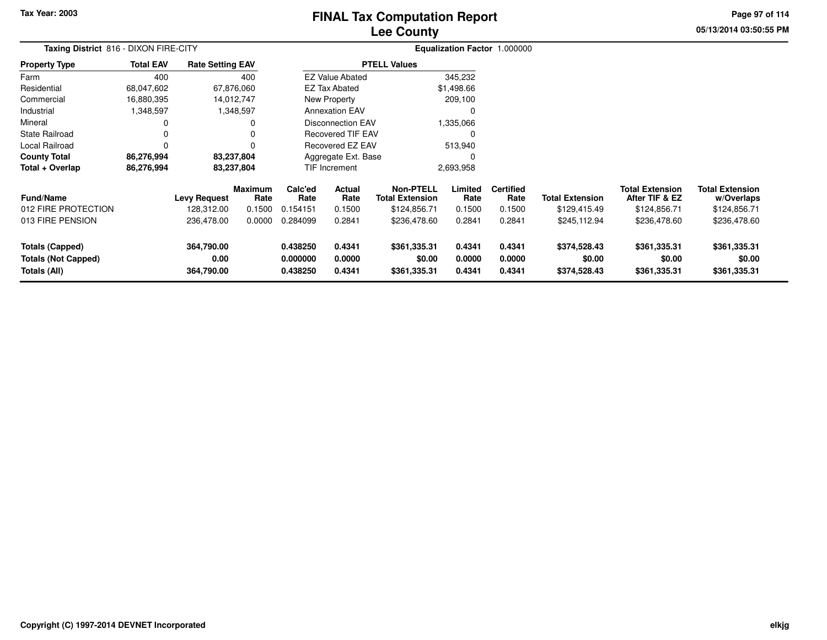# **Lee CountyFINAL Tax Computation Report**

**05/13/2014 03:50:55 PM Page 97 of 114**

| Taxing District 816 - DIXON FIRE-CITY                         |                  |                                  |                        |                                  | Equalization Factor 1.000000 |                                            |                            |                            |                                        |                                          |                                        |  |
|---------------------------------------------------------------|------------------|----------------------------------|------------------------|----------------------------------|------------------------------|--------------------------------------------|----------------------------|----------------------------|----------------------------------------|------------------------------------------|----------------------------------------|--|
| <b>Property Type</b>                                          | <b>Total EAV</b> | <b>Rate Setting EAV</b>          |                        |                                  |                              | <b>PTELL Values</b>                        |                            |                            |                                        |                                          |                                        |  |
| Farm                                                          | 400              |                                  | 400                    |                                  | <b>EZ Value Abated</b>       |                                            | 345,232                    |                            |                                        |                                          |                                        |  |
| Residential                                                   | 68,047,602       |                                  | 67,876,060             |                                  | EZ Tax Abated                |                                            | \$1,498.66                 |                            |                                        |                                          |                                        |  |
| Commercial                                                    | 16,880,395       |                                  | 14,012,747             |                                  | <b>New Property</b>          |                                            | 209,100                    |                            |                                        |                                          |                                        |  |
| Industrial                                                    | 1,348,597        |                                  | 1,348,597              |                                  | <b>Annexation EAV</b>        |                                            | 0                          |                            |                                        |                                          |                                        |  |
| Mineral                                                       |                  |                                  |                        |                                  | <b>Disconnection EAV</b>     |                                            | 1,335,066                  |                            |                                        |                                          |                                        |  |
| State Railroad                                                |                  |                                  |                        |                                  | <b>Recovered TIF EAV</b>     |                                            | $\Omega$                   |                            |                                        |                                          |                                        |  |
| Local Railroad                                                |                  |                                  |                        |                                  | Recovered EZ EAV             |                                            | 513,940                    |                            |                                        |                                          |                                        |  |
| <b>County Total</b>                                           | 86,276,994       |                                  | 83,237,804             |                                  | Aggregate Ext. Base          |                                            | 0                          |                            |                                        |                                          |                                        |  |
| Total + Overlap                                               | 86,276,994       |                                  | 83,237,804             |                                  | <b>TIF Increment</b>         |                                            | 2,693,958                  |                            |                                        |                                          |                                        |  |
| <b>Fund/Name</b>                                              |                  | <b>Levy Request</b>              | <b>Maximum</b><br>Rate | Calc'ed<br>Rate                  | Actual<br>Rate               | <b>Non-PTELL</b><br><b>Total Extension</b> | Limited<br>Rate            | <b>Certified</b><br>Rate   | <b>Total Extension</b>                 | <b>Total Extension</b><br>After TIF & EZ | <b>Total Extension</b><br>w/Overlaps   |  |
| 012 FIRE PROTECTION                                           |                  | 128,312.00                       | 0.1500                 | 0.154151                         | 0.1500                       | \$124,856.71                               | 0.1500                     | 0.1500                     | \$129,415.49                           | \$124,856.71                             | \$124,856.71                           |  |
| 013 FIRE PENSION                                              |                  | 236,478.00                       | 0.0000                 | 0.284099                         | 0.2841                       | \$236,478.60                               | 0.2841                     | 0.2841                     | \$245,112.94                           | \$236,478.60                             | \$236,478.60                           |  |
| Totals (Capped)<br><b>Totals (Not Capped)</b><br>Totals (All) |                  | 364,790.00<br>0.00<br>364,790.00 |                        | 0.438250<br>0.000000<br>0.438250 | 0.4341<br>0.0000<br>0.4341   | \$361,335.31<br>\$0.00<br>\$361,335.31     | 0.4341<br>0.0000<br>0.4341 | 0.4341<br>0.0000<br>0.4341 | \$374,528.43<br>\$0.00<br>\$374,528.43 | \$361,335.31<br>\$0.00<br>\$361,335.31   | \$361,335.31<br>\$0.00<br>\$361,335.31 |  |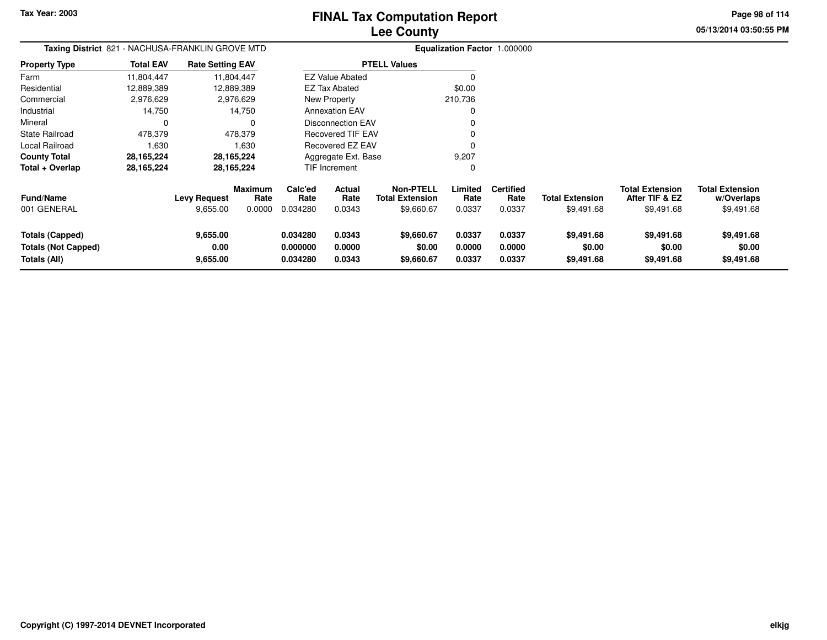**Property Type**

FarmResidential

Industrial Mineral

State Railroad Local Railroad **County Total Total + Overlap**

# **Lee CountyFINAL Tax Computation Report**

**05/13/2014 03:50:55 PMPage 98 of 114**

|                 |                  |                                                  | ---------                |         |  |
|-----------------|------------------|--------------------------------------------------|--------------------------|---------|--|
|                 |                  | Taxing District 821 - NACHUSA-FRANKLIN GROVE MTD |                          |         |  |
| Property Type   | <b>Total EAV</b> | <b>Rate Setting EAV</b>                          | <b>PTELL Values</b>      |         |  |
| Farm            | 11,804,447       | 11,804,447                                       | <b>EZ Value Abated</b>   |         |  |
| Residential     | 12,889,389       | 12,889,389                                       | EZ Tax Abated            | \$0.00  |  |
| Commercial      | 2,976,629        | 2,976,629                                        | New Property             | 210,736 |  |
| Industrial      | 14.750           | 14,750                                           | <b>Annexation EAV</b>    |         |  |
| Mineral         |                  |                                                  | Disconnection EAV        |         |  |
| State Railroad  | 478.379          | 478.379                                          | <b>Recovered TIF EAV</b> |         |  |
| Local Railroad  | 1.630            | 1.630                                            | Recovered EZ EAV         |         |  |
| County Total    | 28.165.224       | 28,165,224                                       | Aggregate Ext. Base      | 9,207   |  |
| Total + Overlap | 28,165,224       | 28,165,224                                       | TIF Increment            |         |  |
|                 |                  |                                                  |                          |         |  |

| <b>Fund/Name</b><br>001 GENERAL | <b>Levy Request</b><br>9,655.00 | <b>Maximum</b><br>Rate<br>0.0000 | Calc'ed<br>Rate<br>0.034280 | Actual<br>Rate<br>0.0343 | <b>Non-PTELL</b><br><b>Total Extension</b><br>\$9,660.67 | -imited<br>Rate<br>0.0337 | Certified<br>Rate<br>0.0337 | <b>Total Extension</b><br>\$9.491.68 | <b>Total Extension</b><br>After TIF & EZ<br>\$9,491.68 | <b>Total Extension</b><br>w/Overlaps<br>\$9,491.68 |
|---------------------------------|---------------------------------|----------------------------------|-----------------------------|--------------------------|----------------------------------------------------------|---------------------------|-----------------------------|--------------------------------------|--------------------------------------------------------|----------------------------------------------------|
| Totals (Capped)                 | 9,655.00                        |                                  | 0.034280                    | 0.0343                   | \$9,660.67                                               | 0.0337                    | 0.0337                      | \$9,491.68                           | \$9,491.68                                             | \$9,491.68                                         |
| Totals (Not Capped)             | 0.00                            |                                  | 0.000000                    | 0.0000                   | \$0.00                                                   | 0.0000                    | 0.0000                      | \$0.00                               | \$0.00                                                 | \$0.00                                             |
| Totals (All)                    | 9,655.00                        |                                  | 0.034280                    | 0.0343                   | \$9,660.67                                               | 0.0337                    | 0.0337                      | \$9,491.68                           | \$9,491.68                                             | \$9,491.68                                         |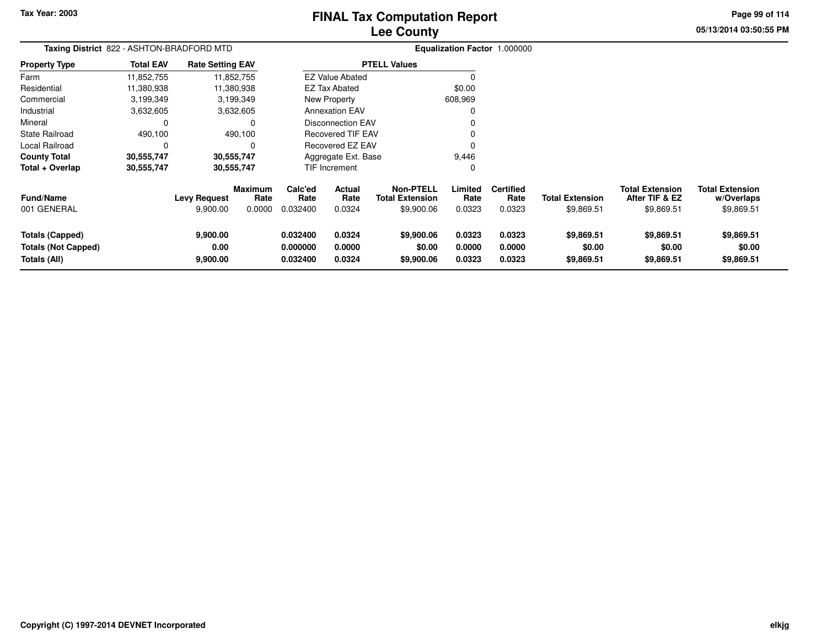# **Lee CountyFINAL Tax Computation Report**

**05/13/2014 03:50:55 PM Page 99 of 114**

| Taxing District 822 - ASHTON-BRADFORD MTD                     |                  |                                 |                                  |                                  |                            |                                                          |                            | Equalization Factor 1.000000       |                                      |                                                        |                                                    |
|---------------------------------------------------------------|------------------|---------------------------------|----------------------------------|----------------------------------|----------------------------|----------------------------------------------------------|----------------------------|------------------------------------|--------------------------------------|--------------------------------------------------------|----------------------------------------------------|
| <b>Property Type</b>                                          | <b>Total EAV</b> | <b>Rate Setting EAV</b>         |                                  |                                  |                            | <b>PTELL Values</b>                                      |                            |                                    |                                      |                                                        |                                                    |
| Farm                                                          | 11,852,755       |                                 | 11,852,755                       |                                  | <b>EZ Value Abated</b>     |                                                          | C                          |                                    |                                      |                                                        |                                                    |
| Residential                                                   | 11,380,938       |                                 | 11,380,938                       |                                  | <b>EZ Tax Abated</b>       |                                                          | \$0.00                     |                                    |                                      |                                                        |                                                    |
| Commercial                                                    | 3,199,349        |                                 | 3,199,349                        |                                  | New Property               |                                                          | 608,969                    |                                    |                                      |                                                        |                                                    |
| Industrial                                                    | 3,632,605        |                                 | 3,632,605                        |                                  | <b>Annexation EAV</b>      |                                                          | 0                          |                                    |                                      |                                                        |                                                    |
| Mineral                                                       | 0                |                                 | $\Omega$                         |                                  | Disconnection EAV          |                                                          |                            |                                    |                                      |                                                        |                                                    |
| State Railroad                                                | 490,100          |                                 | 490,100                          |                                  | <b>Recovered TIF EAV</b>   |                                                          |                            |                                    |                                      |                                                        |                                                    |
| Local Railroad                                                | 0                |                                 | $\Omega$                         |                                  | Recovered EZ EAV           |                                                          | $\Omega$                   |                                    |                                      |                                                        |                                                    |
| <b>County Total</b>                                           | 30,555,747       |                                 | 30,555,747                       |                                  | Aggregate Ext. Base        |                                                          | 9,446                      |                                    |                                      |                                                        |                                                    |
| Total + Overlap                                               | 30,555,747       |                                 | 30,555,747                       |                                  | TIF Increment              |                                                          | 0                          |                                    |                                      |                                                        |                                                    |
| <b>Fund/Name</b><br>001 GENERAL                               |                  | <b>Levy Request</b><br>9,900.00 | <b>Maximum</b><br>Rate<br>0.0000 | Calc'ed<br>Rate<br>0.032400      | Actual<br>Rate<br>0.0324   | <b>Non-PTELL</b><br><b>Total Extension</b><br>\$9,900.06 | Limited<br>Rate<br>0.0323  | <b>Certified</b><br>Rate<br>0.0323 | <b>Total Extension</b><br>\$9,869.51 | <b>Total Extension</b><br>After TIF & EZ<br>\$9,869.51 | <b>Total Extension</b><br>w/Overlaps<br>\$9,869.51 |
| Totals (Capped)<br><b>Totals (Not Capped)</b><br>Totals (All) |                  | 9,900.00<br>0.00<br>9,900.00    |                                  | 0.032400<br>0.000000<br>0.032400 | 0.0324<br>0.0000<br>0.0324 | \$9,900.06<br>\$0.00<br>\$9,900.06                       | 0.0323<br>0.0000<br>0.0323 | 0.0323<br>0.0000<br>0.0323         | \$9,869.51<br>\$0.00<br>\$9,869.51   | \$9,869.51<br>\$0.00<br>\$9,869.51                     | \$9,869.51<br>\$0.00<br>\$9,869.51                 |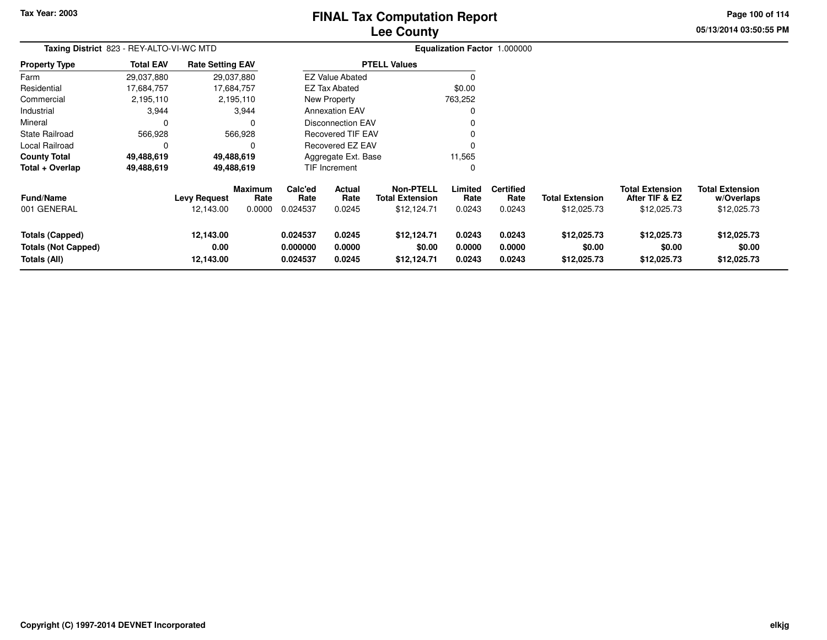## **Lee CountyFINAL Tax Computation Report**

**05/13/2014 03:50:55 PM**

**Page 100 of 114**

| Taxing District 823 - REY-ALTO-VI-WC MTD                             |                  |                                  |                                  |                                  |                                 |                                                           |                            | Equalization Factor 1.000000       |                                       |                                                         |                                                     |
|----------------------------------------------------------------------|------------------|----------------------------------|----------------------------------|----------------------------------|---------------------------------|-----------------------------------------------------------|----------------------------|------------------------------------|---------------------------------------|---------------------------------------------------------|-----------------------------------------------------|
| <b>Property Type</b>                                                 | <b>Total EAV</b> | <b>Rate Setting EAV</b>          |                                  |                                  |                                 | <b>PTELL Values</b>                                       |                            |                                    |                                       |                                                         |                                                     |
| Farm                                                                 | 29,037,880       |                                  | 29,037,880                       |                                  | <b>EZ Value Abated</b>          |                                                           |                            |                                    |                                       |                                                         |                                                     |
| Residential                                                          | 17,684,757       |                                  | 17,684,757                       |                                  | <b>EZ Tax Abated</b>            |                                                           | \$0.00                     |                                    |                                       |                                                         |                                                     |
| Commercial                                                           | 2,195,110        |                                  | 2,195,110                        |                                  | New Property                    |                                                           | 763,252                    |                                    |                                       |                                                         |                                                     |
| Industrial                                                           | 3,944            |                                  | 3,944                            |                                  | <b>Annexation EAV</b>           |                                                           | 0                          |                                    |                                       |                                                         |                                                     |
| Mineral                                                              | 0                |                                  | O                                |                                  | <b>Disconnection EAV</b>        |                                                           |                            |                                    |                                       |                                                         |                                                     |
| State Railroad                                                       | 566,928          |                                  | 566,928                          |                                  | <b>Recovered TIF EAV</b>        |                                                           |                            |                                    |                                       |                                                         |                                                     |
| Local Railroad                                                       | 0                |                                  | O                                |                                  | Recovered EZ EAV                |                                                           | O                          |                                    |                                       |                                                         |                                                     |
| <b>County Total</b>                                                  | 49,488,619       |                                  | 49,488,619                       |                                  | Aggregate Ext. Base             |                                                           | 11,565                     |                                    |                                       |                                                         |                                                     |
| Total + Overlap                                                      | 49,488,619       |                                  | 49,488,619                       |                                  | <b>TIF Increment</b>            |                                                           | 0                          |                                    |                                       |                                                         |                                                     |
| Fund/Name<br>001 GENERAL                                             |                  | <b>Levy Request</b><br>12,143.00 | <b>Maximum</b><br>Rate<br>0.0000 | Calc'ed<br>Rate<br>0.024537      | <b>Actual</b><br>Rate<br>0.0245 | <b>Non-PTELL</b><br><b>Total Extension</b><br>\$12,124.71 | Limited<br>Rate<br>0.0243  | <b>Certified</b><br>Rate<br>0.0243 | <b>Total Extension</b><br>\$12,025.73 | <b>Total Extension</b><br>After TIF & EZ<br>\$12,025.73 | <b>Total Extension</b><br>w/Overlaps<br>\$12,025.73 |
| <b>Totals (Capped)</b><br><b>Totals (Not Capped)</b><br>Totals (All) |                  | 12,143.00<br>0.00<br>12,143.00   |                                  | 0.024537<br>0.000000<br>0.024537 | 0.0245<br>0.0000<br>0.0245      | \$12,124.71<br>\$0.00<br>\$12,124.71                      | 0.0243<br>0.0000<br>0.0243 | 0.0243<br>0.0000<br>0.0243         | \$12,025.73<br>\$0.00<br>\$12,025.73  | \$12,025.73<br>\$0.00<br>\$12,025.73                    | \$12,025.73<br>\$0.00<br>\$12,025.73                |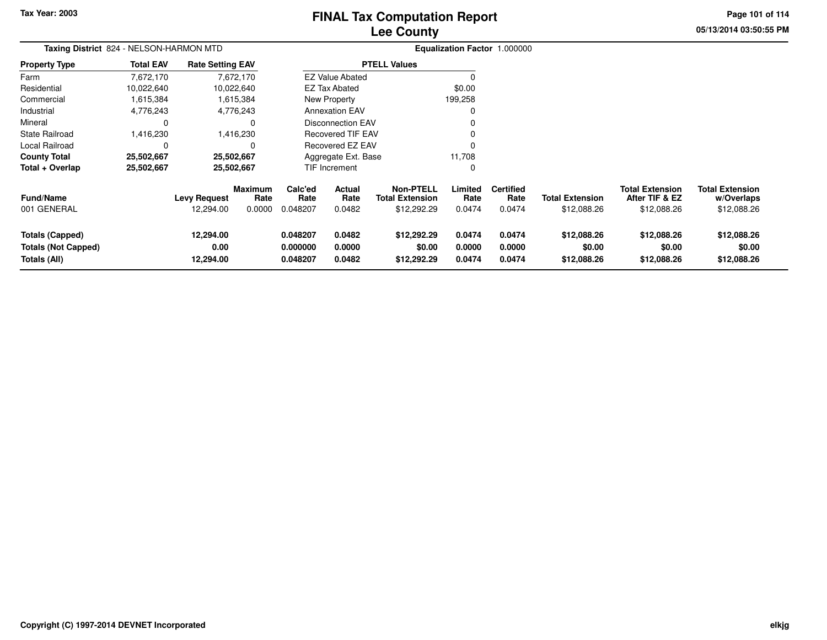# **Lee CountyFINAL Tax Computation Report**

**05/13/2014 03:50:55 PM Page 101 of 114**

| Taxing District 824 - NELSON-HARMON MTD                       |                  |                                  |                                  |                                  |                            | Equalization Factor 1.000000                              |                            |                                    |                                       |                                                         |                                                     |
|---------------------------------------------------------------|------------------|----------------------------------|----------------------------------|----------------------------------|----------------------------|-----------------------------------------------------------|----------------------------|------------------------------------|---------------------------------------|---------------------------------------------------------|-----------------------------------------------------|
| <b>Property Type</b>                                          | <b>Total EAV</b> | <b>Rate Setting EAV</b>          |                                  |                                  |                            | <b>PTELL Values</b>                                       |                            |                                    |                                       |                                                         |                                                     |
| Farm                                                          | 7,672,170        |                                  | 7,672,170                        |                                  | <b>EZ Value Abated</b>     |                                                           |                            |                                    |                                       |                                                         |                                                     |
| Residential                                                   | 10,022,640       |                                  | 10,022,640                       |                                  | EZ Tax Abated              |                                                           | \$0.00                     |                                    |                                       |                                                         |                                                     |
| Commercial                                                    | 1,615,384        |                                  | 1,615,384                        |                                  | New Property               |                                                           | 199,258                    |                                    |                                       |                                                         |                                                     |
| Industrial                                                    | 4,776,243        |                                  | 4,776,243                        |                                  | <b>Annexation EAV</b>      |                                                           |                            |                                    |                                       |                                                         |                                                     |
| Mineral                                                       | 0                |                                  | 0                                |                                  | <b>Disconnection EAV</b>   |                                                           |                            |                                    |                                       |                                                         |                                                     |
| <b>State Railroad</b>                                         | 1,416,230        |                                  | 1,416,230                        |                                  | <b>Recovered TIF EAV</b>   |                                                           |                            |                                    |                                       |                                                         |                                                     |
| Local Railroad                                                | 0                |                                  | 0                                |                                  | Recovered EZ EAV           |                                                           |                            |                                    |                                       |                                                         |                                                     |
| <b>County Total</b>                                           | 25,502,667       |                                  | 25,502,667                       |                                  | Aggregate Ext. Base        |                                                           | 11,708                     |                                    |                                       |                                                         |                                                     |
| Total + Overlap                                               | 25,502,667       |                                  | 25,502,667                       |                                  | <b>TIF Increment</b>       |                                                           |                            |                                    |                                       |                                                         |                                                     |
| <b>Fund/Name</b><br>001 GENERAL                               |                  | <b>Levy Request</b><br>12,294.00 | <b>Maximum</b><br>Rate<br>0.0000 | Calc'ed<br>Rate<br>0.048207      | Actual<br>Rate<br>0.0482   | <b>Non-PTELL</b><br><b>Total Extension</b><br>\$12,292.29 | Limited<br>Rate<br>0.0474  | <b>Certified</b><br>Rate<br>0.0474 | <b>Total Extension</b><br>\$12,088.26 | <b>Total Extension</b><br>After TIF & EZ<br>\$12,088.26 | <b>Total Extension</b><br>w/Overlaps<br>\$12,088.26 |
|                                                               |                  |                                  |                                  |                                  |                            |                                                           |                            |                                    |                                       |                                                         |                                                     |
| Totals (Capped)<br><b>Totals (Not Capped)</b><br>Totals (All) |                  | 12,294.00<br>0.00<br>12,294.00   |                                  | 0.048207<br>0.000000<br>0.048207 | 0.0482<br>0.0000<br>0.0482 | \$12,292.29<br>\$0.00<br>\$12,292.29                      | 0.0474<br>0.0000<br>0.0474 | 0.0474<br>0.0000<br>0.0474         | \$12,088.26<br>\$0.00<br>\$12,088.26  | \$12,088.26<br>\$0.00<br>\$12,088.26                    | \$12,088.26<br>\$0.00<br>\$12,088.26                |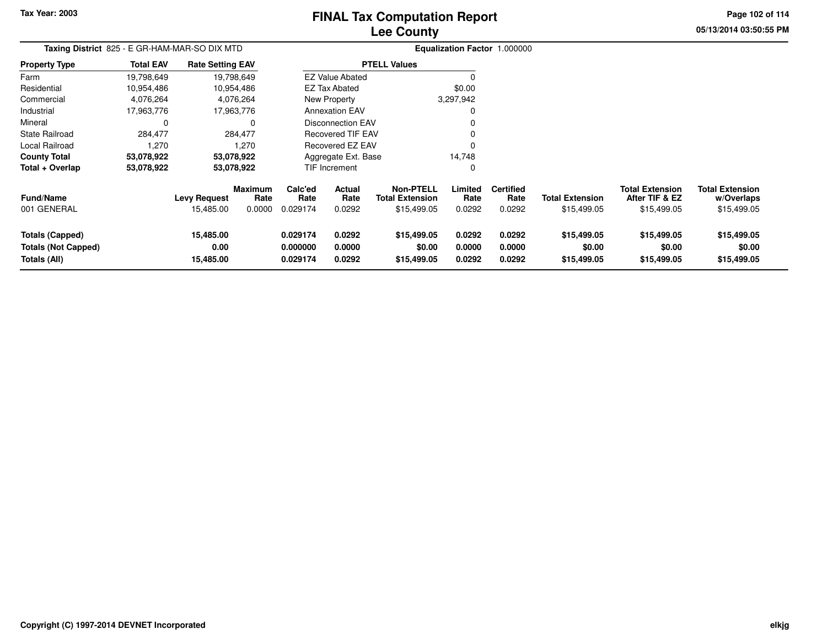# **Lee CountyFINAL Tax Computation Report**

**05/13/2014 03:50:55 PM**

**Page 102 of 114**

|                                                                      | Taxing District 825 - E GR-HAM-MAR-SO DIX MTD |                                |                        |                                  |                            |                                            |                            | Equalization Factor 1.000000 |                                      |                                          |                                      |
|----------------------------------------------------------------------|-----------------------------------------------|--------------------------------|------------------------|----------------------------------|----------------------------|--------------------------------------------|----------------------------|------------------------------|--------------------------------------|------------------------------------------|--------------------------------------|
| <b>Property Type</b>                                                 | <b>Total EAV</b>                              | <b>Rate Setting EAV</b>        |                        |                                  |                            | <b>PTELL Values</b>                        |                            |                              |                                      |                                          |                                      |
| Farm                                                                 | 19,798,649                                    |                                | 19,798,649             |                                  | <b>EZ Value Abated</b>     |                                            |                            |                              |                                      |                                          |                                      |
| Residential                                                          | 10,954,486                                    |                                | 10,954,486             |                                  | <b>EZ Tax Abated</b>       |                                            | \$0.00                     |                              |                                      |                                          |                                      |
| Commercial                                                           | 4,076,264                                     |                                | 4,076,264              |                                  | New Property               |                                            | 3,297,942                  |                              |                                      |                                          |                                      |
| Industrial                                                           | 17,963,776                                    |                                | 17,963,776             |                                  | <b>Annexation EAV</b>      |                                            |                            |                              |                                      |                                          |                                      |
| Mineral                                                              | 0                                             |                                |                        |                                  | <b>Disconnection EAV</b>   |                                            |                            |                              |                                      |                                          |                                      |
| <b>State Railroad</b>                                                | 284,477                                       |                                | 284,477                |                                  | Recovered TIF EAV          |                                            |                            |                              |                                      |                                          |                                      |
| Local Railroad                                                       | 1,270                                         |                                | 1,270                  |                                  | Recovered EZ EAV           |                                            |                            |                              |                                      |                                          |                                      |
| <b>County Total</b>                                                  | 53,078,922                                    |                                | 53,078,922             |                                  | Aggregate Ext. Base        |                                            | 14,748                     |                              |                                      |                                          |                                      |
| Total + Overlap                                                      | 53,078,922                                    |                                | 53,078,922             |                                  | TIF Increment              |                                            |                            |                              |                                      |                                          |                                      |
| <b>Fund/Name</b>                                                     |                                               | <b>Levy Request</b>            | <b>Maximum</b><br>Rate | Calc'ed<br>Rate                  | <b>Actual</b><br>Rate      | <b>Non-PTELL</b><br><b>Total Extension</b> | Limited<br>Rate            | <b>Certified</b><br>Rate     | <b>Total Extension</b>               | <b>Total Extension</b><br>After TIF & EZ | <b>Total Extension</b><br>w/Overlaps |
| 001 GENERAL                                                          |                                               | 15,485.00                      | 0.0000                 | 0.029174                         | 0.0292                     | \$15,499.05                                | 0.0292                     | 0.0292                       | \$15,499.05                          | \$15,499.05                              | \$15,499.05                          |
| <b>Totals (Capped)</b><br><b>Totals (Not Capped)</b><br>Totals (All) |                                               | 15,485.00<br>0.00<br>15,485.00 |                        | 0.029174<br>0.000000<br>0.029174 | 0.0292<br>0.0000<br>0.0292 | \$15,499.05<br>\$0.00<br>\$15,499.05       | 0.0292<br>0.0000<br>0.0292 | 0.0292<br>0.0000<br>0.0292   | \$15,499.05<br>\$0.00<br>\$15,499.05 | \$15,499.05<br>\$0.00<br>\$15,499.05     | \$15,499.05<br>\$0.00<br>\$15,499.05 |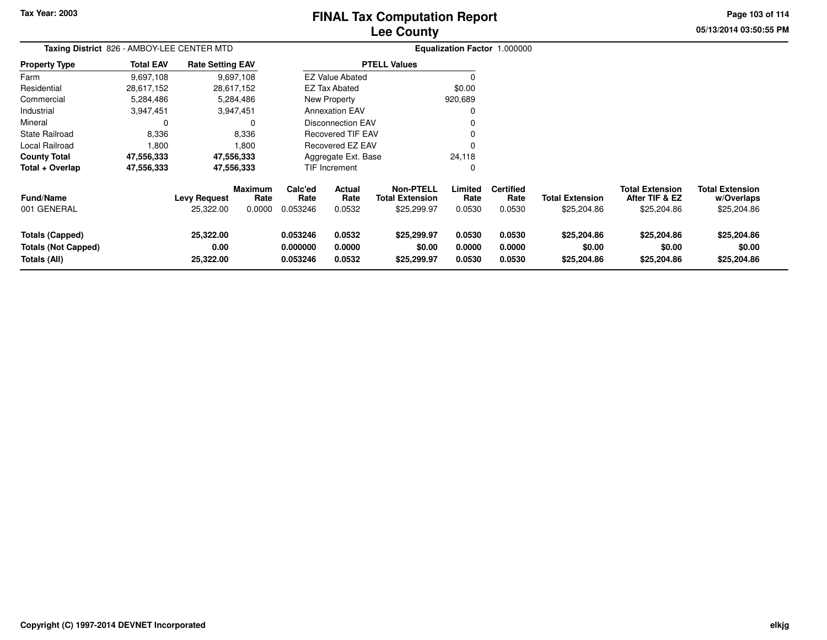# **Lee CountyFINAL Tax Computation Report**

**05/13/2014 03:50:55 PM**

**Page 103 of 114**

| Taxing District 826 - AMBOY-LEE CENTER MTD                           |                  |                                  |                                  |                                  |                                                      |                                                    |                            | Equalization Factor 1.000000       |                                       |                                                         |                                                     |
|----------------------------------------------------------------------|------------------|----------------------------------|----------------------------------|----------------------------------|------------------------------------------------------|----------------------------------------------------|----------------------------|------------------------------------|---------------------------------------|---------------------------------------------------------|-----------------------------------------------------|
| <b>Property Type</b>                                                 | <b>Total EAV</b> | <b>Rate Setting EAV</b>          |                                  |                                  |                                                      | <b>PTELL Values</b>                                |                            |                                    |                                       |                                                         |                                                     |
| Farm                                                                 | 9,697,108        |                                  | 9,697,108                        |                                  | <b>EZ Value Abated</b>                               |                                                    |                            |                                    |                                       |                                                         |                                                     |
| Residential                                                          | 28,617,152       |                                  | 28,617,152                       |                                  | <b>EZ Tax Abated</b>                                 |                                                    | \$0.00                     |                                    |                                       |                                                         |                                                     |
| Commercial                                                           | 5,284,486        |                                  | 5,284,486                        |                                  | New Property                                         |                                                    | 920,689                    |                                    |                                       |                                                         |                                                     |
| Industrial                                                           | 3,947,451        |                                  | 3,947,451                        |                                  | <b>Annexation EAV</b>                                |                                                    | O                          |                                    |                                       |                                                         |                                                     |
| Mineral                                                              |                  |                                  | 0                                |                                  | <b>Disconnection EAV</b><br><b>Recovered TIF EAV</b> |                                                    |                            |                                    |                                       |                                                         |                                                     |
| <b>State Railroad</b>                                                | 8,336            |                                  | 8,336                            |                                  |                                                      |                                                    |                            |                                    |                                       |                                                         |                                                     |
| Local Railroad                                                       | 1,800            |                                  | 1.800                            |                                  | <b>Recovered EZ EAV</b>                              |                                                    |                            |                                    |                                       |                                                         |                                                     |
| <b>County Total</b>                                                  | 47,556,333       |                                  | 47,556,333                       |                                  | Aggregate Ext. Base                                  |                                                    | 24,118                     |                                    |                                       |                                                         |                                                     |
| Total + Overlap                                                      | 47,556,333       |                                  | 47,556,333                       |                                  | <b>TIF Increment</b>                                 |                                                    | 0                          |                                    |                                       |                                                         |                                                     |
| <b>Fund/Name</b><br>001 GENERAL                                      |                  | <b>Levy Request</b><br>25,322.00 | <b>Maximum</b><br>Rate<br>0.0000 | Calc'ed<br>Rate<br>0.053246      | Actual<br>Rate<br>0.0532                             | Non-PTELL<br><b>Total Extension</b><br>\$25,299.97 | Limited<br>Rate<br>0.0530  | <b>Certified</b><br>Rate<br>0.0530 | <b>Total Extension</b><br>\$25,204.86 | <b>Total Extension</b><br>After TIF & EZ<br>\$25,204.86 | <b>Total Extension</b><br>w/Overlaps<br>\$25,204.86 |
| <b>Totals (Capped)</b><br><b>Totals (Not Capped)</b><br>Totals (All) |                  | 25,322.00<br>0.00<br>25,322.00   |                                  | 0.053246<br>0.000000<br>0.053246 | 0.0532<br>0.0000<br>0.0532                           | \$25,299.97<br>\$0.00<br>\$25,299.97               | 0.0530<br>0.0000<br>0.0530 | 0.0530<br>0.0000<br>0.0530         | \$25,204.86<br>\$0.00<br>\$25,204.86  | \$25,204.86<br>\$0.00<br>\$25,204.86                    | \$25,204.86<br>\$0.00<br>\$25,204.86                |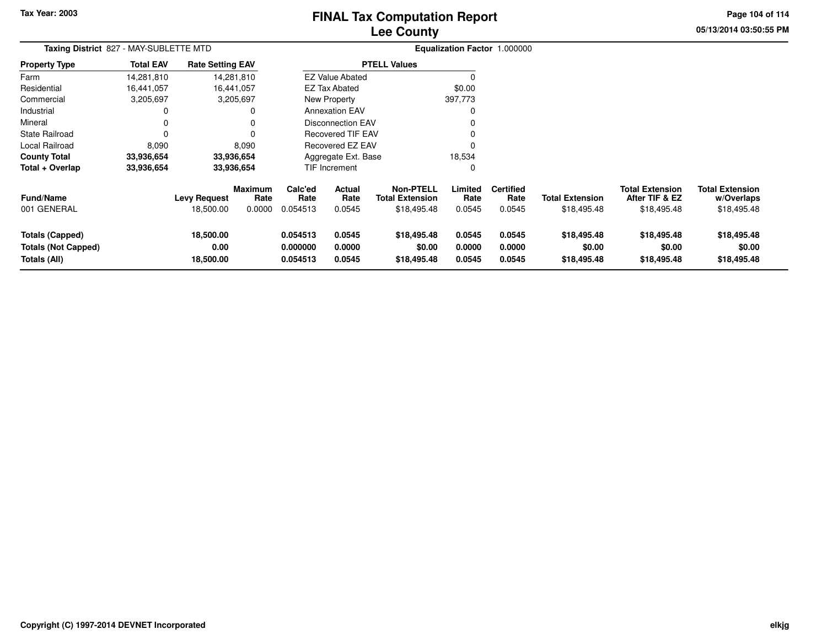# **Lee CountyFINAL Tax Computation Report**

**05/13/2014 03:50:55 PM**

**Page 104 of 114**

| Taxing District 827 - MAY-SUBLETTE MTD                        |                  |                                |                        |                                  |                            |                                            | Equalization Factor 1.000000 |                            |                                      |                                          |                                      |  |
|---------------------------------------------------------------|------------------|--------------------------------|------------------------|----------------------------------|----------------------------|--------------------------------------------|------------------------------|----------------------------|--------------------------------------|------------------------------------------|--------------------------------------|--|
| <b>Property Type</b>                                          | <b>Total EAV</b> | <b>Rate Setting EAV</b>        |                        |                                  |                            | <b>PTELL Values</b>                        |                              |                            |                                      |                                          |                                      |  |
| Farm                                                          | 14,281,810       |                                | 14,281,810             |                                  | <b>EZ Value Abated</b>     |                                            | 0                            |                            |                                      |                                          |                                      |  |
| Residential                                                   | 16,441,057       |                                | 16,441,057             |                                  | <b>EZ Tax Abated</b>       |                                            | \$0.00                       |                            |                                      |                                          |                                      |  |
| Commercial                                                    | 3,205,697        |                                | 3,205,697              |                                  | New Property               |                                            | 397,773                      |                            |                                      |                                          |                                      |  |
| Industrial                                                    |                  |                                | 0                      |                                  | <b>Annexation EAV</b>      |                                            | $\mathbf 0$                  |                            |                                      |                                          |                                      |  |
| Mineral                                                       |                  |                                | 0                      |                                  | Disconnection EAV          |                                            | 0                            |                            |                                      |                                          |                                      |  |
| <b>State Railroad</b>                                         |                  |                                | $\Omega$               |                                  | <b>Recovered TIF EAV</b>   |                                            | $\mathbf{0}$                 |                            |                                      |                                          |                                      |  |
| Local Railroad                                                | 8,090            |                                | 8,090                  |                                  | Recovered EZ EAV           |                                            | $\Omega$                     |                            |                                      |                                          |                                      |  |
| <b>County Total</b>                                           | 33,936,654       |                                | 33,936,654             |                                  | Aggregate Ext. Base        |                                            | 18,534                       |                            |                                      |                                          |                                      |  |
| Total + Overlap                                               | 33,936,654       |                                | 33,936,654             |                                  | <b>TIF Increment</b>       |                                            | $\mathbf 0$                  |                            |                                      |                                          |                                      |  |
| <b>Fund/Name</b>                                              |                  | <b>Levy Request</b>            | <b>Maximum</b><br>Rate | Calc'ed<br>Rate                  | Actual<br>Rate             | <b>Non-PTELL</b><br><b>Total Extension</b> | Limited<br>Rate              | <b>Certified</b><br>Rate   | <b>Total Extension</b>               | <b>Total Extension</b><br>After TIF & EZ | <b>Total Extension</b><br>w/Overlaps |  |
| 001 GENERAL                                                   |                  | 18,500.00                      | 0.0000                 | 0.054513                         | 0.0545                     | \$18,495.48                                | 0.0545                       | 0.0545                     | \$18,495.48                          | \$18,495.48                              | \$18,495.48                          |  |
| <b>Totals (Capped)</b><br>Totals (Not Capped)<br>Totals (All) |                  | 18,500.00<br>0.00<br>18,500.00 |                        | 0.054513<br>0.000000<br>0.054513 | 0.0545<br>0.0000<br>0.0545 | \$18,495.48<br>\$0.00<br>\$18,495.48       | 0.0545<br>0.0000<br>0.0545   | 0.0545<br>0.0000<br>0.0545 | \$18,495.48<br>\$0.00<br>\$18,495.48 | \$18,495.48<br>\$0.00<br>\$18,495.48     | \$18,495.48<br>\$0.00<br>\$18,495.48 |  |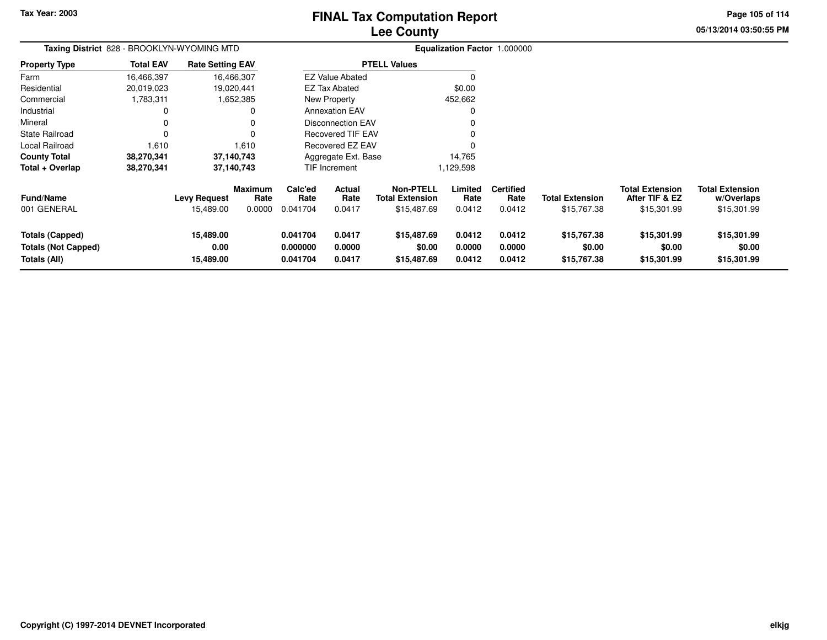**Totals (Not Capped)**

**Totals (All)**

**0.00**

**15,489.00**

# **Lee CountyFINAL Tax Computation Report**

**0.000000 0.0000 \$0.00 0.0000 0.0000 \$0.00 \$0.00 \$0.00**

**0.041704 0.0417 \$15,487.69 0.0412 0.0412 \$15,767.38 \$15,301.99 \$15,301.99**

**05/13/2014 03:50:55 PMPage 105 of 114**

| Taxing District 828 - BROOKLYN-WYOMING MTD |                  |                         |                        |                 |                          |                                            |                 | Equalization Factor 1.000000 |                        |                                          |                                      |
|--------------------------------------------|------------------|-------------------------|------------------------|-----------------|--------------------------|--------------------------------------------|-----------------|------------------------------|------------------------|------------------------------------------|--------------------------------------|
| <b>Property Type</b>                       | <b>Total EAV</b> | <b>Rate Setting EAV</b> |                        |                 |                          | <b>PTELL Values</b>                        |                 |                              |                        |                                          |                                      |
| Farm                                       | 16,466,397       | 16,466,307              |                        |                 | <b>EZ Value Abated</b>   |                                            |                 |                              |                        |                                          |                                      |
| Residential                                | 20,019,023       | 19,020,441              |                        |                 | EZ Tax Abated            |                                            | \$0.00          |                              |                        |                                          |                                      |
| Commercial                                 | 1,783,311        |                         | 1,652,385              |                 | New Property             |                                            | 452,662         |                              |                        |                                          |                                      |
| Industrial                                 | 0                |                         | 0                      |                 | <b>Annexation EAV</b>    |                                            | $\Omega$        |                              |                        |                                          |                                      |
| Mineral                                    | 0                |                         | 0                      |                 | <b>Disconnection EAV</b> |                                            | 0               |                              |                        |                                          |                                      |
| State Railroad                             | $\Omega$         |                         | $\Omega$               |                 | Recovered TIF EAV        |                                            | $\Omega$        |                              |                        |                                          |                                      |
| Local Railroad                             | 1,610            |                         | 1,610                  |                 | Recovered EZ EAV         |                                            | $\Omega$        |                              |                        |                                          |                                      |
| <b>County Total</b>                        | 38,270,341       | 37,140,743              |                        |                 | Aggregate Ext. Base      |                                            | 14,765          |                              |                        |                                          |                                      |
| Total + Overlap                            | 38,270,341       | 37,140,743              |                        |                 | TIF Increment            |                                            | 1,129,598       |                              |                        |                                          |                                      |
| <b>Fund/Name</b>                           |                  | <b>Levy Request</b>     | <b>Maximum</b><br>Rate | Calc'ed<br>Rate | <b>Actual</b><br>Rate    | <b>Non-PTELL</b><br><b>Total Extension</b> | Limited<br>Rate | <b>Certified</b><br>Rate     | <b>Total Extension</b> | <b>Total Extension</b><br>After TIF & EZ | <b>Total Extension</b><br>w/Overlaps |
| 001 GENERAL                                |                  | 15,489.00               | 0.0000                 | 0.041704        | 0.0417                   | \$15,487.69                                | 0.0412          | 0.0412                       | \$15,767.38            | \$15,301.99                              | \$15,301.99                          |
| <b>Totals (Capped)</b>                     |                  | 15,489.00               |                        | 0.041704        | 0.0417                   | \$15,487.69                                | 0.0412          | 0.0412                       | \$15,767.38            | \$15,301.99                              | \$15,301.99                          |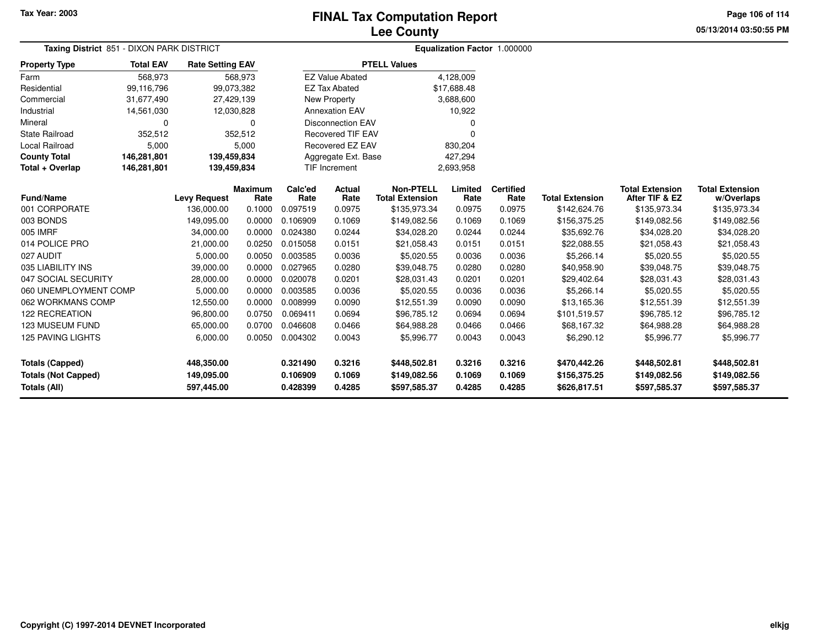**Page 106 of 114**

**05/13/2014 03:50:55 PM**

| <b>Taxing District</b> 851 - DIXON PARK DISTRICT |                  |                         |                        |                 |                          | <b>Equalization Factor 1.000000</b>        |                 |                          |                        |                                          |                                      |
|--------------------------------------------------|------------------|-------------------------|------------------------|-----------------|--------------------------|--------------------------------------------|-----------------|--------------------------|------------------------|------------------------------------------|--------------------------------------|
| <b>Property Type</b>                             | <b>Total EAV</b> | <b>Rate Setting EAV</b> |                        |                 |                          | <b>PTELL Values</b>                        |                 |                          |                        |                                          |                                      |
| Farm                                             | 568,973          |                         | 568,973                |                 | <b>EZ Value Abated</b>   |                                            | 4,128,009       |                          |                        |                                          |                                      |
| Residential                                      | 99,116,796       | 99,073,382              |                        |                 | <b>EZ Tax Abated</b>     |                                            | \$17,688.48     |                          |                        |                                          |                                      |
| Commercial                                       | 31,677,490       | 27,429,139              |                        |                 | <b>New Property</b>      |                                            | 3,688,600       |                          |                        |                                          |                                      |
| Industrial                                       | 14,561,030       | 12,030,828              |                        |                 | <b>Annexation EAV</b>    |                                            | 10,922          |                          |                        |                                          |                                      |
| Mineral                                          | 0                |                         | 0                      |                 | <b>Disconnection EAV</b> |                                            | O               |                          |                        |                                          |                                      |
| <b>State Railroad</b>                            | 352,512          |                         | 352,512                |                 | <b>Recovered TIF EAV</b> |                                            | 0               |                          |                        |                                          |                                      |
| Local Railroad                                   | 5,000            |                         | 5,000                  |                 | Recovered EZ EAV         |                                            | 830,204         |                          |                        |                                          |                                      |
| <b>County Total</b>                              | 146,281,801      | 139,459,834             |                        |                 | Aggregate Ext. Base      |                                            | 427,294         |                          |                        |                                          |                                      |
| Total + Overlap                                  | 146,281,801      | 139,459,834             |                        |                 | <b>TIF Increment</b>     |                                            | 2,693,958       |                          |                        |                                          |                                      |
| <b>Fund/Name</b>                                 |                  | <b>Levy Request</b>     | <b>Maximum</b><br>Rate | Calc'ed<br>Rate | <b>Actual</b><br>Rate    | <b>Non-PTELL</b><br><b>Total Extension</b> | Limited<br>Rate | <b>Certified</b><br>Rate | <b>Total Extension</b> | <b>Total Extension</b><br>After TIF & EZ | <b>Total Extension</b><br>w/Overlaps |
| 001 CORPORATE                                    |                  | 136,000.00              | 0.1000                 | 0.097519        | 0.0975                   | \$135,973.34                               | 0.0975          | 0.0975                   | \$142,624.76           | \$135,973.34                             | \$135,973.34                         |
| 003 BONDS                                        |                  | 149,095.00              | 0.0000                 | 0.106909        | 0.1069                   | \$149,082.56                               | 0.1069          | 0.1069                   | \$156,375.25           | \$149,082.56                             | \$149,082.56                         |
| 005 IMRF                                         |                  | 34,000.00               | 0.0000                 | 0.024380        | 0.0244                   | \$34,028.20                                | 0.0244          | 0.0244                   | \$35,692.76            | \$34,028.20                              | \$34,028.20                          |
| 014 POLICE PRO                                   |                  | 21,000.00               | 0.0250                 | 0.015058        | 0.0151                   | \$21,058.43                                | 0.0151          | 0.0151                   | \$22,088.55            | \$21,058.43                              | \$21,058.43                          |
| 027 AUDIT                                        |                  | 5,000.00                | 0.0050                 | 0.003585        | 0.0036                   | \$5,020.55                                 | 0.0036          | 0.0036                   | \$5,266.14             | \$5,020.55                               | \$5,020.55                           |
| 035 LIABILITY INS                                |                  | 39,000.00               | 0.0000                 | 0.027965        | 0.0280                   | \$39,048.75                                | 0.0280          | 0.0280                   | \$40,958.90            | \$39,048.75                              | \$39,048.75                          |
| 047 SOCIAL SECURITY                              |                  | 28,000.00               | 0.0000                 | 0.020078        | 0.0201                   | \$28,031.43                                | 0.0201          | 0.0201                   | \$29,402.64            | \$28,031.43                              | \$28,031.43                          |
| 060 UNEMPLOYMENT COMP                            |                  | 5,000.00                | 0.0000                 | 0.003585        | 0.0036                   | \$5,020.55                                 | 0.0036          | 0.0036                   | \$5,266.14             | \$5,020.55                               | \$5,020.55                           |
| 062 WORKMANS COMP                                |                  | 12,550.00               | 0.0000                 | 0.008999        | 0.0090                   | \$12,551.39                                | 0.0090          | 0.0090                   | \$13,165.36            | \$12,551.39                              | \$12,551.39                          |
| <b>122 RECREATION</b>                            |                  | 96,800.00               | 0.0750                 | 0.069411        | 0.0694                   | \$96,785.12                                | 0.0694          | 0.0694                   | \$101,519.57           | \$96,785.12                              | \$96,785.12                          |
| <b>123 MUSEUM FUND</b>                           |                  | 65,000.00               | 0.0700                 | 0.046608        | 0.0466                   | \$64,988.28                                | 0.0466          | 0.0466                   | \$68,167.32            | \$64,988.28                              | \$64,988.28                          |
| 125 PAVING LIGHTS                                |                  | 6,000.00                | 0.0050                 | 0.004302        | 0.0043                   | \$5,996.77                                 | 0.0043          | 0.0043                   | \$6,290.12             | \$5,996.77                               | \$5,996.77                           |
| <b>Totals (Capped)</b>                           |                  | 448,350.00              |                        | 0.321490        | 0.3216                   | \$448,502.81                               | 0.3216          | 0.3216                   | \$470,442.26           | \$448,502.81                             | \$448,502.81                         |
| <b>Totals (Not Capped)</b>                       |                  | 149,095.00              |                        | 0.106909        | 0.1069                   | \$149,082.56                               | 0.1069          | 0.1069                   | \$156,375.25           | \$149,082.56                             | \$149,082.56                         |
| Totals (All)                                     |                  | 597,445.00              |                        | 0.428399        | 0.4285                   | \$597,585.37                               | 0.4285          | 0.4285                   | \$626,817.51           | \$597,585.37                             | \$597,585.37                         |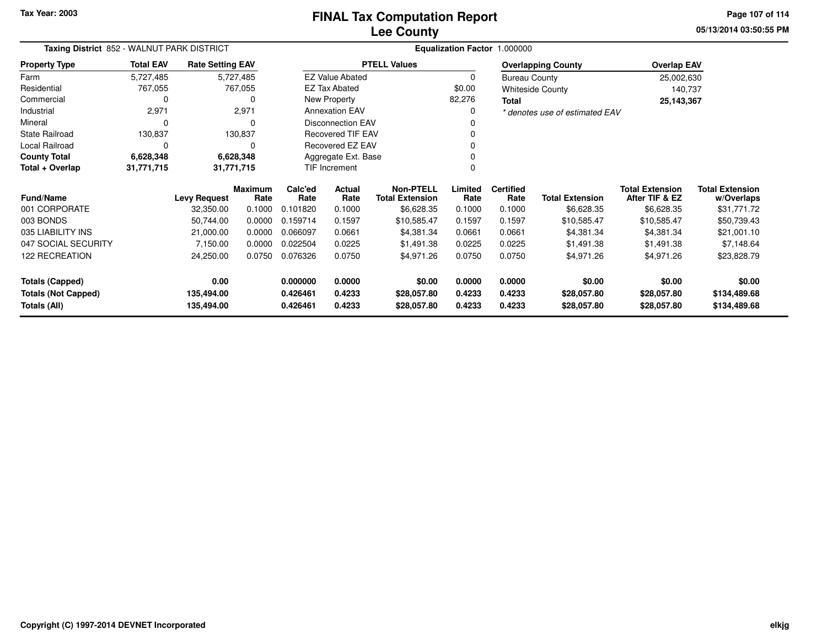**05/13/2014 03:50:55 PMPage 107 of 114**

| Taxing District 852 - WALNUT PARK DISTRICT |                  |                         |                 |                 |                          |                                            | Equalization Factor 1.000000 |                          |                                |                                          |                                      |
|--------------------------------------------|------------------|-------------------------|-----------------|-----------------|--------------------------|--------------------------------------------|------------------------------|--------------------------|--------------------------------|------------------------------------------|--------------------------------------|
| <b>Property Type</b>                       | <b>Total EAV</b> | <b>Rate Setting EAV</b> |                 |                 |                          | <b>PTELL Values</b>                        |                              |                          | <b>Overlapping County</b>      | <b>Overlap EAV</b>                       |                                      |
| Farm                                       | 5,727,485        |                         | 5,727,485       |                 | <b>EZ Value Abated</b>   |                                            | 0                            | <b>Bureau County</b>     |                                | 25,002,630                               |                                      |
| Residential                                | 767,055          |                         | 767,055         |                 | <b>EZ Tax Abated</b>     |                                            | \$0.00                       |                          | <b>Whiteside County</b>        | 140,737                                  |                                      |
| Commercial                                 | $\Omega$         |                         |                 |                 | New Property             |                                            | 82,276                       | Total                    |                                | 25, 143, 367                             |                                      |
| Industrial                                 | 2,971            |                         | 2,971           |                 | <b>Annexation EAV</b>    |                                            | $\Omega$                     |                          | * denotes use of estimated EAV |                                          |                                      |
| Mineral                                    | $\Omega$         |                         |                 |                 | Disconnection EAV        |                                            |                              |                          |                                |                                          |                                      |
| <b>State Railroad</b>                      | 130,837          |                         | 130,837         |                 | <b>Recovered TIF EAV</b> |                                            |                              |                          |                                |                                          |                                      |
| Local Railroad                             | $\Omega$         |                         |                 |                 | Recovered EZ EAV         |                                            |                              |                          |                                |                                          |                                      |
| <b>County Total</b>                        | 6,628,348        |                         | 6,628,348       |                 | Aggregate Ext. Base      |                                            |                              |                          |                                |                                          |                                      |
| Total + Overlap                            | 31,771,715       |                         | 31,771,715      |                 | <b>TIF Increment</b>     |                                            | 0                            |                          |                                |                                          |                                      |
| <b>Fund/Name</b>                           |                  | <b>Levy Request</b>     | Maximum<br>Rate | Calc'ed<br>Rate | Actual<br>Rate           | <b>Non-PTELL</b><br><b>Total Extension</b> | Limited<br>Rate              | <b>Certified</b><br>Rate | <b>Total Extension</b>         | <b>Total Extension</b><br>After TIF & EZ | <b>Total Extension</b><br>w/Overlaps |
| 001 CORPORATE                              |                  | 32,350.00               | 0.1000          | 0.101820        | 0.1000                   | \$6,628.35                                 | 0.1000                       | 0.1000                   | \$6,628.35                     | \$6,628.35                               | \$31,771.72                          |
| 003 BONDS                                  |                  | 50,744.00               | 0.0000          | 0.159714        | 0.1597                   | \$10,585.47                                | 0.1597                       | 0.1597                   | \$10,585.47                    | \$10,585.47                              | \$50,739.43                          |
| 035 LIABILITY INS                          |                  | 21,000.00               | 0.0000          | 0.066097        | 0.0661                   | \$4,381.34                                 | 0.0661                       | 0.0661                   | \$4,381.34                     | \$4,381.34                               | \$21,001.10                          |
| 047 SOCIAL SECURITY                        |                  | 7,150.00                | 0.0000          | 0.022504        | 0.0225                   | \$1,491.38                                 | 0.0225                       | 0.0225                   | \$1,491.38                     | \$1,491.38                               | \$7,148.64                           |
| 122 RECREATION                             |                  | 24,250.00               | 0.0750          | 0.076326        | 0.0750                   | \$4,971.26                                 | 0.0750                       | 0.0750                   | \$4,971.26                     | \$4,971.26                               | \$23,828.79                          |
| <b>Totals (Capped)</b>                     |                  | 0.00                    |                 | 0.000000        | 0.0000                   | \$0.00                                     | 0.0000                       | 0.0000                   | \$0.00                         | \$0.00                                   | \$0.00                               |
| <b>Totals (Not Capped)</b>                 |                  | 135,494.00              |                 | 0.426461        | 0.4233                   | \$28,057.80                                | 0.4233                       | 0.4233                   | \$28,057.80                    | \$28,057.80                              | \$134,489.68                         |
| Totals (All)                               |                  | 135,494.00              |                 | 0.426461        | 0.4233                   | \$28,057.80                                | 0.4233                       | 0.4233                   | \$28,057.80                    | \$28,057.80                              | \$134,489.68                         |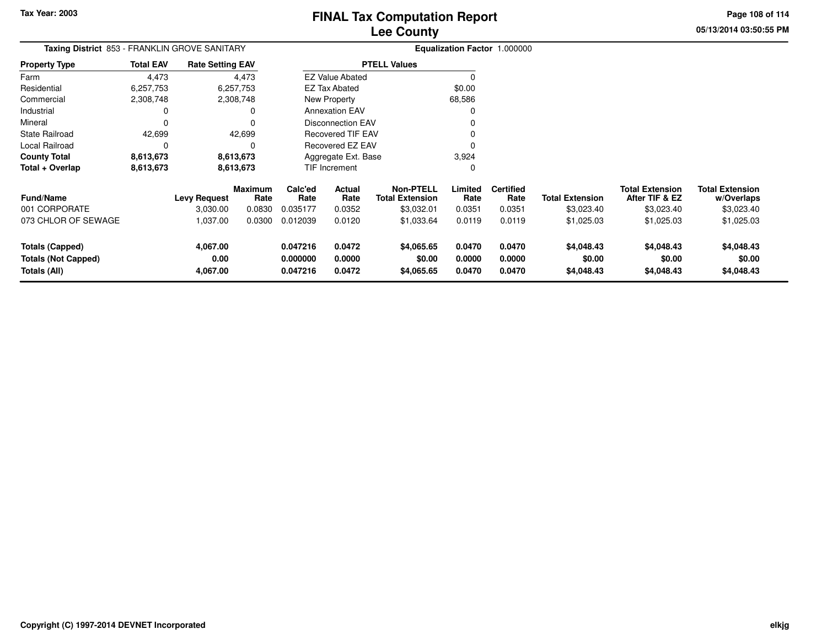**Page 108 of 114**

**05/13/2014 03:50:55 PM**

| <b>Taxing District</b> 853 - FRANKLIN GROVE SANITARY |                              |                |                                  |                            |                                                                |                                                  |                            |                                    |                                                               |                                      |
|------------------------------------------------------|------------------------------|----------------|----------------------------------|----------------------------|----------------------------------------------------------------|--------------------------------------------------|----------------------------|------------------------------------|---------------------------------------------------------------|--------------------------------------|
| <b>Total EAV</b>                                     | <b>Rate Setting EAV</b>      |                |                                  | <b>PTELL Values</b>        |                                                                |                                                  |                            |                                    |                                                               |                                      |
| 4,473                                                | 4,473                        |                |                                  |                            |                                                                | $\Omega$                                         |                            |                                    |                                                               |                                      |
| 6,257,753                                            | 6,257,753                    |                |                                  |                            |                                                                | \$0.00                                           |                            |                                    |                                                               |                                      |
| 2,308,748                                            | 2,308,748                    |                |                                  |                            |                                                                | 68,586                                           |                            |                                    |                                                               |                                      |
| 0                                                    | 0                            |                |                                  |                            |                                                                |                                                  |                            |                                    |                                                               |                                      |
| $\Omega$                                             | 0                            |                | <b>Disconnection EAV</b>         |                            |                                                                |                                                  |                            |                                    |                                                               |                                      |
| 42,699                                               | 42,699                       |                | <b>Recovered TIF EAV</b>         |                            |                                                                |                                                  |                            |                                    |                                                               |                                      |
| $\Omega$                                             | $\Omega$                     |                | Recovered EZ EAV                 |                            |                                                                | 0                                                |                            |                                    |                                                               |                                      |
| 8,613,673                                            | 8,613,673                    |                | Aggregate Ext. Base              |                            |                                                                | 3,924                                            |                            |                                    |                                                               |                                      |
| 8,613,673<br>8,613,673                               |                              |                | TIF Increment                    |                            |                                                                | 0                                                |                            |                                    |                                                               |                                      |
|                                                      |                              | <b>Maximum</b> | Calc'ed                          | Actual                     | <b>Non-PTELL</b>                                               | Limited                                          | <b>Certified</b>           |                                    | <b>Total Extension</b>                                        | <b>Total Extension</b><br>w/Overlaps |
|                                                      | 3,030.00                     | 0.0830         | 0.035177                         | 0.0352                     | \$3,032.01                                                     | 0.0351                                           | 0.0351                     | \$3,023.40                         | \$3,023.40                                                    | \$3,023.40                           |
|                                                      | 1,037.00                     | 0.0300         | 0.012039                         | 0.0120                     | \$1,033.64                                                     | 0.0119                                           | 0.0119                     | \$1,025.03                         | \$1,025.03                                                    | \$1,025.03                           |
|                                                      | 4,067.00<br>0.00<br>4,067.00 |                | 0.047216<br>0.000000<br>0.047216 | 0.0472<br>0.0000<br>0.0472 | \$4,065.65<br>\$0.00<br>\$4,065.65                             | 0.0470<br>0.0000<br>0.0470                       | 0.0470<br>0.0000<br>0.0470 | \$4,048.43<br>\$0.00<br>\$4,048.43 | \$4,048.43<br>\$0.00<br>\$4,048.43                            | \$4,048.43<br>\$0.00<br>\$4,048.43   |
|                                                      |                              | Levy Request   | Rate                             | Rate                       | EZ Tax Abated<br>New Property<br><b>Annexation EAV</b><br>Rate | <b>EZ Value Abated</b><br><b>Total Extension</b> | Rate                       | Rate                               | <b>Equalization Factor 1.000000</b><br><b>Total Extension</b> | After TIF & EZ                       |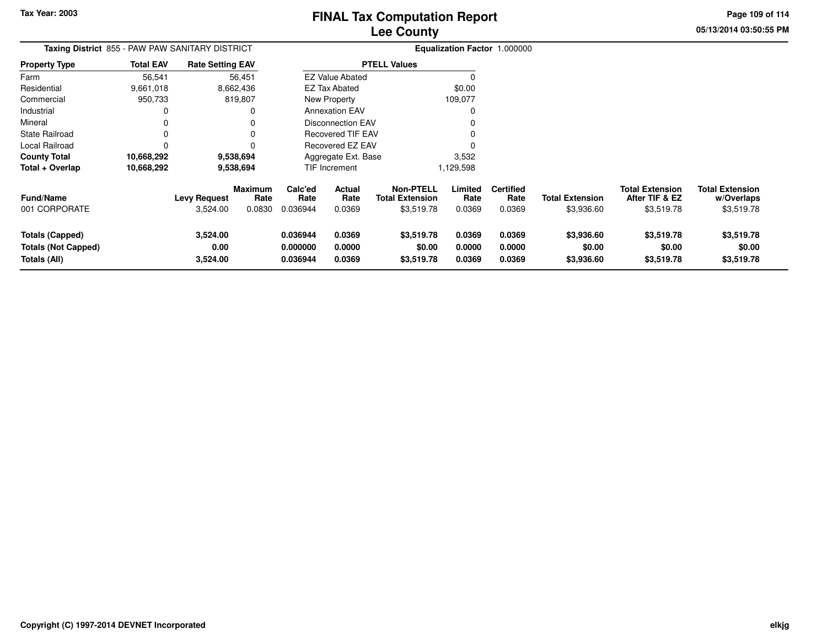**Page 109 of 114**

**05/13/2014 03:50:55 PM**

| <b>Taxing District</b> 855 - PAW PAW SANITARY DISTRICT               |                  |                                 |                           |                                  |                                         |                                                          |                            | <b>Equalization Factor 1.000000</b> |                                      |                                                        |                                                    |
|----------------------------------------------------------------------|------------------|---------------------------------|---------------------------|----------------------------------|-----------------------------------------|----------------------------------------------------------|----------------------------|-------------------------------------|--------------------------------------|--------------------------------------------------------|----------------------------------------------------|
| Property Type                                                        | <b>Total EAV</b> | <b>Rate Setting EAV</b>         |                           |                                  |                                         | <b>PTELL Values</b>                                      |                            |                                     |                                      |                                                        |                                                    |
| Farm                                                                 | 56,541           |                                 | 56,451                    |                                  | <b>EZ Value Abated</b>                  |                                                          | 0                          |                                     |                                      |                                                        |                                                    |
| Residential                                                          | 9,661,018        |                                 | 8,662,436                 |                                  | <b>EZ Tax Abated</b>                    |                                                          | \$0.00                     |                                     |                                      |                                                        |                                                    |
| Commercial                                                           | 950,733          |                                 | 819,807                   |                                  | New Property                            |                                                          | 109,077                    |                                     |                                      |                                                        |                                                    |
| Industrial                                                           | 0                |                                 |                           |                                  | <b>Annexation EAV</b>                   |                                                          | 0                          |                                     |                                      |                                                        |                                                    |
| Mineral                                                              | 0                |                                 |                           |                                  | <b>Disconnection EAV</b>                |                                                          |                            |                                     |                                      |                                                        |                                                    |
| State Railroad                                                       | 0                |                                 |                           |                                  | <b>Recovered TIF EAV</b>                |                                                          |                            |                                     |                                      |                                                        |                                                    |
| Local Railroad                                                       | 0                |                                 |                           |                                  | Recovered EZ EAV<br>Aggregate Ext. Base |                                                          |                            |                                     |                                      |                                                        |                                                    |
| County Total                                                         | 10,668,292       |                                 | 9,538,694                 |                                  |                                         |                                                          | 3,532                      |                                     |                                      |                                                        |                                                    |
| Total + Overlap                                                      | 10,668,292       | 9,538,694                       |                           |                                  | TIF Increment                           |                                                          | 1,129,598                  |                                     |                                      |                                                        |                                                    |
| <b>Fund/Name</b><br>001 CORPORATE                                    |                  | <b>Levy Request</b><br>3,524.00 | Maximum<br>Rate<br>0.0830 | Calc'ed<br>Rate<br>0.036944      | Actual<br>Rate<br>0.0369                | <b>Non-PTELL</b><br><b>Total Extension</b><br>\$3,519.78 | Limited<br>Rate<br>0.0369  | <b>Certified</b><br>Rate<br>0.0369  | <b>Total Extension</b><br>\$3,936.60 | <b>Total Extension</b><br>After TIF & EZ<br>\$3,519.78 | <b>Total Extension</b><br>w/Overlaps<br>\$3,519.78 |
| <b>Totals (Capped)</b><br><b>Totals (Not Capped)</b><br>Totals (All) |                  | 3,524.00<br>0.00<br>3,524.00    |                           | 0.036944<br>0.000000<br>0.036944 | 0.0369<br>0.0000<br>0.0369              | \$3,519.78<br>\$0.00<br>\$3,519.78                       | 0.0369<br>0.0000<br>0.0369 | 0.0369<br>0.0000<br>0.0369          | \$3,936.60<br>\$0.00<br>\$3,936.60   | \$3,519.78<br>\$0.00<br>\$3,519.78                     | \$3,519.78<br>\$0.00<br>\$3,519.78                 |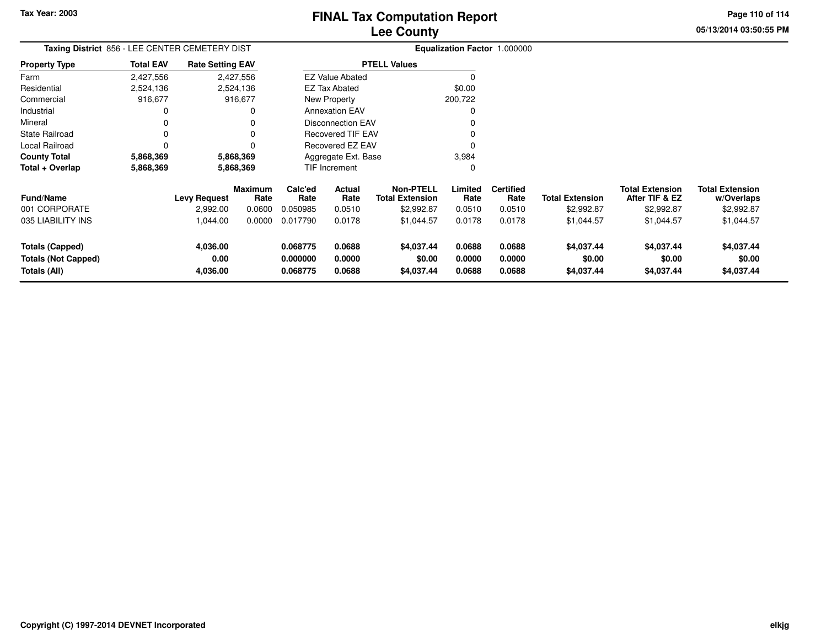**05/13/2014 03:50:55 PMPage 110 of 114**

| Taxing District 856 - LEE CENTER CEMETERY DIST |                  | Equalization Factor 1.000000 |                 |                      |                          |                                            |                  |                          |                        |                                          |                                      |
|------------------------------------------------|------------------|------------------------------|-----------------|----------------------|--------------------------|--------------------------------------------|------------------|--------------------------|------------------------|------------------------------------------|--------------------------------------|
| <b>Property Type</b>                           | <b>Total EAV</b> | <b>Rate Setting EAV</b>      |                 | <b>PTELL Values</b>  |                          |                                            |                  |                          |                        |                                          |                                      |
| Farm                                           | 2,427,556        |                              | 2,427,556       |                      | <b>EZ Value Abated</b>   |                                            | $\Omega$         |                          |                        |                                          |                                      |
| Residential                                    | 2,524,136        |                              | 2,524,136       |                      | EZ Tax Abated            |                                            | \$0.00           |                          |                        |                                          |                                      |
| Commercial                                     | 916,677          |                              | 916,677         |                      | New Property             |                                            | 200,722          |                          |                        |                                          |                                      |
| Industrial                                     |                  |                              | O               |                      | <b>Annexation EAV</b>    |                                            |                  |                          |                        |                                          |                                      |
| Mineral                                        |                  |                              |                 |                      | <b>Disconnection EAV</b> |                                            |                  |                          |                        |                                          |                                      |
| <b>State Railroad</b>                          |                  |                              | $\Omega$        |                      | <b>Recovered TIF EAV</b> |                                            |                  |                          |                        |                                          |                                      |
| Local Railroad                                 |                  |                              | O               |                      | Recovered EZ EAV         |                                            | O                |                          |                        |                                          |                                      |
| <b>County Total</b>                            | 5,868,369        |                              | 5,868,369       |                      | Aggregate Ext. Base      |                                            | 3,984            |                          |                        |                                          |                                      |
| Total + Overlap                                | 5,868,369        | 5,868,369                    |                 | TIF Increment        |                          |                                            | 0                |                          |                        |                                          |                                      |
| <b>Fund/Name</b>                               |                  | Levy Request                 | Maximum<br>Rate | Calc'ed<br>Rate      | Actual<br>Rate           | <b>Non-PTELL</b><br><b>Total Extension</b> | Limited<br>Rate  | <b>Certified</b><br>Rate | <b>Total Extension</b> | <b>Total Extension</b><br>After TIF & EZ | <b>Total Extension</b><br>w/Overlaps |
| 001 CORPORATE                                  |                  | 2,992.00                     | 0.0600          | 0.050985             | 0.0510                   | \$2,992.87                                 | 0.0510           | 0.0510                   | \$2,992.87             | \$2,992.87                               | \$2,992.87                           |
| 035 LIABILITY INS                              |                  | 1,044.00                     | 0.0000          | 0.017790             | 0.0178                   | \$1,044.57                                 | 0.0178           | 0.0178                   | \$1,044.57             | \$1,044.57                               | \$1,044.57                           |
| Totals (Capped)<br><b>Totals (Not Capped)</b>  |                  | 4,036.00<br>0.00             |                 | 0.068775<br>0.000000 | 0.0688<br>0.0000         | \$4,037.44<br>\$0.00                       | 0.0688<br>0.0000 | 0.0688<br>0.0000         | \$4,037.44<br>\$0.00   | \$4,037.44<br>\$0.00                     | \$4,037.44<br>\$0.00                 |
| Totals (All)                                   |                  | 4,036.00                     |                 | 0.068775             | 0.0688                   | \$4,037.44                                 | 0.0688           | 0.0688                   | \$4,037.44             | \$4,037.44                               | \$4,037.44                           |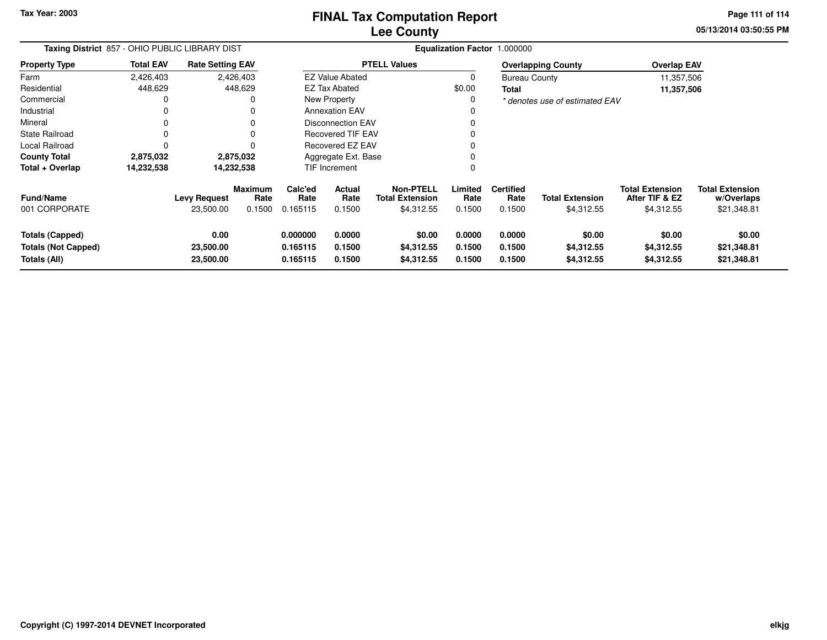**Tax Year: 2003**

## **Lee CountyFINAL Tax Computation Report**

**05/13/2014 03:50:55 PM Page 111 of 114**

| Taxing District 857 - OHIO PUBLIC LIBRARY DIST                |                  |                                |                        | Equalization Factor 1.000000     |                            |                                            |                            |                            |                                    |                                          |                                      |
|---------------------------------------------------------------|------------------|--------------------------------|------------------------|----------------------------------|----------------------------|--------------------------------------------|----------------------------|----------------------------|------------------------------------|------------------------------------------|--------------------------------------|
| <b>Property Type</b>                                          | <b>Total EAV</b> | <b>Rate Setting EAV</b>        |                        | <b>PTELL Values</b>              |                            |                                            |                            |                            | <b>Overlapping County</b>          | <b>Overlap EAV</b>                       |                                      |
| Farm                                                          | 2,426,403        |                                | 2,426,403              |                                  | <b>EZ Value Abated</b>     |                                            |                            | <b>Bureau County</b>       |                                    | 11,357,506                               |                                      |
| Residential                                                   | 448,629          |                                | 448,629                |                                  | <b>EZ Tax Abated</b>       |                                            | \$0.00                     | <b>Total</b>               |                                    | 11,357,506                               |                                      |
| Commercial                                                    | 0                |                                |                        | New Property                     |                            |                                            | 0                          |                            | * denotes use of estimated EAV     |                                          |                                      |
| Industrial                                                    | 0                |                                |                        | <b>Annexation EAV</b>            |                            |                                            |                            |                            |                                    |                                          |                                      |
| Mineral                                                       | 0                |                                |                        | Disconnection EAV                |                            |                                            |                            |                            |                                    |                                          |                                      |
| <b>State Railroad</b>                                         | $\Omega$         |                                |                        | <b>Recovered TIF EAV</b>         |                            |                                            |                            |                            |                                    |                                          |                                      |
| Local Railroad                                                | 0                |                                |                        | Recovered EZ EAV                 |                            |                                            |                            |                            |                                    |                                          |                                      |
| <b>County Total</b>                                           | 2,875,032        |                                | 2,875,032              | Aggregate Ext. Base              |                            |                                            |                            |                            |                                    |                                          |                                      |
| Total + Overlap                                               | 14,232,538       |                                | 14,232,538             |                                  | TIF Increment              |                                            |                            |                            |                                    |                                          |                                      |
| <b>Fund/Name</b>                                              |                  | <b>Levy Request</b>            | <b>Maximum</b><br>Rate | Calc'ed<br>Rate                  | <b>Actual</b><br>Rate      | <b>Non-PTELL</b><br><b>Total Extension</b> | Limited<br>Rate            | <b>Certified</b><br>Rate   | <b>Total Extension</b>             | <b>Total Extension</b><br>After TIF & EZ | <b>Total Extension</b><br>w/Overlaps |
| 001 CORPORATE                                                 |                  | 23,500.00                      | 0.1500                 | 0.165115                         | 0.1500                     | \$4,312.55                                 | 0.1500                     | 0.1500                     | \$4,312.55                         | \$4,312.55                               | \$21,348.81                          |
| Totals (Capped)<br><b>Totals (Not Capped)</b><br>Totals (All) |                  | 0.00<br>23,500.00<br>23,500.00 |                        | 0.000000<br>0.165115<br>0.165115 | 0.0000<br>0.1500<br>0.1500 | \$0.00<br>\$4,312.55<br>\$4,312.55         | 0.0000<br>0.1500<br>0.1500 | 0.0000<br>0.1500<br>0.1500 | \$0.00<br>\$4,312.55<br>\$4,312.55 | \$0.00<br>\$4,312.55<br>\$4,312.55       | \$0.00<br>\$21,348.81<br>\$21,348.81 |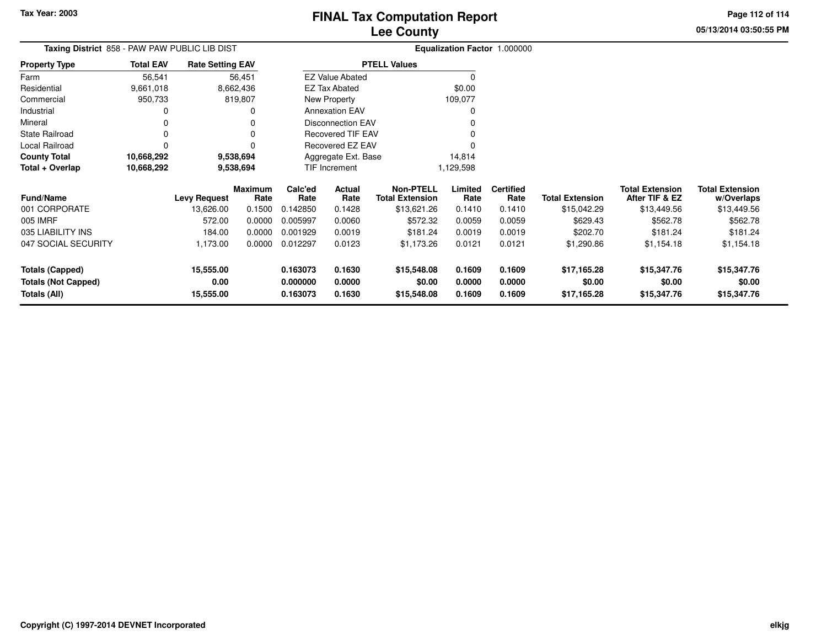**05/13/2014 03:50:55 PMPage 112 of 114**

| ax Computation Report |  |
|-----------------------|--|
| <b>Lee County</b>     |  |

| Taxing District  858 - PAW PAW PUBLIC LIB DIST | <b>Equalization Factor 1.000000</b> |                         |                 |                      |                          |                                            |                  |                          |                        |                                          |                                      |
|------------------------------------------------|-------------------------------------|-------------------------|-----------------|----------------------|--------------------------|--------------------------------------------|------------------|--------------------------|------------------------|------------------------------------------|--------------------------------------|
| <b>Property Type</b>                           | <b>Total EAV</b>                    | <b>Rate Setting EAV</b> |                 |                      |                          | <b>PTELL Values</b>                        |                  |                          |                        |                                          |                                      |
| Farm                                           | 56,541                              |                         | 56,451          |                      | <b>EZ Value Abated</b>   |                                            |                  |                          |                        |                                          |                                      |
| Residential                                    | 9,661,018                           |                         | 8,662,436       |                      | <b>EZ Tax Abated</b>     |                                            | \$0.00           |                          |                        |                                          |                                      |
| Commercial                                     | 950,733                             |                         | 819,807         |                      | New Property             |                                            | 109,077          |                          |                        |                                          |                                      |
| Industrial                                     |                                     |                         | 0               |                      | <b>Annexation EAV</b>    |                                            |                  |                          |                        |                                          |                                      |
| Mineral                                        |                                     |                         |                 |                      | <b>Disconnection EAV</b> |                                            |                  |                          |                        |                                          |                                      |
| <b>State Railroad</b>                          |                                     |                         | 0               |                      | <b>Recovered TIF EAV</b> |                                            |                  |                          |                        |                                          |                                      |
| Local Railroad                                 |                                     |                         | $\Omega$        |                      | Recovered EZ EAV         |                                            |                  |                          |                        |                                          |                                      |
| <b>County Total</b>                            | 10,668,292                          |                         | 9,538,694       |                      | Aggregate Ext. Base      |                                            | 14,814           |                          |                        |                                          |                                      |
| Total + Overlap                                | 10,668,292                          |                         | 9,538,694       |                      | TIF Increment            |                                            | 1,129,598        |                          |                        |                                          |                                      |
| <b>Fund/Name</b>                               |                                     | <b>Levy Request</b>     | Maximum<br>Rate | Calc'ed<br>Rate      | Actual<br>Rate           | <b>Non-PTELL</b><br><b>Total Extension</b> | Limited<br>Rate  | <b>Certified</b><br>Rate | <b>Total Extension</b> | <b>Total Extension</b><br>After TIF & EZ | <b>Total Extension</b><br>w/Overlaps |
| 001 CORPORATE                                  |                                     | 13,626.00               | 0.1500          | 0.142850             | 0.1428                   | \$13,621.26                                | 0.1410           | 0.1410                   | \$15,042.29            | \$13,449.56                              | \$13,449.56                          |
| 005 IMRF                                       |                                     | 572.00                  | 0.0000          | 0.005997             | 0.0060                   | \$572.32                                   | 0.0059           | 0.0059                   | \$629.43               | \$562.78                                 | \$562.78                             |
| 035 LIABILITY INS                              |                                     | 184.00                  | 0.0000          | 0.001929             | 0.0019                   | \$181.24                                   | 0.0019           | 0.0019                   | \$202.70               | \$181.24                                 | \$181.24                             |
| 047 SOCIAL SECURITY                            |                                     | 1,173.00                | 0.0000          | 0.012297             | 0.0123                   | \$1,173.26                                 | 0.0121           | 0.0121                   | \$1,290.86             | \$1,154.18                               | \$1,154.18                           |
| <b>Totals (Capped)</b>                         |                                     | 15,555.00               |                 | 0.163073             | 0.1630                   | \$15,548.08                                | 0.1609           | 0.1609                   | \$17,165.28            | \$15,347.76                              | \$15,347.76                          |
| <b>Totals (Not Capped)</b><br>Totals (All)     |                                     | 0.00<br>15,555.00       |                 | 0.000000<br>0.163073 | 0.0000<br>0.1630         | \$0.00<br>\$15,548.08                      | 0.0000<br>0.1609 | 0.0000<br>0.1609         | \$0.00<br>\$17,165.28  | \$0.00<br>\$15,347.76                    | \$0.00<br>\$15,347.76                |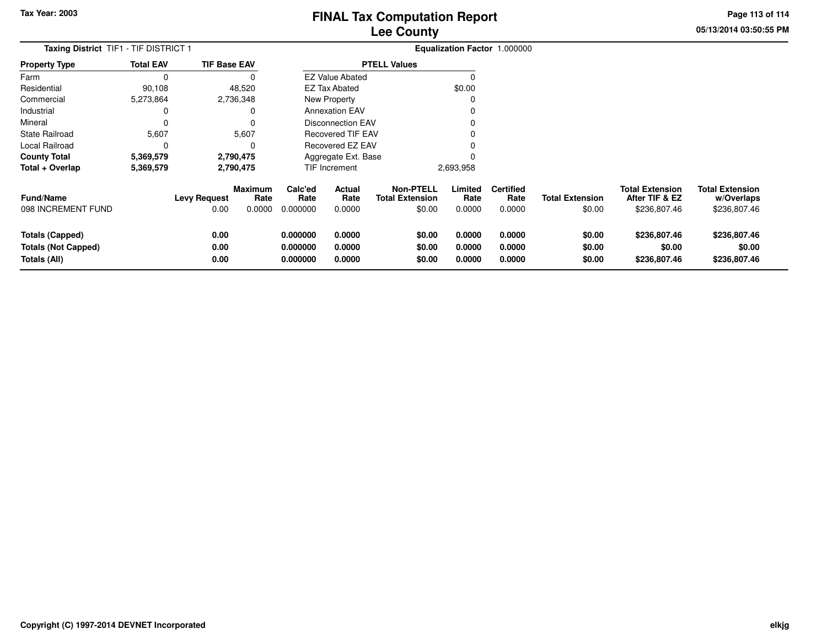**05/13/2014 03:50:55 PMPage 113 of 114**

| <b>Lee County</b>                   |  |
|-------------------------------------|--|
| <b>Equalization Factor 1.000000</b> |  |
| <b>BEELL 1/1</b>                    |  |

| <b>Total EAV</b> |      |                                              |                                                                                             |                                 |                                                                                       |                                                                                                                                           |                                    |                                     |  |  |  |
|------------------|------|----------------------------------------------|---------------------------------------------------------------------------------------------|---------------------------------|---------------------------------------------------------------------------------------|-------------------------------------------------------------------------------------------------------------------------------------------|------------------------------------|-------------------------------------|--|--|--|
| 0                |      |                                              |                                                                                             |                                 |                                                                                       |                                                                                                                                           |                                    |                                     |  |  |  |
| 90.108           |      |                                              |                                                                                             |                                 |                                                                                       | \$0.00                                                                                                                                    |                                    |                                     |  |  |  |
| 5,273,864        |      |                                              |                                                                                             |                                 |                                                                                       | 0                                                                                                                                         |                                    |                                     |  |  |  |
| 0                |      |                                              |                                                                                             |                                 |                                                                                       | 0                                                                                                                                         |                                    |                                     |  |  |  |
| Mineral          |      |                                              |                                                                                             |                                 |                                                                                       |                                                                                                                                           |                                    |                                     |  |  |  |
| 5,607            |      | 5,607                                        |                                                                                             |                                 |                                                                                       | 0                                                                                                                                         |                                    |                                     |  |  |  |
| $\Omega$         |      |                                              |                                                                                             |                                 |                                                                                       |                                                                                                                                           |                                    |                                     |  |  |  |
| 5,369,579        |      |                                              |                                                                                             |                                 |                                                                                       | 0                                                                                                                                         |                                    |                                     |  |  |  |
| 5,369,579        |      |                                              |                                                                                             |                                 |                                                                                       | 2,693,958                                                                                                                                 |                                    |                                     |  |  |  |
|                  | 0.00 | <b>Maximum</b><br>Rate<br>0.0000             | Calc'ed<br>Rate<br>0.000000                                                                 | <b>Actual</b><br>Rate<br>0.0000 | <b>Non-PTELL</b><br><b>Total Extension</b><br>\$0.00                                  | Limited<br>Rate<br>0.0000                                                                                                                 | <b>Certified</b><br>Rate<br>0.0000 | <b>Total Ex</b>                     |  |  |  |
|                  |      | <b>Taxing District</b> TIF1 - TIF DISTRICT 1 | <b>TIF Base EAV</b><br>48.520<br>2,736,348<br>2,790,475<br>2,790,475<br><b>Levy Request</b> |                                 | <b>EZ Tax Abated</b><br>New Property<br><b>Annexation EAV</b><br><b>TIF Increment</b> | <b>PTELL Values</b><br><b>EZ Value Abated</b><br>Disconnection EAV<br><b>Recovered TIF EAV</b><br>Recovered EZ EAV<br>Aggregate Ext. Base |                                    | <b>Equalization Factor 1.000000</b> |  |  |  |

| <b>Fund/Name</b><br>098 INCREMENT FUND        | <b>Levy Request</b><br>0.00 | <b>Maximum</b><br>Rate<br>0.0000 | Calc'ed<br>Rate<br>0.000000 | Actual<br>Rate<br>0.0000 | Non-PTELL<br><b>Total Extension</b><br>\$0.00 | .imited<br>Rate<br>0.0000 | <b>Certified</b><br>Rate<br>0.0000 | <b>Total Extension</b><br>\$0.00 | <b>Total Extension</b><br>After TIF & EZ<br>\$236,807.46 | <b>Total Extension</b><br>w/Overlaps<br>\$236,807.46 |  |
|-----------------------------------------------|-----------------------------|----------------------------------|-----------------------------|--------------------------|-----------------------------------------------|---------------------------|------------------------------------|----------------------------------|----------------------------------------------------------|------------------------------------------------------|--|
| Totals (Capped)<br><b>Totals (Not Capped)</b> | 0.00<br>0.00                |                                  | 0.000000<br>0.000000        | 0.0000<br>0.0000         | \$0.00<br>\$0.00                              | 0.0000<br>0.0000          | 0.0000<br>0.0000                   | \$0.00<br>\$0.00                 | \$236,807.46<br>\$0.00                                   | \$236,807.46<br>\$0.00                               |  |
| Totals (All)                                  | 0.00                        |                                  | 0.000000                    | 0.0000                   | \$0.00                                        | 0.0000                    | 0.0000                             | \$0.00                           | \$236,807.46                                             | \$236,807.46                                         |  |